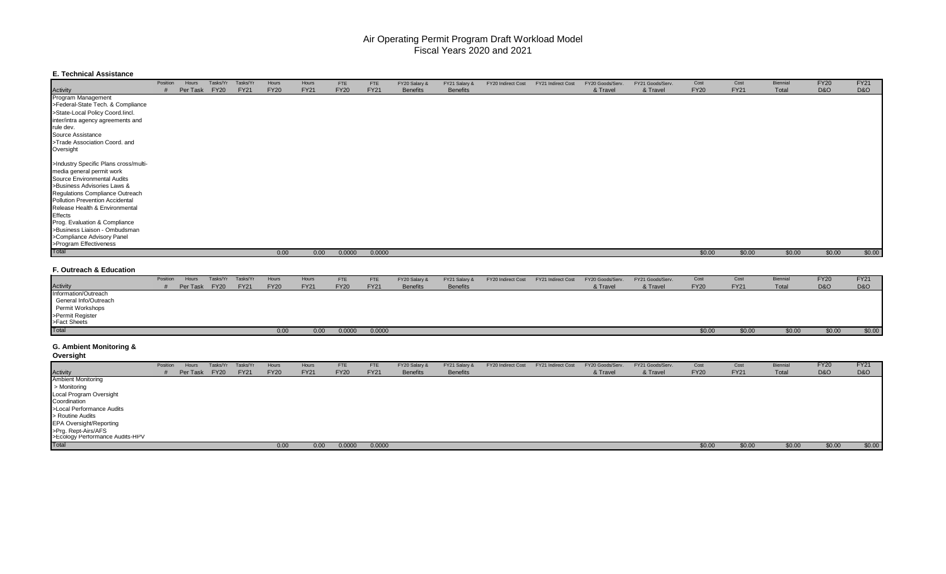## Air Operating Permit Program Workload Model Fiscal Years 2020 and 2021

### **E. Technical Assistance**

|                                       | Position | Hours    | Tasks/Yr    | Tasks/Yı    | Hours       | Hours       | <b>FTE</b>  | <b>FTE</b>  | FY20 Salary &   | FY21 Salary &   | FY20 Indirect Cost | FY21 Indirect Cost | FY20 Goods/Serv. | FY21 Goods/Serv. | Cost        | Cost        | Biennial | <b>FY20</b>    | <b>FY21</b> |
|---------------------------------------|----------|----------|-------------|-------------|-------------|-------------|-------------|-------------|-----------------|-----------------|--------------------|--------------------|------------------|------------------|-------------|-------------|----------|----------------|-------------|
| Activity                              |          | Per Task | <b>FY20</b> | <b>FY21</b> | <b>FY20</b> | <b>FY21</b> | <b>FY20</b> | <b>FY21</b> | <b>Benefits</b> | <b>Benefits</b> |                    |                    | & Travel         | & Travel         | <b>FY20</b> | <b>FY21</b> | Total    | <b>D&amp;O</b> | D&O         |
| Program Management                    |          |          |             |             |             |             |             |             |                 |                 |                    |                    |                  |                  |             |             |          |                |             |
| >Federal-State Tech. & Compliance     |          |          |             |             |             |             |             |             |                 |                 |                    |                    |                  |                  |             |             |          |                |             |
| >State-Local Policy Coord.lincl.      |          |          |             |             |             |             |             |             |                 |                 |                    |                    |                  |                  |             |             |          |                |             |
| inter/intra agency agreements and     |          |          |             |             |             |             |             |             |                 |                 |                    |                    |                  |                  |             |             |          |                |             |
| rule dev.                             |          |          |             |             |             |             |             |             |                 |                 |                    |                    |                  |                  |             |             |          |                |             |
| Source Assistance                     |          |          |             |             |             |             |             |             |                 |                 |                    |                    |                  |                  |             |             |          |                |             |
| >Trade Association Coord. and         |          |          |             |             |             |             |             |             |                 |                 |                    |                    |                  |                  |             |             |          |                |             |
| Oversight                             |          |          |             |             |             |             |             |             |                 |                 |                    |                    |                  |                  |             |             |          |                |             |
| >Industry Specific Plans cross/multi- |          |          |             |             |             |             |             |             |                 |                 |                    |                    |                  |                  |             |             |          |                |             |
| media general permit work             |          |          |             |             |             |             |             |             |                 |                 |                    |                    |                  |                  |             |             |          |                |             |
| Source Environmental Audits           |          |          |             |             |             |             |             |             |                 |                 |                    |                    |                  |                  |             |             |          |                |             |
| >Business Advisories Laws &           |          |          |             |             |             |             |             |             |                 |                 |                    |                    |                  |                  |             |             |          |                |             |
| Regulations Compliance Outreach       |          |          |             |             |             |             |             |             |                 |                 |                    |                    |                  |                  |             |             |          |                |             |
| Pollution Prevention Accidental       |          |          |             |             |             |             |             |             |                 |                 |                    |                    |                  |                  |             |             |          |                |             |
| Release Health & Environmental        |          |          |             |             |             |             |             |             |                 |                 |                    |                    |                  |                  |             |             |          |                |             |
| Effects                               |          |          |             |             |             |             |             |             |                 |                 |                    |                    |                  |                  |             |             |          |                |             |
| Prog. Evaluation & Compliance         |          |          |             |             |             |             |             |             |                 |                 |                    |                    |                  |                  |             |             |          |                |             |
| >Business Liaison - Ombudsman         |          |          |             |             |             |             |             |             |                 |                 |                    |                    |                  |                  |             |             |          |                |             |
| >Compliance Advisory Panel            |          |          |             |             |             |             |             |             |                 |                 |                    |                    |                  |                  |             |             |          |                |             |
| >Program Effectiveness                |          |          |             |             |             |             |             |             |                 |                 |                    |                    |                  |                  |             |             |          |                |             |
| Total                                 |          |          |             |             | 0.00        | 0.00        | 0.0000      | 0.0000      |                 |                 |                    |                    |                  |                  | \$0.00      | \$0.00      | \$0.00   | \$0.00         | \$0.00      |

#### **F. Outreach & Education**

|                       | Position | Hours    | Tasks/Yr    | Tasks/Yr    | Hours       | Hours       | <b>FTE</b>  | <b>FTE</b>  | FY20 Salary &   | FY21 Salary &   | FY20 Indirect Cost | FY21 Indirect Cost | FY20 Goods/Serv. | FY21 Goods/Serv. | Cost        | Cost        | Biennia | <b>FY20</b>    | <b>FY21</b>    |
|-----------------------|----------|----------|-------------|-------------|-------------|-------------|-------------|-------------|-----------------|-----------------|--------------------|--------------------|------------------|------------------|-------------|-------------|---------|----------------|----------------|
| <b>Activity</b>       |          | Per Task | <b>FY20</b> | <b>FY21</b> | <b>FY20</b> | <b>FY21</b> | <b>FY20</b> | <b>FY21</b> | <b>Benefits</b> | <b>Benefits</b> |                    |                    | & Travel         | & Travel         | <b>FY20</b> | <b>FY21</b> | Total   | <b>D&amp;O</b> | <b>D&amp;O</b> |
| Information/Outreach  |          |          |             |             |             |             |             |             |                 |                 |                    |                    |                  |                  |             |             |         |                |                |
| General Info/Outreach |          |          |             |             |             |             |             |             |                 |                 |                    |                    |                  |                  |             |             |         |                |                |
| Permit Workshops      |          |          |             |             |             |             |             |             |                 |                 |                    |                    |                  |                  |             |             |         |                |                |
| >Permit Register      |          |          |             |             |             |             |             |             |                 |                 |                    |                    |                  |                  |             |             |         |                |                |
| >Fact Sheets          |          |          |             |             |             |             |             |             |                 |                 |                    |                    |                  |                  |             |             |         |                |                |
| Total                 |          |          |             |             | 0.00        | 0.00        | 0.0000      | 0.0000      |                 |                 |                    |                    |                  |                  |             | \$0.00      | \$0.00  | \$0.00         | \$0.00         |

## **G. Ambient Monitoring &**

**Oversight**

|                                                        | Position | Hours    | Tasks/Yr    | Tasks/Yr    | Hours       | Hours       | <b>FTE</b>  | FTE         | FY20 Salary &   | FY21 Salary &   | FY20 Indirect Cost | FY21 Indirect Cost | FY20 Goods/Serv. | FY21 Goods/Serv. | Cost        | Cost        | Biennial | <b>FY20</b>    | <b>FY21</b>    |
|--------------------------------------------------------|----------|----------|-------------|-------------|-------------|-------------|-------------|-------------|-----------------|-----------------|--------------------|--------------------|------------------|------------------|-------------|-------------|----------|----------------|----------------|
| <b>Activity</b>                                        |          | Per Task | <b>FY20</b> | <b>FY21</b> | <b>FY20</b> | <b>FY21</b> | <b>FY20</b> | <b>FY21</b> | <b>Benefits</b> | <b>Benefits</b> |                    |                    | & Travel         | & Travel         | <b>FY20</b> | <b>FY21</b> | Total    | <b>D&amp;O</b> | <b>D&amp;O</b> |
| <b>Ambient Monitoring</b>                              |          |          |             |             |             |             |             |             |                 |                 |                    |                    |                  |                  |             |             |          |                |                |
| > Monitoring                                           |          |          |             |             |             |             |             |             |                 |                 |                    |                    |                  |                  |             |             |          |                |                |
| Local Program Oversight                                |          |          |             |             |             |             |             |             |                 |                 |                    |                    |                  |                  |             |             |          |                |                |
| Coordination                                           |          |          |             |             |             |             |             |             |                 |                 |                    |                    |                  |                  |             |             |          |                |                |
| >Local Performance Audits                              |          |          |             |             |             |             |             |             |                 |                 |                    |                    |                  |                  |             |             |          |                |                |
| > Routine Audits                                       |          |          |             |             |             |             |             |             |                 |                 |                    |                    |                  |                  |             |             |          |                |                |
| <b>EPA Oversight/Reporting</b>                         |          |          |             |             |             |             |             |             |                 |                 |                    |                    |                  |                  |             |             |          |                |                |
| >Prg. Rept-Airs/AFS<br>>Ecology Performance Audits-HPV |          |          |             |             |             |             |             |             |                 |                 |                    |                    |                  |                  |             |             |          |                |                |
|                                                        |          |          |             |             |             |             |             |             |                 |                 |                    |                    |                  |                  |             |             |          |                |                |
| Total                                                  |          |          |             |             | 0.00        | 0.00        | 0.0000      | 0.0000      |                 |                 |                    |                    |                  |                  | \$0.00      | \$0.00      | \$0.00   | \$0.00         | \$0.00         |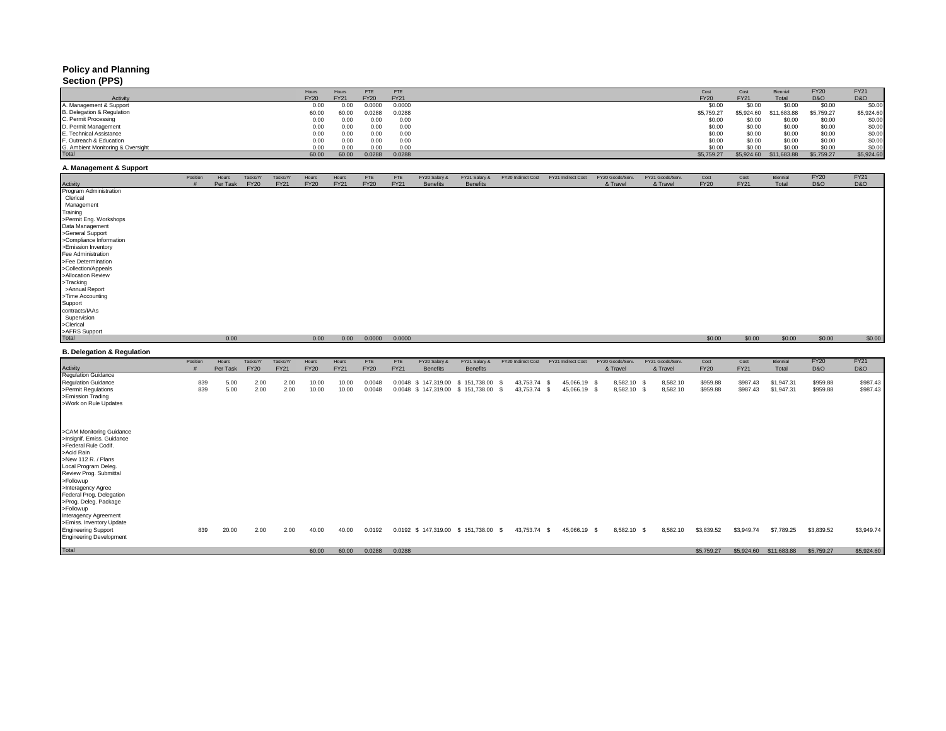# **Policy and Planning**

## **Section (PPS)**

|                                   | Hours       | Hours       | FTE         | FTE         | Cost        | Cost        | Biennial    | FY <sub>20</sub> | <b>FY21</b>    |
|-----------------------------------|-------------|-------------|-------------|-------------|-------------|-------------|-------------|------------------|----------------|
| Activity                          | <b>FY20</b> | <b>FY21</b> | <b>FY20</b> | <b>FY21</b> | <b>FY20</b> | <b>FY21</b> | Total       | <b>D&amp;O</b>   | <b>D&amp;O</b> |
| 1. Management & Support           | 0.00        | 0.00        | 0.000       | 0.0000      | \$0.00      | \$0.00      | \$0.00      | \$0.00           | \$0.00         |
| B. Delegation & Regulation        | 60.00       | 60.00       | 0.0288      | 0.0288      | \$5,759.27  | \$5,924.60  | \$11,683.88 | \$5,759.27       | \$5,924.60     |
| C. Permit Processing              | 0.00        | 0.00        | 0.00        | 0.00        | \$0.00      | \$0.00      | \$0.00      | \$0.00           | \$0.00         |
| D. Permit Management              | 0.00        | 0.00        | 0.00        | 0.00        | \$0.00      | \$0.00      | \$0.00      | \$0.00           | \$0.00         |
| E. Technical Assistance           | 0.00        | 0.00        | 0.00        | 0.00        | \$0.00      | \$0.00      | \$0.00      | \$0.00           | \$0.00         |
| -. Outreach & Education           | 0.00        | 0.00        | 0.00        | 0.00        | \$0.00      | \$0.00      | \$0.00      | \$0.00           | \$0.00         |
| 3. Ambient Monitoring & Oversight | 0.00        | 0.00        | 0.00        | 0.00        | \$0.00      | \$0.00      | \$0.00      | \$0.00           | \$0.00         |
| <b>Total</b>                      | 60.00       | 60.00       | 0.0288      | 0.0288      | \$5,759.27  | \$5,924.60  | \$11,683.88 | \$5,759.27       | \$5,924.60     |

#### **A. Management & Support**

| Program Administration<br>Clerical<br>Management<br>Training<br>>Permit Eng. Workshops<br>Data Management<br>>General Support<br>>Compliance Information<br>>Emission Inventory<br>Fee Administration<br>>Fee Determination<br>>Collection/Appeals<br>>Allocation Review<br>>Tracking<br>>Annual Report<br>>Time Accounting<br>Support<br>contracts/IAAs<br>Supervision<br>>Clerical<br>>AFRS Support<br>Total<br>0.00<br>\$0.00<br>\$0.00<br>\$0.00<br>0.00<br>0.00<br>0.0000<br>0.0000<br>\$0.00<br><b>FY20</b><br><b>FY21</b><br>Tasks/Yr<br>FY21 Goods/Serv.<br>Cost<br>Cost<br>Position<br>Hours<br>Tasks/Yr<br>Hours<br>Hours<br><b>FTE</b><br>FTE<br>FY20 Salary &<br>FY21 Salary &<br>FY20 Indirect Cost<br>FY21 Indirect Cost<br>FY20 Goods/Serv.<br>Biennial<br>Per Task<br><b>FY20</b><br><b>FY21</b><br><b>FY20</b><br><b>FY21</b><br><b>FY20</b><br><b>FY21</b><br><b>Benefits</b><br><b>Benefits</b><br>& Travel<br><b>FY20</b><br><b>FY21</b><br>Total<br><b>D&amp;O</b><br>D&O<br>Activity<br>& Travel<br><b>Regulation Guidance</b><br><b>Regulation Guidance</b><br>839<br>5.00<br>2.00<br>2.00<br>10.00<br>0.0048<br>43,753.74 \$<br>45,066.19 \$<br>8,582.10 \$<br>8,582.10<br>\$959.88<br>\$987.43<br>\$1,947.31<br>\$959.88<br>10.00<br>0.0048 \$147,319.00 \$151,738.00<br>-S<br>>Permit Regulations<br>839<br>5.00<br>2.00<br>10.00<br>43,753.74 \$<br>8,582.10 \$<br>8,582.10<br>2.00<br>10.00<br>0.0048<br>0.0048 \$147,319.00 \$151,738.00 \$<br>45,066.19 \$<br>\$959.88<br>\$987.43<br>\$1,947.31<br>\$959.88<br>>Emission Trading<br>>Work on Rule Updates<br>>CAM Monitoring Guidance<br>>Insignif. Emiss. Guidance<br>>Federal Rule Codif.<br>>Acid Rain<br>>New 112 R. / Plans<br>Local Program Deleg.<br>Review Prog. Submittal<br>>Followup<br>>Interagency Agree<br>Federal Prog. Delegation<br>\$3,949.74<br>2.00<br>40.00<br>0.0192<br>0.0192 \$ 147,319.00 \$ 151,738.00 \$<br>43,753.74 \$<br>8,582.10 \$<br>8,582.10<br>\$3,839.52<br>\$3,949.74<br>\$7,789.25<br>\$3,839.52<br>839<br>20.00<br>2.00<br>40.00<br>45,066.19 \$<br>\$5,759.27<br>\$5,759.27<br>60.00<br>0.0288<br>0.0288<br>\$5,924.60<br>\$11,683.88<br>60.00 | Activity                              | Position<br># | Hours<br>Per Task | Tasks/Yr<br><b>FY20</b> | Tasks/Yr<br><b>FY21</b> | Hours<br><b>FY20</b> | Hours<br><b>FY21</b> | <b>FTE</b><br><b>FY20</b> | FTE<br><b>FY21</b> | FY20 Salary &<br><b>Benefits</b> | FY21 Salary &<br><b>Benefits</b> | FY20 Indirect Cost FY21 Indirect Cost | FY20 Goods/Serv.<br>& Travel | FY21 Goods/Serv.<br>& Travel | Cost<br><b>FY20</b> | Cost<br><b>FY21</b> | Biennial<br>Total | <b>FY20</b><br><b>D&amp;O</b> | <b>FY21</b><br>D&O |
|-----------------------------------------------------------------------------------------------------------------------------------------------------------------------------------------------------------------------------------------------------------------------------------------------------------------------------------------------------------------------------------------------------------------------------------------------------------------------------------------------------------------------------------------------------------------------------------------------------------------------------------------------------------------------------------------------------------------------------------------------------------------------------------------------------------------------------------------------------------------------------------------------------------------------------------------------------------------------------------------------------------------------------------------------------------------------------------------------------------------------------------------------------------------------------------------------------------------------------------------------------------------------------------------------------------------------------------------------------------------------------------------------------------------------------------------------------------------------------------------------------------------------------------------------------------------------------------------------------------------------------------------------------------------------------------------------------------------------------------------------------------------------------------------------------------------------------------------------------------------------------------------------------------------------------------------------------------------------------------------------------------------------------------------------------------------------------------------------------------------------------------------------------------------------|---------------------------------------|---------------|-------------------|-------------------------|-------------------------|----------------------|----------------------|---------------------------|--------------------|----------------------------------|----------------------------------|---------------------------------------|------------------------------|------------------------------|---------------------|---------------------|-------------------|-------------------------------|--------------------|
|                                                                                                                                                                                                                                                                                                                                                                                                                                                                                                                                                                                                                                                                                                                                                                                                                                                                                                                                                                                                                                                                                                                                                                                                                                                                                                                                                                                                                                                                                                                                                                                                                                                                                                                                                                                                                                                                                                                                                                                                                                                                                                                                                                       |                                       |               |                   |                         |                         |                      |                      |                           |                    |                                  |                                  |                                       |                              |                              |                     |                     |                   |                               |                    |
|                                                                                                                                                                                                                                                                                                                                                                                                                                                                                                                                                                                                                                                                                                                                                                                                                                                                                                                                                                                                                                                                                                                                                                                                                                                                                                                                                                                                                                                                                                                                                                                                                                                                                                                                                                                                                                                                                                                                                                                                                                                                                                                                                                       |                                       |               |                   |                         |                         |                      |                      |                           |                    |                                  |                                  |                                       |                              |                              |                     |                     |                   |                               |                    |
|                                                                                                                                                                                                                                                                                                                                                                                                                                                                                                                                                                                                                                                                                                                                                                                                                                                                                                                                                                                                                                                                                                                                                                                                                                                                                                                                                                                                                                                                                                                                                                                                                                                                                                                                                                                                                                                                                                                                                                                                                                                                                                                                                                       |                                       |               |                   |                         |                         |                      |                      |                           |                    |                                  |                                  |                                       |                              |                              |                     |                     |                   |                               |                    |
|                                                                                                                                                                                                                                                                                                                                                                                                                                                                                                                                                                                                                                                                                                                                                                                                                                                                                                                                                                                                                                                                                                                                                                                                                                                                                                                                                                                                                                                                                                                                                                                                                                                                                                                                                                                                                                                                                                                                                                                                                                                                                                                                                                       |                                       |               |                   |                         |                         |                      |                      |                           |                    |                                  |                                  |                                       |                              |                              |                     |                     |                   |                               |                    |
|                                                                                                                                                                                                                                                                                                                                                                                                                                                                                                                                                                                                                                                                                                                                                                                                                                                                                                                                                                                                                                                                                                                                                                                                                                                                                                                                                                                                                                                                                                                                                                                                                                                                                                                                                                                                                                                                                                                                                                                                                                                                                                                                                                       |                                       |               |                   |                         |                         |                      |                      |                           |                    |                                  |                                  |                                       |                              |                              |                     |                     |                   |                               |                    |
|                                                                                                                                                                                                                                                                                                                                                                                                                                                                                                                                                                                                                                                                                                                                                                                                                                                                                                                                                                                                                                                                                                                                                                                                                                                                                                                                                                                                                                                                                                                                                                                                                                                                                                                                                                                                                                                                                                                                                                                                                                                                                                                                                                       |                                       |               |                   |                         |                         |                      |                      |                           |                    |                                  |                                  |                                       |                              |                              |                     |                     |                   |                               |                    |
|                                                                                                                                                                                                                                                                                                                                                                                                                                                                                                                                                                                                                                                                                                                                                                                                                                                                                                                                                                                                                                                                                                                                                                                                                                                                                                                                                                                                                                                                                                                                                                                                                                                                                                                                                                                                                                                                                                                                                                                                                                                                                                                                                                       |                                       |               |                   |                         |                         |                      |                      |                           |                    |                                  |                                  |                                       |                              |                              |                     |                     |                   |                               |                    |
| \$0.00<br>\$987.43<br>\$5,924.60                                                                                                                                                                                                                                                                                                                                                                                                                                                                                                                                                                                                                                                                                                                                                                                                                                                                                                                                                                                                                                                                                                                                                                                                                                                                                                                                                                                                                                                                                                                                                                                                                                                                                                                                                                                                                                                                                                                                                                                                                                                                                                                                      |                                       |               |                   |                         |                         |                      |                      |                           |                    |                                  |                                  |                                       |                              |                              |                     |                     |                   |                               |                    |
|                                                                                                                                                                                                                                                                                                                                                                                                                                                                                                                                                                                                                                                                                                                                                                                                                                                                                                                                                                                                                                                                                                                                                                                                                                                                                                                                                                                                                                                                                                                                                                                                                                                                                                                                                                                                                                                                                                                                                                                                                                                                                                                                                                       |                                       |               |                   |                         |                         |                      |                      |                           |                    |                                  |                                  |                                       |                              |                              |                     |                     |                   |                               |                    |
|                                                                                                                                                                                                                                                                                                                                                                                                                                                                                                                                                                                                                                                                                                                                                                                                                                                                                                                                                                                                                                                                                                                                                                                                                                                                                                                                                                                                                                                                                                                                                                                                                                                                                                                                                                                                                                                                                                                                                                                                                                                                                                                                                                       |                                       |               |                   |                         |                         |                      |                      |                           |                    |                                  |                                  |                                       |                              |                              |                     |                     |                   |                               |                    |
| \$987.43                                                                                                                                                                                                                                                                                                                                                                                                                                                                                                                                                                                                                                                                                                                                                                                                                                                                                                                                                                                                                                                                                                                                                                                                                                                                                                                                                                                                                                                                                                                                                                                                                                                                                                                                                                                                                                                                                                                                                                                                                                                                                                                                                              |                                       |               |                   |                         |                         |                      |                      |                           |                    |                                  |                                  |                                       |                              |                              |                     |                     |                   |                               |                    |
|                                                                                                                                                                                                                                                                                                                                                                                                                                                                                                                                                                                                                                                                                                                                                                                                                                                                                                                                                                                                                                                                                                                                                                                                                                                                                                                                                                                                                                                                                                                                                                                                                                                                                                                                                                                                                                                                                                                                                                                                                                                                                                                                                                       |                                       |               |                   |                         |                         |                      |                      |                           |                    |                                  |                                  |                                       |                              |                              |                     |                     |                   |                               |                    |
|                                                                                                                                                                                                                                                                                                                                                                                                                                                                                                                                                                                                                                                                                                                                                                                                                                                                                                                                                                                                                                                                                                                                                                                                                                                                                                                                                                                                                                                                                                                                                                                                                                                                                                                                                                                                                                                                                                                                                                                                                                                                                                                                                                       |                                       |               |                   |                         |                         |                      |                      |                           |                    |                                  |                                  |                                       |                              |                              |                     |                     |                   |                               |                    |
|                                                                                                                                                                                                                                                                                                                                                                                                                                                                                                                                                                                                                                                                                                                                                                                                                                                                                                                                                                                                                                                                                                                                                                                                                                                                                                                                                                                                                                                                                                                                                                                                                                                                                                                                                                                                                                                                                                                                                                                                                                                                                                                                                                       |                                       |               |                   |                         |                         |                      |                      |                           |                    |                                  |                                  |                                       |                              |                              |                     |                     |                   |                               |                    |
|                                                                                                                                                                                                                                                                                                                                                                                                                                                                                                                                                                                                                                                                                                                                                                                                                                                                                                                                                                                                                                                                                                                                                                                                                                                                                                                                                                                                                                                                                                                                                                                                                                                                                                                                                                                                                                                                                                                                                                                                                                                                                                                                                                       |                                       |               |                   |                         |                         |                      |                      |                           |                    |                                  |                                  |                                       |                              |                              |                     |                     |                   |                               |                    |
|                                                                                                                                                                                                                                                                                                                                                                                                                                                                                                                                                                                                                                                                                                                                                                                                                                                                                                                                                                                                                                                                                                                                                                                                                                                                                                                                                                                                                                                                                                                                                                                                                                                                                                                                                                                                                                                                                                                                                                                                                                                                                                                                                                       |                                       |               |                   |                         |                         |                      |                      |                           |                    |                                  |                                  |                                       |                              |                              |                     |                     |                   |                               |                    |
|                                                                                                                                                                                                                                                                                                                                                                                                                                                                                                                                                                                                                                                                                                                                                                                                                                                                                                                                                                                                                                                                                                                                                                                                                                                                                                                                                                                                                                                                                                                                                                                                                                                                                                                                                                                                                                                                                                                                                                                                                                                                                                                                                                       |                                       |               |                   |                         |                         |                      |                      |                           |                    |                                  |                                  |                                       |                              |                              |                     |                     |                   |                               |                    |
|                                                                                                                                                                                                                                                                                                                                                                                                                                                                                                                                                                                                                                                                                                                                                                                                                                                                                                                                                                                                                                                                                                                                                                                                                                                                                                                                                                                                                                                                                                                                                                                                                                                                                                                                                                                                                                                                                                                                                                                                                                                                                                                                                                       |                                       |               |                   |                         |                         |                      |                      |                           |                    |                                  |                                  |                                       |                              |                              |                     |                     |                   |                               |                    |
|                                                                                                                                                                                                                                                                                                                                                                                                                                                                                                                                                                                                                                                                                                                                                                                                                                                                                                                                                                                                                                                                                                                                                                                                                                                                                                                                                                                                                                                                                                                                                                                                                                                                                                                                                                                                                                                                                                                                                                                                                                                                                                                                                                       |                                       |               |                   |                         |                         |                      |                      |                           |                    |                                  |                                  |                                       |                              |                              |                     |                     |                   |                               |                    |
|                                                                                                                                                                                                                                                                                                                                                                                                                                                                                                                                                                                                                                                                                                                                                                                                                                                                                                                                                                                                                                                                                                                                                                                                                                                                                                                                                                                                                                                                                                                                                                                                                                                                                                                                                                                                                                                                                                                                                                                                                                                                                                                                                                       |                                       |               |                   |                         |                         |                      |                      |                           |                    |                                  |                                  |                                       |                              |                              |                     |                     |                   |                               |                    |
|                                                                                                                                                                                                                                                                                                                                                                                                                                                                                                                                                                                                                                                                                                                                                                                                                                                                                                                                                                                                                                                                                                                                                                                                                                                                                                                                                                                                                                                                                                                                                                                                                                                                                                                                                                                                                                                                                                                                                                                                                                                                                                                                                                       |                                       |               |                   |                         |                         |                      |                      |                           |                    |                                  |                                  |                                       |                              |                              |                     |                     |                   |                               |                    |
|                                                                                                                                                                                                                                                                                                                                                                                                                                                                                                                                                                                                                                                                                                                                                                                                                                                                                                                                                                                                                                                                                                                                                                                                                                                                                                                                                                                                                                                                                                                                                                                                                                                                                                                                                                                                                                                                                                                                                                                                                                                                                                                                                                       |                                       |               |                   |                         |                         |                      |                      |                           |                    |                                  |                                  |                                       |                              |                              |                     |                     |                   |                               |                    |
|                                                                                                                                                                                                                                                                                                                                                                                                                                                                                                                                                                                                                                                                                                                                                                                                                                                                                                                                                                                                                                                                                                                                                                                                                                                                                                                                                                                                                                                                                                                                                                                                                                                                                                                                                                                                                                                                                                                                                                                                                                                                                                                                                                       |                                       |               |                   |                         |                         |                      |                      |                           |                    |                                  |                                  |                                       |                              |                              |                     |                     |                   |                               |                    |
|                                                                                                                                                                                                                                                                                                                                                                                                                                                                                                                                                                                                                                                                                                                                                                                                                                                                                                                                                                                                                                                                                                                                                                                                                                                                                                                                                                                                                                                                                                                                                                                                                                                                                                                                                                                                                                                                                                                                                                                                                                                                                                                                                                       | <b>B. Delegation &amp; Regulation</b> |               |                   |                         |                         |                      |                      |                           |                    |                                  |                                  |                                       |                              |                              |                     |                     |                   |                               |                    |
|                                                                                                                                                                                                                                                                                                                                                                                                                                                                                                                                                                                                                                                                                                                                                                                                                                                                                                                                                                                                                                                                                                                                                                                                                                                                                                                                                                                                                                                                                                                                                                                                                                                                                                                                                                                                                                                                                                                                                                                                                                                                                                                                                                       |                                       |               |                   |                         |                         |                      |                      |                           |                    |                                  |                                  |                                       |                              |                              |                     |                     |                   |                               |                    |
|                                                                                                                                                                                                                                                                                                                                                                                                                                                                                                                                                                                                                                                                                                                                                                                                                                                                                                                                                                                                                                                                                                                                                                                                                                                                                                                                                                                                                                                                                                                                                                                                                                                                                                                                                                                                                                                                                                                                                                                                                                                                                                                                                                       |                                       |               |                   |                         |                         |                      |                      |                           |                    |                                  |                                  |                                       |                              |                              |                     |                     |                   |                               |                    |
|                                                                                                                                                                                                                                                                                                                                                                                                                                                                                                                                                                                                                                                                                                                                                                                                                                                                                                                                                                                                                                                                                                                                                                                                                                                                                                                                                                                                                                                                                                                                                                                                                                                                                                                                                                                                                                                                                                                                                                                                                                                                                                                                                                       |                                       |               |                   |                         |                         |                      |                      |                           |                    |                                  |                                  |                                       |                              |                              |                     |                     |                   |                               |                    |
|                                                                                                                                                                                                                                                                                                                                                                                                                                                                                                                                                                                                                                                                                                                                                                                                                                                                                                                                                                                                                                                                                                                                                                                                                                                                                                                                                                                                                                                                                                                                                                                                                                                                                                                                                                                                                                                                                                                                                                                                                                                                                                                                                                       |                                       |               |                   |                         |                         |                      |                      |                           |                    |                                  |                                  |                                       |                              |                              |                     |                     |                   |                               |                    |
|                                                                                                                                                                                                                                                                                                                                                                                                                                                                                                                                                                                                                                                                                                                                                                                                                                                                                                                                                                                                                                                                                                                                                                                                                                                                                                                                                                                                                                                                                                                                                                                                                                                                                                                                                                                                                                                                                                                                                                                                                                                                                                                                                                       |                                       |               |                   |                         |                         |                      |                      |                           |                    |                                  |                                  |                                       |                              |                              |                     |                     |                   |                               |                    |
|                                                                                                                                                                                                                                                                                                                                                                                                                                                                                                                                                                                                                                                                                                                                                                                                                                                                                                                                                                                                                                                                                                                                                                                                                                                                                                                                                                                                                                                                                                                                                                                                                                                                                                                                                                                                                                                                                                                                                                                                                                                                                                                                                                       |                                       |               |                   |                         |                         |                      |                      |                           |                    |                                  |                                  |                                       |                              |                              |                     |                     |                   |                               |                    |
|                                                                                                                                                                                                                                                                                                                                                                                                                                                                                                                                                                                                                                                                                                                                                                                                                                                                                                                                                                                                                                                                                                                                                                                                                                                                                                                                                                                                                                                                                                                                                                                                                                                                                                                                                                                                                                                                                                                                                                                                                                                                                                                                                                       |                                       |               |                   |                         |                         |                      |                      |                           |                    |                                  |                                  |                                       |                              |                              |                     |                     |                   |                               |                    |
|                                                                                                                                                                                                                                                                                                                                                                                                                                                                                                                                                                                                                                                                                                                                                                                                                                                                                                                                                                                                                                                                                                                                                                                                                                                                                                                                                                                                                                                                                                                                                                                                                                                                                                                                                                                                                                                                                                                                                                                                                                                                                                                                                                       |                                       |               |                   |                         |                         |                      |                      |                           |                    |                                  |                                  |                                       |                              |                              |                     |                     |                   |                               |                    |
|                                                                                                                                                                                                                                                                                                                                                                                                                                                                                                                                                                                                                                                                                                                                                                                                                                                                                                                                                                                                                                                                                                                                                                                                                                                                                                                                                                                                                                                                                                                                                                                                                                                                                                                                                                                                                                                                                                                                                                                                                                                                                                                                                                       |                                       |               |                   |                         |                         |                      |                      |                           |                    |                                  |                                  |                                       |                              |                              |                     |                     |                   |                               |                    |
|                                                                                                                                                                                                                                                                                                                                                                                                                                                                                                                                                                                                                                                                                                                                                                                                                                                                                                                                                                                                                                                                                                                                                                                                                                                                                                                                                                                                                                                                                                                                                                                                                                                                                                                                                                                                                                                                                                                                                                                                                                                                                                                                                                       |                                       |               |                   |                         |                         |                      |                      |                           |                    |                                  |                                  |                                       |                              |                              |                     |                     |                   |                               |                    |
|                                                                                                                                                                                                                                                                                                                                                                                                                                                                                                                                                                                                                                                                                                                                                                                                                                                                                                                                                                                                                                                                                                                                                                                                                                                                                                                                                                                                                                                                                                                                                                                                                                                                                                                                                                                                                                                                                                                                                                                                                                                                                                                                                                       |                                       |               |                   |                         |                         |                      |                      |                           |                    |                                  |                                  |                                       |                              |                              |                     |                     |                   |                               |                    |
|                                                                                                                                                                                                                                                                                                                                                                                                                                                                                                                                                                                                                                                                                                                                                                                                                                                                                                                                                                                                                                                                                                                                                                                                                                                                                                                                                                                                                                                                                                                                                                                                                                                                                                                                                                                                                                                                                                                                                                                                                                                                                                                                                                       |                                       |               |                   |                         |                         |                      |                      |                           |                    |                                  |                                  |                                       |                              |                              |                     |                     |                   |                               |                    |
|                                                                                                                                                                                                                                                                                                                                                                                                                                                                                                                                                                                                                                                                                                                                                                                                                                                                                                                                                                                                                                                                                                                                                                                                                                                                                                                                                                                                                                                                                                                                                                                                                                                                                                                                                                                                                                                                                                                                                                                                                                                                                                                                                                       |                                       |               |                   |                         |                         |                      |                      |                           |                    |                                  |                                  |                                       |                              |                              |                     |                     |                   |                               |                    |
|                                                                                                                                                                                                                                                                                                                                                                                                                                                                                                                                                                                                                                                                                                                                                                                                                                                                                                                                                                                                                                                                                                                                                                                                                                                                                                                                                                                                                                                                                                                                                                                                                                                                                                                                                                                                                                                                                                                                                                                                                                                                                                                                                                       |                                       |               |                   |                         |                         |                      |                      |                           |                    |                                  |                                  |                                       |                              |                              |                     |                     |                   |                               |                    |
|                                                                                                                                                                                                                                                                                                                                                                                                                                                                                                                                                                                                                                                                                                                                                                                                                                                                                                                                                                                                                                                                                                                                                                                                                                                                                                                                                                                                                                                                                                                                                                                                                                                                                                                                                                                                                                                                                                                                                                                                                                                                                                                                                                       |                                       |               |                   |                         |                         |                      |                      |                           |                    |                                  |                                  |                                       |                              |                              |                     |                     |                   |                               |                    |
|                                                                                                                                                                                                                                                                                                                                                                                                                                                                                                                                                                                                                                                                                                                                                                                                                                                                                                                                                                                                                                                                                                                                                                                                                                                                                                                                                                                                                                                                                                                                                                                                                                                                                                                                                                                                                                                                                                                                                                                                                                                                                                                                                                       |                                       |               |                   |                         |                         |                      |                      |                           |                    |                                  |                                  |                                       |                              |                              |                     |                     |                   |                               |                    |
|                                                                                                                                                                                                                                                                                                                                                                                                                                                                                                                                                                                                                                                                                                                                                                                                                                                                                                                                                                                                                                                                                                                                                                                                                                                                                                                                                                                                                                                                                                                                                                                                                                                                                                                                                                                                                                                                                                                                                                                                                                                                                                                                                                       |                                       |               |                   |                         |                         |                      |                      |                           |                    |                                  |                                  |                                       |                              |                              |                     |                     |                   |                               |                    |
|                                                                                                                                                                                                                                                                                                                                                                                                                                                                                                                                                                                                                                                                                                                                                                                                                                                                                                                                                                                                                                                                                                                                                                                                                                                                                                                                                                                                                                                                                                                                                                                                                                                                                                                                                                                                                                                                                                                                                                                                                                                                                                                                                                       |                                       |               |                   |                         |                         |                      |                      |                           |                    |                                  |                                  |                                       |                              |                              |                     |                     |                   |                               |                    |
|                                                                                                                                                                                                                                                                                                                                                                                                                                                                                                                                                                                                                                                                                                                                                                                                                                                                                                                                                                                                                                                                                                                                                                                                                                                                                                                                                                                                                                                                                                                                                                                                                                                                                                                                                                                                                                                                                                                                                                                                                                                                                                                                                                       |                                       |               |                   |                         |                         |                      |                      |                           |                    |                                  |                                  |                                       |                              |                              |                     |                     |                   |                               |                    |
|                                                                                                                                                                                                                                                                                                                                                                                                                                                                                                                                                                                                                                                                                                                                                                                                                                                                                                                                                                                                                                                                                                                                                                                                                                                                                                                                                                                                                                                                                                                                                                                                                                                                                                                                                                                                                                                                                                                                                                                                                                                                                                                                                                       | >Prog. Deleg. Package                 |               |                   |                         |                         |                      |                      |                           |                    |                                  |                                  |                                       |                              |                              |                     |                     |                   |                               |                    |
|                                                                                                                                                                                                                                                                                                                                                                                                                                                                                                                                                                                                                                                                                                                                                                                                                                                                                                                                                                                                                                                                                                                                                                                                                                                                                                                                                                                                                                                                                                                                                                                                                                                                                                                                                                                                                                                                                                                                                                                                                                                                                                                                                                       | >Followup                             |               |                   |                         |                         |                      |                      |                           |                    |                                  |                                  |                                       |                              |                              |                     |                     |                   |                               |                    |
|                                                                                                                                                                                                                                                                                                                                                                                                                                                                                                                                                                                                                                                                                                                                                                                                                                                                                                                                                                                                                                                                                                                                                                                                                                                                                                                                                                                                                                                                                                                                                                                                                                                                                                                                                                                                                                                                                                                                                                                                                                                                                                                                                                       | Interagency Agreement                 |               |                   |                         |                         |                      |                      |                           |                    |                                  |                                  |                                       |                              |                              |                     |                     |                   |                               |                    |
|                                                                                                                                                                                                                                                                                                                                                                                                                                                                                                                                                                                                                                                                                                                                                                                                                                                                                                                                                                                                                                                                                                                                                                                                                                                                                                                                                                                                                                                                                                                                                                                                                                                                                                                                                                                                                                                                                                                                                                                                                                                                                                                                                                       | >Emiss. Inventory Update              |               |                   |                         |                         |                      |                      |                           |                    |                                  |                                  |                                       |                              |                              |                     |                     |                   |                               |                    |
|                                                                                                                                                                                                                                                                                                                                                                                                                                                                                                                                                                                                                                                                                                                                                                                                                                                                                                                                                                                                                                                                                                                                                                                                                                                                                                                                                                                                                                                                                                                                                                                                                                                                                                                                                                                                                                                                                                                                                                                                                                                                                                                                                                       | <b>Engineering Support</b>            |               |                   |                         |                         |                      |                      |                           |                    |                                  |                                  |                                       |                              |                              |                     |                     |                   |                               |                    |
|                                                                                                                                                                                                                                                                                                                                                                                                                                                                                                                                                                                                                                                                                                                                                                                                                                                                                                                                                                                                                                                                                                                                                                                                                                                                                                                                                                                                                                                                                                                                                                                                                                                                                                                                                                                                                                                                                                                                                                                                                                                                                                                                                                       | <b>Engineering Development</b>        |               |                   |                         |                         |                      |                      |                           |                    |                                  |                                  |                                       |                              |                              |                     |                     |                   |                               |                    |
|                                                                                                                                                                                                                                                                                                                                                                                                                                                                                                                                                                                                                                                                                                                                                                                                                                                                                                                                                                                                                                                                                                                                                                                                                                                                                                                                                                                                                                                                                                                                                                                                                                                                                                                                                                                                                                                                                                                                                                                                                                                                                                                                                                       | Total                                 |               |                   |                         |                         |                      |                      |                           |                    |                                  |                                  |                                       |                              |                              |                     |                     |                   |                               |                    |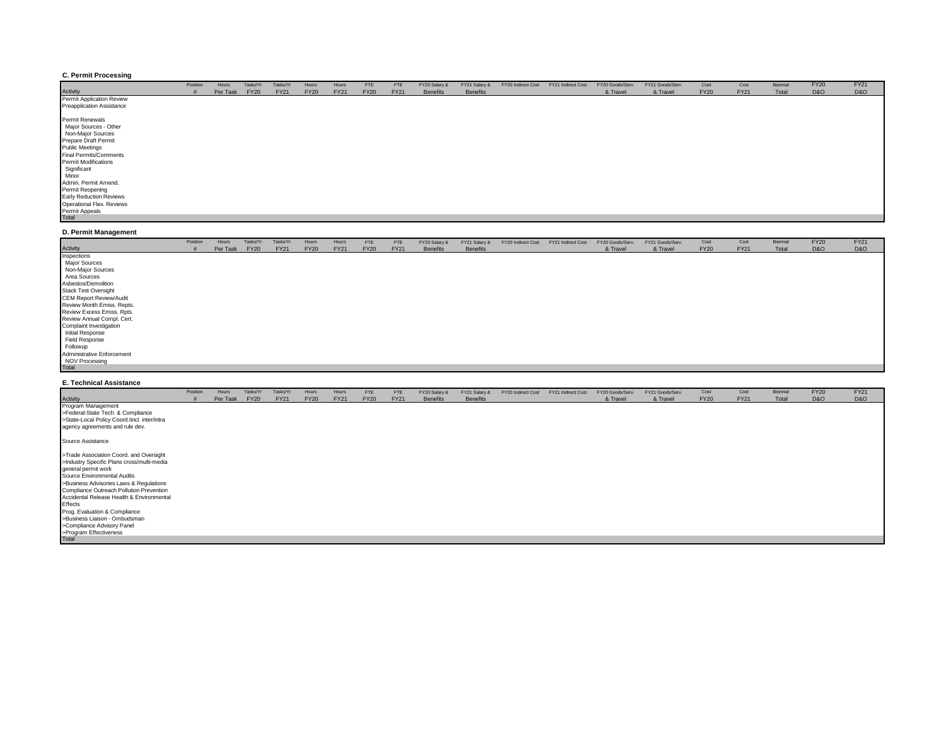#### **C. Permit Processing**

|                                                                                                                                                                                                                                 | Position | Hours    | Tasks/Yr    | Tasks/Yr    | Hours       | Hours       | <b>FTE</b>  | FTE         | FY20 Salary &   | FY21 Salary &   | FY20 Indirect Cost | FY21 Indirect Cost | FY20 Goods/Serv. | FY21 Goods/Serv. | Cost        | Cost        | Biennial | <b>FY20</b>    | <b>FY21</b>    |
|---------------------------------------------------------------------------------------------------------------------------------------------------------------------------------------------------------------------------------|----------|----------|-------------|-------------|-------------|-------------|-------------|-------------|-----------------|-----------------|--------------------|--------------------|------------------|------------------|-------------|-------------|----------|----------------|----------------|
| Activity                                                                                                                                                                                                                        |          | Per Task | <b>FY20</b> | <b>FY21</b> | <b>FY20</b> | <b>FY21</b> | <b>FY20</b> | <b>FY21</b> | <b>Benefits</b> | <b>Benefits</b> |                    |                    | & Travel         | & Travel         | <b>FY20</b> | <b>FY21</b> | Total    | <b>D&amp;O</b> | <b>D&amp;O</b> |
| Permit Application Review                                                                                                                                                                                                       |          |          |             |             |             |             |             |             |                 |                 |                    |                    |                  |                  |             |             |          |                |                |
| <b>Preapplication Assistance</b>                                                                                                                                                                                                |          |          |             |             |             |             |             |             |                 |                 |                    |                    |                  |                  |             |             |          |                |                |
| Permit Renewals<br>Major Sources - Other<br>Non-Major Sources<br>Prepare Draft Permit<br><b>Public Meetings</b><br><b>Final Permits/Comments</b><br><b>Permit Modifications</b><br>Significant<br>Minor<br>Admin. Permit Amend. |          |          |             |             |             |             |             |             |                 |                 |                    |                    |                  |                  |             |             |          |                |                |
| Permit Reopening                                                                                                                                                                                                                |          |          |             |             |             |             |             |             |                 |                 |                    |                    |                  |                  |             |             |          |                |                |
| <b>Early Reduction Reviews</b>                                                                                                                                                                                                  |          |          |             |             |             |             |             |             |                 |                 |                    |                    |                  |                  |             |             |          |                |                |
| Operational Flex. Reviews                                                                                                                                                                                                       |          |          |             |             |             |             |             |             |                 |                 |                    |                    |                  |                  |             |             |          |                |                |
| Permit Appeals<br>Total                                                                                                                                                                                                         |          |          |             |             |             |             |             |             |                 |                 |                    |                    |                  |                  |             |             |          |                |                |
|                                                                                                                                                                                                                                 |          |          |             |             |             |             |             |             |                 |                 |                    |                    |                  |                  |             |             |          |                |                |

#### **D. Permit Management**

|                                | Position | Hours    | Tasks/Yr    | Tasks/Yr    | Hours       | Hours       | <b>FTE</b>  | FTE         | FY20 Salary &   | FY21 Salary &   | FY20 Indirect Cost | FY21 Indirect Cost | FY20 Goods/Serv. | FY21 Goods/Serv. | Cost        | Cost        | Biennial | <b>FY20</b>    | <b>FY21</b>    |
|--------------------------------|----------|----------|-------------|-------------|-------------|-------------|-------------|-------------|-----------------|-----------------|--------------------|--------------------|------------------|------------------|-------------|-------------|----------|----------------|----------------|
| Activity                       |          | Per Task | <b>FY20</b> | <b>FY21</b> | <b>FY20</b> | <b>FY21</b> | <b>FY20</b> | <b>FY21</b> | <b>Benefits</b> | <b>Benefits</b> |                    |                    | & Travel         | & Travel         | <b>FY20</b> | <b>FY21</b> | Total    | <b>D&amp;O</b> | <b>D&amp;O</b> |
| Inspections                    |          |          |             |             |             |             |             |             |                 |                 |                    |                    |                  |                  |             |             |          |                |                |
| <b>Major Sources</b>           |          |          |             |             |             |             |             |             |                 |                 |                    |                    |                  |                  |             |             |          |                |                |
| Non-Major Sources              |          |          |             |             |             |             |             |             |                 |                 |                    |                    |                  |                  |             |             |          |                |                |
| Area Sources                   |          |          |             |             |             |             |             |             |                 |                 |                    |                    |                  |                  |             |             |          |                |                |
| Asbestos/Demolition            |          |          |             |             |             |             |             |             |                 |                 |                    |                    |                  |                  |             |             |          |                |                |
| <b>Stack Test Oversight</b>    |          |          |             |             |             |             |             |             |                 |                 |                    |                    |                  |                  |             |             |          |                |                |
| <b>CEM Report Review/Audit</b> |          |          |             |             |             |             |             |             |                 |                 |                    |                    |                  |                  |             |             |          |                |                |
| Review Month Emiss. Repts.     |          |          |             |             |             |             |             |             |                 |                 |                    |                    |                  |                  |             |             |          |                |                |
| Review Excess Emiss. Rpts.     |          |          |             |             |             |             |             |             |                 |                 |                    |                    |                  |                  |             |             |          |                |                |
| Review Annual Compl. Cert.     |          |          |             |             |             |             |             |             |                 |                 |                    |                    |                  |                  |             |             |          |                |                |
| Complaint Investigation        |          |          |             |             |             |             |             |             |                 |                 |                    |                    |                  |                  |             |             |          |                |                |
| Initial Response               |          |          |             |             |             |             |             |             |                 |                 |                    |                    |                  |                  |             |             |          |                |                |
| Field Response                 |          |          |             |             |             |             |             |             |                 |                 |                    |                    |                  |                  |             |             |          |                |                |
| Followup                       |          |          |             |             |             |             |             |             |                 |                 |                    |                    |                  |                  |             |             |          |                |                |
| Administrative Enforcement     |          |          |             |             |             |             |             |             |                 |                 |                    |                    |                  |                  |             |             |          |                |                |
| NOV Processing                 |          |          |             |             |             |             |             |             |                 |                 |                    |                    |                  |                  |             |             |          |                |                |
| Total                          |          |          |             |             |             |             |             |             |                 |                 |                    |                    |                  |                  |             |             |          |                |                |

#### **E. Technical Assistance**

|                                              | Position | Hours    | Tasks/Yr    | Tasks/Yr    | Hours       | Hours       | FTE         | <b>FTE</b>  | FY20 Salary &   | FY21 Salary &   | FY20 Indirect Cost | FY21 Indirect Cost | FY20 Goods/Serv. | FY21 Goods/Serv. | Cost        | Cost        | Biennial | <b>FY20</b>    | <b>FY21</b> |
|----------------------------------------------|----------|----------|-------------|-------------|-------------|-------------|-------------|-------------|-----------------|-----------------|--------------------|--------------------|------------------|------------------|-------------|-------------|----------|----------------|-------------|
| Activity                                     |          | Per Task | <b>FY20</b> | <b>FY21</b> | <b>FY20</b> | <b>FY21</b> | <b>FY20</b> | <b>FY21</b> | <b>Benefits</b> | <b>Benefits</b> |                    |                    | & Travel         | & Travel         | <b>FY20</b> | <b>FY21</b> | Total    | <b>D&amp;O</b> | D&O         |
| Program Management                           |          |          |             |             |             |             |             |             |                 |                 |                    |                    |                  |                  |             |             |          |                |             |
| >Federal-State Tech. & Compliance            |          |          |             |             |             |             |             |             |                 |                 |                    |                    |                  |                  |             |             |          |                |             |
| >State-Local Policy Coord.lincl. inter/intra |          |          |             |             |             |             |             |             |                 |                 |                    |                    |                  |                  |             |             |          |                |             |
| agency agreements and rule dev.              |          |          |             |             |             |             |             |             |                 |                 |                    |                    |                  |                  |             |             |          |                |             |
| Source Assistance                            |          |          |             |             |             |             |             |             |                 |                 |                    |                    |                  |                  |             |             |          |                |             |
| >Trade Association Coord. and Oversight      |          |          |             |             |             |             |             |             |                 |                 |                    |                    |                  |                  |             |             |          |                |             |
| >Industry Specific Plans cross/multi-media   |          |          |             |             |             |             |             |             |                 |                 |                    |                    |                  |                  |             |             |          |                |             |
| general permit work                          |          |          |             |             |             |             |             |             |                 |                 |                    |                    |                  |                  |             |             |          |                |             |
| Source Environmental Audits                  |          |          |             |             |             |             |             |             |                 |                 |                    |                    |                  |                  |             |             |          |                |             |
| >Business Advisories Laws & Regulations      |          |          |             |             |             |             |             |             |                 |                 |                    |                    |                  |                  |             |             |          |                |             |
| Compliance Outreach Pollution Prevention     |          |          |             |             |             |             |             |             |                 |                 |                    |                    |                  |                  |             |             |          |                |             |
| Accidental Release Health & Environmental    |          |          |             |             |             |             |             |             |                 |                 |                    |                    |                  |                  |             |             |          |                |             |
| Effects                                      |          |          |             |             |             |             |             |             |                 |                 |                    |                    |                  |                  |             |             |          |                |             |
| Prog. Evaluation & Compliance                |          |          |             |             |             |             |             |             |                 |                 |                    |                    |                  |                  |             |             |          |                |             |
| >Business Liaison - Ombudsman                |          |          |             |             |             |             |             |             |                 |                 |                    |                    |                  |                  |             |             |          |                |             |
| >Compliance Advisory Panel                   |          |          |             |             |             |             |             |             |                 |                 |                    |                    |                  |                  |             |             |          |                |             |
| >Program Effectiveness                       |          |          |             |             |             |             |             |             |                 |                 |                    |                    |                  |                  |             |             |          |                |             |
| Total                                        |          |          |             |             |             |             |             |             |                 |                 |                    |                    |                  |                  |             |             |          |                |             |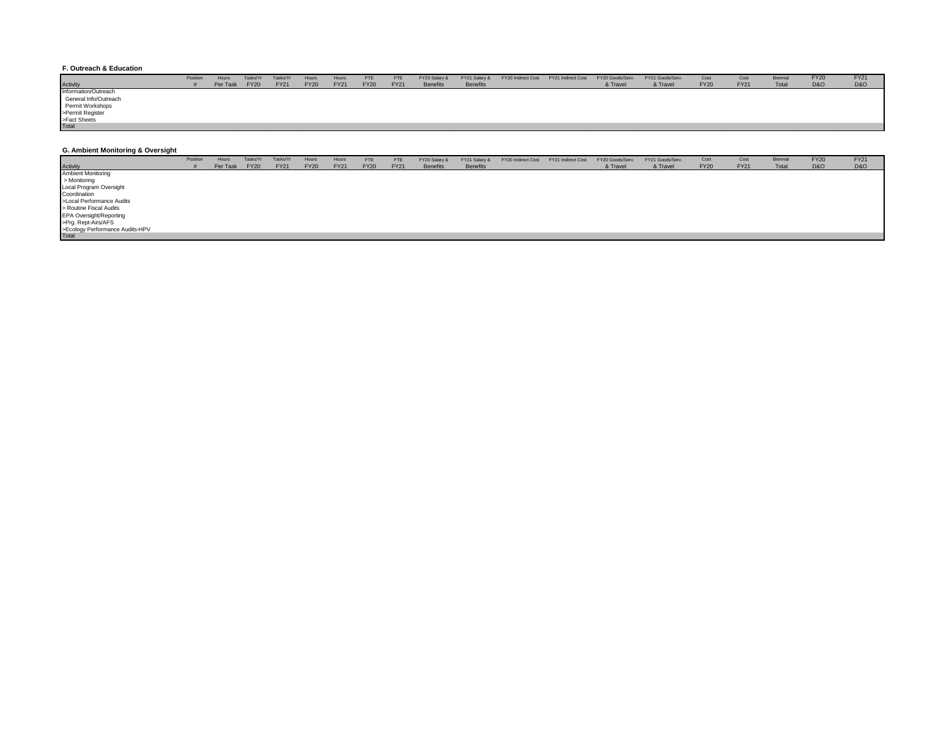#### **F. Outreach & Education**

|                       | Position | Hours    | Tasks/Yi    | Tasks/Yr    | Hours       | Hours       | <b>FTE</b>  | <b>FTE</b>  | FY20 Salary &   | FY21 Salary &   | FY20 Indirect Cost | FY21 Indirect Cost | FY20 Goods/Serv. | FY21 Goods/Serv. | Cost        | Cost        | Biennial | <b>FY20</b> | <b>FY21</b>    |
|-----------------------|----------|----------|-------------|-------------|-------------|-------------|-------------|-------------|-----------------|-----------------|--------------------|--------------------|------------------|------------------|-------------|-------------|----------|-------------|----------------|
| <b>Activity</b>       |          | Per Task | <b>FY20</b> | <b>FY21</b> | <b>FY20</b> | <b>FY21</b> | <b>FY20</b> | <b>FY21</b> | <b>Benefits</b> | <b>Benefits</b> |                    |                    | & Travel         | & Travel         | <b>FY20</b> | <b>FY21</b> | Total    | D&O         | <b>D&amp;O</b> |
| Information/Outreach  |          |          |             |             |             |             |             |             |                 |                 |                    |                    |                  |                  |             |             |          |             |                |
| General Info/Outreach |          |          |             |             |             |             |             |             |                 |                 |                    |                    |                  |                  |             |             |          |             |                |
| Permit Workshops      |          |          |             |             |             |             |             |             |                 |                 |                    |                    |                  |                  |             |             |          |             |                |
| >Permit Register      |          |          |             |             |             |             |             |             |                 |                 |                    |                    |                  |                  |             |             |          |             |                |
| >Fact Sheets          |          |          |             |             |             |             |             |             |                 |                 |                    |                    |                  |                  |             |             |          |             |                |
| Total                 |          |          |             |             |             |             |             |             |                 |                 |                    |                    |                  |                  |             |             |          |             |                |

#### **G. Ambient Monitoring & Oversight**

|                                          | Position | Hours    | Tasks/Y     | Tasks/Yr    | Hours       | Hours       | FTE         | FTE         | FY20 Salary &   | FY21 Salary &   | FY20 Indirect Cost | FY21 Indirect Cost | FY20 Goods/Serv. | FY21 Goods/Serv. | Cost        | Cost        | Biennial | <b>FY20</b>    | <b>FY21</b>    |
|------------------------------------------|----------|----------|-------------|-------------|-------------|-------------|-------------|-------------|-----------------|-----------------|--------------------|--------------------|------------------|------------------|-------------|-------------|----------|----------------|----------------|
| <b>Activity</b>                          |          | Per Task | <b>FY20</b> | <b>FY21</b> | <b>FY20</b> | <b>FY21</b> | <b>FY20</b> | <b>FY21</b> | <b>Benefits</b> | <b>Benefits</b> |                    |                    | & Travel         | & Travel         | <b>FY20</b> | <b>FY21</b> | Total    | <b>D&amp;O</b> | <b>D&amp;O</b> |
| <b>Ambient Monitoring</b>                |          |          |             |             |             |             |             |             |                 |                 |                    |                    |                  |                  |             |             |          |                |                |
| > Monitoring                             |          |          |             |             |             |             |             |             |                 |                 |                    |                    |                  |                  |             |             |          |                |                |
| Local Program Oversight                  |          |          |             |             |             |             |             |             |                 |                 |                    |                    |                  |                  |             |             |          |                |                |
| Coordination                             |          |          |             |             |             |             |             |             |                 |                 |                    |                    |                  |                  |             |             |          |                |                |
| >Local Performance Audits                |          |          |             |             |             |             |             |             |                 |                 |                    |                    |                  |                  |             |             |          |                |                |
| > Routine Fiscal Audits                  |          |          |             |             |             |             |             |             |                 |                 |                    |                    |                  |                  |             |             |          |                |                |
| EPA Oversight/Reporting                  |          |          |             |             |             |             |             |             |                 |                 |                    |                    |                  |                  |             |             |          |                |                |
| >Prg. Rept-Airs/AFS                      |          |          |             |             |             |             |             |             |                 |                 |                    |                    |                  |                  |             |             |          |                |                |
| >Ecology Performance Audits-HPV<br>Total |          |          |             |             |             |             |             |             |                 |                 |                    |                    |                  |                  |             |             |          |                |                |
|                                          |          |          |             |             |             |             |             |             |                 |                 |                    |                    |                  |                  |             |             |          |                |                |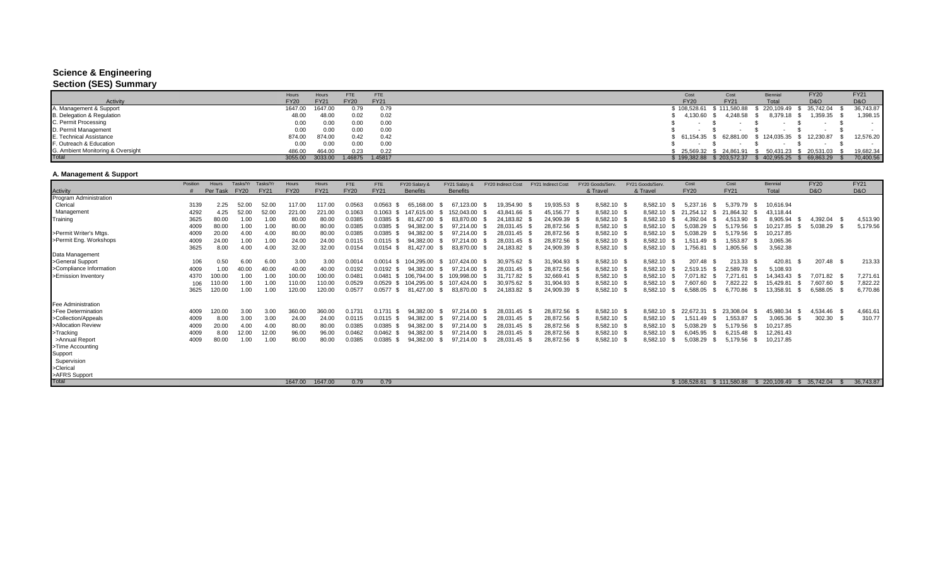## **Science & Engineering**

### **Section (SES) Summary**

|                                   | Hours       | Hours       | FTE         | <b>FTE</b>  | Cost         |                        | Biennia                                                 | <b>FY20</b>    | <b>FY21</b>    |
|-----------------------------------|-------------|-------------|-------------|-------------|--------------|------------------------|---------------------------------------------------------|----------------|----------------|
| <b>Activity</b>                   | <b>FY20</b> | <b>FY21</b> | <b>FY20</b> | <b>FY21</b> | <b>FY20</b>  | <b>FY21</b>            | Total                                                   | <b>D&amp;O</b> | <b>D&amp;O</b> |
| A. Management & Support           | 1647.00     | 1647.00     | 0.79        | 0.79        | ነ 108.528.61 | \$111,580.88           | 220,109.49                                              | 35,742.04      | 36,743.87      |
| B. Delegation & Regulation        | 48.00       | 48.00       | 0.02        | 0.02        | 4,130.60     | 4,248.58               | 8,379.18                                                | 1,359.35       | 1,398.15       |
| C. Permit Processing              | 0.00        | 0.00        | 0.00        | 0.00        |              |                        |                                                         |                |                |
| D. Permit Management              | 0.00        | 0.00        | 0.00        | 0.00        |              |                        |                                                         |                |                |
| E. Technical Assistance           | 874.00      | 874.00      | 0.42        | 0.42        |              |                        | \$ 61,154.35 \$ 62,881.00 \$ 124,035.35 \$ 12,230.87 \$ |                | 12,576.20      |
| F. Outreach & Education           | 0.00        | 0.00        | 0.00        | 0.00        |              |                        |                                                         |                |                |
| G. Ambient Monitoring & Oversight | 486.00      | 464.00      | 0.23        | 0.22        |              | 25.569.32 \$ 24.861.91 | 50.431.23                                               | 20,531.03 \$   | 19,682.34      |
| Total                             | 3055.00     | 3033.00     | .46875      | 1.45817     | 199.382.88   | \$203,572.37           | 402,955.25                                              | 69,863.29      | 70,400.56      |

## **A. Management & Support**

|                           | Position | Hours    | Tasks/Yr    | Tasks/Yr    | Hours       | Hours       | <b>FTE</b>  | <b>FTE</b>     | FY20 Salary &   | FY21 Salary &   |      | FY20 Indirect Cost | FY21 Indirect Cost | FY20 Goods/Serv. | FY21 Goods/Serv  | Cost         |      | Cost         | Biennia           | <b>FY20</b>    |                | <b>FY21</b>    |  |
|---------------------------|----------|----------|-------------|-------------|-------------|-------------|-------------|----------------|-----------------|-----------------|------|--------------------|--------------------|------------------|------------------|--------------|------|--------------|-------------------|----------------|----------------|----------------|--|
| Activity                  |          | Per Task | <b>FY20</b> | <b>FY21</b> | <b>FY20</b> | <b>FY21</b> | <b>FY20</b> | <b>FY21</b>    | <b>Benefits</b> | <b>Benefits</b> |      |                    |                    | & Travel         | & Travel         | <b>FY20</b>  |      | <b>FY21</b>  | Total             | <b>D&amp;O</b> |                | <b>D&amp;O</b> |  |
| Program Administration    |          |          |             |             |             |             |             |                |                 |                 |      |                    |                    |                  |                  |              |      |              |                   |                |                |                |  |
| Clerical                  | 3139     | 2.25     |             | 52.00       | 117.00      | 117.00      | 0.0563      | 0.0563         | 65.168.00       | 67.123.00       |      | 19,354.90          | 19,935.53          | 8,582.10 \$      | 8,582.10         | 5.237.16     |      | 5.379.79     | 10,616.94         |                |                |                |  |
| Management                | 4292     | 4.25     | 52.00       | 52.00       | 221.00      | 221.00      | 0.1063      | 0.1063         | 615.00.         | 152.043.00      |      | 43,841.66          | 45,156.77          | 8,582.10 \$      | 8,582.10         | 21.254.12    | - 35 | 21,864.32    | 43,118.44         |                |                |                |  |
| Training                  | 3625     | 80.00    | 1.00        | 1.00        | 80.00       | 80.00       | 0.0385      | 0.0385 \$      | 81.427.00       | 83.870.00       |      | 24.183.82          | 24,909.39          | 8,582.10 \$      | 8.582.10         | 4.392.04     |      | 4.513.90     | 8.905.94          |                | 4.392.04       | 4,513.90       |  |
|                           | 4009     | 80.00    | 1.00        | 1.00        | 80.00       | 80.00       | 0.0385      | 0.0385         | 94.382.00       | 97.214.00       |      | 28.031.45          | 28,872.56          | 8,582.10 \$      | 8,582.10         | 5.038.29     |      | 5.179.56     | 0,217.85          |                | 5,038.29       | 5,179.56       |  |
| >Permit Writer's Mtgs.    | 4009     | 20.00    | 4.00        | 4.00        | 80.00       | 80.00       | 0.0385      | 0.0385 \$      | 94.382.00       | 97.214.00       |      | 28,031.45          | 28,872.56          | 8,582.10 \$      | 8,582.10         | 5.038.29     |      | 5,179.56     | 10,217.85         |                |                |                |  |
| >Permit Eng. Workshops    | 4009     | 24.00    | 1.00        | 1.00        | 24.00       | 24.00       | 0.0115      | 0.0115<br>- 35 | 94.382.00       | 97.214.00       |      | 28.031.45          | 28,872.56          | 8,582.10 \$      | 8,582.10         | 1.511.49     |      | 1,553.87     | 3,065.36          |                |                |                |  |
|                           | 3625     | 8.00     | 4.00        | 4.00        | 32.00       | 32.00       | 0.0154      | 0.0154<br>-SS  | 81.427.00       | 83.870.00       | - SS | 24,183.82          | 24,909.39          | 8,582.10 \$      | 8,582.10<br>- SS | ,756.81      | - SS | 1,805.56     | 3,562.38          |                |                |                |  |
| Data Management           |          |          |             |             |             |             |             |                |                 |                 |      |                    |                    |                  |                  |              |      |              |                   |                |                |                |  |
| >General Support          | 106      | 0.50     | 6.00        | 6.00        | 3.00        | 3.00        | 0.0014      | 0.0014<br>- SS | 104.295.00      | 107.424.00      |      | 30,975.62          | 31,904.93 \$       | 8,582.10 \$      | 8,582.10         | 207.48       |      | 213.33       | 420.81            |                | 207.48<br>- \$ | 213.33         |  |
| >Compliance Information   | 4009     | 1.00     | 40.00       | 40.00       | 40.00       | 40.00       | 0.0192      | 0.0192         | 94.382.00       | 97.214.00       |      | 28.031.45          | 28,872.56          | 8,582.10         | 8,582.10         | 2,519.15     |      | 2.589.78     | 5,108.93          |                |                |                |  |
| >Emission Inventory       | 4370     | 00.00    | 1.00        | 1.00        | 100.00      | 100.00      | 0.0481      | 0.0481         | 106.794.00      | 09,998.00       |      | 31,717.82          | 32,669.41          | 8,582.10 \$      | 8,582.10         | 7.071.82     |      | 7.271.61     | 14.343.43         |                | 7,071.82       | 7,271.61       |  |
|                           | 106      | 10.00    | 1.00        | 1.00        | 110.00      | 110.00      | 0.0529      | 0.0529         | 104.295.00      | 07.424.00       |      | 30.975.62          | 31.904.93          | 8,582.10         | 8,582.10         | 7.607.60     |      | 7.822.22     | 15.429.81         |                | 7,607.60       | 7,822.22       |  |
|                           | 3625     | 120.00   | 1.00        | 1.00        | 120.00      | 120.00      | 0.0577      | 0.0577<br>- 96 | 81.427.00       | 83.870.00       |      | 24,183.82          | 24,909.39          | 8,582.10         | 8,582.10         | 6,588.05     |      | 6.770.86     | 13,358.91<br>- \$ |                | 6,588.05       | 6,770.86       |  |
| <b>Fee Administration</b> |          |          |             |             |             |             |             |                |                 |                 |      |                    |                    |                  |                  |              |      |              |                   |                |                |                |  |
| >Fee Determination        | 4009     | 120.00   | 3.00        | 3.00        | 360.00      | 360.00      | 0.1731      | 0.1731<br>- SS | 94.382.00       | 97.214.00       |      | 28.031.45          | 28,872.56          | 8,582.10 \$      | 8,582.10<br>-SS  | 22.672.31    | -96  | 23,308.04    | 45,980.34<br>- \$ |                | 4,534.46 \$    | 4,661.61       |  |
| >Collection/Appeals       | 4009     | 8.00     | 3.00        | 3.00        | 24.00       | 24.00       | 0.0115      | $0.0115$ \$    | 94.382.00       | 97.214.00       |      | 28.031.45          | 28,872.56          | 8,582.10 \$      | 8,582.10         | 1.511.49     |      | 1.553.87     | 3,065.36          |                | 302.30<br>- SS | 310.77         |  |
| >Allocation Review        | 4009     | 20.00    | 4.00        | 4.00        | 80.00       | 80.00       | 0.0385      | 0.0385 \$      | 94.382.00       | 97.214.00       |      | 28,031.45          | 28,872.56          | 8,582.10 \$      | 8,582.10         | 5.038.29     |      | 5,179.56     | 10,217.85         |                |                |                |  |
| >Tracking                 | 4009     | 8.00     | 12.00       | 12.00       | 96.00       | 96.00       | 0.0462      | 0.0462         | 94.382.00       | 97.214.00       |      | 28,031.45          | 28,872.56          | 8,582.10 \$      | 8,582.10         | 6.045.95     |      | 6.215.48     | 12,261.43         |                |                |                |  |
| >Annual Report            | 4009     | 80.00    | 1.00        | 1.00        | 80.00       | 80.00       | 0.0385      | 0.0385         | 94.382.00       | 97.214.00       |      | 28,031.45          | 28,872.56          | 8,582.10         | 8,582.10         | 5.038.29     |      | 5,179.56     | 10,217.85         |                |                |                |  |
| >Time Accounting          |          |          |             |             |             |             |             |                |                 |                 |      |                    |                    |                  |                  |              |      |              |                   |                |                |                |  |
| Support                   |          |          |             |             |             |             |             |                |                 |                 |      |                    |                    |                  |                  |              |      |              |                   |                |                |                |  |
| Supervision               |          |          |             |             |             |             |             |                |                 |                 |      |                    |                    |                  |                  |              |      |              |                   |                |                |                |  |
| >Clerical                 |          |          |             |             |             |             |             |                |                 |                 |      |                    |                    |                  |                  |              |      |              |                   |                |                |                |  |
| >AFRS Support             |          |          |             |             |             |             |             |                |                 |                 |      |                    |                    |                  |                  |              |      |              |                   |                |                |                |  |
| <b>Total</b>              |          |          |             |             | 1647.00     | 1647.00     | 0.79        | 0.79           |                 |                 |      |                    |                    |                  |                  | \$108,528,61 |      | \$111,580.88 | 220,109.49        |                | 35,742,04      | 36,743.87      |  |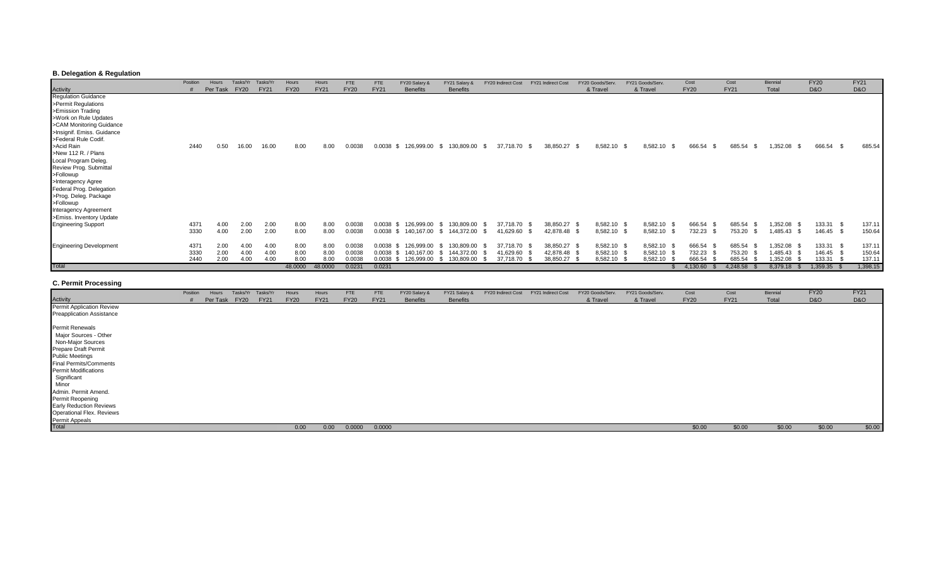## **B. Delegation & Regulation**

|                                        | Position | Hours    | Tasks/Yr    | Tasks/Y     | Hours       | Hours       | <b>FTE</b>  | <b>FTE</b>     | FY20 Salary &   | FY21 Salary 8    | FY20 Indirect Cost        | FY21 Indirect Cost | FY20 Goods/Serv | FY21 Goods/Serv     | Cost           | Cost           | Biennia          | <b>FY20</b>    | <b>FY21</b>    |
|----------------------------------------|----------|----------|-------------|-------------|-------------|-------------|-------------|----------------|-----------------|------------------|---------------------------|--------------------|-----------------|---------------------|----------------|----------------|------------------|----------------|----------------|
| <b>Activity</b><br>Regulation Guidance |          | Per Task | <b>FY20</b> | <b>FY21</b> | <b>FY20</b> | <b>FY21</b> | <b>FY20</b> | <b>FY21</b>    | <b>Benefits</b> | <b>Benefits</b>  |                           |                    | & Travel        | & Travel            | <b>FY20</b>    | <b>FY21</b>    | Total            | <b>D&amp;O</b> | <b>D&amp;O</b> |
|                                        |          |          |             |             |             |             |             |                |                 |                  |                           |                    |                 |                     |                |                |                  |                |                |
| >Permit Regulations                    |          |          |             |             |             |             |             |                |                 |                  |                           |                    |                 |                     |                |                |                  |                |                |
| >Emission Trading                      |          |          |             |             |             |             |             |                |                 |                  |                           |                    |                 |                     |                |                |                  |                |                |
| >Work on Rule Updates                  |          |          |             |             |             |             |             |                |                 |                  |                           |                    |                 |                     |                |                |                  |                |                |
| >CAM Monitoring Guidance               |          |          |             |             |             |             |             |                |                 |                  |                           |                    |                 |                     |                |                |                  |                |                |
| >Insignif. Emiss. Guidance             |          |          |             |             |             |             |             |                |                 |                  |                           |                    |                 |                     |                |                |                  |                |                |
| >Federal Rule Codif.                   |          |          |             |             |             |             |             |                |                 |                  |                           |                    |                 |                     |                |                |                  |                |                |
| >Acid Rain                             | 2440     | 0.50     | 16.00       | 16.00       | 8.00        | 8.00        | 0.0038      | 0.0038<br>- SS | 126,999.00      | 130,809.00<br>\$ | 37,718.70<br>- 95<br>- 35 | 38,850.27 \$       | 8,582.10        | 8,582.10 \$<br>- SS | 666.54<br>- \$ | 685.54<br>- \$ | 1,352.08<br>- \$ | 666.54 \$      | 685.54         |
| >New 112 R. / Plans                    |          |          |             |             |             |             |             |                |                 |                  |                           |                    |                 |                     |                |                |                  |                |                |
| Local Program Deleg.                   |          |          |             |             |             |             |             |                |                 |                  |                           |                    |                 |                     |                |                |                  |                |                |
| Review Prog. Submittal                 |          |          |             |             |             |             |             |                |                 |                  |                           |                    |                 |                     |                |                |                  |                |                |
| >Followup                              |          |          |             |             |             |             |             |                |                 |                  |                           |                    |                 |                     |                |                |                  |                |                |
| >Interagency Agree                     |          |          |             |             |             |             |             |                |                 |                  |                           |                    |                 |                     |                |                |                  |                |                |
| Federal Prog. Delegation               |          |          |             |             |             |             |             |                |                 |                  |                           |                    |                 |                     |                |                |                  |                |                |
| >Prog. Deleg. Package                  |          |          |             |             |             |             |             |                |                 |                  |                           |                    |                 |                     |                |                |                  |                |                |
| >Followup                              |          |          |             |             |             |             |             |                |                 |                  |                           |                    |                 |                     |                |                |                  |                |                |
| Interagency Agreement                  |          |          |             |             |             |             |             |                |                 |                  |                           |                    |                 |                     |                |                |                  |                |                |
| >Emiss. Inventory Update               |          |          |             |             |             |             |             |                |                 |                  |                           |                    |                 |                     |                |                |                  |                |                |
| <b>Engineering Support</b>             | 437      | 4.00     | 2.0C        | 2.00        | 8.00        | 8.00        | 0.0038      | 0.0038         | 126.999.00      | 130.809.00       | 37,718.70                 | 38,850.27          | 8,582.10        | 8,582.10            | 666.54         | 685.54         | 352.08           | 133.31         | 137.11         |
|                                        | 3330     | 4.00     | 2.00        | 2.00        | 8.00        | 8.00        | 0.0038      | 0.0038<br>- S  | 140,167.00      | \$144,372.00     | 41,629.60                 | 42,878.48 \$       | 8,582.10 \$     | 8,582.10 \$         | 732.23         | 753.20<br>ა    | 1,485.43 \$      | 146.45 \$      | 150.64         |
| <b>Engineering Development</b>         | 437      | 2.00     | 4.00        | 4.00        | 8.00        | 8.00        | 0.0038      | 0.0038         | 126.999.00      | 130,809.00       | 37,718.70 \$              | 38,850.27 \$       | 8,582.10        | 8,582.10 \$         | 666.54         | 685.54         | 1,352.08         | 133.31 \$      | 137.11         |
|                                        | 3330     | 2.00     | 4.00        | 4.00        | 8.00        | 8.00        | 0.0038      | $0.0038$ \$    | 140,167.00      | 144,372.00<br>S. | 41,629.60                 | 42,878.48          | 8,582.10 \$     | 8,582.10            | 732.23         | 753.20         | 1,485.43         | 146.45         | 150.64         |
|                                        | 2440     | 2.00     | 4.00        | 4.00        | 8.00        | 8.00        | 0.0038      | 0.0038         | 126,999.00      | 130,809.00<br>\$ | 37,718.70                 | 38,850.27          | 8,582.10        | 8,582.10            | 666.54         | 685.54         | 352.08           | 133.31         | 137.11         |
| <b>Total</b>                           |          |          |             |             | 48.0000     | 48.0000     | 0.0231      | 0.0231         |                 |                  |                           |                    |                 |                     | 4,130.60       | 4,248.58<br>ა  | 8,379.18<br>- \$ | 1,359.35       | 1,398.15       |

## **C. Permit Processing**

|                                  | Position | Hours         | Tasks/Yr Tasks/Yr | Hours       | Hours       | <b>FTE</b>  | <b>FTE</b>  | FY20 Salary &   | FY21 Salary &   | FY20 Indirect Cost | FY21 Indirect Cost | FY20 Goods/Serv. | FY21 Goods/Serv. | Cost        | Cost        | Biennial | <b>FY20</b>    | <b>FY21</b>    |
|----------------------------------|----------|---------------|-------------------|-------------|-------------|-------------|-------------|-----------------|-----------------|--------------------|--------------------|------------------|------------------|-------------|-------------|----------|----------------|----------------|
| <b>Activity</b>                  |          | Per Task FY20 | <b>FY21</b>       | <b>FY20</b> | <b>FY21</b> | <b>FY20</b> | <b>FY21</b> | <b>Benefits</b> | <b>Benefits</b> |                    |                    | & Travel         | & Travel         | <b>FY20</b> | <b>FY21</b> | Total    | <b>D&amp;O</b> | <b>D&amp;O</b> |
| Permit Application Review        |          |               |                   |             |             |             |             |                 |                 |                    |                    |                  |                  |             |             |          |                |                |
| <b>Preapplication Assistance</b> |          |               |                   |             |             |             |             |                 |                 |                    |                    |                  |                  |             |             |          |                |                |
| <b>Permit Renewals</b>           |          |               |                   |             |             |             |             |                 |                 |                    |                    |                  |                  |             |             |          |                |                |
| Major Sources - Other            |          |               |                   |             |             |             |             |                 |                 |                    |                    |                  |                  |             |             |          |                |                |
| Non-Major Sources                |          |               |                   |             |             |             |             |                 |                 |                    |                    |                  |                  |             |             |          |                |                |
| Prepare Draft Permit             |          |               |                   |             |             |             |             |                 |                 |                    |                    |                  |                  |             |             |          |                |                |
| <b>Public Meetings</b>           |          |               |                   |             |             |             |             |                 |                 |                    |                    |                  |                  |             |             |          |                |                |
| <b>Final Permits/Comments</b>    |          |               |                   |             |             |             |             |                 |                 |                    |                    |                  |                  |             |             |          |                |                |
| <b>Permit Modifications</b>      |          |               |                   |             |             |             |             |                 |                 |                    |                    |                  |                  |             |             |          |                |                |
| Significant                      |          |               |                   |             |             |             |             |                 |                 |                    |                    |                  |                  |             |             |          |                |                |
| Minor                            |          |               |                   |             |             |             |             |                 |                 |                    |                    |                  |                  |             |             |          |                |                |
| Admin. Permit Amend.             |          |               |                   |             |             |             |             |                 |                 |                    |                    |                  |                  |             |             |          |                |                |
| Permit Reopening                 |          |               |                   |             |             |             |             |                 |                 |                    |                    |                  |                  |             |             |          |                |                |
| <b>Early Reduction Reviews</b>   |          |               |                   |             |             |             |             |                 |                 |                    |                    |                  |                  |             |             |          |                |                |
| <b>Operational Flex. Reviews</b> |          |               |                   |             |             |             |             |                 |                 |                    |                    |                  |                  |             |             |          |                |                |
| Permit Appeals                   |          |               |                   |             |             |             |             |                 |                 |                    |                    |                  |                  |             |             |          |                |                |
| Total                            |          |               |                   | 0.00        | 0.00        | 0.0000      | 0.0000      |                 |                 |                    |                    |                  |                  | \$0.00      | \$0.00      | \$0.00   | \$0.00         | \$0.00         |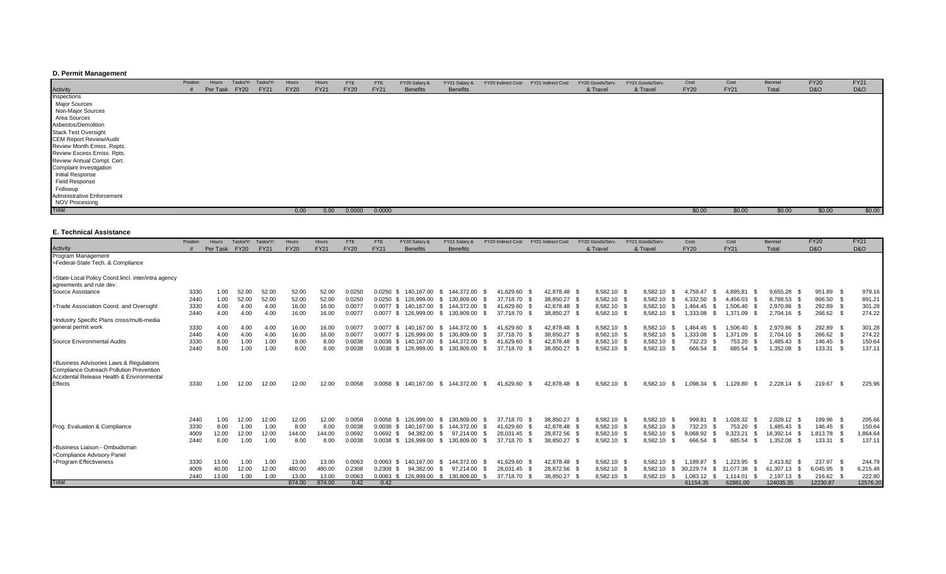## **D. Permit Management**

|                                | Position | Hours    | Tasks/Yr    | Tasks/Yr    | Hours       | Hours       | <b>FTE</b>  | <b>FTE</b>  | FY20 Salary &   | FY21 Salary &   | FY20 Indirect Cost | FY21 Indirect Cost | FY20 Goods/Serv. | FY21 Goods/Serv. | Cost        | Cost        | Biennia | <b>FY20</b>    | <b>FY21</b> |
|--------------------------------|----------|----------|-------------|-------------|-------------|-------------|-------------|-------------|-----------------|-----------------|--------------------|--------------------|------------------|------------------|-------------|-------------|---------|----------------|-------------|
| Activity                       |          | Per Task | <b>FY20</b> | <b>FY21</b> | <b>FY20</b> | <b>FY21</b> | <b>FY20</b> | <b>FY21</b> | <b>Benefits</b> | <b>Benefits</b> |                    |                    | & Travel         | & Travel         | <b>FY20</b> | <b>FY21</b> | Total   | <b>D&amp;O</b> | D&O         |
|                                |          |          |             |             |             |             |             |             |                 |                 |                    |                    |                  |                  |             |             |         |                |             |
| Inspections<br>Major Sources   |          |          |             |             |             |             |             |             |                 |                 |                    |                    |                  |                  |             |             |         |                |             |
| Non-Major Sources              |          |          |             |             |             |             |             |             |                 |                 |                    |                    |                  |                  |             |             |         |                |             |
| Area Sources                   |          |          |             |             |             |             |             |             |                 |                 |                    |                    |                  |                  |             |             |         |                |             |
| Asbestos/Demolition            |          |          |             |             |             |             |             |             |                 |                 |                    |                    |                  |                  |             |             |         |                |             |
| <b>Stack Test Oversight</b>    |          |          |             |             |             |             |             |             |                 |                 |                    |                    |                  |                  |             |             |         |                |             |
| <b>CEM Report Review/Audit</b> |          |          |             |             |             |             |             |             |                 |                 |                    |                    |                  |                  |             |             |         |                |             |
| Review Month Emiss. Repts.     |          |          |             |             |             |             |             |             |                 |                 |                    |                    |                  |                  |             |             |         |                |             |
| Review Excess Emiss. Rpts.     |          |          |             |             |             |             |             |             |                 |                 |                    |                    |                  |                  |             |             |         |                |             |
| Review Annual Compl. Cert.     |          |          |             |             |             |             |             |             |                 |                 |                    |                    |                  |                  |             |             |         |                |             |
| Complaint Investigation        |          |          |             |             |             |             |             |             |                 |                 |                    |                    |                  |                  |             |             |         |                |             |
| Initial Response               |          |          |             |             |             |             |             |             |                 |                 |                    |                    |                  |                  |             |             |         |                |             |
| Field Response<br>Followup     |          |          |             |             |             |             |             |             |                 |                 |                    |                    |                  |                  |             |             |         |                |             |
|                                |          |          |             |             |             |             |             |             |                 |                 |                    |                    |                  |                  |             |             |         |                |             |
| Administrative Enforcement     |          |          |             |             |             |             |             |             |                 |                 |                    |                    |                  |                  |             |             |         |                |             |
| NOV Processing                 |          |          |             |             |             |             |             |             |                 |                 |                    |                    |                  |                  |             |             |         |                |             |
| Total                          |          |          |             |             | 0.00        | 0.00        | 0.0000      | 0.0000      |                 |                 |                    |                    |                  |                  | \$0.00      | \$0.00      | \$0.00  | \$0.00         | \$0.00      |

## **E. Technical Assistance**

|                                                                                                                                                    | Position | Hours    | Tasks/Yr    | Tasks/Yr    | Hours       | Hours       | FTE         | <b>FTE</b>     | FY20 Salary &   | FY21 Salary &     | FY20 Indirect Cost | FY21 Indirect Cost | FY20 Goods/Serv. |             | FY21 Goods/Serv  | Cost              | Cost            | Biennial              | <b>FY20</b>    | <b>FY21</b>    |
|----------------------------------------------------------------------------------------------------------------------------------------------------|----------|----------|-------------|-------------|-------------|-------------|-------------|----------------|-----------------|-------------------|--------------------|--------------------|------------------|-------------|------------------|-------------------|-----------------|-----------------------|----------------|----------------|
| <b>Activity</b>                                                                                                                                    |          | Per Task | <b>FY20</b> | <b>FY21</b> | <b>FY20</b> | <b>FY21</b> | <b>FY20</b> | <b>FY21</b>    | <b>Benefits</b> | <b>Benefits</b>   |                    |                    | & Travel         |             | & Travel         | <b>FY20</b>       | <b>FY21</b>     | Total                 | <b>D&amp;O</b> | <b>D&amp;O</b> |
| Program Management                                                                                                                                 |          |          |             |             |             |             |             |                |                 |                   |                    |                    |                  |             |                  |                   |                 |                       |                |                |
| >Federal-State Tech. & Compliance                                                                                                                  |          |          |             |             |             |             |             |                |                 |                   |                    |                    |                  |             |                  |                   |                 |                       |                |                |
| >State-Local Policy Coord.lincl. inter/intra agency                                                                                                |          |          |             |             |             |             |             |                |                 |                   |                    |                    |                  |             |                  |                   |                 |                       |                |                |
| agreements and rule dev.                                                                                                                           |          |          |             |             |             |             |             |                |                 |                   |                    |                    |                  |             |                  |                   |                 |                       |                |                |
| Source Assistance                                                                                                                                  | 3330     | 1.00     | 52.00       | 52.00       | 52.00       | 52.00       | 0.0250      | 0.0250<br>-96  | 140.167.00      | 144.372.00<br>-S  | 41.629.60          | 42.878.48          | 8,582.10         | - \$        | 8,582.10         | 4.759.47<br>- 35  | 4.895.81        | 9,655.28              | 951.89 \$      | 979.16         |
|                                                                                                                                                    | 2440     | 1.00     | 52.00       | 52.00       | 52.00       | 52.00       | 0.0250      | 0.0250<br>- \$ | 126.999.00      | 130.809.00<br>-S  | 37,718.70          | 38,850.27 \$       |                  | 8,582.10 \$ | 8,582.10         | 4.332.50          | 4,456.03        | 8,788.53              | 866.50         | 891.21         |
| >Trade Association Coord. and Oversight                                                                                                            | 3330     | 4.00     | 4.00        | 4.00        | 16.00       | 16.00       | 0.007       | 0.0077         | 140.167.00      | 144,372.00<br>\$. | 41.629.60          | 42.878.48 \$       |                  | 8,582.10 \$ | 8.582.10         | .464.45           | .506.40         | 2.970.86              | 292.89         | 301.28         |
|                                                                                                                                                    | 2440     | 4.00     | 4.00        | 4.00        | 16.00       | 16.00       | 0.0077      | 0.0077<br>-SS  | 126.999.00      | 130.809.00<br>S.  | 37,718.70 \$       | 38,850.27 \$       | 8,582.10         |             | 8,582.10         | 1.333.08<br>- \$  | 1,371.09        | 2.704.16<br>- \$      | 266.62         | 274.22         |
| >Industry Specific Plans cross/multi-media                                                                                                         |          |          |             |             |             |             |             |                |                 |                   |                    |                    |                  |             |                  |                   |                 |                       |                |                |
| general permit work                                                                                                                                | 3330     | 4.00     | 4.00        | 4.00        | 16.00       | 16.00       | 0.007       | $0.0077$ \$    | 140.167.00      | 144.372.00<br>S.  | 41.629.60          | 42,878.48 \$       |                  | 8,582.10 \$ | 8.582.10         | .464.45           | 1.506.40        | 2.970.86              | 292.89         | 301.28         |
|                                                                                                                                                    | 2440     | 4.00     | 4.00        | 4.00        | 16.00       | 16.00       | 0.007       | $0.0077$ \$    | 126.999.00      | 130.809.00<br>\$  | 37.718.70          | 38,850.27          |                  | 8,582.10 \$ | 8.582.10         | .333.08           | .371.09         | 2.704.16              | 266.62         | 274.22         |
| Source Environmental Audits                                                                                                                        | 3330     | 8.00     | 1.00        | 1.00        | 8.00        | 8.00        | 0.0038      | $0.0038$ \$    | 140.167.00      | 144.372.00<br>S.  | 41.629.60          | 42.878.48 \$       |                  | 8,582.10 \$ | 8.582.10         | 732.23            | 753.20          | 1.485.43<br>- \$      | 146.45 \$      | 150.64         |
|                                                                                                                                                    | 2440     | 8.00     | 1.00        | 1.00        | 8.00        | 8.00        | 0.0038      | 0.0038<br>- \$ | 126,999.00      | \$<br>130,809.00  | 37,718.70          | 38,850.27          | 8,582.10         |             | 8,582.10         | 666.54            | 685.54          | 1,352.08<br>- \$      | 133.31<br>- \$ | 137.11         |
| >Business Advisories Laws & Regulations<br>Compliance Outreach Pollution Prevention<br>Accidental Release Health & Environmental<br><b>Effects</b> | 3330     | 1.00     | 12.00       | 12.00       | 12.00       | 12.00       | 0.0058      | 0.0058<br>-SS  | 140.167.00      | 144.372.00<br>\$  | 41,629.60<br>- \$  | 42,878.48          | 8,582.10         | - \$        | 8.582.10<br>-S   | 1.098.34<br>- \$  | ,129.80<br>- \$ | 2,228.<br>.14<br>- \$ | 219.67         | 225.96         |
|                                                                                                                                                    | 2440     | 1.00     | 12.00       | 12.00       | 12.00       | 12.00       | 0.0058      | 0.0058<br>-SS  | 126.999.00      | 130.809.00<br>-S  | 37.718.70          | 38.850.27 \$       |                  | 8,582.10 \$ | 8.582.10 \$      | 999.81            | .028.32         | 2.028.12              | 199.96         | 205.66         |
| Prog. Evaluation & Compliance                                                                                                                      | 3330     | 8.00     | 1.00        | 1.00        | 8.00        | 8.00        | 0.0038      | $0.0038$ \$    | 140.167.00      | 144.372.00<br>\$  | 41,629.60          | 42.878.48 \$       |                  | 8,582.10 \$ | 8,582.10 \$      | 732.23            | 753.20          | 1.485.43              | 146.45         | 150.64         |
|                                                                                                                                                    | 4009     | 12.00    | 12.00       | 12.00       | 144.00      | 144.00      | 0.0692      | 0.0692<br>- SS | 94.382.00       | 97.214.00<br>-S.  | 28.031.45          | 28,872.56 \$       |                  | 8,582.10 \$ | 8.582.10         | 9.068.92          | 9,323.21        | 18.392.14<br>- \$     | 1.813.78       | 1,864.64       |
|                                                                                                                                                    | 2440     | 8.00     | 1.00        | 1.00        | 8.00        | 8.00        | 0.0038      | $0.0038$ \$    | 126,999.00      | 130,809.00<br>S.  | 37,718.70          | 38,850.27 \$       |                  | 8,582.10 \$ | 8,582.10         | 666.54            | 685.54<br>- 96  | 1,352.08<br>- \$      | 133.31 \$      | 137.11         |
| >Business Liaison - Ombudsman<br>>Compliance Advisory Panel                                                                                        |          |          |             |             |             |             |             |                |                 |                   |                    |                    |                  |             |                  |                   |                 |                       |                |                |
| >Program Effectiveness                                                                                                                             | 3330     | 13.00    | 1.00        | 1.00        | 13.00       | 13.00       | 0.0063      | 0.0063<br>-SS  | 140.167.00      | 144.372.00<br>-S. | 41.629.60          | 42.878.48 \$       |                  | 8,582.10 \$ | 8.582.10         | .189.87           | .223.95         | 2.413.82              | 237.97 \$      | 244.79         |
|                                                                                                                                                    | 4009     | 40.00    | 12.00       | 12.00       | 480.00      | 480.00      | 0.2308      | 0.2308<br>- \$ | 94.382.00       | 97.214.00<br>-S.  | 28.031.45 \$       | 28,872.56 \$       |                  | 8,582.10 \$ | 8.582.10<br>- \$ | 30.229.74<br>- 35 | .077.38         | 61.307.13<br>- \$     | 6.045.95       | 6,215.48       |
|                                                                                                                                                    | 2440     | 13.00    | 1.00        | 1.00        | 13.00       | 13.00       | 0.0063      | 0.0063<br>- S  | 126,999.00      | 130,809.00<br>\$. | 37,718.70          | 38,850.27          | 8,582.10         |             | 8,582.10         | 083.12            | .114.01         | 2.197.13              | 216.62         | 222.80         |
| Total                                                                                                                                              |          |          |             |             | 874.00      | 874.00      | 0.42        | 0.42           |                 |                   |                    |                    |                  |             |                  | 61154.35          | 62881.00        | 124035.35             | 12230.87       | 12576.20       |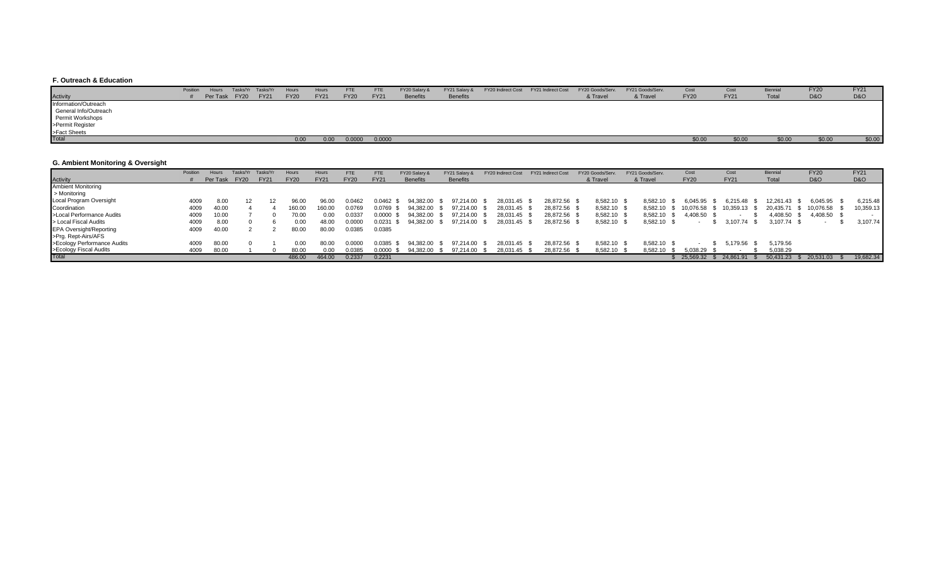## **F. Outreach & Education**

|                       | Position | Hours         | Tasks/Yr Tasks/Yr | Hours       | Hours       | <b>FTE</b>  | <b>FTE</b>  | FY20 Salary &   | FY21 Salary &   | FY20 Indirect Cost FY21 Indirect Cost | FY20 Goods/Serv. | FY21 Goods/Serv. | Cost        | Cost        |        | FY <sub>20</sub> | <b>FY21</b>    |
|-----------------------|----------|---------------|-------------------|-------------|-------------|-------------|-------------|-----------------|-----------------|---------------------------------------|------------------|------------------|-------------|-------------|--------|------------------|----------------|
| Activity              |          | Per Task FY20 | <b>FY21</b>       | <b>FY20</b> | <b>FY21</b> | <b>FY20</b> | <b>FY21</b> | <b>Benefits</b> | <b>Benefits</b> |                                       | & Travel         | & Travel         | <b>FY20</b> | <b>FY21</b> | Total  | <b>D&amp;O</b>   | <b>D&amp;O</b> |
| Information/Outreach  |          |               |                   |             |             |             |             |                 |                 |                                       |                  |                  |             |             |        |                  |                |
| General Info/Outreach |          |               |                   |             |             |             |             |                 |                 |                                       |                  |                  |             |             |        |                  |                |
| Permit Workshops      |          |               |                   |             |             |             |             |                 |                 |                                       |                  |                  |             |             |        |                  |                |
| >Permit Register      |          |               |                   |             |             |             |             |                 |                 |                                       |                  |                  |             |             |        |                  |                |
| >Fact Sheets          |          |               |                   |             |             |             |             |                 |                 |                                       |                  |                  |             |             |        |                  |                |
| <b>Total</b>          |          |               |                   | 0.00        | 0.00        | 0.0000      | 0.0000      |                 |                 |                                       |                  |                  | \$0.00      | \$0.00      | \$0.00 | \$0.00           | \$0.00         |

## **G. Ambient Monitoring & Oversight**

|                                | Position | Hours    | Tasks/Yr    | Tasks/Yı    | Hours       | Hours       | FTE         | <b>FTE</b>  | FY20 Salary &   | FY21 Salary &   | FY20 Indirect Cost | <b>FY21 Indirect Cost</b> | FY20 Goods/Serv | FY21 Goods/Serv. | Cost        | Cost        | Biennia   | <b>FY20</b>    | <b>FY21</b>    |
|--------------------------------|----------|----------|-------------|-------------|-------------|-------------|-------------|-------------|-----------------|-----------------|--------------------|---------------------------|-----------------|------------------|-------------|-------------|-----------|----------------|----------------|
| Activity                       |          | Per Task | <b>FY20</b> | <b>FY21</b> | <b>FY20</b> | <b>FY21</b> | <b>FY20</b> | <b>FY21</b> | <b>Benefits</b> | <b>Benefits</b> |                    |                           | & Travel        | & Travel         | <b>FY20</b> | <b>FY21</b> | Total     | <b>D&amp;O</b> | <b>D&amp;O</b> |
| <b>Ambient Monitoring</b>      |          |          |             |             |             |             |             |             |                 |                 |                    |                           |                 |                  |             |             |           |                |                |
| > Monitoring                   |          |          |             |             |             |             |             |             |                 |                 |                    |                           |                 |                  |             |             |           |                |                |
| Local Program Oversight        | 4009     | 8.00     |             |             | 96.00       | 96.00       | 0.0467.د    | 0.0462      | 94.382.00       | 97.214.00       | 28.031.45          | 28,872.56                 | 8,582.10        | 8.582.10         | 6.045.95    | 6.215.48    | 12.261.43 | 6,045.95       | 6,215.48       |
| Coordination                   | 4009     | 40.00    |             |             | 160.00      | 160.00      | 0.0769      | 0.0769      | 94.382.00       | 97.214.00       | 28.031.45          | 28,872.56                 | 8,582.10        | 8,582.10         | 10.076.58   | 0,359.13    | 20.435.71 | 10,076.58      | 10,359.13      |
| >Local Performance Audits      | 4009     | 10.00    |             |             | 70.00       | 0.00        | 0.0337      | 0.0000      | 94,382.00       | 97,214.00       | 28,031.45          | 28,872.56                 | 8,582.10        | 8,582.10         | 4,408.50    |             | 4,408.50  | 4,408.50 \$    |                |
| > Local Fiscal Audits          | 4009     | 8.00     |             |             | 0.00        | 48.00       | 0.0000      | 0.0231      | 94,382.00       | 97,214.00       | 28,031.45          | 28,872.56                 | 8,582.10        | 8,582.10 \$      |             | 3,107.74    | 3,107.74  |                | 3,107.74       |
| <b>EPA Oversight/Reporting</b> | 4009     | 40.00    |             |             | 80.00       | 80.00       | 0.0385      | 0.0385      |                 |                 |                    |                           |                 |                  |             |             |           |                |                |
| >Prg. Rept-Airs/AFS            |          |          |             |             |             |             |             |             |                 |                 |                    |                           |                 |                  |             |             |           |                |                |
| >Ecology Performance Audits    | 4009     | 80.00    |             |             | 0.00        | 80.00       | 0.000       | 0.0385      | 94.382.00       | 97.214.00       | 28.031.45          | 28.872.56                 | 8,582.10        | 8.582.10         |             | 5.179.56    | 5.179.56  |                |                |
| >Ecology Fiscal Audits         | 4009     | 80.00    |             |             | 80.00       | 00.(        | 0.0385      | 0.0000      | 94.382.00       | 97.214.00       | 28.031.45          | 28,872.56                 | 8,582.10        | 8.582.10         | 5.038.29    |             | 5,038.29  |                |                |
| Total                          |          |          |             |             | 486.00      | 464.00      | 0.2337      | 0.2231      |                 |                 |                    |                           |                 |                  | 25.569.32   |             | 50.431.23 | 20.531.03      | 19,682.34      |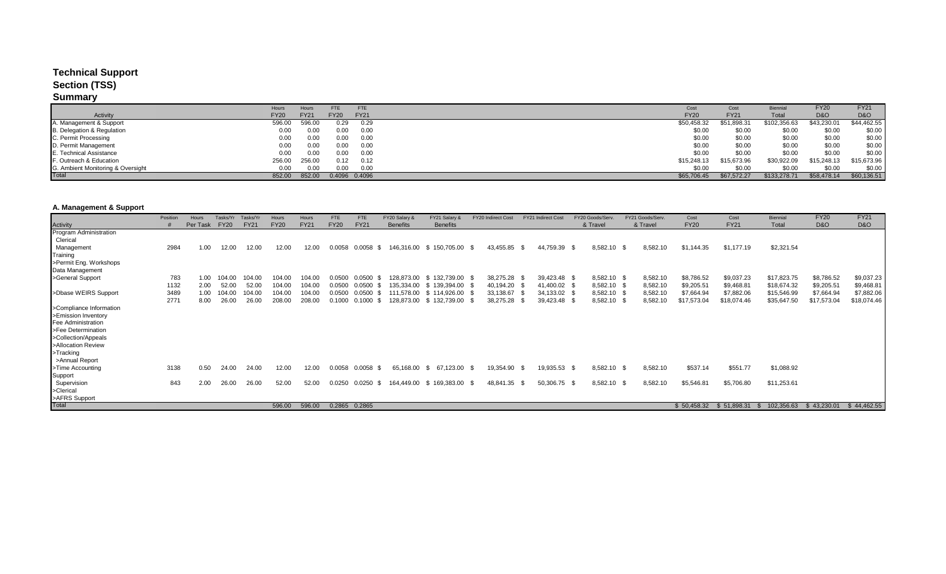# **Technical Support**

## **Section (TSS)**

# **Summary**

|                                   | Hours       | Hours       | FTE         | <b>FTE</b>    | Cost        | Cost        | <b>Biennial</b> | <b>FY20</b>    | <b>FY21</b>    |
|-----------------------------------|-------------|-------------|-------------|---------------|-------------|-------------|-----------------|----------------|----------------|
| Activity                          | <b>FY20</b> | <b>FY21</b> | <b>FY20</b> | <b>FY21</b>   | <b>FY20</b> | <b>FY21</b> | Total           | <b>D&amp;O</b> | <b>D&amp;O</b> |
| A. Management & Support           | 596.00      | 596.00      | 0.29        | 0.29          | \$50,458.32 | \$51,898.31 | \$102,356.63    | \$43,230.01    | \$44,462.55    |
| B. Delegation & Regulation        | 0.00        | 0.00        | 0.00        | 0.00          | \$0.00      | \$0.00      | \$0.00          | \$0.00         | \$0.00         |
| C. Permit Processing              | 0.00        | 0.00        | 0.00        | 0.00          | \$0.00      | \$0.00      | \$0.00          | \$0.00         | \$0.00         |
| D. Permit Management              | 0.00        | 0.00        | 0.00        | 0.00          | \$0.00      | \$0.00      | \$0.00          | \$0.00         | \$0.00         |
| E. Technical Assistance           | 0.00        | 0.00        | 0.00        | 0.00          | \$0.00      | \$0.00      | \$0.00          | \$0.00         | \$0.00         |
| F. Outreach & Education           | 256.00      | 256.00      | 0.12        | 0.12          | \$15,248.13 | \$15,673.96 | \$30,922.09     | \$15,248.13    | \$15,673.96    |
| G. Ambient Monitoring & Oversight | 0.00        | 0.00        | 0.00        | 0.00          | \$0.00      | \$0.00      | \$0.00          | \$0.00         | \$0.00         |
| Total                             | 852.00      | 852.00      |             | 0.4096 0.4096 | \$65,706.45 | \$67,572.27 | \$133,278.71    | \$58,478.14    | \$60,136.51    |

## **A. Management & Support**

|                                    | Position | Hours    | Tasks/Yr    | Tasks/Yr    | Hours       | Hours       | <b>FTE</b>  | <b>FTE</b>     | FY20 Salary &   | FY21 Salary &    | FY20 Indirect Cost | <b>FY21 Indirect Cost</b> |              | FY20 Goods/Serv |                  | FY21 Goods/Serv | Cost        | Cost        | <b>Biennial</b> | <b>FY20</b>    | <b>FY21</b>    |
|------------------------------------|----------|----------|-------------|-------------|-------------|-------------|-------------|----------------|-----------------|------------------|--------------------|---------------------------|--------------|-----------------|------------------|-----------------|-------------|-------------|-----------------|----------------|----------------|
|                                    |          | Per Task | <b>FY20</b> | <b>FY21</b> | <b>FY20</b> | <b>FY21</b> | <b>FY20</b> | <b>FY21</b>    | <b>Benefits</b> | <b>Benefits</b>  |                    |                           |              | & Travel        |                  | & Travel        | <b>FY20</b> | <b>FY21</b> | Total           | <b>D&amp;O</b> | <b>D&amp;O</b> |
| Activity<br>Program Administration |          |          |             |             |             |             |             |                |                 |                  |                    |                           |              |                 |                  |                 |             |             |                 |                |                |
| Clerical                           |          |          |             |             |             |             |             |                |                 |                  |                    |                           |              |                 |                  |                 |             |             |                 |                |                |
| Management                         | 2984     | 1.00     | 12.00       | 12.00       | 12.00       | 12.00       | 0.0058      | 0.0058         | 146.316.00      | 150,705.00 \$    | 43,455.85          |                           | 44,759.39    |                 | 8,582.10         | 8,582.10        | \$1,144.35  | \$1,177.19  | \$2,321.54      |                |                |
| Training                           |          |          |             |             |             |             |             |                |                 |                  |                    |                           |              |                 |                  |                 |             |             |                 |                |                |
| >Permit Eng. Workshops             |          |          |             |             |             |             |             |                |                 |                  |                    |                           |              |                 |                  |                 |             |             |                 |                |                |
| Data Management                    |          |          |             |             |             |             |             |                |                 |                  |                    |                           |              |                 |                  |                 |             |             |                 |                |                |
| >General Support                   | 783      | 1.00     | 04.OO       | 104.00      | 104.00      | 104.00      | 0.0500      | 0.0500         | 128,873.00      | \$132,739.00 \$  | 38,275.28          |                           | 39,423.48 \$ |                 | 8,582.10 \$      | 8,582.10        | \$8,786.52  | \$9,037.23  | \$17,823.75     | \$8,786.52     | \$9,037.23     |
|                                    | 1132     | 2.00     |             | 52.00       | 104.00      | 104.00      | 0.0500      | 0.0500         | 135.334.00      | \$139,394.00 \$  | 40,194.20          |                           | 41,400.02 \$ |                 | 8,582.10         | 8,582.10        | \$9,205.51  | \$9,468.81  | \$18,674.32     | \$9,205.51     | \$9,468.81     |
| >Dbase WEIRS Support               | 3489     | 1.00     | 04.00       | 104.00      | 104.00      | 104.00      | 0.0500      | 0.0500         | 111,578.00      | \$114,926.00     | 33,138.67          |                           | 34,133.02 \$ |                 | 8,582.10         | 8,582.10        | \$7,664.94  | \$7,882.06  | \$15,546.99     | \$7,664.94     | \$7,882.06     |
|                                    | 2771     | 8.00     | 26.00       | 26.00       | 208.00      | 208.00      | 0.1000      | 0.1000         | 128,873.00      | \$132,739.00     | 38,275.28          |                           | 39,423.48    |                 | 8,582.10         | 8,582.10        | \$17,573.04 | \$18,074.46 | \$35,647.50     | \$17,573.04    | \$18,074.46    |
| >Compliance Information            |          |          |             |             |             |             |             |                |                 |                  |                    |                           |              |                 |                  |                 |             |             |                 |                |                |
| >Emission Inventory                |          |          |             |             |             |             |             |                |                 |                  |                    |                           |              |                 |                  |                 |             |             |                 |                |                |
| Fee Administration                 |          |          |             |             |             |             |             |                |                 |                  |                    |                           |              |                 |                  |                 |             |             |                 |                |                |
| >Fee Determination                 |          |          |             |             |             |             |             |                |                 |                  |                    |                           |              |                 |                  |                 |             |             |                 |                |                |
| >Collection/Appeals                |          |          |             |             |             |             |             |                |                 |                  |                    |                           |              |                 |                  |                 |             |             |                 |                |                |
| >Allocation Review                 |          |          |             |             |             |             |             |                |                 |                  |                    |                           |              |                 |                  |                 |             |             |                 |                |                |
| >Tracking                          |          |          |             |             |             |             |             |                |                 |                  |                    |                           |              |                 |                  |                 |             |             |                 |                |                |
| >Annual Report                     |          |          |             |             |             |             |             |                |                 |                  |                    |                           |              |                 |                  |                 |             |             |                 |                |                |
| >Time Accounting                   | 3138     | 0.50     | 24.00       | 24.00       | 12.00       | 12.00       | 0.0058      | 0.0058<br>- \$ | 65,168.00       | 67,123.00<br>-SS | 19,354.90          |                           | 19,935.53 \$ |                 | 8,582.10<br>- 86 | 8,582.10        | \$537.14    | \$551.77    | \$1,088.92      |                |                |
| Support                            |          |          |             |             |             |             |             |                |                 |                  |                    |                           |              |                 |                  |                 |             |             |                 |                |                |
| Supervision                        | 843      | 2.00     | 26.00       | 26.00       | 52.00       | 52.00       | 0.0250      | 0.0250<br>- \$ | 164,449.00      | \$169,383.00 \$  | 48,841.35          |                           | 50,306.75 \$ |                 | 8,582.10<br>- SS | 8,582.10        | \$5,546.81  | \$5,706.80  | \$11,253.61     |                |                |
| >Clerical                          |          |          |             |             |             |             |             |                |                 |                  |                    |                           |              |                 |                  |                 |             |             |                 |                |                |
| >AFRS Support                      |          |          |             |             |             |             |             |                |                 |                  |                    |                           |              |                 |                  |                 |             |             |                 |                |                |
| <b>Total</b>                       |          |          |             |             | 596.00      | 596.00      |             | 0.2865 0.2865  |                 |                  |                    |                           |              |                 |                  |                 | \$50,458.32 | \$51,898.31 | 102,356.63      | \$43,230.01    | \$44,462.55    |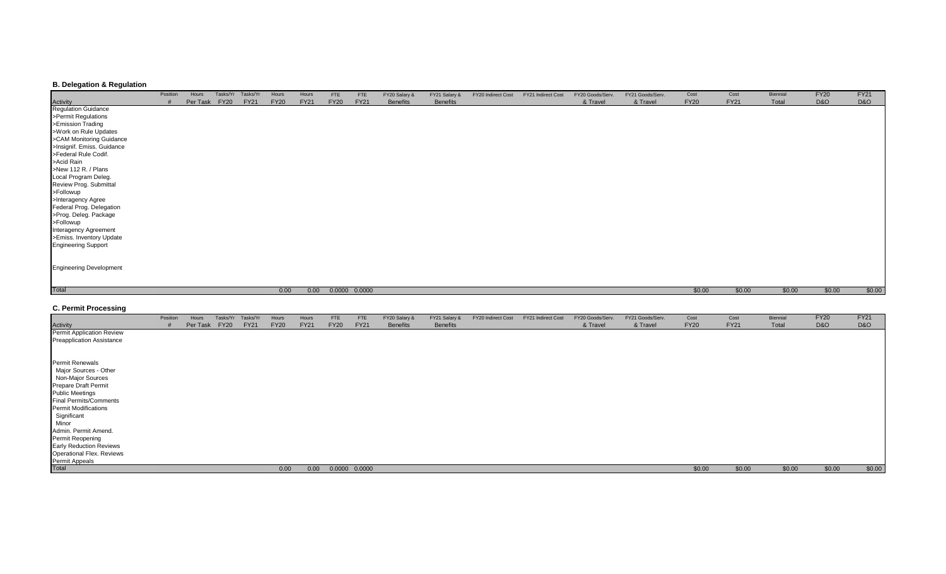## **B. Delegation & Regulation**

|                                        | Position | Hours | Tasks/Yr      | Tasks/Yr    | Hours       | Hours       | <b>FTE</b>  | <b>FTE</b>    | FY20 Salary &   | FY21 Salary &   | FY20 Indirect Cost | FY21 Indirect Cost | FY20 Goods/Serv. | FY21 Goods/Serv. | Cost        | Cost        | Biennial | <b>FY20</b> | <b>FY21</b> |
|----------------------------------------|----------|-------|---------------|-------------|-------------|-------------|-------------|---------------|-----------------|-----------------|--------------------|--------------------|------------------|------------------|-------------|-------------|----------|-------------|-------------|
|                                        |          |       | Per Task FY20 | <b>FY21</b> | <b>FY20</b> | <b>FY21</b> | <b>FY20</b> | <b>FY21</b>   | <b>Benefits</b> | <b>Benefits</b> |                    |                    | & Travel         | & Travel         | <b>FY20</b> | <b>FY21</b> | Total    | D&O         | D&O         |
| <b>Activity</b><br>Regulation Guidance |          |       |               |             |             |             |             |               |                 |                 |                    |                    |                  |                  |             |             |          |             |             |
| >Permit Regulations                    |          |       |               |             |             |             |             |               |                 |                 |                    |                    |                  |                  |             |             |          |             |             |
| >Emission Trading                      |          |       |               |             |             |             |             |               |                 |                 |                    |                    |                  |                  |             |             |          |             |             |
| >Work on Rule Updates                  |          |       |               |             |             |             |             |               |                 |                 |                    |                    |                  |                  |             |             |          |             |             |
| >CAM Monitoring Guidance               |          |       |               |             |             |             |             |               |                 |                 |                    |                    |                  |                  |             |             |          |             |             |
| >Insignif. Emiss. Guidance             |          |       |               |             |             |             |             |               |                 |                 |                    |                    |                  |                  |             |             |          |             |             |
| >Federal Rule Codif.                   |          |       |               |             |             |             |             |               |                 |                 |                    |                    |                  |                  |             |             |          |             |             |
| >Acid Rain                             |          |       |               |             |             |             |             |               |                 |                 |                    |                    |                  |                  |             |             |          |             |             |
| >New 112 R. / Plans                    |          |       |               |             |             |             |             |               |                 |                 |                    |                    |                  |                  |             |             |          |             |             |
| Local Program Deleg.                   |          |       |               |             |             |             |             |               |                 |                 |                    |                    |                  |                  |             |             |          |             |             |
| Review Prog. Submittal                 |          |       |               |             |             |             |             |               |                 |                 |                    |                    |                  |                  |             |             |          |             |             |
| >Followup                              |          |       |               |             |             |             |             |               |                 |                 |                    |                    |                  |                  |             |             |          |             |             |
| >Interagency Agree                     |          |       |               |             |             |             |             |               |                 |                 |                    |                    |                  |                  |             |             |          |             |             |
| Federal Prog. Delegation               |          |       |               |             |             |             |             |               |                 |                 |                    |                    |                  |                  |             |             |          |             |             |
| >Prog. Deleg. Package                  |          |       |               |             |             |             |             |               |                 |                 |                    |                    |                  |                  |             |             |          |             |             |
| >Followup                              |          |       |               |             |             |             |             |               |                 |                 |                    |                    |                  |                  |             |             |          |             |             |
| Interagency Agreement                  |          |       |               |             |             |             |             |               |                 |                 |                    |                    |                  |                  |             |             |          |             |             |
| >Emiss. Inventory Update               |          |       |               |             |             |             |             |               |                 |                 |                    |                    |                  |                  |             |             |          |             |             |
| <b>Engineering Support</b>             |          |       |               |             |             |             |             |               |                 |                 |                    |                    |                  |                  |             |             |          |             |             |
|                                        |          |       |               |             |             |             |             |               |                 |                 |                    |                    |                  |                  |             |             |          |             |             |
|                                        |          |       |               |             |             |             |             |               |                 |                 |                    |                    |                  |                  |             |             |          |             |             |
| <b>Engineering Development</b>         |          |       |               |             |             |             |             |               |                 |                 |                    |                    |                  |                  |             |             |          |             |             |
|                                        |          |       |               |             |             |             |             |               |                 |                 |                    |                    |                  |                  |             |             |          |             |             |
| <b>Total</b>                           |          |       |               |             | 0.00        | 0.00        |             | 0.0000 0.0000 |                 |                 |                    |                    |                  |                  | \$0.00      | \$0.00      | \$0.00   | \$0.00      | \$0.00      |
|                                        |          |       |               |             |             |             |             |               |                 |                 |                    |                    |                  |                  |             |             |          |             |             |

## **C. Permit Processing**

|                                  | Position | Hours         | Tasks/Yr | Tasks/Yr    | Hours       | Hours       | <b>FTE</b>  | <b>FTE</b>        | FY20 Salary &   | FY21 Salary &   | FY20 Indirect Cost | FY21 Indirect Cost | FY20 Goods/Serv. | FY21 Goods/Serv. | Cost        | Cost        | Biennial | <b>FY20</b>    | <b>FY21</b> |
|----------------------------------|----------|---------------|----------|-------------|-------------|-------------|-------------|-------------------|-----------------|-----------------|--------------------|--------------------|------------------|------------------|-------------|-------------|----------|----------------|-------------|
| Activity                         |          | Per Task FY20 |          | <b>FY21</b> | <b>FY20</b> | <b>FY21</b> | <b>FY20</b> | <b>FY21</b>       | <b>Benefits</b> | <b>Benefits</b> |                    |                    | & Travel         | & Travel         | <b>FY20</b> | <b>FY21</b> | Total    | <b>D&amp;O</b> | D&O         |
| <b>Permit Application Review</b> |          |               |          |             |             |             |             |                   |                 |                 |                    |                    |                  |                  |             |             |          |                |             |
| <b>Preapplication Assistance</b> |          |               |          |             |             |             |             |                   |                 |                 |                    |                    |                  |                  |             |             |          |                |             |
|                                  |          |               |          |             |             |             |             |                   |                 |                 |                    |                    |                  |                  |             |             |          |                |             |
| <b>Permit Renewals</b>           |          |               |          |             |             |             |             |                   |                 |                 |                    |                    |                  |                  |             |             |          |                |             |
| Major Sources - Other            |          |               |          |             |             |             |             |                   |                 |                 |                    |                    |                  |                  |             |             |          |                |             |
| Non-Major Sources                |          |               |          |             |             |             |             |                   |                 |                 |                    |                    |                  |                  |             |             |          |                |             |
| Prepare Draft Permit             |          |               |          |             |             |             |             |                   |                 |                 |                    |                    |                  |                  |             |             |          |                |             |
| <b>Public Meetings</b>           |          |               |          |             |             |             |             |                   |                 |                 |                    |                    |                  |                  |             |             |          |                |             |
| <b>Final Permits/Comments</b>    |          |               |          |             |             |             |             |                   |                 |                 |                    |                    |                  |                  |             |             |          |                |             |
| <b>Permit Modifications</b>      |          |               |          |             |             |             |             |                   |                 |                 |                    |                    |                  |                  |             |             |          |                |             |
| Significant                      |          |               |          |             |             |             |             |                   |                 |                 |                    |                    |                  |                  |             |             |          |                |             |
| Minor                            |          |               |          |             |             |             |             |                   |                 |                 |                    |                    |                  |                  |             |             |          |                |             |
| Admin. Permit Amend.             |          |               |          |             |             |             |             |                   |                 |                 |                    |                    |                  |                  |             |             |          |                |             |
| Permit Reopening                 |          |               |          |             |             |             |             |                   |                 |                 |                    |                    |                  |                  |             |             |          |                |             |
| <b>Early Reduction Reviews</b>   |          |               |          |             |             |             |             |                   |                 |                 |                    |                    |                  |                  |             |             |          |                |             |
| <b>Operational Flex. Reviews</b> |          |               |          |             |             |             |             |                   |                 |                 |                    |                    |                  |                  |             |             |          |                |             |
| Permit Appeals                   |          |               |          |             |             |             |             |                   |                 |                 |                    |                    |                  |                  |             |             |          |                |             |
| Total                            |          |               |          |             | 0.00        | 0.00        |             | $0.0000$ $0.0000$ |                 |                 |                    |                    |                  |                  | \$0.00      | \$0.00      | \$0.00   | \$0.00         | \$0.00      |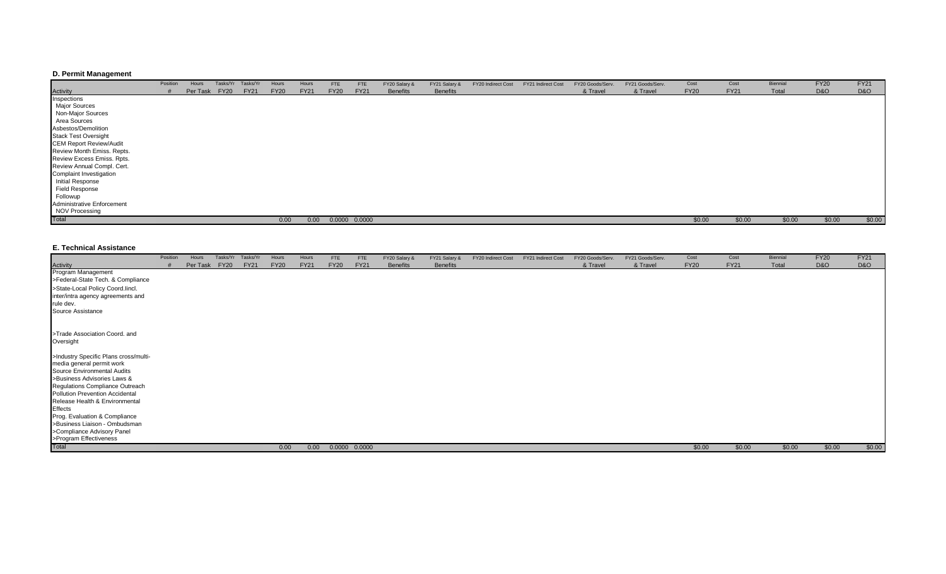## **D. Permit Management**

|                                | Position | Hours         | Tasks/Yr | Tasks/Yr    | Hours       | Hours       | <b>FTE</b>  | <b>FTE</b>        | FY20 Salary &   | FY21 Salary &   | FY20 Indirect Cost | FY21 Indirect Cost | FY20 Goods/Serv. | FY21 Goods/Serv. | Cost        | Cost        | Biennial | <b>FY20</b>    | <b>FY21</b> |
|--------------------------------|----------|---------------|----------|-------------|-------------|-------------|-------------|-------------------|-----------------|-----------------|--------------------|--------------------|------------------|------------------|-------------|-------------|----------|----------------|-------------|
| Activity                       |          | Per Task FY20 |          | <b>FY21</b> | <b>FY20</b> | <b>FY21</b> | <b>FY20</b> | <b>FY21</b>       | <b>Benefits</b> | <b>Benefits</b> |                    |                    | & Travel         | & Travel         | <b>FY20</b> | <b>FY21</b> | Total    | <b>D&amp;O</b> | D&O         |
| Inspections                    |          |               |          |             |             |             |             |                   |                 |                 |                    |                    |                  |                  |             |             |          |                |             |
| Major Sources                  |          |               |          |             |             |             |             |                   |                 |                 |                    |                    |                  |                  |             |             |          |                |             |
| Non-Major Sources              |          |               |          |             |             |             |             |                   |                 |                 |                    |                    |                  |                  |             |             |          |                |             |
| Area Sources                   |          |               |          |             |             |             |             |                   |                 |                 |                    |                    |                  |                  |             |             |          |                |             |
| Asbestos/Demolition            |          |               |          |             |             |             |             |                   |                 |                 |                    |                    |                  |                  |             |             |          |                |             |
| <b>Stack Test Oversight</b>    |          |               |          |             |             |             |             |                   |                 |                 |                    |                    |                  |                  |             |             |          |                |             |
| <b>CEM Report Review/Audit</b> |          |               |          |             |             |             |             |                   |                 |                 |                    |                    |                  |                  |             |             |          |                |             |
| Review Month Emiss. Repts.     |          |               |          |             |             |             |             |                   |                 |                 |                    |                    |                  |                  |             |             |          |                |             |
| Review Excess Emiss. Rpts.     |          |               |          |             |             |             |             |                   |                 |                 |                    |                    |                  |                  |             |             |          |                |             |
| Review Annual Compl. Cert.     |          |               |          |             |             |             |             |                   |                 |                 |                    |                    |                  |                  |             |             |          |                |             |
| Complaint Investigation        |          |               |          |             |             |             |             |                   |                 |                 |                    |                    |                  |                  |             |             |          |                |             |
| Initial Response               |          |               |          |             |             |             |             |                   |                 |                 |                    |                    |                  |                  |             |             |          |                |             |
| Field Response                 |          |               |          |             |             |             |             |                   |                 |                 |                    |                    |                  |                  |             |             |          |                |             |
| Followup                       |          |               |          |             |             |             |             |                   |                 |                 |                    |                    |                  |                  |             |             |          |                |             |
| Administrative Enforcement     |          |               |          |             |             |             |             |                   |                 |                 |                    |                    |                  |                  |             |             |          |                |             |
| <b>NOV Processing</b>          |          |               |          |             |             |             |             |                   |                 |                 |                    |                    |                  |                  |             |             |          |                |             |
| Total                          |          |               |          |             | 0.00        | 0.00        |             | $0.0000$ $0.0000$ |                 |                 |                    |                    |                  |                  | \$0.00      | \$0.00      | \$0.00   | \$0.00         | \$0.00      |

#### **E. Technical Assistance**

|                                       | Position | Hours    |             | Tasks/Yr Tasks/Yr | Hours       | Hours       | <b>FTE</b>  | <b>FTE</b>    | FY20 Salary &   | FY21 Salary &   | FY20 Indirect Cost | FY21 Indirect Cost | FY20 Goods/Serv. | FY21 Goods/Serv. | Cost        | Cost        | Biennial | <b>FY20</b>    | <b>FY21</b> |
|---------------------------------------|----------|----------|-------------|-------------------|-------------|-------------|-------------|---------------|-----------------|-----------------|--------------------|--------------------|------------------|------------------|-------------|-------------|----------|----------------|-------------|
| Activity                              |          | Per Task | <b>FY20</b> | <b>FY21</b>       | <b>FY20</b> | <b>FY21</b> | <b>FY20</b> | <b>FY21</b>   | <b>Benefits</b> | <b>Benefits</b> |                    |                    | & Travel         | & Travel         | <b>FY20</b> | <b>FY21</b> | Total    | <b>D&amp;O</b> | D&O         |
| Program Management                    |          |          |             |                   |             |             |             |               |                 |                 |                    |                    |                  |                  |             |             |          |                |             |
| >Federal-State Tech. & Compliance     |          |          |             |                   |             |             |             |               |                 |                 |                    |                    |                  |                  |             |             |          |                |             |
| >State-Local Policy Coord.lincl.      |          |          |             |                   |             |             |             |               |                 |                 |                    |                    |                  |                  |             |             |          |                |             |
| inter/intra agency agreements and     |          |          |             |                   |             |             |             |               |                 |                 |                    |                    |                  |                  |             |             |          |                |             |
| rule dev.                             |          |          |             |                   |             |             |             |               |                 |                 |                    |                    |                  |                  |             |             |          |                |             |
| Source Assistance                     |          |          |             |                   |             |             |             |               |                 |                 |                    |                    |                  |                  |             |             |          |                |             |
|                                       |          |          |             |                   |             |             |             |               |                 |                 |                    |                    |                  |                  |             |             |          |                |             |
| >Trade Association Coord. and         |          |          |             |                   |             |             |             |               |                 |                 |                    |                    |                  |                  |             |             |          |                |             |
| Oversight                             |          |          |             |                   |             |             |             |               |                 |                 |                    |                    |                  |                  |             |             |          |                |             |
| >Industry Specific Plans cross/multi- |          |          |             |                   |             |             |             |               |                 |                 |                    |                    |                  |                  |             |             |          |                |             |
| media general permit work             |          |          |             |                   |             |             |             |               |                 |                 |                    |                    |                  |                  |             |             |          |                |             |
| Source Environmental Audits           |          |          |             |                   |             |             |             |               |                 |                 |                    |                    |                  |                  |             |             |          |                |             |
| >Business Advisories Laws &           |          |          |             |                   |             |             |             |               |                 |                 |                    |                    |                  |                  |             |             |          |                |             |
| Regulations Compliance Outreach       |          |          |             |                   |             |             |             |               |                 |                 |                    |                    |                  |                  |             |             |          |                |             |
| Pollution Prevention Accidental       |          |          |             |                   |             |             |             |               |                 |                 |                    |                    |                  |                  |             |             |          |                |             |
| Release Health & Environmental        |          |          |             |                   |             |             |             |               |                 |                 |                    |                    |                  |                  |             |             |          |                |             |
| Effects                               |          |          |             |                   |             |             |             |               |                 |                 |                    |                    |                  |                  |             |             |          |                |             |
| Prog. Evaluation & Compliance         |          |          |             |                   |             |             |             |               |                 |                 |                    |                    |                  |                  |             |             |          |                |             |
| >Business Liaison - Ombudsman         |          |          |             |                   |             |             |             |               |                 |                 |                    |                    |                  |                  |             |             |          |                |             |
| >Compliance Advisory Panel            |          |          |             |                   |             |             |             |               |                 |                 |                    |                    |                  |                  |             |             |          |                |             |
| >Program Effectiveness                |          |          |             |                   |             |             |             |               |                 |                 |                    |                    |                  |                  |             |             |          |                |             |
| Total                                 |          |          |             |                   | 0.00        | 0.00        |             | 0.0000 0.0000 |                 |                 |                    |                    |                  |                  | \$0.00      | \$0.00      | \$0.00   | \$0.00         | \$0.00      |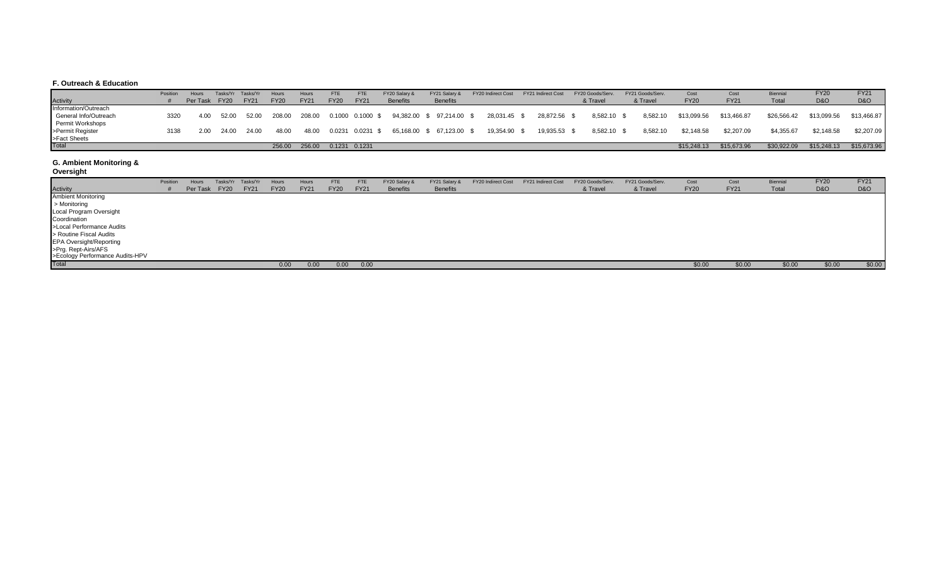## **F. Outreach & Education**

|                       | Position | Hours         |       | Tasks/Yr Tasks/Yr | Hours       | Hours       | FTE         | <b>FTE</b>                | FY20 Salary &   | FY21 Salary &                                                    | FY20 Indirect Cost | <b>FY21 Indirect Cost</b> | FY20 Goods/Serv. | FY21 Goods/Serv. | Cost        | Cost        | Biennial    | <b>FY20</b>    | <b>FY21</b>    |
|-----------------------|----------|---------------|-------|-------------------|-------------|-------------|-------------|---------------------------|-----------------|------------------------------------------------------------------|--------------------|---------------------------|------------------|------------------|-------------|-------------|-------------|----------------|----------------|
| <b>Activity</b>       |          | Per Task FY20 |       | <b>FY21</b>       | <b>FY20</b> | <b>FY21</b> | <b>FY20</b> | <b>FY21</b>               | <b>Benefits</b> | <b>Benefits</b>                                                  |                    |                           | & Travel         | & Travel         | <b>FY20</b> | <b>FY21</b> | Total       | <b>D&amp;O</b> | <b>D&amp;O</b> |
| Information/Outreach  |          |               |       |                   |             |             |             |                           |                 |                                                                  |                    |                           |                  |                  |             |             |             |                |                |
| General Info/Outreach | 3320     | 4.00          | 52.00 | 52.00             |             |             |             |                           |                 | 208.00  208.00  0.1000  0.1000  \$  94,382.00  \$  97,214.00  \$ | 28,031.45 \$       | 28.872.56 \$              | 8.582.10 \$      | 8.582.10         | \$13.099.56 | \$13.466.87 | \$26.566.42 | \$13.099.56    | \$13,466.87    |
| Permit Workshops      |          |               |       |                   |             |             |             |                           |                 |                                                                  |                    |                           |                  |                  |             |             |             |                |                |
| >Permit Register      | 3138     | 2.00          | 24.00 | 24.00             | 48.00       |             |             | 48.00  0.0231  0.0231  \$ |                 | 65,168.00 \$ 67,123.00 \$                                        | 19,354.90 \$       | 19.935.53 \$              | 8,582.10 \$      | 8.582.10         | \$2.148.58  | \$2.207.09  | \$4,355.67  | \$2.148.58     | \$2,207.09     |
| >Fact Sheets<br>Total |          |               |       |                   |             |             |             |                           |                 |                                                                  |                    |                           |                  |                  |             |             |             |                |                |
|                       |          |               |       |                   | 256.00      |             |             | 256.00  0.1231  0.1231    |                 |                                                                  |                    |                           |                  |                  | \$15,248.13 | \$15,673.96 | \$30,922.09 | \$15,248.13    | \$15,673.96    |

## **G. Ambient Monitoring &**

**Oversight**

| <b>Activity</b>                                        | Position | Hours<br>Per Task | Tasks/Yr<br><b>FY20</b> | Tasks/Yr<br><b>FY21</b> | Hours<br><b>FY20</b> | Hours<br><b>FY21</b> | <b>FTE</b><br><b>FY20</b> | FTE<br><b>FY21</b> | FY20 Salary &<br><b>Benefits</b> | FY21 Salary &<br><b>Benefits</b> | FY20 Indirect Cost | FY21 Indirect Cost | FY20 Goods/Serv.<br>& Travel | FY21 Goods/Serv.<br>& Travel | Cost<br><b>FY20</b> | Cost<br><b>FY21</b> | Biennia<br>Total | <b>FY20</b><br>D&O | <b>FY21</b><br>D&O |
|--------------------------------------------------------|----------|-------------------|-------------------------|-------------------------|----------------------|----------------------|---------------------------|--------------------|----------------------------------|----------------------------------|--------------------|--------------------|------------------------------|------------------------------|---------------------|---------------------|------------------|--------------------|--------------------|
| <b>Ambient Monitoring</b>                              |          |                   |                         |                         |                      |                      |                           |                    |                                  |                                  |                    |                    |                              |                              |                     |                     |                  |                    |                    |
| > Monitoring                                           |          |                   |                         |                         |                      |                      |                           |                    |                                  |                                  |                    |                    |                              |                              |                     |                     |                  |                    |                    |
| Local Program Oversight                                |          |                   |                         |                         |                      |                      |                           |                    |                                  |                                  |                    |                    |                              |                              |                     |                     |                  |                    |                    |
| Coordination                                           |          |                   |                         |                         |                      |                      |                           |                    |                                  |                                  |                    |                    |                              |                              |                     |                     |                  |                    |                    |
| >Local Performance Audits                              |          |                   |                         |                         |                      |                      |                           |                    |                                  |                                  |                    |                    |                              |                              |                     |                     |                  |                    |                    |
| > Routine Fiscal Audits                                |          |                   |                         |                         |                      |                      |                           |                    |                                  |                                  |                    |                    |                              |                              |                     |                     |                  |                    |                    |
| <b>EPA Oversight/Reporting</b>                         |          |                   |                         |                         |                      |                      |                           |                    |                                  |                                  |                    |                    |                              |                              |                     |                     |                  |                    |                    |
|                                                        |          |                   |                         |                         |                      |                      |                           |                    |                                  |                                  |                    |                    |                              |                              |                     |                     |                  |                    |                    |
| >Prg. Rept-Airs/AFS<br>>Ecology Performance Audits-HPV |          |                   |                         |                         |                      |                      |                           |                    |                                  |                                  |                    |                    |                              |                              |                     |                     |                  |                    |                    |
| Total                                                  |          |                   |                         |                         | 0.00                 | 0.00                 | 0.00                      | 0.00               |                                  |                                  |                    |                    |                              |                              | \$0.00              | \$0.00              | \$0.00           | \$0.00             | \$0.00             |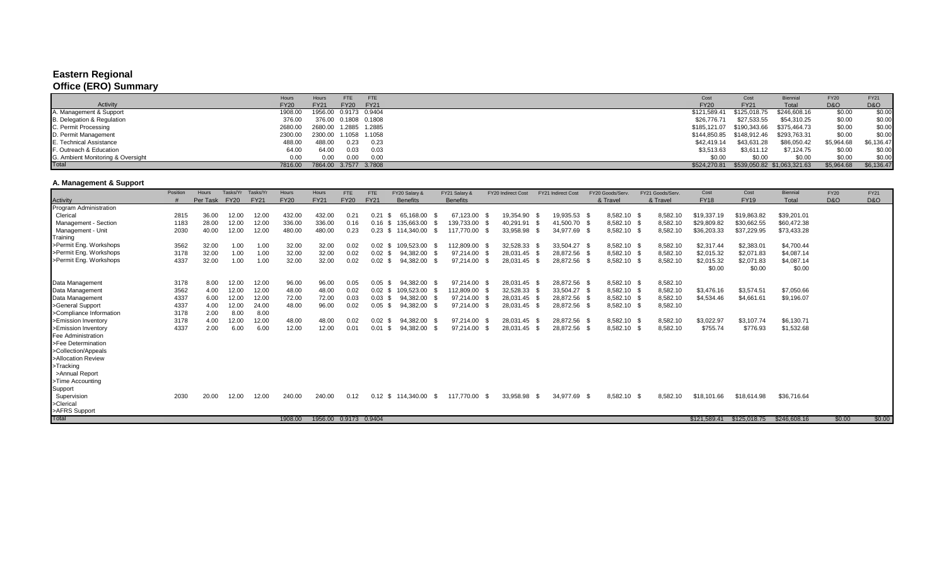# **Eastern Regional**

# **Office (ERO) Summary**

|                                   | Hours       | <b>FTE</b><br>FTE<br>Hours                |      | Cost         | Cost                      | <b>Biennial</b>             | <b>FY20</b> | <b>FY21</b> |
|-----------------------------------|-------------|-------------------------------------------|------|--------------|---------------------------|-----------------------------|-------------|-------------|
| Activity                          | <b>FY20</b> | <b>FY20</b><br><b>FY21</b><br><b>FY21</b> |      | <b>FY20</b>  | <b>FY21</b>               | Total                       | D&O         | D&O         |
| A. Management & Support           | 1908.00     | 1956.00  0.9173  0.9404                   |      | \$121,589.41 | \$125,018.75              | \$246,608.16                | \$0.00      | \$0.00      |
| B. Delegation & Regulation        | 376.00      | 376.00  0.1808  0.1808                    |      | \$26,776,71  | \$27,533.55               | \$54,310.25                 | \$0.00      | \$0.00      |
| C. Permit Processing              | 2680.00     | 2680.00 1.2885 1.2885                     |      |              |                           | \$375,464.73                | \$0.00      | \$0.00      |
| D. Permit Management              | 2300.00     | 2300.00 1.1058 1.1058                     |      |              | \$144,850.85 \$148,912.46 | \$293,763.31                | \$0.00      | \$0.00      |
| E. Technical Assistance           | 488.00      | 0.23<br>488.00                            | 0.23 | \$42,419.14  | \$43,631.28               | \$86,050.42                 | \$5,964.68  | \$6,136.47  |
| F. Outreach & Education           | 64.00       | 64.00<br>0.03                             | 0.03 | \$3,513.63   | \$3,611.12                | \$7,124.75                  | \$0.00      | \$0.00      |
| G. Ambient Monitoring & Oversight | 0.00        | 0.00<br>0.00                              | 0.00 | \$0.00       | \$0.00                    | \$0.00                      | \$0.00      | \$0.00      |
| <b>Total</b>                      | 7816.00     | 7864.00 3.7577 3.7808                     |      | \$524,270.81 |                           | \$539,050.82 \$1,063,321.63 | \$5,964.68  | \$6,136.47  |

## **A. Management & Support**

|                         | Position | <b>Hours</b> | Tasks/Yr    | Tasks/Yr    | Hours       | Hours                   | <b>FTE</b>  | FTE                | FY20 Salary &         |     | FY21 Salary &   |      | FY20 Indirect Cost | FY21 Indirect Cost |              | FY20 Goods/Serv | FY21 Goods/Serv | Cost         | Cost         | Biennial     | <b>FY20</b>    | <b>FY21</b> |
|-------------------------|----------|--------------|-------------|-------------|-------------|-------------------------|-------------|--------------------|-----------------------|-----|-----------------|------|--------------------|--------------------|--------------|-----------------|-----------------|--------------|--------------|--------------|----------------|-------------|
| Activity                |          | Per Task     | <b>FY20</b> | <b>FY21</b> | <b>FY20</b> | <b>FY21</b>             | <b>FY20</b> | <b>FY21</b>        | <b>Benefits</b>       |     | <b>Benefits</b> |      |                    |                    |              | & Travel        | & Travel        | <b>FY18</b>  | <b>FY19</b>  | <b>Total</b> | <b>D&amp;O</b> | D&O         |
| Program Administration  |          |              |             |             |             |                         |             |                    |                       |     |                 |      |                    |                    |              |                 |                 |              |              |              |                |             |
| Clerical                | 2815     | 36.00        | 12.00       | 12.00       | 432.00      | 432.00                  | 0.21        | 0.21               | 65.168.00 \$<br>- \$  |     | 67,123.00 \$    |      | 19.354.90          | - \$               | 19.935.53 \$ | 8,582.10 \$     | 8,582.10        | \$19,337.19  | \$19,863.82  | \$39,201.01  |                |             |
| Management - Section    | 1183     | 28.00        | 12.00       | 12.00       | 336.00      | 336.00                  | 0.16        | $0.16$ \$          | 135,663.00            |     | 139,733.00      |      | 40,291.91          |                    | 41,500.70 \$ | 8,582.10 \$     | 8,582.10        | \$29,809.82  | \$30,662.55  | \$60,472.38  |                |             |
| Management - Unit       | 2030     | 40.00        | 12.00       | 12.00       | 480.00      | 480.00                  | 0.23        |                    | 0.23 \$ 114,340.00 \$ |     | 117.770.00 \$   |      | 33,958.98          | - SS               | 34,977.69 \$ | 8,582.10 \$     | 8,582.10        | \$36,203.33  | \$37,229.95  | \$73,433.28  |                |             |
| Training                |          |              |             |             |             |                         |             |                    |                       |     |                 |      |                    |                    |              |                 |                 |              |              |              |                |             |
| >Permit Eng. Workshops  | 3562     | 32.00        | 1.00        | 1.00        | 32.00       | 32.00                   | 0.02        | $0.02 \text{ }$ \$ | 109,523.00            |     | 112,809.00      |      | 32,528.33          |                    | 33,504.27 \$ | 8,582.10 \$     | 8,582.10        | \$2,317.44   | \$2,383.01   | \$4,700.44   |                |             |
| >Permit Eng. Workshops  | 3178     | 32.00        | 1.00        | 1.00        | 32.00       | 32.00                   | 0.02        | $0.02 \text{ } $$  | 94,382.00             |     | 97,214.00 \$    |      | 28,031.45 \$       |                    | 28,872.56 \$ | 8,582.10 \$     | 8,582.10        | \$2,015.32   | \$2,071.83   | \$4,087.14   |                |             |
| >Permit Eng. Workshops  | 4337     | 32.00        | 1.00        | 1.00        | 32.00       | 32.00                   | 0.02        | $0.02 \text{ }$ \$ | 94,382.00             |     | 97,214.00       |      | 28,031.45          | - \$               | 28,872.56 \$ | 8,582.10 \$     | 8,582.10        | \$2,015.32   | \$2,071.83   | \$4,087.14   |                |             |
|                         |          |              |             |             |             |                         |             |                    |                       |     |                 |      |                    |                    |              |                 |                 | \$0.00       | \$0.00       | \$0.00       |                |             |
|                         |          |              |             |             |             |                         |             |                    |                       |     |                 |      |                    |                    |              |                 |                 |              |              |              |                |             |
| Data Management         | 3178     | 8.00         | 12.00       | 12.00       | 96.00       | 96.00                   | 0.05        | $0.05$ \$          | 94.382.00             |     | 97,214.00 \$    |      | 28,031.45 \$       |                    | 28,872.56 \$ | 8,582.10 \$     | 8,582.10        |              |              |              |                |             |
| Data Management         | 3562     | 4.00         | 12.00       | 12.00       | 48.00       | 48.00                   | 0.02        | $0.02 \text{ } $$  | 109,523.00            |     | 112,809.00 \$   |      | 32,528.33 \$       |                    | 33,504.27 \$ | 8,582.10 \$     | 8,582.10        | \$3,476.16   | \$3,574.51   | \$7,050.66   |                |             |
| Data Management         | 4337     | 6.00         | 12.00       | 12.00       | 72.00       | 72.00                   | 0.03        | $0.03$ \$          | 94.382.00             |     | 97.214.00       |      | 28,031.45 \$       |                    | 28,872.56 \$ | 8,582.10 \$     | 8,582.10        | \$4,534.46   | \$4,661.61   | \$9,196.07   |                |             |
| >General Support        | 4337     | 4.00         | 12.00       | 24.00       | 48.00       | 96.00                   | 0.02        | $0.05$ \$          | 94,382.00             |     | 97,214.00       |      | 28,031.45 \$       |                    | 28,872.56 \$ | 8,582.10 \$     | 8,582.10        |              |              |              |                |             |
| >Compliance Information | 3178     | 2.00         | 8.00        | 8.00        |             |                         |             |                    |                       |     |                 |      |                    |                    |              |                 |                 |              |              |              |                |             |
| >Emission Inventory     | 3178     | 4.00         | 12.00       | 12.00       | 48.00       | 48.00                   | 0.02        | $0.02 \text{ }$ \$ | 94,382.00             |     | 97,214.00 \$    |      | 28,031.45 \$       |                    | 28,872.56 \$ | 8,582.10 \$     | 8,582.10        | \$3,022.97   | \$3,107.74   | \$6,130.71   |                |             |
| >Emission Inventory     | 4337     | 2.00         | 6.00        | 6.00        | 12.00       | 12.00                   | 0.01        | 0.01               | 94,382.00<br>- \$     |     | 97.214.00       |      | 28,031.45          | - \$               | 28,872.56 \$ | 8,582.10 \$     | 8,582.10        | \$755.74     | \$776.93     | \$1,532.68   |                |             |
| Fee Administration      |          |              |             |             |             |                         |             |                    |                       |     |                 |      |                    |                    |              |                 |                 |              |              |              |                |             |
| >Fee Determination      |          |              |             |             |             |                         |             |                    |                       |     |                 |      |                    |                    |              |                 |                 |              |              |              |                |             |
| >Collection/Appeals     |          |              |             |             |             |                         |             |                    |                       |     |                 |      |                    |                    |              |                 |                 |              |              |              |                |             |
| >Allocation Review      |          |              |             |             |             |                         |             |                    |                       |     |                 |      |                    |                    |              |                 |                 |              |              |              |                |             |
| >Tracking               |          |              |             |             |             |                         |             |                    |                       |     |                 |      |                    |                    |              |                 |                 |              |              |              |                |             |
| >Annual Report          |          |              |             |             |             |                         |             |                    |                       |     |                 |      |                    |                    |              |                 |                 |              |              |              |                |             |
| >Time Accounting        |          |              |             |             |             |                         |             |                    |                       |     |                 |      |                    |                    |              |                 |                 |              |              |              |                |             |
| Support                 |          |              |             |             |             |                         |             |                    |                       |     |                 |      |                    |                    |              |                 |                 |              |              |              |                |             |
| Supervision             | 2030     | 20.00        | 12.00       | 12.00       | 240.00      | 240.00                  | 0.12        |                    | 0.12 \$ 114,340.00    | - S | 117.770.00      | - \$ | 33.958.98          | - \$               | 34,977.69 \$ | 8,582.10 \$     | 8.582.10        | \$18,101.66  | \$18,614.98  | \$36,716.64  |                |             |
| >Clerical               |          |              |             |             |             |                         |             |                    |                       |     |                 |      |                    |                    |              |                 |                 |              |              |              |                |             |
| >AFRS Support           |          |              |             |             |             |                         |             |                    |                       |     |                 |      |                    |                    |              |                 |                 |              |              |              |                |             |
| Total                   |          |              |             |             | 1908.00     | 1956.00  0.9173  0.9404 |             |                    |                       |     |                 |      |                    |                    |              |                 |                 | \$121.589.41 | \$125,018.75 | \$246,608.16 | \$0.00         | \$0.00      |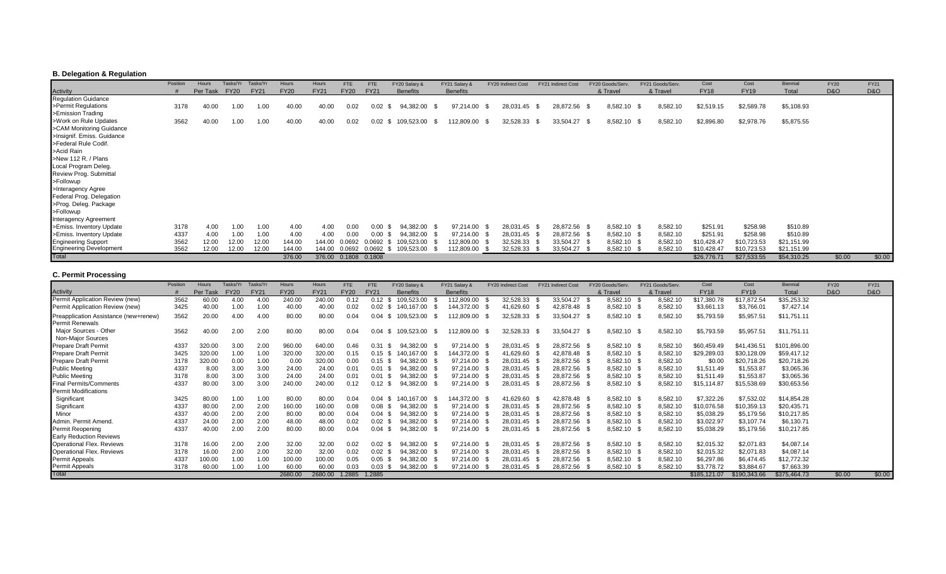## **B. Delegation & Regulation**

|                                | Position | Hours    | Tasks/Yr    | Tasks/Y     | Hours       | Hours       | FTE                    | <b>FTE</b>        | FY20 Salary &     | FY21 Salary &   | FY20 Indirect Cost |           | FY21 Indirect Cost |              | FY20 Goods/Serv |      | FY21 Goods/Serv. | Cost        | Cost        | Biennial    | <b>FY20</b>    | FY21   |
|--------------------------------|----------|----------|-------------|-------------|-------------|-------------|------------------------|-------------------|-------------------|-----------------|--------------------|-----------|--------------------|--------------|-----------------|------|------------------|-------------|-------------|-------------|----------------|--------|
| Activity                       |          | Per Task | <b>FY20</b> | <b>FY21</b> | <b>FY20</b> | <b>FY21</b> | <b>FY20</b>            | <b>FY21</b>       | <b>Benefits</b>   | <b>Benefits</b> |                    |           |                    |              | & Travel        |      | & Travel         | <b>FY18</b> | <b>FY19</b> | Total       | <b>D&amp;O</b> | D&O    |
| <b>Regulation Guidance</b>     |          |          |             |             |             |             |                        |                   |                   |                 |                    |           |                    |              |                 |      |                  |             |             |             |                |        |
| >Permit Regulations            | 3178     | 40.00    | 1.00        | 1.00        | 40.00       | 40.00       | 0.02                   | 0.02              | 94,382.00<br>- \$ | 97,214.00       | - 35               | 28,031.45 | - \$               | 28,872.56 \$ | 8,582.10        | - 36 | 8,582.10         | \$2,519.15  | \$2,589.78  | \$5,108.93  |                |        |
| >Emission Trading              |          |          |             |             |             |             |                        |                   |                   |                 |                    |           |                    |              |                 |      |                  |             |             |             |                |        |
| >Work on Rule Updates          | 3562     | 40.00    | 1.00        | 1.00        | 40.00       | 40.00       | 0.02                   | $0.02 \text{ } $$ | 109,523.00        | 112,809.00 \$   |                    | 32,528.33 | - \$               | 33,504.27 \$ | 8,582.10 \$     |      | 8,582.10         | \$2,896.80  | \$2,978.76  | \$5,875.55  |                |        |
| >CAM Monitoring Guidance       |          |          |             |             |             |             |                        |                   |                   |                 |                    |           |                    |              |                 |      |                  |             |             |             |                |        |
| >Insignif. Emiss. Guidance     |          |          |             |             |             |             |                        |                   |                   |                 |                    |           |                    |              |                 |      |                  |             |             |             |                |        |
| >Federal Rule Codif.           |          |          |             |             |             |             |                        |                   |                   |                 |                    |           |                    |              |                 |      |                  |             |             |             |                |        |
| >Acid Rain                     |          |          |             |             |             |             |                        |                   |                   |                 |                    |           |                    |              |                 |      |                  |             |             |             |                |        |
| >New 112 R. / Plans            |          |          |             |             |             |             |                        |                   |                   |                 |                    |           |                    |              |                 |      |                  |             |             |             |                |        |
| Local Program Deleg.           |          |          |             |             |             |             |                        |                   |                   |                 |                    |           |                    |              |                 |      |                  |             |             |             |                |        |
| Review Prog. Submittal         |          |          |             |             |             |             |                        |                   |                   |                 |                    |           |                    |              |                 |      |                  |             |             |             |                |        |
| >Followup                      |          |          |             |             |             |             |                        |                   |                   |                 |                    |           |                    |              |                 |      |                  |             |             |             |                |        |
| >Interagency Agree             |          |          |             |             |             |             |                        |                   |                   |                 |                    |           |                    |              |                 |      |                  |             |             |             |                |        |
| Federal Prog. Delegation       |          |          |             |             |             |             |                        |                   |                   |                 |                    |           |                    |              |                 |      |                  |             |             |             |                |        |
| >Prog. Deleg. Package          |          |          |             |             |             |             |                        |                   |                   |                 |                    |           |                    |              |                 |      |                  |             |             |             |                |        |
| >Followup                      |          |          |             |             |             |             |                        |                   |                   |                 |                    |           |                    |              |                 |      |                  |             |             |             |                |        |
| Interagency Agreement          |          |          |             |             |             |             |                        |                   |                   |                 |                    |           |                    |              |                 |      |                  |             |             |             |                |        |
| >Emiss. Inventory Update       | 3178     | 4.00     | 1.00        | 1.00        | 4.00        | 4.00        | 0.00                   | 0.00              | 94.382.00         | 97,214.00       |                    | 28,031.45 |                    | 28,872.56 \$ | 8,582.10 \$     |      | 8,582.10         | \$251.91    | \$258.98    | \$510.89    |                |        |
| >Emiss. Inventory Update       | 4337     | 4.00     | 1.00        | 1.00        | 4.00        | 4.00        | 0.00                   | 0.00              | 94,382.00         | 97,214.00       |                    | 28,031.45 |                    | 28,872.56 \$ | 8,582.10        |      | 8,582.10         | \$251.91    | \$258.98    | \$510.89    |                |        |
| <b>Engineering Support</b>     | 3562     | 12.00    | 12.00       | 12.00       | 144.00      | 144.00      |                        | 0.0692 0.0692 \$  | 109,523.00        | 112,809.00      |                    | 32,528.33 |                    | 33,504.27    | 8,582.10        |      | 8,582.10         | \$10,428.47 | \$10,723.53 | \$21,151.99 |                |        |
| <b>Engineering Development</b> | 3562     | 12.00    | 12.00       | 12.00       | 144.00      | 144.00      |                        | 0.0692 0.0692     | 109,523.00        | 112,809.00      |                    | 32,528.33 |                    | 33,504.27    | 8,582.10        |      | 8,582.10         | \$10,428.47 | \$10,723.53 | \$21,151.99 |                |        |
| Total                          |          |          |             |             | 376.00      |             | 376.00  0.1808  0.1808 |                   |                   |                 |                    |           |                    |              |                 |      |                  | \$26,776.71 | \$27,533.55 | \$54,310.25 | \$0.00         | \$0.00 |

## **C. Permit Processing**

|                                       | Position | Hours    | Tasks/Yr    | Tasks/Yr    | Hours       | Hours       | <b>FTE</b>    | <b>FTE</b>  | FY20 Salary &             | FY21 Salary     | FY20 Indirect Cost | <b>FY21 Indirect Cost</b> | FY20 Goods/Serv | FY21 Goods/Serv  | Cost         | Cost         | Biennia      | <b>FY20</b>    | FY21           |
|---------------------------------------|----------|----------|-------------|-------------|-------------|-------------|---------------|-------------|---------------------------|-----------------|--------------------|---------------------------|-----------------|------------------|--------------|--------------|--------------|----------------|----------------|
| Activity                              |          | Per Task | <b>FY20</b> | <b>FY21</b> | <b>FY20</b> | <b>FY21</b> | <b>FY20</b>   | <b>FY21</b> | <b>Benefits</b>           | <b>Benefits</b> |                    |                           | & Travel        | & Travel         | <b>FY18</b>  | <b>FY19</b>  | Total        | <b>D&amp;O</b> | <b>D&amp;O</b> |
| Permit Application Review (new)       | 3562     | 60.00    | 4.00        | 4.00        | 240.00      | 240.00      | 0.12          | 0.12        | 109,523.00                | 112,809.00      | 32,528.33          | 33,504.27                 | 8,582.10        | 8,582.10         | \$17,380.78  | \$17,872.54  | \$35,253.32  |                |                |
| Permit Application Review (new)       | 3425     | 40.00    | 1.00        | 1.00        | 40.00       | 40.00       | 0.02          | 0.02        | 140,167.00<br>- \$        | 144,372.00      | 11,629.60          | 42,878.48                 | 8,582.10        | 8,582.10         | \$3,661.13   | \$3,766.01   | \$7,427.14   |                |                |
| Preapplication Assistance (new+renew) | 3562     | 20.00    |             | 4.00        | 80.00       | 80.00       | 0.04          | 0.04        | 109,523.00<br>- \$<br>- S | 12,809.00       | 32,528.33          | 33,504.27 \$              | 8,582.10        | 8,582.10         | \$5,793.59   | \$5,957.51   | \$11,751.11  |                |                |
| <b>Permit Renewals</b>                |          |          |             |             |             |             |               |             |                           |                 |                    |                           |                 |                  |              |              |              |                |                |
| Major Sources - Other                 | 3562     | 40.00    | 2.00        | 2.00        | 80.00       | 80.00       | 0.04          | 0.04        | 109,523.00<br>- \$        | 12,809.00       | 32,528.33          | 33,504.27                 | 8,582.10        | 8,582.10         | \$5,793.59   | \$5,957.51   | \$11,751.11  |                |                |
| Non-Major Sources                     |          |          |             |             |             |             |               |             |                           |                 |                    |                           |                 |                  |              |              |              |                |                |
| <b>Prepare Draft Permit</b>           | 4337     | 320.00   | 3.00        | 2.00        | 960.00      | 640.00      | 0.46          | 0.31        | 94.382.00                 | 97,214.00 \$    | 28,031.45          | 28,872.56 \$              | 8,582.10        | 8,582.10<br>- \$ | \$60,459.49  | \$41,436.51  | \$101,896.00 |                |                |
| <b>Prepare Draft Permit</b>           | 3425     | 320.00   | 1.00        | 1.00        | 320.00      | 320.00      | 0.15          | 0.15        | 140,167.00                | 144,372.00      | 11,629.60          | 42,878.48 \$              | 8,582.10        | 8,582.10         | \$29,289.03  | \$30,128.09  | \$59,417.12  |                |                |
| <b>Prepare Draft Permit</b>           | 3178     | 320.00   | 0.00        | 1.00        | 0.00        | 320.00      | 0.00          | $0.15$ \$   | 94,382.00                 | 97,214.00 \$    | 28,031.45          | 28,872.56                 | 8,582.10        | 8,582.10         | \$0.00       | \$20,718.26  | \$20,718.26  |                |                |
| <b>Public Meeting</b>                 | 4337     | 8.00     | 3.00        | 3.00        | 24.00       | 24.00       | 0.01          | 0.01        | 94.382.00                 | 97.214.00       | 28,031.45          | 28,872.56                 | 8,582.10        | 8,582.10         | \$1,511.49   | \$1,553.87   | \$3,065.36   |                |                |
| <b>Public Meeting</b>                 | 3178     | 8.00     | 3.00        | 3.00        | 24.00       | 24.00       | $0.0^{\circ}$ | 0.01        | 94.382.00                 | 97,214.00       | 28,031.45          | 28,872.56                 | 8,582.10        | 8,582.10         | \$1,511.49   | \$1,553.87   | \$3,065.36   |                |                |
| <b>Final Permits/Comments</b>         | 4337     | 80.00    | 3.00        | 3.00        | 240.00      | 240.00      |               |             | 94,382.00                 | 97,214.00       | 28,031.45          | 28,872.56                 | 8,582.10        | 8,582.10         | \$15,114.87  | \$15,538.69  | \$30,653.56  |                |                |
| <b>Permit Modifications</b>           |          |          |             |             |             |             |               |             |                           |                 |                    |                           |                 |                  |              |              |              |                |                |
| Significant                           | 3425     | 80.00    | 1.00        | 1.00        | 80.00       | 80.00       | 0.04          | 0.04        | 140,167.00<br>- 56        | 144,372.00 \$   | 41,629.60          | 42,878.48 \$              | 8,582.10 \$     | 8,582.10         | \$7,322.26   | \$7,532.02   | \$14,854.28  |                |                |
| Significant                           | 4337     | 80.00    | 2.00        | 2.00        | 160.00      | 160.00      | 0.08          | 0.08        | 94.382.00                 | 97,214.00       | 28,031.45          | 28,872.56                 | 8,582.10        | 8,582.10         | 10,076.58    | \$10,359.13  | \$20,435.71  |                |                |
| Minor                                 | 4337     | 40.00    | 2.00        | 2.00        | 80.00       | 80.00       | 0.04          | 0.04        | 94.382.00                 | 97,214.00       | 28,031.45          | 28,872.56                 | 8,582.10        | 8,582.10         | \$5,038.29   | \$5,179.56   | \$10,217.85  |                |                |
| Admin. Permit Amend.                  | 4337     | 24.00    | 2.00        | 2.00        | 48.00       | 48.00       | 0.02          | 0.02        | 94,382.00                 | 97,214.00       | 28,031.45          | 28,872.56                 | 8,582.10        | 8,582.10         | \$3,022.97   | \$3,107.74   | \$6,130.71   |                |                |
| Permit Reopening                      | 4337     | 40.00    | 2.00        | 2.00        | 80.00       | 80.00       | 0.04          | 0.04        | 94,382.00                 | 97,214.00       | 28,031.45          | 28,872.56 \$              | 8,582.10        | 8,582.10         | \$5,038.29   | \$5,179.56   | \$10,217.85  |                |                |
| <b>Early Reduction Reviews</b>        |          |          |             |             |             |             |               |             |                           |                 |                    |                           |                 |                  |              |              |              |                |                |
| Operational Flex. Reviews             | 3178     | 16.00    | 2.00        | 2.00        | 32.00       | 32.00       | 0.02          | 0.02        | 94,382.00                 | 97.214.00 \$    | 28,031.45 \$       | 28,872.56 \$              | 8,582.10 \$     | 8,582.10         | \$2,015.32   | \$2,071.83   | \$4,087.14   |                |                |
| Operational Flex. Reviews             | 3178     | 16.00    | 2.00        | 2.00        | 32.00       | 32.00       | 0.02          | 0.02        | 94.382.00                 | 97,214.00       | 28,031.45          | 28,872.56                 | 8,582.10        | 8,582.10         | \$2,015.32   | \$2,071.83   | \$4,087.14   |                |                |
| <b>Permit Appeals</b>                 | 4337     | 100.00   | 1.00        | 1.00        | 100.00      | 100.00      | 0.05          | 0.05        | 94.382.00                 | 97,214.00       | 28,031.45          | 28,872.56                 | 8,582.10        | 8,582.10         | \$6,297.86   | \$6,474.45   | \$12,772.32  |                |                |
| Permit Appeals                        | 3178     | 60.00    | 1.00        | 1.00        | 60.00       | 60.00       | 0.03          | 0.03        | 94,382.00                 | 97,214.00       | 28,031.45          | 28,872.56                 | 8,582.10        | 8,582.10         | \$3,778.72   | \$3,884.67   | \$7,663.39   |                |                |
| Total                                 |          |          |             |             | 2680.00     | 2680.00     | 1.2885        | 1.2885      |                           |                 |                    |                           |                 |                  | \$185,121.07 | \$190,343.66 | \$375,464.73 | \$0.00         | \$0.00         |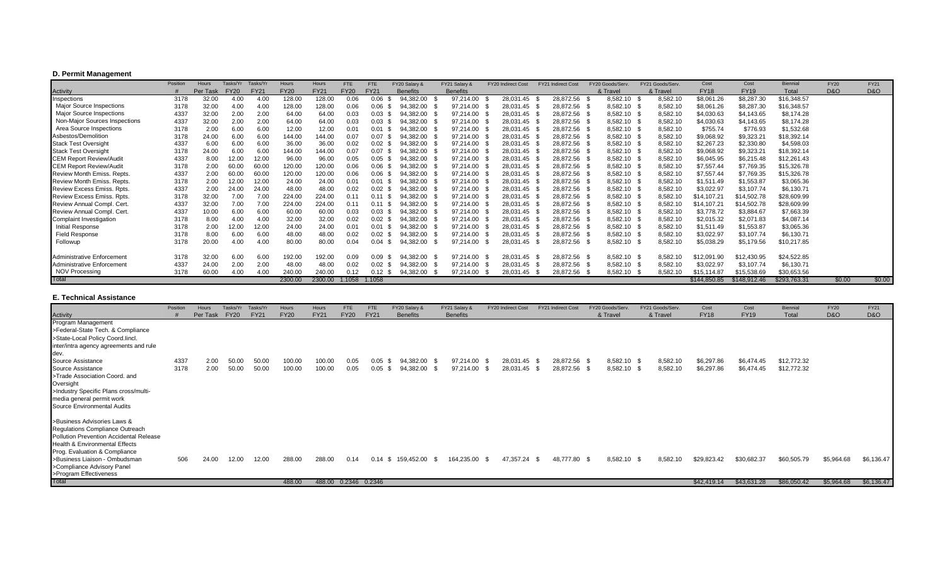## **D. Permit Management**

|                                  | Position | Hours    | Tasks/Yr    | Tasks/Yr    | Hours       | Hours       | FTE         | <b>FTE</b>   | FY20 Salary &   | FY21 Salary &   | <b>FY20 Indirect Cost</b> | <b>FY21 Indirect Cost</b> | FY20 Goods/Serv | FY21 Goods/Serv | Cost         | Cost         | <b>Biennial</b> | <b>FY20</b>    | <b>FY21</b> |
|----------------------------------|----------|----------|-------------|-------------|-------------|-------------|-------------|--------------|-----------------|-----------------|---------------------------|---------------------------|-----------------|-----------------|--------------|--------------|-----------------|----------------|-------------|
| Activity                         |          | Per Task | <b>FY20</b> | <b>FY21</b> | <b>FY20</b> | <b>FY21</b> | <b>FY20</b> | <b>FY21</b>  | <b>Benefits</b> | <b>Benefits</b> |                           |                           | & Travel        | & Travel        | <b>FY18</b>  | <b>FY19</b>  | Total           | <b>D&amp;O</b> | D&O         |
| Inspections                      | 3178     | 32.00    | 4.00        | 4.00        | 128.00      | 128.00      | 0.06        | 0.06         | 94,382.00       | 97,214.00       | 28,031.45                 | 28,872.56 \$              | 8,582.10        | 8,582.10        | \$8,061.26   | \$8,287.30   | \$16,348.57     |                |             |
| <b>Major Source Inspections</b>  | 3178     | 32.00    | 4.00        | 4.00        | 128.00      | 128.00      | 0.06        | 0.06         | 94,382.00       | 97,214.00 \$    | 28,031.45                 | 28,872.56 \$              | 8,582.10        | 8,582.10        | \$8,061.26   | \$8,287.30   | \$16,348.57     |                |             |
| <b>Major Source Inspections</b>  | 4337     | 32.00    | 2.00        | 2.00        | 64.00       | 64.00       | 0.03        | 0.03         | 94.382.00       | 97,214.00 \$    | 28,031.45 \$              | 28,872.56 \$              | 8,582.10        | 8,582.10        | \$4,030.63   | \$4,143.65   | \$8,174.28      |                |             |
| Non-Major Sources Inspections    | 4337     | 32.00    | 2.00        | 2.00        | 64.00       | 64.00       | 0.03        | 0.03         | 94,382.00       | 97,214.00 \$    | 28,031.45                 | 28,872.56 \$              | 8,582.10        | 8,582.10        | \$4,030.63   | \$4,143.65   | \$8,174.28      |                |             |
| Area Source Inspections          | 3178     | 2.00     | 6.00        | 6.00        | 12.00       | 12.00       | 0.01        | 0.01         | 94,382.00       | 97,214.00 \$    | 28,031.45                 | 28,872.56 \$              | 8,582.10        | 8,582.10        | \$755.74     | \$776.93     | \$1,532.68      |                |             |
| Asbestos/Demolition              | 3178     | 24.00    | 6.00        | 6.00        | 144.00      | 144.00      | 0.07        | 0.07         | 94,382.00       | 97,214.00 \$    | 28,031.45 \$              | 28,872.56 \$              | 8,582.10        | 8,582.10        | \$9,068.92   | \$9,323.21   | \$18,392.14     |                |             |
| <b>Stack Test Oversight</b>      | 4337     | 6.00     | 6.00        | 6.00        | 36.00       | 36.00       | 0.02        | 0.02         | 94,382.00       | 97,214.00 \$    | 28,031.45 \$              | 28,872.56 \$              | 8,582.10        | 8,582.10        | \$2,267.23   | \$2,330.80   | \$4,598.03      |                |             |
| <b>Stack Test Oversight</b>      | 3178     | 24.00    | 6.00        | 6.00        | 144.00      | 144.00      | 0.07        | 0.07         | 94,382.00       | 97,214.00 \$    | 28,031.45                 | 28,872.56 \$              | 8,582.10        | 8,582.10        | \$9,068.92   | \$9,323.21   | \$18,392.14     |                |             |
| <b>CEM Report Review/Audit</b>   | 4337     | 8.00     | 12.00       | 12.00       | 96.00       | 96.00       | 0.05        | 0.05         | 94,382.00       | 97,214.00 \$    | 28,031.45                 | 28,872.56 \$              | 8,582.10        | 8,582.10        | \$6,045.95   | \$6,215.48   | \$12,261.43     |                |             |
| <b>CEM Report Review/Audit</b>   | 3178     | 2.00     | 60.00       | 60.00       | 120.00      | 120.00      | 0.06        | 0.06         | 94,382.00       | 97,214.00 \$    | 28,031.45                 | 28,872.56 \$              | 8,582.10        | 8,582.10        | \$7,557.44   | \$7,769.35   | \$15,326.78     |                |             |
| <b>Review Month Emiss, Repts</b> | 4337     | 2.00     | 60.00       | 60.00       | 120.00      | 120.00      | 0.06        | 0.06         | 94.382.00       | 97,214.00 \$    | 28,031.45                 | 28,872.56 \$              | 8,582.10        | 8,582.10        | \$7,557.44   | \$7,769.35   | \$15,326.78     |                |             |
| Review Month Emiss. Repts.       | 3178     | 2.00     | 12.00       | 12.00       | 24.00       | 24.00       | 0.01        | 0.01         | 94.382.00       | 97,214.00 \$    | 28,031.45                 | 28,872.56 \$              | 8,582.10        | 8,582.10        | \$1,511.49   | \$1,553.87   | \$3,065.36      |                |             |
| Review Excess Emiss. Rpts.       | 4337     | 2.00     | 24.00       | 24.00       | 48.00       | 48.00       | 0.02        | 0.02         | 94,382.00       | 97,214.00 \$    | 28,031.45                 | 28,872.56 \$              | 8,582.10        | 8,582.10        | \$3,022.97   | \$3,107.74   | \$6,130.71      |                |             |
| Review Excess Emiss. Rpts.       | 3178     | 32.00    | 7.00        | 7.00        | 224.00      | 224.00      | 0.11        |              | 94,382.00       | 97,214.00 \$    | 28,031.45                 | 28,872.56 \$              | 8,582.10        | 8,582.10        | \$14,107.21  | \$14,502.78  | \$28,609.99     |                |             |
| Review Annual Compl. Cert.       | 4337     | 32.00    | 7.00        | 7.00        | 224.00      | 224.00      | 0.11        | 0.11         | 94,382.00       | 97,214.00 \$    | 28,031.45 \$              | 28,872.56 \$              | 8,582.10        | 8,582.10        | \$14,107.21  | \$14,502.78  | \$28,609.99     |                |             |
| Review Annual Compl. Cert.       | 4337     | 10.00    | 6.00        | 6.00        | 60.00       | 60.00       | 0.03        | 0.03         | 94.382.00       | 97,214.00       | 28,031.45                 | 28,872.56 \$              | 8,582.10        | 8,582.10        | \$3,778.72   | \$3,884.67   | \$7,663.39      |                |             |
| Complaint Investigation          | 3178     | 8.00     | 4.00        | 4.00        | 32.00       | 32.00       | 0.02        | 0.02         | 94,382.00       | 97,214.00 \$    | 28,031.45                 | 28,872.56 \$              | 8,582.10        | 8,582.10        | \$2,015.32   | \$2,071.83   | \$4,087.14      |                |             |
| <b>Initial Response</b>          | 3178     | 2.00     | 12.00       | 12.00       | 24.00       | 24.00       | 0.01        | 0.01         | 94,382.00       | 97,214.00 \$    | 28,031.45                 | 28,872.56 \$              | 8,582.10        | 8,582.10        | \$1,511.49   | \$1,553.87   | \$3,065.36      |                |             |
| <b>Field Response</b>            | 3178     | 8.00     | 6.00        | 6.00        | 48.00       | 48.00       | 0.02        | 0.02         | 94,382.00       | 97,214.00 \$    | 28,031.45 \$              | 28,872.56 \$              | 8,582.10        | 8,582.10        | \$3,022.97   | \$3,107.74   | \$6,130.71      |                |             |
| Followup                         | 3178     | 20.00    | 4.00        | 4.00        | 80.00       | 80.00       | 0.04        | 0.04         | 94,382.00       | 97,214.00       | 28,031.45                 | 28,872.56 \$              | 8,582.10        | 8,582.10        | \$5,038.29   | \$5,179.56   | \$10,217.85     |                |             |
| Administrative Enforcement       | 3178     | 32.00    | 6.00        | 6.00        | 192.00      | 192.00      | 0.09        | 0.09         | 94,382.00       | 97,214.00 \$    | 28,031.45                 | 28,872.56 \$<br>- \$      | 8,582.10        | 8,582.10        | 12,091.90    | \$12,430.95  | \$24,522.85     |                |             |
| Administrative Enforcement       | 4337     | 24.00    | 2.00        | 2.00        | 48.00       | 48.00       | 0.02        | 0.02<br>- 56 | 94,382.00       | 97,214.00 \$    | 28,031.45 \$              | 28,872.56 \$              | 8,582.10        | 8,582.10        | \$3,022.97   | \$3,107.74   | \$6,130.71      |                |             |
| <b>NOV Processing</b>            | 3178     | 60.00    | 4.00        | 4.00        | 240.00      | 240.00      | 0.12        | 0.12         | 94,382.00       | 97,214.00       | 28,031.45                 | 28,872.56                 | 8,582.10        | 8,582.10        | \$15.114.87  | \$15,538.69  | \$30,653.56     |                |             |
| Total                            |          |          |             |             | 2300.00     | 2300.00     | 1.1058      | 1.1058       |                 |                 |                           |                           |                 |                 | \$144,850.85 | \$148,912.46 | \$293,763.31    | \$0.00         | \$0.00      |

### **E. Technical Assistance**

|                                                                                                                                                                                                                                                                       | Position     | Hours        | Tasks/Yr       | Tasks/Yr       | Hours            | Hours            | <b>FTE</b>   | <b>FTE</b>             | FY20 Salary &          | FY21 Salary &             | FY20 Indirect Cost     | FY21 Indirect Cost |                              | FY20 Goods/Serv.           |     | FY21 Goods/Serv.     | Cost                     | Cost                     | Biennial                   | <b>FY20</b>    | <b>FY21</b> |
|-----------------------------------------------------------------------------------------------------------------------------------------------------------------------------------------------------------------------------------------------------------------------|--------------|--------------|----------------|----------------|------------------|------------------|--------------|------------------------|------------------------|---------------------------|------------------------|--------------------|------------------------------|----------------------------|-----|----------------------|--------------------------|--------------------------|----------------------------|----------------|-------------|
| Activity                                                                                                                                                                                                                                                              |              | Per Task     | <b>FY20</b>    | <b>FY21</b>    | <b>FY20</b>      | <b>FY21</b>      | <b>FY20</b>  | <b>FY21</b>            | <b>Benefits</b>        | <b>Benefits</b>           |                        |                    |                              | & Travel                   |     | & Travel             | <b>FY18</b>              | <b>FY19</b>              | Total                      | <b>D&amp;O</b> | D&O         |
| Program Management<br>>Federal-State Tech. & Compliance                                                                                                                                                                                                               |              |              |                |                |                  |                  |              |                        |                        |                           |                        |                    |                              |                            |     |                      |                          |                          |                            |                |             |
| >State-Local Policy Coord.lincl.<br>inter/intra agency agreements and rule<br>dev.                                                                                                                                                                                    |              |              |                |                |                  |                  |              |                        |                        |                           |                        |                    |                              |                            |     |                      |                          |                          |                            |                |             |
| Source Assistance<br>Source Assistance<br>>Trade Association Coord. and<br>Oversight<br>>Industry Specific Plans cross/multi-<br>media general permit work<br>Source Environmental Audits                                                                             | 4337<br>3178 | 2.00<br>2.00 | 50.00<br>50.00 | 50.00<br>50.00 | 100.00<br>100.00 | 100.00<br>100.00 | 0.05<br>0.05 | $0.05$ \$<br>$0.05$ \$ | 94,382.00<br>94,382.00 | 97,214.00 \$<br>97,214.00 | 28,031.45<br>28,031.45 | - \$               | 28,872.56 \$<br>28,872.56 \$ | 8,582.10 \$<br>8,582.10 \$ |     | 8,582.10<br>8,582.10 | \$6,297.86<br>\$6,297.86 | \$6,474.45<br>\$6,474.45 | \$12,772.32<br>\$12,772.32 |                |             |
| >Business Advisories Laws &<br>Regulations Compliance Outreach<br>Pollution Prevention Accidental Release<br>Health & Environmental Effects<br>Prog. Evaluation & Compliance<br>>Business Liaison - Ombudsman<br>>Compliance Advisory Panel<br>>Program Effectiveness | 506          | 24.00        | 12.00          | 12.00          | 288.00           | 288.00           | 0.14         | $0.14 \text{ } $$      | 159,452.00             | 164,235.00 \$             | 47,357.24              | - S                | 48,777.80 \$                 | 8,582.10                   | - S | 8,582.10             | \$29,823.42              | \$30,682.37              | \$60,505.79                | \$5,964.68     | \$6,136.47  |
| <b>Total</b>                                                                                                                                                                                                                                                          |              |              |                |                | 488.00           | 488.00           |              | 0.2346 0.2346          |                        |                           |                        |                    |                              |                            |     |                      | \$42,419.14              | \$43,631.28              | \$86,050.42                | \$5,964.68     | \$6,136.47  |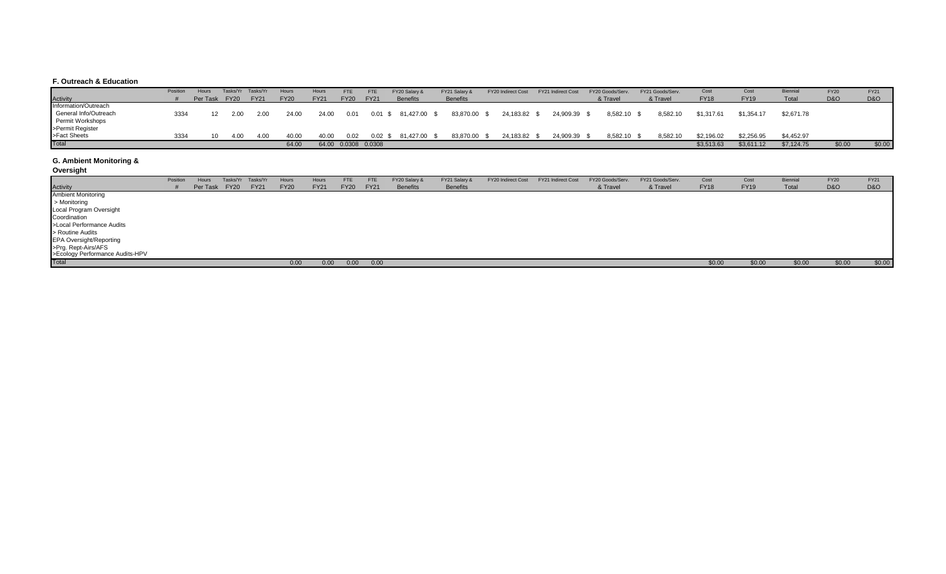#### **F. Outreach & Education**

|                       | Position | Hours         |      | Tasks/Yr Tasks/Yr | Hours       | Hours       | <b>FTE</b>            | <b>FTE</b>        | FY20 Salary &          | FY21 Salary &   | FY20 Indirect Cost | FY21 Indirect Cost | FY20 Goods/Serv. | FY21 Goods/Serv. | Cost        | Cost        | Biennia    | <b>FY20</b>    | <b>FY21</b>    |
|-----------------------|----------|---------------|------|-------------------|-------------|-------------|-----------------------|-------------------|------------------------|-----------------|--------------------|--------------------|------------------|------------------|-------------|-------------|------------|----------------|----------------|
| <b>Activity</b>       |          | Per Task FY20 |      | <b>FY21</b>       | <b>FY20</b> | <b>FY21</b> | <b>FY20</b>           | <b>FY21</b>       | <b>Benefits</b>        | <b>Benefits</b> |                    |                    | & Travel         | & Travel         | <b>FY18</b> | <b>FY19</b> | Total      | <b>D&amp;O</b> | <b>D&amp;O</b> |
| Information/Outreach  |          |               |      |                   |             |             |                       |                   |                        |                 |                    |                    |                  |                  |             |             |            |                |                |
| General Info/Outreach | 3334     |               | 2.00 | 2.00              | 24.00       | 24.00       | 0.01                  |                   | $0.01$ \$ 81,427.00 \$ | 83,870.00 \$    | 24,183.82 \$       | 24,909.39 \$       | 8,582.10 \$      | 8,582.10         | \$1,317.61  | \$1,354.17  | \$2.671.78 |                |                |
| Permit Workshops      |          |               |      |                   |             |             |                       |                   |                        |                 |                    |                    |                  |                  |             |             |            |                |                |
| >Permit Register      |          |               |      |                   |             |             |                       |                   |                        |                 |                    |                    |                  |                  |             |             |            |                |                |
| >Fact Sheets          | 3334     |               | 4.00 | 4.00              | 40.00       | 40.00       | 0.02                  | $0.02 \text{ } $$ | 81,427.00              | 83,870.00 \$    | 24,183.82 \$       | 24,909.39 \$       | 8,582.10 \$      | 8,582.10         | \$2,196.02  | \$2,256.95  | \$4,452.97 |                |                |
| <b>Total</b>          |          |               |      |                   | 64.00       |             | 64.00  0.0308  0.0308 |                   |                        |                 |                    |                    |                  |                  | \$3,513.63  | \$3,611.12  | \$7,124.75 | \$0.00         | \$0.00         |

#### **G. Ambient Monitoring &**

**Oversight**

|                                                        | Position | Hours | Tasks/Yr      | Tasks/Yr    | Hours       | Hours       | <b>FTE</b>  | <b>FTE</b>  | FY20 Salary &   | FY21 Salary &   | FY20 Indirect Cost | FY21 Indirect Cost | FY20 Goods/Serv. | FY21 Goods/Serv. | Cost        | Cost        | Biennial | <b>FY20</b> | <b>FY21</b>    |
|--------------------------------------------------------|----------|-------|---------------|-------------|-------------|-------------|-------------|-------------|-----------------|-----------------|--------------------|--------------------|------------------|------------------|-------------|-------------|----------|-------------|----------------|
| <b>Activity</b>                                        |          |       | Per Task FY20 | <b>FY21</b> | <b>FY20</b> | <b>FY21</b> | <b>FY20</b> | <b>FY21</b> | <b>Benefits</b> | <b>Benefits</b> |                    |                    | & Travel         | & Travel         | <b>FY18</b> | <b>FY19</b> | Total    | D&O         | <b>D&amp;O</b> |
| <b>Ambient Monitoring</b>                              |          |       |               |             |             |             |             |             |                 |                 |                    |                    |                  |                  |             |             |          |             |                |
| > Monitoring                                           |          |       |               |             |             |             |             |             |                 |                 |                    |                    |                  |                  |             |             |          |             |                |
| Local Program Oversight                                |          |       |               |             |             |             |             |             |                 |                 |                    |                    |                  |                  |             |             |          |             |                |
| Coordination                                           |          |       |               |             |             |             |             |             |                 |                 |                    |                    |                  |                  |             |             |          |             |                |
| >Local Performance Audits                              |          |       |               |             |             |             |             |             |                 |                 |                    |                    |                  |                  |             |             |          |             |                |
| > Routine Audits                                       |          |       |               |             |             |             |             |             |                 |                 |                    |                    |                  |                  |             |             |          |             |                |
| <b>EPA Oversight/Reporting</b>                         |          |       |               |             |             |             |             |             |                 |                 |                    |                    |                  |                  |             |             |          |             |                |
| >Prg. Rept-Airs/AFS<br>>Ecology Performance Audits-HPV |          |       |               |             |             |             |             |             |                 |                 |                    |                    |                  |                  |             |             |          |             |                |
|                                                        |          |       |               |             |             |             |             |             |                 |                 |                    |                    |                  |                  |             |             |          |             |                |
| Total                                                  |          |       |               |             | 0.00        | 0.00        | 0.00        | 0.00        |                 |                 |                    |                    |                  |                  | \$0.00      | \$0.00      | \$0.00   | \$0.00      | \$0.00         |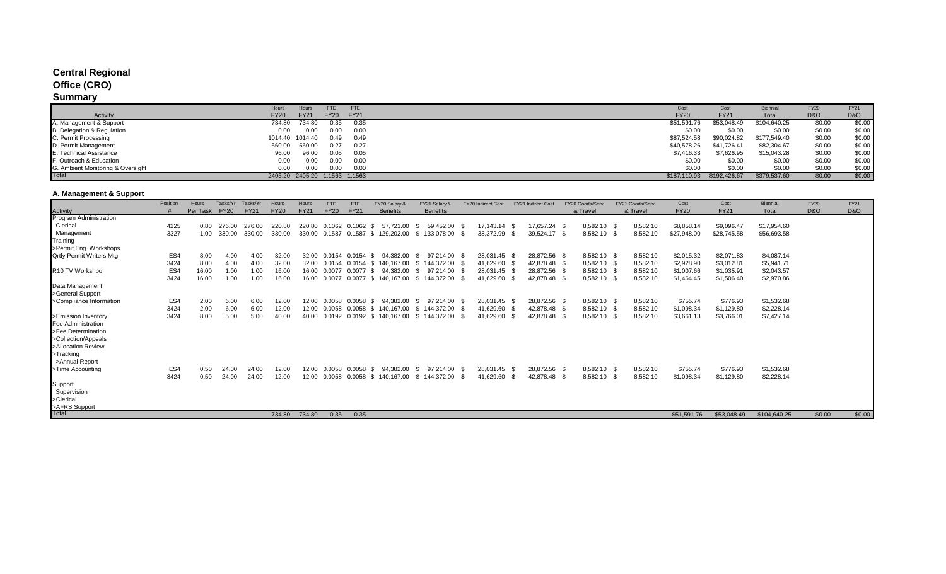## **Central Regional**

## **Office (CRO)**

# **Summary**

|                                   | <b>FTE</b><br>FTE<br>Hours<br>Hours                      | Cost         | Cost         | <b>Biennial</b> | <b>FY20</b>    | <b>FY21</b> |
|-----------------------------------|----------------------------------------------------------|--------------|--------------|-----------------|----------------|-------------|
| Activity                          | <b>FY20</b><br><b>FY21</b><br><b>FY20</b><br><b>FY21</b> | <b>FY20</b>  | <b>FY21</b>  | Total           | <b>D&amp;O</b> | D&O         |
| IA. Management & Support          | 734.80<br>734.80<br>0.35<br>0.35                         | \$51,591.76  | \$53,048.49  | \$104,640.25    | \$0.00         | \$0.00      |
| B. Delegation & Regulation        | 0.00<br>0.00<br>0.00<br>0.00                             | \$0.00       | \$0.00       | \$0.00          | \$0.00         | \$0.00      |
| C. Permit Processing              | 1014.40<br>0.49<br>1014.40<br>0.49                       | \$87,524.58  | \$90,024.82  | \$177,549.40    | \$0.00         | \$0.00      |
| D. Permit Management              | 560.00<br>0.27<br>560.00<br>0.27                         | \$40,578.26  | \$41,726.41  | \$82,304.67     | \$0.00         | \$0.00      |
| E. Technical Assistance           | 96.00<br>0.05<br>0.05<br>96.00                           | \$7,416.33   | \$7,626.95   | \$15,043.28     | \$0.00         | \$0.00      |
| F. Outreach & Education           | 0.00<br>0.00<br>0.OC<br>0.00                             | \$0.00       | \$0.00       | \$0.00          | \$0.00         | \$0.00      |
| G. Ambient Monitoring & Oversight | 0.00<br>0.00<br>0.00<br>0.00                             | \$0.00       | \$0.00       | \$0.00          | \$0.00         | \$0.00      |
| Total                             | 2405.20 2405.20 1.1563 1.1563                            | \$187,110.93 | \$192,426.67 | \$379,537.60    | \$0.00         | \$0.00      |

## **A. Management & Support**

|                                 | Position        | Hours    | Tasks/Yr    | Tasks/Yr    | Hours       | Hours       | <b>FTE</b>  | <b>FTE</b>       | FY20 Salary &               | FY21 Salary 8        |      | FY20 Indirect Cost | <b>FY21 Indirect Cost</b> | FY20 Goods/Serv | FY21 Goods/Serv  | Cost        | Cost        | Biennial     | <b>FY20</b>    | <b>FY21</b>    |
|---------------------------------|-----------------|----------|-------------|-------------|-------------|-------------|-------------|------------------|-----------------------------|----------------------|------|--------------------|---------------------------|-----------------|------------------|-------------|-------------|--------------|----------------|----------------|
| <b>Activity</b>                 |                 | Per Task | <b>FY20</b> | <b>FY21</b> | <b>FY20</b> | <b>FY21</b> | <b>FY20</b> | <b>FY21</b>      | <b>Benefits</b>             | <b>Benefits</b>      |      |                    |                           | & Travel        | & Travel         | <b>FY20</b> | <b>FY21</b> | Total        | <b>D&amp;O</b> | <b>D&amp;O</b> |
| Program Administration          |                 |          |             |             |             |             |             |                  |                             |                      |      |                    |                           |                 |                  |             |             |              |                |                |
| Clerical                        | 4225            | 0.80     | 276.00      | 276.00      | 220.80      | 220.80      | 0.1062      | 0.1062 \$        | 57.721.00                   | 59.452.00<br>- S     |      | 17,143.14          | 17,657.24 \$              | 8,582.10        | 8,582.10         | \$8,858.14  | \$9,096.47  | \$17,954.60  |                |                |
| Management                      | 3327            | 1.00     | 330.00      | 330.00      | 330.00      | 330.00      |             |                  | 0.1587 0.1587 \$ 129,202.00 | \$133,078.00         | - \$ | 38,372.99          | 39,524.17 \$              | 8,582.10        | 8,582.10         | \$27,948.00 | \$28,745.58 | \$56,693.58  |                |                |
| Training                        |                 |          |             |             |             |             |             |                  |                             |                      |      |                    |                           |                 |                  |             |             |              |                |                |
| >Permit Eng. Workshops          |                 |          |             |             |             |             |             |                  |                             |                      |      |                    |                           |                 |                  |             |             |              |                |                |
| <b>Qrtly Permit Writers Mtg</b> | ES4             | 8.00     | 4.00        | 4.00        | 32.00       | 32.00       | 0.0154      | $0.0154$ \$      | 94.382.00                   | 97.214.00 \$<br>- \$ |      | 28,031.45          | 28,872.56 \$              | 8,582.10 \$     | 8,582.10         | \$2,015.32  | \$2,071.83  | \$4,087.14   |                |                |
|                                 | 3424            | 8.00     | 4.00        | 4.00        | 32.00       | 32.00       | 0.0154      | 0.0154 \$        | 140.167.00                  | \$144.372.00         |      | 41,629.60          | 42,878.48 \$              | 8,582.10        | 8,582.10         | \$2,928.90  | \$3,012.81  | \$5,941.71   |                |                |
| R <sub>10</sub> TV Workshpo     | ES4             | 16.00    | 1.00        | 1.00        | 16.00       | 16.00       |             | 0.0077 0.0077 \$ | 94,382.00                   | 97.214.00<br>- \$    | - \$ | 28,031.45          | 28,872.56 \$              | 8,582.10 \$     | 8,582.10         | \$1,007.66  | \$1,035.91  | \$2,043.57   |                |                |
|                                 | 3424            | 16.00    | 1.00        | 1.00        | 16.00       | 16.00       | 0.0077      |                  | 0.0077 \$ 140.167.00        | \$144.372.00         | . ጽ  | 41,629.60          | 42,878.48 \$              | 8,582.10        | 8,582.10         | \$1,464.45  | \$1,506.40  | \$2,970.86   |                |                |
| Data Management                 |                 |          |             |             |             |             |             |                  |                             |                      |      |                    |                           |                 |                  |             |             |              |                |                |
| >General Support                |                 |          |             |             |             |             |             |                  |                             |                      |      |                    |                           |                 |                  |             |             |              |                |                |
| >Compliance Information         | ES4             | 2.00     | 6.00        | 6.00        | 12.00       | 12.00       |             | $0.0058$ \$      | 94.382.00                   | 97.214.00<br>- \$    | - \$ | 28,031.45          | 28,872.56 \$              | 8,582.10 \$     | 8,582.10         | \$755.74    | \$776.93    | \$1,532.68   |                |                |
|                                 | 3424            | 2.00     | 6.00        | 6.00        | 12.00       | 12.00       | 0.0058      |                  | 0.0058 \$ 140.167.00        | \$144.372.00         | - \$ | 41,629.60          | 42,878.48 \$              | 8,582.10        | 8,582.10         | \$1,098.34  | \$1,129.80  | \$2,228.14   |                |                |
| >Emission Inventory             | 3424            | 8.00     | 5.00        | 5.00        | 40.00       | 40.00       | 0.0192      | $0.0192$ \$      | 140,167.00                  | \$144,372.00         | - S  | 41,629.60          | 42,878.48 \$              | 8,582.10        | 8,582.10         | \$3,661.13  | \$3,766.01  | \$7,427.14   |                |                |
| Fee Administration              |                 |          |             |             |             |             |             |                  |                             |                      |      |                    |                           |                 |                  |             |             |              |                |                |
| >Fee Determination              |                 |          |             |             |             |             |             |                  |                             |                      |      |                    |                           |                 |                  |             |             |              |                |                |
| >Collection/Appeals             |                 |          |             |             |             |             |             |                  |                             |                      |      |                    |                           |                 |                  |             |             |              |                |                |
| >Allocation Review              |                 |          |             |             |             |             |             |                  |                             |                      |      |                    |                           |                 |                  |             |             |              |                |                |
| >Tracking                       |                 |          |             |             |             |             |             |                  |                             |                      |      |                    |                           |                 |                  |             |             |              |                |                |
| >Annual Report                  |                 |          |             |             |             |             |             |                  |                             |                      |      |                    |                           |                 |                  |             |             |              |                |                |
| >Time Accounting                | ES <sub>4</sub> | 0.50     | 24.00       | 24.00       | 12.00       | 12.00       | 0.0058      | $0.0058$ \$      | 94.382.00                   | 97.214.00<br>- \$    | - \$ | 28,031.45          | 28,872.56 \$              | 8,582.10        | 8,582.10<br>- 36 | \$755.74    | \$776.93    | \$1,532.68   |                |                |
|                                 | 3424            | 0.50     | 24.00       | 24.00       | 12.00       | 12.00       | 0.0058      |                  | 0.0058 \$ 140.167.00        | \$144,372.00         | - \$ | 41,629.60          | 42,878.48 \$              | 8,582.10        | 8,582.10         | \$1,098.34  | \$1,129.80  | \$2,228.14   |                |                |
| Support                         |                 |          |             |             |             |             |             |                  |                             |                      |      |                    |                           |                 |                  |             |             |              |                |                |
| Supervision                     |                 |          |             |             |             |             |             |                  |                             |                      |      |                    |                           |                 |                  |             |             |              |                |                |
| >Clerical                       |                 |          |             |             |             |             |             |                  |                             |                      |      |                    |                           |                 |                  |             |             |              |                |                |
| >AFRS Support                   |                 |          |             |             |             |             |             |                  |                             |                      |      |                    |                           |                 |                  |             |             |              |                |                |
| Total                           |                 |          |             |             | 734.80      | 734.80      | 0.35        | 0.35             |                             |                      |      |                    |                           |                 |                  | \$51,591.76 | \$53,048.49 | \$104,640.25 | \$0.00         | \$0.00         |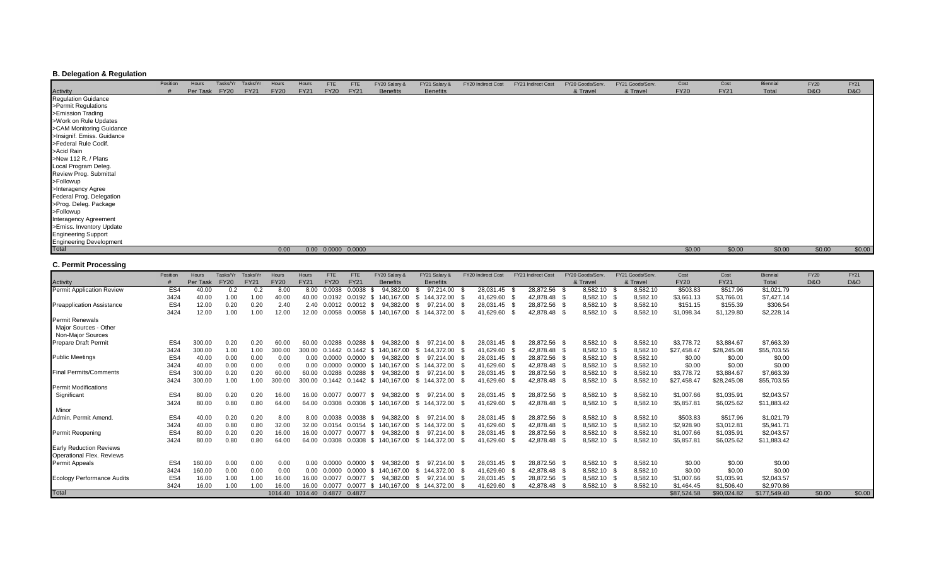## **B. Delegation & Regulation**

|                                        | Position | Hours    | Tasks/Yr    | Tasks/Yr    | Hours       | Hours       | <b>FTE</b>               | <b>FTE</b>  | FY20 Salary &   | FY21 Salary &   | FY20 Indirect Cost | FY21 Indirect Cost | FY20 Goods/Serv. | FY21 Goods/Serv. | Cost        | Cost        | Biennial | <b>FY20</b>    | <b>FY21</b> |
|----------------------------------------|----------|----------|-------------|-------------|-------------|-------------|--------------------------|-------------|-----------------|-----------------|--------------------|--------------------|------------------|------------------|-------------|-------------|----------|----------------|-------------|
|                                        |          | Per Task | <b>FY20</b> | <b>FY21</b> | <b>FY20</b> | <b>FY21</b> | <b>FY20</b>              | <b>FY21</b> | <b>Benefits</b> | <b>Benefits</b> |                    |                    | & Travel         | & Travel         | <b>FY20</b> | <b>FY21</b> | Total    | <b>D&amp;O</b> | D&O         |
| <b>Activity</b><br>Regulation Guidance |          |          |             |             |             |             |                          |             |                 |                 |                    |                    |                  |                  |             |             |          |                |             |
| >Permit Regulations                    |          |          |             |             |             |             |                          |             |                 |                 |                    |                    |                  |                  |             |             |          |                |             |
| >Emission Trading                      |          |          |             |             |             |             |                          |             |                 |                 |                    |                    |                  |                  |             |             |          |                |             |
| >Work on Rule Updates                  |          |          |             |             |             |             |                          |             |                 |                 |                    |                    |                  |                  |             |             |          |                |             |
| >CAM Monitoring Guidance               |          |          |             |             |             |             |                          |             |                 |                 |                    |                    |                  |                  |             |             |          |                |             |
| >Insignif. Emiss. Guidance             |          |          |             |             |             |             |                          |             |                 |                 |                    |                    |                  |                  |             |             |          |                |             |
| >Federal Rule Codif.                   |          |          |             |             |             |             |                          |             |                 |                 |                    |                    |                  |                  |             |             |          |                |             |
| >Acid Rain                             |          |          |             |             |             |             |                          |             |                 |                 |                    |                    |                  |                  |             |             |          |                |             |
| >New 112 R. / Plans                    |          |          |             |             |             |             |                          |             |                 |                 |                    |                    |                  |                  |             |             |          |                |             |
| Local Program Deleg.                   |          |          |             |             |             |             |                          |             |                 |                 |                    |                    |                  |                  |             |             |          |                |             |
| Review Prog. Submittal                 |          |          |             |             |             |             |                          |             |                 |                 |                    |                    |                  |                  |             |             |          |                |             |
| >Followup                              |          |          |             |             |             |             |                          |             |                 |                 |                    |                    |                  |                  |             |             |          |                |             |
| >Interagency Agree                     |          |          |             |             |             |             |                          |             |                 |                 |                    |                    |                  |                  |             |             |          |                |             |
| Federal Prog. Delegation               |          |          |             |             |             |             |                          |             |                 |                 |                    |                    |                  |                  |             |             |          |                |             |
| >Prog. Deleg. Package<br>>Followup     |          |          |             |             |             |             |                          |             |                 |                 |                    |                    |                  |                  |             |             |          |                |             |
|                                        |          |          |             |             |             |             |                          |             |                 |                 |                    |                    |                  |                  |             |             |          |                |             |
| Interagency Agreement                  |          |          |             |             |             |             |                          |             |                 |                 |                    |                    |                  |                  |             |             |          |                |             |
| >Emiss. Inventory Update               |          |          |             |             |             |             |                          |             |                 |                 |                    |                    |                  |                  |             |             |          |                |             |
| <b>Engineering Support</b>             |          |          |             |             |             |             |                          |             |                 |                 |                    |                    |                  |                  |             |             |          |                |             |
|                                        |          |          |             |             |             |             |                          |             |                 |                 |                    |                    |                  |                  |             |             |          |                |             |
| Engineering Development<br>Total       |          |          |             |             | 0.00        |             | $0.00$ $0.0000$ $0.0000$ |             |                 |                 |                    |                    |                  |                  | \$0.00      | \$0.00      | \$0.00   | \$0.00         | \$0.00      |

**C. Permit Processing**

|                                   | Position        | Hours    | Tasks/Yr    | Tasks/Yr         | Hours       | Hours                   | <b>FTE</b>  | <b>FTE</b>  | FY20 Salary &          | FY21 Salary &                         | FY20 Indirect Cost | FY21 Indirect Cost | FY20 Goods/Serv | FY21 Goods/Serv  | Cost        | Cost        | <b>Biennial</b> | <b>FY20</b>    | <b>FY21</b>    |
|-----------------------------------|-----------------|----------|-------------|------------------|-------------|-------------------------|-------------|-------------|------------------------|---------------------------------------|--------------------|--------------------|-----------------|------------------|-------------|-------------|-----------------|----------------|----------------|
| Activity                          |                 | Per Task | <b>FY20</b> | FY <sub>21</sub> | <b>FY20</b> | <b>FY21</b>             | <b>FY20</b> | <b>FY21</b> | Benefits               | <b>Benefits</b>                       |                    |                    | & Travel        | & Travel         | <b>FY20</b> | <b>FY21</b> | Total           | <b>D&amp;O</b> | <b>D&amp;O</b> |
| <b>Permit Application Review</b>  | ES4             | 40.00    | 0.2         | 0.2              | 8.00        | 8.00                    | 0.0038      | 0.0038      | 94.382.00              | 97.214.00                             | 28,031.45          | 28,872.56 \$       | 8,582.10        | 8,582.10         | \$503.83    | \$517.96    | \$1,021.79      |                |                |
|                                   | 3424            | 40.00    | 1.00        | 1.00             | 40.00       | 40.00                   | 0.0192      | $0.0192$ \$ | 140.167.00             | 144.372.00<br>- 85                    | 41,629.60          | 42,878.48 \$       | 8,582.10        | 8,582.10         | \$3,661.13  | \$3,766.01  | \$7,427.14      |                |                |
| <b>Preapplication Assistance</b>  | ES4             | 12.00    | 0.20        | 0.20             | 2.40        |                         | 2.40 0.0012 | $0.0012$ \$ | 94.382.00              | 97.214.00<br>- \$                     | 28,031.45          | 28,872.56 \$       | 8,582.10 \$     | 8,582.10         | \$151.15    | \$155.39    | \$306.54        |                |                |
|                                   | 3424            | 12.00    | 1.00        | 1.00             | 12.00       | 12.00                   | 0.0058      | 0.0058      | \$140,167.00           | 144,372.00<br>- \$                    | 41,629.60          | 42,878.48 \$       | 8,582.10        | 8,582.10         | \$1,098.34  | \$1,129.80  | \$2,228.14      |                |                |
| <b>Permit Renewals</b>            |                 |          |             |                  |             |                         |             |             |                        |                                       |                    |                    |                 |                  |             |             |                 |                |                |
| Major Sources - Other             |                 |          |             |                  |             |                         |             |             |                        |                                       |                    |                    |                 |                  |             |             |                 |                |                |
| <b>Non-Major Sources</b>          |                 |          |             |                  |             |                         |             |             |                        |                                       |                    |                    |                 |                  |             |             |                 |                |                |
| <b>Prepare Draft Permit</b>       | ES4             | 300.00   | 0.20        | 0.20             | 60.00       | 60.00                   | 0.0288      | 0.0288      | 94.382.00<br>S.        | 97.214.00 \$<br>- \$                  | 28,031.45          | 28,872.56 \$       | 8,582.10 \$     | 8,582.10         | \$3,778.72  | \$3,884.67  | \$7,663.39      |                |                |
|                                   | 3424            | 300.00   | 1.00        | 1.00             | 300.00      | 300.00                  | 0.1442      | $0.1442$ \$ | 140.167.00             | 144,372.00<br>S.                      | 41,629.60          | 42,878.48 \$       | 8,582.10        | 8,582.10         | \$27,458.47 | \$28,245.08 | \$55,703.55     |                |                |
| <b>Public Meetings</b>            | ES <sub>4</sub> | 40.00    | 0.00        | 0.00             | 0.00        | 0.00                    | 0.0000      | 0.0000      | 94.382.00<br>S.        | 97.214.00<br>- 96                     | 28,031.45          | 28,872.56 \$       | 8,582.10 \$     | 8,582.10         | \$0.00      | \$0.00      | \$0.00          |                |                |
|                                   | 3424            | 40.00    | 0.00        | 0.00             | 0.00        | 0.00                    | 0.0000      |             | 0.0000 \$ 140.167.00   | 144.372.00<br>-SS                     | 41,629.60          | 42.878.48 \$       | 8.582.10 \$     | 8,582.10         | \$0.00      | \$0.00      | \$0.00          |                |                |
| <b>Final Permits/Comments</b>     | ES <sub>4</sub> | 300.00   | 0.20        | 0.20             | 60.00       | 60.00                   | 0.0288      | $0.0288$ \$ | 94.382.00              | 97.214.00 \$<br>- \$                  | 28,031.45          | 28.872.56 \$       | 8.582.10 \$     | 8,582.10         | \$3.778.72  | \$3,884.67  | \$7,663.39      |                |                |
|                                   | 3424            | 300.00   | 1.00        | 1.00             | 300.00      | 300.00                  | 0.1442      |             | 0.1442 \$ 140.167.00   | 144,372.00<br>S.                      | 41,629.60<br>- \$  | 42,878.48 \$       | 8,582.10        | 8,582.10         | \$27,458.47 | \$28,245.08 | \$55,703.55     |                |                |
| <b>Permit Modifications</b>       |                 |          |             |                  |             |                         |             |             |                        |                                       |                    |                    |                 |                  |             |             |                 |                |                |
| Significant                       | ES4             | 80.00    | 0.20        | 0.20             | 16.00       | 16.00                   | 0.0077      | $0.0077$ \$ | 94.382.00              | 97.214.00 \$<br>- \$                  | 28,031.45          | 28,872.56 \$       | 8,582.10        | 8,582.10<br>- \$ | \$1,007.66  | \$1,035.91  | \$2,043.57      |                |                |
|                                   | 3424            | 80.00    | 0.80        | 0.80             | 64.00       | 64.00                   | 0.0308      |             |                        | 0.0308 \$ 140.167.00 \$ 144.372.00 \$ | 41,629.60          | 42,878.48 \$       | 8,582.10        | 8,582.10<br>- \$ | \$5,857.81  | \$6,025.62  | \$11,883.42     |                |                |
| Minor                             |                 |          |             |                  |             |                         |             |             |                        |                                       |                    |                    |                 |                  |             |             |                 |                |                |
| Admin. Permit Amend               | ES4             | 40.00    | 0.20        | 0.20             | 8.00        | 8.00                    | 0.0038      | $0.0038$ \$ | 94.382.00 \$           | 97.214.00 \$                          | 28,031.45          | 28,872.56 \$       | 8,582.10 \$     | 8,582.10         | \$503.83    | \$517.96    | \$1,021.79      |                |                |
|                                   | 3424            | 40.00    | 0.80        | 0.80             | 32.00       | 32.00                   | 0.0154      |             | 0.0154 \$ 140.167.00   | 144.372.00<br>- \$                    | 41,629.60          | 42.878.48 \$       | 8,582.10 \$     | 8,582.10         | \$2,928.90  | \$3,012.81  | \$5,941.71      |                |                |
| Permit Reopening                  | ES4             | 80.00    | 0.20        | 0.20             | 16.00       | 16.00                   | 0.0077      |             | 0.0077 \$ 94.382.00 \$ | 97.214.00 \$                          | 28,031.45          | 28.872.56 \$       | 8.582.10 \$     | 8,582.10         | \$1,007.66  | \$1.035.91  | \$2,043.57      |                |                |
|                                   | 3424            | 80.00    | 0.80        | 0.80             | 64.00       | 64.00                   | 0.0308      |             | 0.0308 \$ 140,167.00   | \$144,372.00                          | 41,629.60<br>- 95  | 42,878.48 \$       | 8,582.10        | 8,582.10         | \$5,857.81  | \$6,025.62  | \$11,883.42     |                |                |
| <b>Early Reduction Reviews</b>    |                 |          |             |                  |             |                         |             |             |                        |                                       |                    |                    |                 |                  |             |             |                 |                |                |
| Operational Flex. Reviews         |                 |          |             |                  |             |                         |             |             |                        |                                       |                    |                    |                 |                  |             |             |                 |                |                |
| <b>Permit Appeals</b>             | ES <sub>4</sub> | 160.00   | 0.00        | 0.00             | 0.00        | 0.00                    | 0.0000      | $0.0000$ \$ | 94.382.00              | 97.214.00 \$<br>- \$                  | 28,031.45          | 28.872.56 \$       | 8.582.10 \$     | 8.582.10         | \$0.00      | \$0.00      | \$0.00          |                |                |
|                                   | 3424            | 160.00   | 0.00        | 0.00             | 0.00        | 0.00                    | 0.0000      | 0.0000      | \$140.167.00           | 144,372.00<br>-SS                     | 41,629.60          | 42,878.48 \$       | 8,582.10        | 8,582.10         | \$0.00      | \$0.00      | \$0.00          |                |                |
| <b>Ecology Performance Audits</b> | ES4             | 16.00    | 1.00        | 1.00             | 16.00       | 16.00                   | 0.0077      | $0.0077$ \$ | 94.382.00              | 97.214.00<br>- \$                     | 28,031.45          | 28,872.56 \$       | 8,582.10 \$     | 8,582.10         | \$1,007.66  | \$1,035.91  | \$2,043.57      |                |                |
|                                   | 3424            | 16.00    | 1.00        | 1.00             | 16.00       | 16.00                   | 0.0077      |             | 0.0077 \$ 140,167.00   | \$144,372.00                          | 41,629.60          | 42.878.48 \$       | 8.582.10        | 8,582.10         | \$1,464.45  | \$1,506.40  | \$2,970.86      |                |                |
| Total                             |                 |          |             |                  | 1014.40     | 1014.40  0.4877  0.4877 |             |             |                        |                                       |                    |                    |                 |                  | \$87,524.58 | \$90,024.82 | \$177.549.40    | \$0.00         | \$0.00         |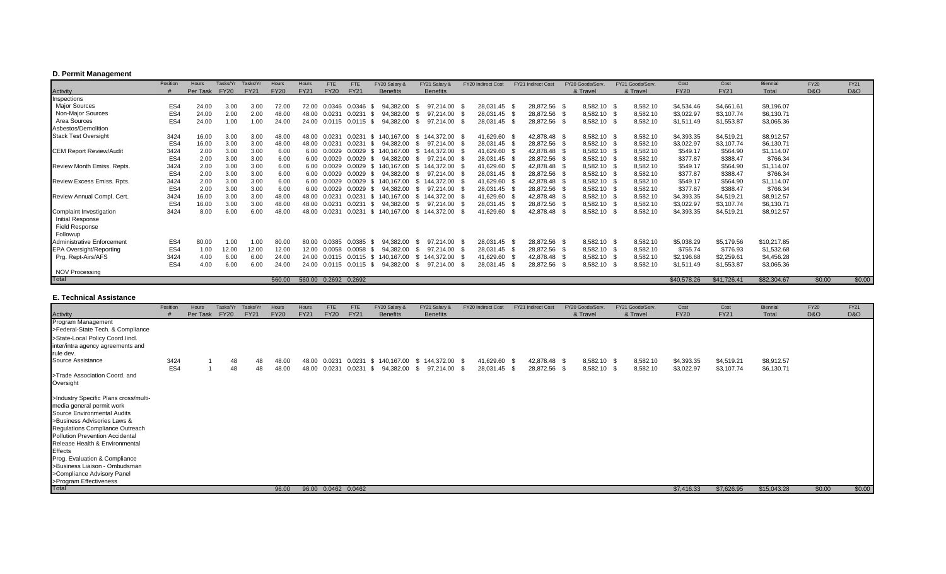## **D. Permit Management**

|                                   | Position | Hours    | Tasks/Yr    | Tasks/Y     | Hours       | Hours                  | FTE         | <b>FTE</b>         | FY20 Salary &        | FY21 Salary 8      | FY20 Indirect Cost | <b>FY21 Indirect Cost</b> | FY20 Goods/Serv | FY21 Goods/Serv | Cost        | Cost        | Biennial    | <b>FY20</b>    | <b>FY21</b>    |
|-----------------------------------|----------|----------|-------------|-------------|-------------|------------------------|-------------|--------------------|----------------------|--------------------|--------------------|---------------------------|-----------------|-----------------|-------------|-------------|-------------|----------------|----------------|
| Activity                          |          | Per Task | <b>FY20</b> | <b>FY21</b> | <b>FY20</b> | <b>FY21</b>            | <b>FY20</b> | <b>FY21</b>        | <b>Benefits</b>      | <b>Benefits</b>    |                    |                           | & Travel        | & Travel        | <b>FY20</b> | <b>FY21</b> | Total       | <b>D&amp;O</b> | <b>D&amp;O</b> |
| Inspections                       |          |          |             |             |             |                        |             |                    |                      |                    |                    |                           |                 |                 |             |             |             |                |                |
| Major Sources                     | ES4      | 24.00    | 3.00        | 3.00        | 72.00       | 72.00                  | 0.0346      | 0.0346             | 382.00<br>94.        | 97.214.00          | 28,031.45<br>- \$  | 28,872.56 \$              | 8,582.10        | 8,582.10        | \$4,534.46  | \$4,661.61  | \$9,196.07  |                |                |
| Non-Major Sources                 | ES4      | 24.00    | 2.00        | 2.00        | 48.00       | 48.00                  | 0.0231      | 0.0231             | 94.382.00            | 97.214.00          | 28,031.45          | 28,872.56 \$              | 8,582.10 \$     | 8,582.10        | \$3,022.97  | \$3,107.74  | \$6,130.71  |                |                |
| Area Sources                      | ES4      | 24.00    | 1.00        | 1.00        | 24.00       | 24.00                  | 0.0115      | 0.0115 \$          | 94.382.00            | 97.214.00<br>- 96  | 28,031.45          | 28,872.56 \$              | 8,582.10        | 8,582.10        | \$1,511.49  | \$1,553.87  | \$3,065.36  |                |                |
| Asbestos/Demolition               |          |          |             |             |             |                        |             |                    |                      |                    |                    |                           |                 |                 |             |             |             |                |                |
| <b>Stack Test Oversight</b>       | 3424     | 16.00    | 3.00        | 3.00        | 48.00       | 48.00                  | 0.0231      | 0.0231             | \$140,167,00         | \$144.372.00 \$    | 41,629.60          | 42,878.48 \$              | 8,582.10 \$     | 8,582.10        | \$4,393.35  | \$4,519.21  | \$8,912.57  |                |                |
|                                   | ES4      | 16.00    | 3.00        | 3.00        | 48.00       | 48.00                  | 0.023'      | 0.0231             | 94.382.00            | 97.214.00<br>- 96  | 28,031.45          | 28,872.56 \$              | 8,582.10 \$     | 8,582.10        | \$3,022.97  | \$3,107.74  | \$6,130.71  |                |                |
| <b>CEM Report Review/Audit</b>    | 3424     | 2.00     | 3.00        | 3.00        | 6.00        | 6.00                   | 0.0029      | 0.0029             | 140.167.00           | 144.372.00<br>-SS  | 41,629.60          | 42,878.48 \$              | 8,582.10        | 8,582.10        | \$549.17    | \$564.90    | \$1,114.07  |                |                |
|                                   | ES4      | 2.00     | 3.00        | 3.00        | 6.00        | 6.00                   | 0.0029      | 0.0029             | 94.382.00            | 97.214.00<br>- 35  | 28,031.45          | 28,872.56 \$              | 8,582.10 \$     | 8,582.10        | \$377.87    | \$388.47    | \$766.34    |                |                |
| <b>Review Month Emiss, Repts</b>  | 3424     | 2.00     | 3.00        | 3.00        | 6.00        | 6.00                   | 0.0029      |                    | 0.0029 \$ 140.167.00 | 144.372.00<br>- \$ | 41,629.60          | 42,878.48 \$              | 8,582.10 \$     | 8,582.10        | \$549.17    | \$564.90    | \$1,114.07  |                |                |
|                                   | ES4      | 2.00     | 3.00        | 3.00        | 6.00        | 6.00                   | 0.0029      | 0.0029             | 94.382.00            | 97.214.00<br>-86   | 28,031.45          | 28,872.56                 | 8,582.10        | 8,582.10        | \$377.87    | \$388.47    | \$766.34    |                |                |
| <b>Review Excess Emiss, Rpts.</b> | 3424     | 2.00     | 3.00        | 3.00        | 6.00        | 6.00                   | 0.0029      | $0.0029$ \$        | 140.167.00           | 144.372.00<br>- 86 | 41,629.60          | 42,878.48 \$              | 8,582.10        | 8,582.10        | \$549.17    | \$564.90    | \$1,114.07  |                |                |
|                                   | ES4      | 2.00     | 3.00        | 3.00        | 6.00        | 6.00                   | 0.0029      | 0.0029             | 94.382.00            | 97.214.00<br>- 93  | 28,031.45          | 28,872.56 \$              | 8,582.10        | 8,582.10        | \$377.87    | \$388.47    | \$766.34    |                |                |
| Review Annual Compl. Cert.        | 3424     | 16.00    | 3.00        | 3.00        | 48.00       | 48.00                  | 0.0231      | 0.0231             | 140.167.00           | 144.372.00<br>-SS  | 41,629.60          | 42,878.48 \$              | 8,582.10 \$     | 8,582.10        | \$4,393.35  | \$4,519.21  | \$8,912.57  |                |                |
|                                   | ES4      | 16.00    | 3.00        | 3.00        | 48.00       | 48.00                  | 0.0231      | 0.0231             | 94.382.00            | 97.214.00<br>- 96  | 28,031.45          | 28,872.56 \$              | 8,582.10        | 8,582.10        | \$3,022.97  | \$3,107.74  | \$6,130.71  |                |                |
| Complaint Investigation           | 3424     | 8.00     | 6.00        | 6.00        | 48.00       | 48.00                  |             | 0.0231             | 140.167.00           | 144.372.00<br>-SS  | 41,629.60          | 42,878.48                 | 8,582.10        | 8,582.10        | \$4,393.35  | \$4,519.21  | \$8,912.57  |                |                |
| <b>Initial Response</b>           |          |          |             |             |             |                        |             |                    |                      |                    |                    |                           |                 |                 |             |             |             |                |                |
| <b>Field Response</b>             |          |          |             |             |             |                        |             |                    |                      |                    |                    |                           |                 |                 |             |             |             |                |                |
| Followup                          |          |          |             |             |             |                        |             |                    |                      |                    |                    |                           |                 |                 |             |             |             |                |                |
| <b>Administrative Enforcement</b> | ES4      | 80.00    | 1.00        | 1.00        | 80.00       | 80.00                  | 0.0385      | 0.0385             | 382.00<br>94         | 97.214.00 \$       | 28,031.45          | 28,872.56 \$              | 8,582.10        | 8,582.10        | \$5,038.29  | \$5,179.56  | \$10,217.85 |                |                |
| <b>EPA Oversight/Reporting</b>    | ES4      | 1.00     | 12.00       | 12.00       | 12.00       | 12.00                  | 0.0058      | 0.0058             | 94.382.00<br>- 96    | 97.214.00          | 28,031.45<br>- \$  | 28,872.56 \$              | 8,582.10        | 8,582.10        | \$755.74    | \$776.93    | \$1,532.68  |                |                |
| Prg. Rept-Airs/AFS                | 3424     | 4.00     | 6.00        | 6.00        | 24.00       | 24.00                  | 0.0115      |                    | 0.0115 \$ 140.167.00 | 144,372.00<br>-SS  | 41,629.60          | 42,878.48 \$              | 8,582.10 \$     | 8,582.10        | \$2,196.68  | \$2,259.61  | \$4,456.28  |                |                |
|                                   | ES4      | 4.00     | 6.00        | 6.00        | 24.00       | 24.00                  |             | $0.0115$ 0.0115 \$ | 94.382.00            | 97.214.00<br>-SS   | 28,031.45          | 28,872.56                 | 8,582.10        | 8,582.10        | \$1,511.49  | \$1,553.87  | \$3,065.36  |                |                |
| <b>NOV Processing</b>             |          |          |             |             |             |                        |             |                    |                      |                    |                    |                           |                 |                 |             |             |             |                |                |
| Total                             |          |          |             |             | 560.00      | 560.00  0.2692  0.2692 |             |                    |                      |                    |                    |                           |                 |                 | \$40,578.26 | \$41,726.41 | \$82,304.67 | \$0.00         | \$0.00         |

## **E. Technical Assistance**

|                                                                                                                                                                                                                                                                                                                                                                                      | Position    | Hours    | Tasks/Yr    | Tasks/Yr    | Hours          | Hours          | <b>FTE</b>  | <b>FTE</b>            | FY20 Salary &   | FY21 Salary &                                                      | FY20 Indirect Cost           | FY21 Indirect Cost |                              | FY20 Goods/Serv.        | FY21 Goods/Serv.             | Cost                     | Cost                     | Biennial                 | <b>FY20</b> | <b>FY21</b> |
|--------------------------------------------------------------------------------------------------------------------------------------------------------------------------------------------------------------------------------------------------------------------------------------------------------------------------------------------------------------------------------------|-------------|----------|-------------|-------------|----------------|----------------|-------------|-----------------------|-----------------|--------------------------------------------------------------------|------------------------------|--------------------|------------------------------|-------------------------|------------------------------|--------------------------|--------------------------|--------------------------|-------------|-------------|
| Activity                                                                                                                                                                                                                                                                                                                                                                             |             | Per Task | <b>FY20</b> | <b>FY21</b> | <b>FY20</b>    | <b>FY21</b>    | <b>FY20</b> | <b>FY21</b>           | <b>Benefits</b> | <b>Benefits</b>                                                    |                              |                    |                              | & Travel                | & Travel                     | <b>FY20</b>              | <b>FY21</b>              | Total                    | D&O         | D&O         |
| Program Management<br>>Federal-State Tech. & Compliance                                                                                                                                                                                                                                                                                                                              |             |          |             |             |                |                |             |                       |                 |                                                                    |                              |                    |                              |                         |                              |                          |                          |                          |             |             |
| >State-Local Policy Coord.lincl.<br>inter/intra agency agreements and<br>rule dev.                                                                                                                                                                                                                                                                                                   |             |          |             |             |                |                |             |                       |                 |                                                                    |                              |                    |                              |                         |                              |                          |                          |                          |             |             |
| Source Assistance                                                                                                                                                                                                                                                                                                                                                                    | 3424<br>ES4 |          | 48<br>48    | 48<br>48    | 48.00<br>48.00 | 48.00<br>48.00 | 0.0231      | 0.0231 0.0231 \$      |                 | 0.0231 \$ 140,167.00 \$ 144,372.00 \$<br>94,382.00 \$ 97,214.00 \$ | 41,629.60 \$<br>28,031.45 \$ |                    | 42,878.48 \$<br>28,872.56 \$ | 8,582.10 \$<br>8,582.10 | 8,582.10<br>8,582.10<br>- \$ | \$4,393.35<br>\$3,022.97 | \$4,519.21<br>\$3,107.74 | \$8,912.57<br>\$6,130.71 |             |             |
| >Trade Association Coord. and<br>Oversight                                                                                                                                                                                                                                                                                                                                           |             |          |             |             |                |                |             |                       |                 |                                                                    |                              |                    |                              |                         |                              |                          |                          |                          |             |             |
| >Industry Specific Plans cross/multi-<br>media general permit work<br>Source Environmental Audits<br>>Business Advisories Laws &<br>Regulations Compliance Outreach<br>Pollution Prevention Accidental<br>Release Health & Environmental<br><b>Effects</b><br>Prog. Evaluation & Compliance<br>>Business Liaison - Ombudsman<br>>Compliance Advisory Panel<br>>Program Effectiveness |             |          |             |             |                |                |             |                       |                 |                                                                    |                              |                    |                              |                         |                              |                          |                          |                          |             |             |
| Total                                                                                                                                                                                                                                                                                                                                                                                |             |          |             |             | 96.00          |                |             | 96.00  0.0462  0.0462 |                 |                                                                    |                              |                    |                              |                         |                              | \$7,416.33               | \$7,626.95               | \$15,043.28              | \$0.00      | \$0.00      |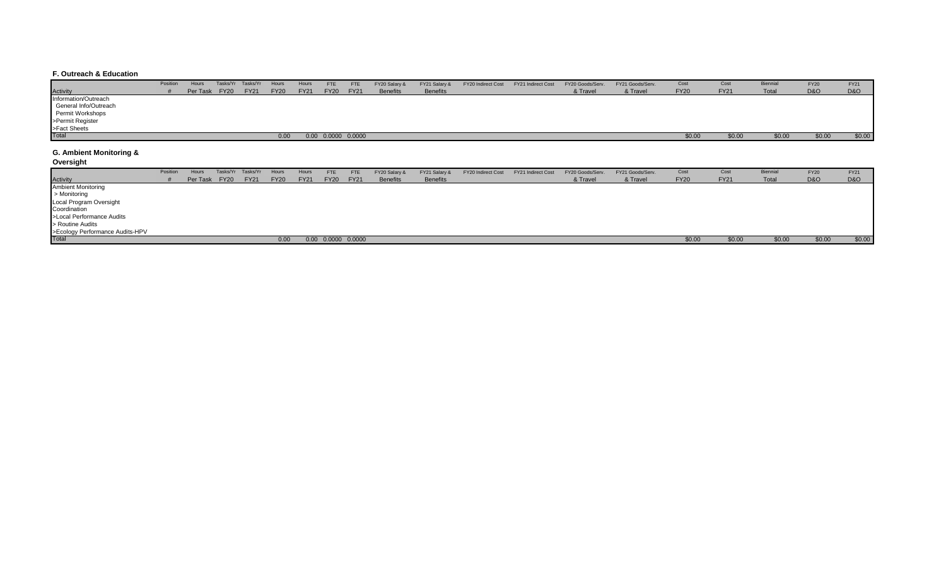#### **F. Outreach & Education**

| Position | Hours |               | Hours             | Hours       | FTE         | <b>FTE</b>  | FY20 Salary &            | FY21 Salary &   | FY20 Indirect Cost | FY20 Goods/Serv.   | FY21 Goods/Serv. | Cost        | Cost        | Biennial | <b>FY20</b>    | <b>FY21</b>    |
|----------|-------|---------------|-------------------|-------------|-------------|-------------|--------------------------|-----------------|--------------------|--------------------|------------------|-------------|-------------|----------|----------------|----------------|
|          |       | <b>FY21</b>   | <b>FY20</b>       | <b>FY21</b> | <b>FY20</b> | <b>FY21</b> | <b>Benefits</b>          | <b>Benefits</b> |                    | & Travel           | & Travel         | <b>FY20</b> | <b>FY21</b> | Total    | <b>D&amp;O</b> | <b>D&amp;O</b> |
|          |       |               |                   |             |             |             |                          |                 |                    |                    |                  |             |             |          |                |                |
|          |       |               |                   |             |             |             |                          |                 |                    |                    |                  |             |             |          |                |                |
|          |       |               |                   |             |             |             |                          |                 |                    |                    |                  |             |             |          |                |                |
|          |       |               |                   |             |             |             |                          |                 |                    |                    |                  |             |             |          |                |                |
|          |       |               |                   |             |             |             |                          |                 |                    |                    |                  |             |             |          |                |                |
|          |       |               | 0.00              |             |             |             |                          |                 |                    |                    |                  | \$0.00      | \$0.00      | \$0.00   | \$0.00         | \$0.00         |
|          |       | Per Task FY20 | Tasks/Yr Tasks/Yr |             |             |             | $0.00$ $0.0000$ $0.0000$ |                 |                    | FY21 Indirect Cost |                  |             |             |          |                |                |

#### **G. Ambient Monitoring &**

**Oversight**

|                                 | Position | Hours |               | Tasks/Yr Tasks/Yr | Hours       | Hours       | FTE         | <b>FTE</b>               | FY20 Salary &   | FY21 Salary &   | FY20 Indirect Cost | FY21 Indirect Cost | FY20 Goods/Serv. | FY21 Goods/Serv. | Cost        | Cost        | <b>Biennial</b> | <b>FY20</b>    | <b>FY21</b> |
|---------------------------------|----------|-------|---------------|-------------------|-------------|-------------|-------------|--------------------------|-----------------|-----------------|--------------------|--------------------|------------------|------------------|-------------|-------------|-----------------|----------------|-------------|
| <b>Activity</b>                 |          |       | Per Task FY20 | <b>FY21</b>       | <b>FY20</b> | <b>FY21</b> | <b>FY20</b> | <b>FY21</b>              | <b>Benefits</b> | <b>Benefits</b> |                    |                    | & Travel         | & Travel         | <b>FY20</b> | <b>FY21</b> | Total           | <b>D&amp;O</b> | D&O         |
| <b>Ambient Monitoring</b>       |          |       |               |                   |             |             |             |                          |                 |                 |                    |                    |                  |                  |             |             |                 |                |             |
| > Monitoring                    |          |       |               |                   |             |             |             |                          |                 |                 |                    |                    |                  |                  |             |             |                 |                |             |
| Local Program Oversight         |          |       |               |                   |             |             |             |                          |                 |                 |                    |                    |                  |                  |             |             |                 |                |             |
| Coordination                    |          |       |               |                   |             |             |             |                          |                 |                 |                    |                    |                  |                  |             |             |                 |                |             |
| >Local Performance Audits       |          |       |               |                   |             |             |             |                          |                 |                 |                    |                    |                  |                  |             |             |                 |                |             |
| > Routine Audits                |          |       |               |                   |             |             |             |                          |                 |                 |                    |                    |                  |                  |             |             |                 |                |             |
| >Ecology Performance Audits-HPV |          |       |               |                   |             |             |             |                          |                 |                 |                    |                    |                  |                  |             |             |                 |                |             |
| <b>Total</b>                    |          |       |               |                   | 0.00        |             |             | $0.00$ $0.0000$ $0.0000$ |                 |                 |                    |                    |                  |                  | \$0.00      | \$0.00      | \$0.00          | \$0.00         | \$0.00      |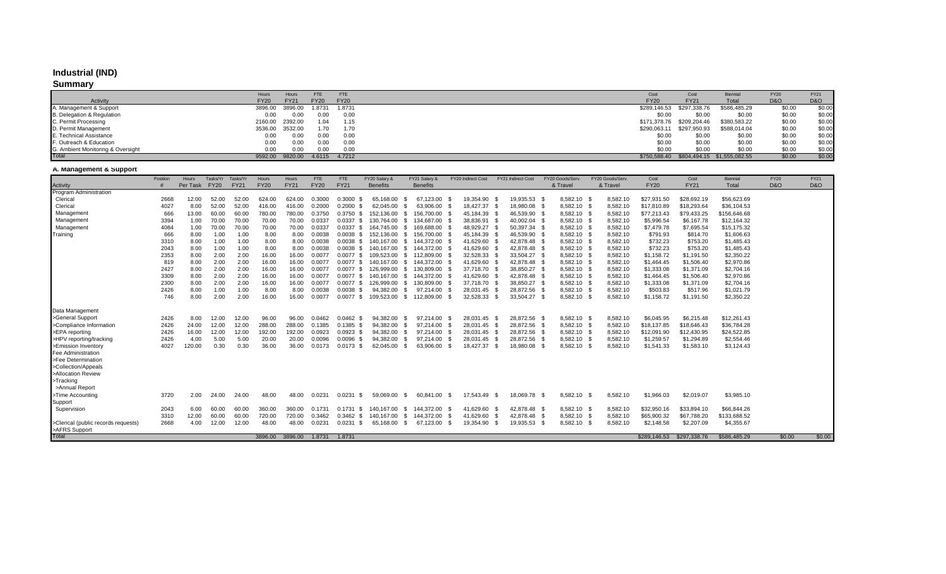# **Industrial (IND)**

## **Summary**

|                                   | Hours       | Hours       | FTE         | <b>FTE</b>  | Cost         | Cost                      | Biennia                                        | <b>FY20</b> | <b>FY21</b> |
|-----------------------------------|-------------|-------------|-------------|-------------|--------------|---------------------------|------------------------------------------------|-------------|-------------|
| Activity                          | <b>FY20</b> | <b>FY21</b> | <b>FY20</b> | <b>FY20</b> | <b>FY20</b>  | <b>FY21</b>               | Total                                          | D&O         | D&O         |
| A. Management & Support           | 3896.00     | 3896.00     | 1.8731      | 1.8731      |              | \$289,146.53 \$297,338.76 | \$586,485.29                                   | \$0.00      | \$0.00      |
| B. Delegation & Regulation        | 0.00        | 0.00        | 0.00        | 0.00        | \$0.00       | \$0.00                    | \$0.00                                         | \$0.00      | \$0.00      |
| C. Permit Processing              | 2160.00     | 2392.00     | 1.04        | 1.15        |              | \$171,378.76 \$209,204.46 | \$380,583.22                                   | \$0.00      | \$0.00      |
| D. Permit Management              | 3536.00     | 3532.00     | 1.70        | 1.70        | \$290,063.11 | \$297,950.93              | \$588,014.04                                   | \$0.00      | \$0.00      |
| E. Technical Assistance           | 0.00        | 0.00        | 0.00        | 0.00        | \$0.00       | \$0.00                    | \$0.00                                         | \$0.00      | \$0.00      |
| F. Outreach & Education           | 0.00        | 0.00        | 0.00        | 0.00        | \$0.00       | \$0.00                    | \$0.00                                         | \$0.00      | \$0.00      |
| G. Ambient Monitoring & Oversight | 0.00        | 0.00        | 0.00        | 0.00        | \$0.00       | \$0.00                    | \$0.00                                         | \$0.00      | \$0.00      |
| Total                             | 9592.00     | 9820.00     | 4.6115      | 4.7212      |              |                           | \$750,588.40    \$804,494.15    \$1,555,082.55 | \$0.00      | \$0.00      |

## **A. Management & Support**

|                                     | Position | <b>Hours</b> | Tasks/Yr    | Tasks/Yr    | Hours       | Hours       | <b>FTE</b>  | <b>FTE</b>     | FY20 Salary &   | FY21 Salary &      |      | FY20 Indirect Cost |      | FY21 Indirect Cost | FY20 Goods/Serv. |             | FY20 Goods/Serv. | Cost         | Cost         | Biennial     | <b>FY20</b>    | <b>FY21</b>    |
|-------------------------------------|----------|--------------|-------------|-------------|-------------|-------------|-------------|----------------|-----------------|--------------------|------|--------------------|------|--------------------|------------------|-------------|------------------|--------------|--------------|--------------|----------------|----------------|
| Activity                            |          | Per Task     | <b>FY20</b> | <b>FY21</b> | <b>FY20</b> | <b>FY21</b> | <b>FY20</b> | <b>FY21</b>    | <b>Benefits</b> | <b>Benefits</b>    |      |                    |      |                    | & Travel         |             | & Travel         | <b>FY20</b>  | <b>FY21</b>  | Total        | <b>D&amp;O</b> | <b>D&amp;O</b> |
| Program Administration              |          |              |             |             |             |             |             |                |                 |                    |      |                    |      |                    |                  |             |                  |              |              |              |                |                |
| Clerical                            | 2668     | 12.00        | 52.00       | 52.00       | 624.00      | 624.00      | 0.3000      | 0.3000<br>- \$ | 65.168.00       | 67.123.00          |      | 19.354.90          |      | 19.935.53          |                  | 8,582.10 \$ | 8,582.10         | \$27,931.50  | \$28,692.19  | \$56,623.69  |                |                |
| Clerical                            | 4027     | 8.00         | 52.00       | 52.00       | 416.00      | 416.00      | 0.2000      | 0.2000<br>- \$ | 62,045.00       | 63,906.00          |      | 18,427.37 \$       |      | 18,980.08          |                  | 8,582.10 \$ | 8,582.10         | \$17,810.89  | \$18,293.64  | \$36,104.53  |                |                |
| Management                          | 666      | 13.00        | 60.00       | 60.00       | 780.00      | 780.00      | 0.3750      | $0.3750$ \$    | 152,136.00      | 156.700.00         |      | 45,184.39 \$       |      | 46,539.90          |                  | 8,582.10 \$ | 8,582.10         | \$77,213.43  | \$79,433.25  | \$156,646.68 |                |                |
| Management                          | 3394     | 1.00         | 70.00       | 70.00       | 70.00       | 70.00       | 0.0337      | 0.0337<br>- \$ | 130.764.00      | 134.687.00<br>- \$ |      | 38,836.91 \$       |      | 40.002.04          |                  | 8.582.10 \$ | 8,582.10         | \$5,996.54   | \$6,167.78   | \$12,164.32  |                |                |
| Management                          | 4084     | 1.00         | 70.00       | 70.00       | 70.00       | 70.00       | 0.0337      | 0.0337<br>- \$ | 164.745.00      | 169.688.00<br>- \$ |      | 48.929.27          |      | 50.397.34 \$       |                  | 8.582.10 \$ | 8,582.10         | \$7,479.78   | \$7,695.54   | \$15,175.32  |                |                |
| Training                            | 666      | 8.00         | 1.00        | 1.00        | 8.00        | 8.00        | 0.0038      | $0.0038$ \$    | 152.136.00      | 156.700.00<br>-S   |      | 45,184.39          | - \$ | 46,539.90          |                  | 8,582.10 \$ | 8,582.10         | \$791.93     | \$814.70     | \$1,606.63   |                |                |
|                                     | 3310     | 8.00         | 1.00        | 1.00        | 8.00        | 8.00        | 0.0038      | $0.0038$ \$    | 140.167.00      | 144.372.00<br>\$   |      | 41,629.60          | - 35 | 42.878.48          |                  | 8,582.10 \$ | 8,582.10         | \$732.23     | \$753.20     | \$1,485.43   |                |                |
|                                     | 2043     | 8.00         | 1.00        | 1.00        | 8.00        | 8.00        | 0.0038      | $0.0038$ \$    | 140.167.00      | 144.372.00<br>- \$ |      | 41,629.60          |      | 42.878.48          |                  | 8,582.10 \$ | 8,582.10         | \$732.23     | \$753.20     | \$1,485.43   |                |                |
|                                     | 2353     | 8.00         | 2.00        | 2.00        | 16.00       | 16.00       | 0.0077      | $0.0077$ \$    | 109,523.00      | 112,809.00<br>- \$ |      | 32,528.33          | - S  | 33,504.27 \$       |                  | 8,582.10 \$ | 8,582.10         | \$1,158.72   | \$1,191.50   | \$2,350.22   |                |                |
|                                     | 819      | 8.00         | 2.00        | 2.00        | 16.00       | 16.00       | 0.0077      | $0.0077$ \$    | 140.167.00      | 144,372.00<br>- S  |      | 41,629.60          |      | 42,878.48          |                  | 8,582.10 \$ | 8,582.10         | \$1,464.45   | \$1,506.40   | \$2,970.86   |                |                |
|                                     | 2427     | 8.00         | 2.00        | 2.00        | 16.00       | 16.00       | 0.0077      | $0.0077$ \$    | 126.999.00      | 130.809.00<br>- \$ |      | 37,718.70          |      | 38.850.27          |                  | 8.582.10 \$ | 8,582.10         | \$1,333.08   | \$1,371.09   | \$2,704.16   |                |                |
|                                     | 3309     | 8.00         | 2.00        | 2.00        | 16.00       | 16.00       | 0.0077      | $0.0077$ \$    | 140.167.00      | 144,372.00<br>-S   |      | 41,629.60          |      | 42,878.48          |                  | 8,582.10 \$ | 8,582.10         | \$1,464.45   | \$1,506.40   | \$2,970.86   |                |                |
|                                     | 2300     | 8.00         | 2.00        | 2.00        | 16.00       | 16.00       | 0.0077      | $0.0077$ \$    | 126.999.00      | 130.809.00<br>-S   |      | 37,718.70          |      | 38.850.27          |                  | 8,582.10 \$ | 8,582.10         | \$1,333.08   | \$1,371.09   | \$2,704.16   |                |                |
|                                     | 2426     | 8.00         | 1.00        | 1.00        | 8.00        | 8.00        | 0.0038      | 0.0038         | 94.382.00       | 97.214.00          |      | 28,031.45          |      | 28,872.56          |                  | 8,582.10 \$ | 8,582.10         | \$503.83     | \$517.96     | \$1,021.79   |                |                |
|                                     | 746      | 8.00         | 2.00        | 2.00        | 16.00       | 16.00       | 0.0077      | $0.0077$ \$    | 109,523.00      | 112,809.00<br>-S   |      | 32,528.33          |      | 33,504.27 \$       |                  | 8,582.10 \$ | 8,582.10         | \$1,158.72   | \$1,191.50   | \$2,350.22   |                |                |
| Data Management                     |          |              |             |             |             |             |             |                |                 |                    |      |                    |      |                    |                  |             |                  |              |              |              |                |                |
| >General Support                    | 2426     | 8.00         | 12.00       | 12.00       | 96.00       | 96.00       | 0.0462      | $0.0462$ \$    | 94,382.00       | 97,214.00          |      | 28,031.45          |      | 28,872.56          |                  | 8,582.10 \$ | 8,582.10         | \$6,045.95   | \$6,215.48   | \$12,261.43  |                |                |
| >Compliance Information             | 2426     | 24.00        | 12.00       | 12.00       | 288.00      | 288.00      | 0.1385      | $0.1385$ \$    | 94,382.00       | 97,214.00          |      | 28,031.45 \$       |      | 28,872.56          |                  | 8,582.10 \$ | 8,582.10         | \$18,137.85  | \$18,646.43  | \$36,784.28  |                |                |
| >EPA reporting                      | 2426     | 16.00        | 12.00       | 12.00       | 192.00      | 192.00      | 0.0923      | $0.0923$ \$    | 94,382.00       | 97,214.00          |      | 28,031.45          |      | 28,872.56          |                  | 8,582.10 \$ | 8,582.10         | \$12,091.90  | \$12,430.95  | \$24,522.85  |                |                |
| >HPV reporting/tracking             | 2426     | 4.00         | 5.00        | 5.00        | 20.00       | 20.00       | 0.0096      | $0.0096$ \$    | 94,382.00       | 97,214.00          |      | 28,031.45          |      | 28,872.56          |                  | 8,582.10 \$ | 8,582.10         | \$1,259.57   | \$1,294.89   | \$2,554.46   |                |                |
| >Emission Inventory                 | 4027     | 120.00       | 0.30        | 0.30        | 36.00       | 36.00       | 0.0173      | $0.0173$ \$    | 62,045.00       | 63,906.00          |      | 18,427.37          |      | 18,980.08          | 8,582.10         | -9          | 8,582.10         | \$1,541.33   | \$1,583.10   | \$3,124.43   |                |                |
| Fee Administration                  |          |              |             |             |             |             |             |                |                 |                    |      |                    |      |                    |                  |             |                  |              |              |              |                |                |
| >Fee Determination                  |          |              |             |             |             |             |             |                |                 |                    |      |                    |      |                    |                  |             |                  |              |              |              |                |                |
| >Collection/Appeals                 |          |              |             |             |             |             |             |                |                 |                    |      |                    |      |                    |                  |             |                  |              |              |              |                |                |
| >Allocation Review                  |          |              |             |             |             |             |             |                |                 |                    |      |                    |      |                    |                  |             |                  |              |              |              |                |                |
| >Tracking                           |          |              |             |             |             |             |             |                |                 |                    |      |                    |      |                    |                  |             |                  |              |              |              |                |                |
| >Annual Report                      |          |              |             |             |             |             |             |                |                 |                    |      |                    |      |                    |                  |             |                  |              |              |              |                |                |
| >Time Accounting                    | 3720     | 2.00         | 24.00       | 24.00       | 48.00       | 48.00       | 0.0231      | 0.0231         | 59,069.00       | 60,841.00<br>-S    | - \$ | 17,543.49          |      | 18,069.78          | 8,582.10<br>- \$ | - \$        | 8,582.10         | \$1,966.03   | \$2,019.07   | \$3,985.10   |                |                |
| Support                             |          |              |             |             |             |             |             |                |                 |                    |      |                    |      |                    |                  |             |                  |              |              |              |                |                |
| Supervision                         | 2043     | 6.00         | 60.00       | 60.00       | 360.00      | 360.00      | 0.1731      | 0.1731<br>. ፍ  | 140.167.00      | 144.372.00<br>-S   |      | 41,629.60          |      | 42,878.48          |                  | 8,582.10 \$ | 8,582.10         | \$32,950.16  | \$33,894.10  | \$66,844.26  |                |                |
|                                     | 3310     | 12.00        | 60.00       | 60.00       | 720.00      | 720.00      | 0.3462      | $0.3462$ \$    | 140.167.00      | 144,372.00<br>-S   |      | 41,629.60          |      | 42.878.48          |                  | 8,582.10 \$ | 8,582.10         | \$65,900.32  | \$67,788.20  | \$133,688.52 |                |                |
| >Clerical (public records requests) | 2668     | 4.00         | 12.00       | 12.00       | 48.00       | 48.00       | 0.0231      | 0.0231<br>- \$ | 65,168.00       | 67,123.00<br>-S    |      | 19,354.90          |      | 19,935.53          | 8,582.10         |             | 8,582.10         | \$2,148.58   | \$2,207.09   | \$4,355.67   |                |                |
| >AFRS Support                       |          |              |             |             |             |             |             |                |                 |                    |      |                    |      |                    |                  |             |                  |              |              |              |                |                |
| Total                               |          |              |             |             | 3896.00     | 3896.00     | 1.8731      | 1.8731         |                 |                    |      |                    |      |                    |                  |             |                  | \$289,146.53 | \$297,338,76 | \$586,485.29 | \$0.00         | \$0.00         |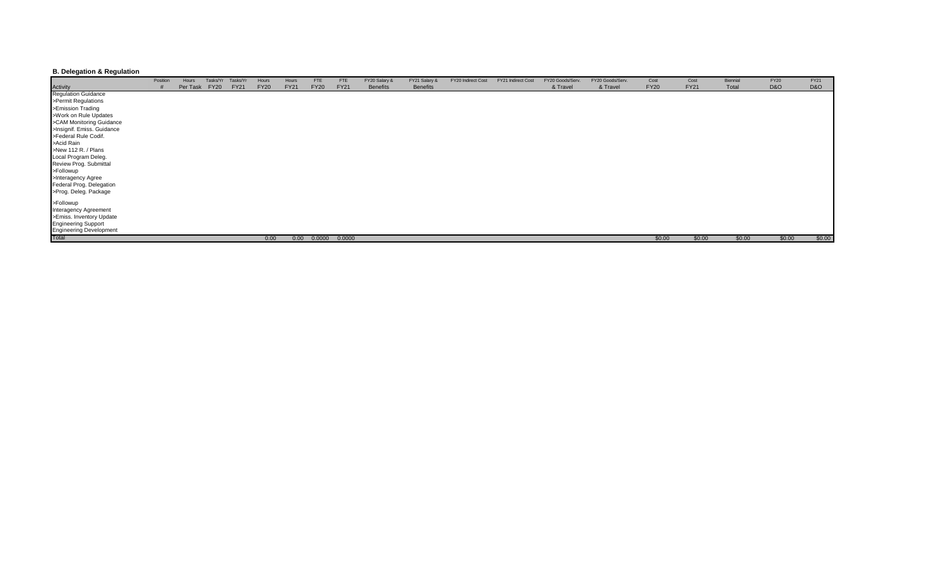## **B. Delegation & Regulation**

|                                                       | Position | Hours    | Tasks/Yr    | Tasks/Yr    | Hours       | Hours       | <b>FTE</b>  | <b>FTE</b>        | FY20 Salary &   | FY21 Salary &   | FY20 Indirect Cost | FY21 Indirect Cost | FY20 Goods/Serv. | FY20 Goods/Serv. | Cost        | Cost        | Biennial | <b>FY20</b>    | FY21   |
|-------------------------------------------------------|----------|----------|-------------|-------------|-------------|-------------|-------------|-------------------|-----------------|-----------------|--------------------|--------------------|------------------|------------------|-------------|-------------|----------|----------------|--------|
|                                                       |          | Per Task | <b>FY20</b> | <b>FY21</b> | <b>FY20</b> | <b>FY21</b> | <b>FY20</b> | <b>FY21</b>       | <b>Benefits</b> | <b>Benefits</b> |                    |                    | & Travel         | & Travel         | <b>FY20</b> | <b>FY21</b> | Total    | <b>D&amp;O</b> | D&O    |
| Activity<br>Regulation Guidance                       |          |          |             |             |             |             |             |                   |                 |                 |                    |                    |                  |                  |             |             |          |                |        |
| >Permit Regulations                                   |          |          |             |             |             |             |             |                   |                 |                 |                    |                    |                  |                  |             |             |          |                |        |
| >Emission Trading                                     |          |          |             |             |             |             |             |                   |                 |                 |                    |                    |                  |                  |             |             |          |                |        |
| >Work on Rule Updates                                 |          |          |             |             |             |             |             |                   |                 |                 |                    |                    |                  |                  |             |             |          |                |        |
| >CAM Monitoring Guidance                              |          |          |             |             |             |             |             |                   |                 |                 |                    |                    |                  |                  |             |             |          |                |        |
| >Insignif. Emiss. Guidance                            |          |          |             |             |             |             |             |                   |                 |                 |                    |                    |                  |                  |             |             |          |                |        |
| >Federal Rule Codif.                                  |          |          |             |             |             |             |             |                   |                 |                 |                    |                    |                  |                  |             |             |          |                |        |
| >Acid Rain                                            |          |          |             |             |             |             |             |                   |                 |                 |                    |                    |                  |                  |             |             |          |                |        |
| >New 112 R. / Plans                                   |          |          |             |             |             |             |             |                   |                 |                 |                    |                    |                  |                  |             |             |          |                |        |
|                                                       |          |          |             |             |             |             |             |                   |                 |                 |                    |                    |                  |                  |             |             |          |                |        |
| Local Program Deleg.<br>Review Prog. Submittal        |          |          |             |             |             |             |             |                   |                 |                 |                    |                    |                  |                  |             |             |          |                |        |
| >Followup                                             |          |          |             |             |             |             |             |                   |                 |                 |                    |                    |                  |                  |             |             |          |                |        |
| >Interagency Agree                                    |          |          |             |             |             |             |             |                   |                 |                 |                    |                    |                  |                  |             |             |          |                |        |
| Federal Prog. Delegation                              |          |          |             |             |             |             |             |                   |                 |                 |                    |                    |                  |                  |             |             |          |                |        |
| >Prog. Deleg. Package                                 |          |          |             |             |             |             |             |                   |                 |                 |                    |                    |                  |                  |             |             |          |                |        |
| >Followup                                             |          |          |             |             |             |             |             |                   |                 |                 |                    |                    |                  |                  |             |             |          |                |        |
| Interagency Agreement                                 |          |          |             |             |             |             |             |                   |                 |                 |                    |                    |                  |                  |             |             |          |                |        |
| >Emiss. Inventory Update                              |          |          |             |             |             |             |             |                   |                 |                 |                    |                    |                  |                  |             |             |          |                |        |
|                                                       |          |          |             |             |             |             |             |                   |                 |                 |                    |                    |                  |                  |             |             |          |                |        |
| <b>Engineering Support</b><br>Engineering Development |          |          |             |             |             |             |             |                   |                 |                 |                    |                    |                  |                  |             |             |          |                |        |
| <b>Total</b>                                          |          |          |             |             | 0.00        | 0.00        |             | $0.0000$ $0.0000$ |                 |                 |                    |                    |                  |                  | \$0.00      | \$0.00      | \$0.00   | \$0.00         | \$0.00 |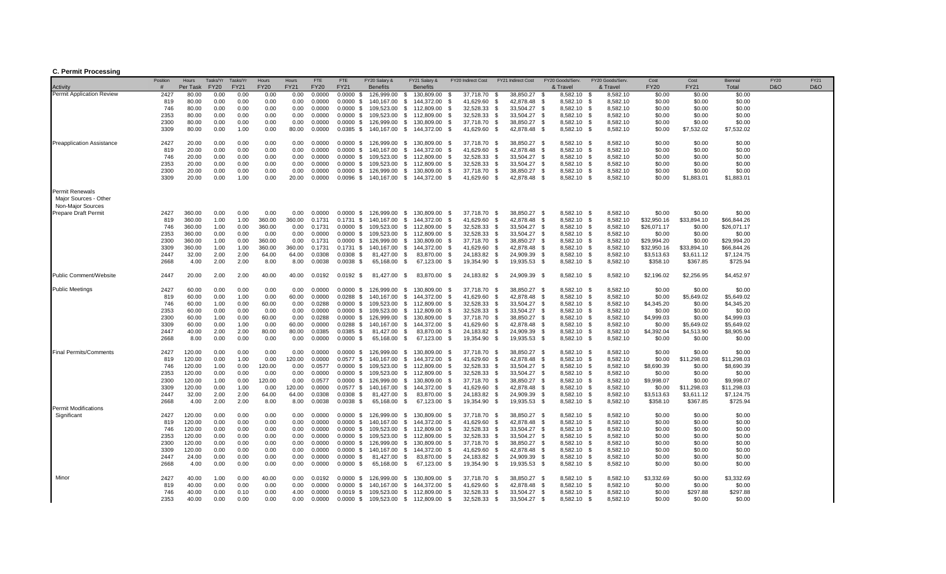### **C. Permit Processing**

| 2427<br>80.00<br>$0.0000$ \$<br><b>Permit Application Review</b><br>0.00<br>0.00<br>0.00<br>0.00<br>0.0000<br>126.999.00<br>130,809.00<br>37.718.70<br>38.850.27<br>8.582.10<br>8,582.10<br>\$0.00<br>\$0.00<br>\$0.00<br>- \$<br>- \$<br>- \$<br>- \$<br>80.00<br>0.00<br>0.0000<br>$0.0000$ \$<br>140,167.00<br>41,629.60<br>42,878.48<br>8,582.10 \$<br>8,582.10<br>\$0.00<br>819<br>0.00<br>0.00<br>0.00<br><b>S</b><br>144,372.00<br>- \$<br>- \$<br>- \$<br>\$0.00<br>\$0.00<br>746<br>80.00<br>0.00<br>0.00<br>0.00<br>0.00<br>0.0000<br>109,523.00<br>\$<br>32,528.33<br>- \$<br>33,504.27<br>8,582.10 \$<br>8,582.10<br>\$0.00<br>\$0.00<br>\$0.00<br>0.0000 S<br>112,809.00<br>- \$<br>- \$<br>8,582.10<br>2353<br>0.00<br>0.00<br>109,523.00<br>112,809.00<br>32,528.33<br>33,504.27<br>8,582.10<br>\$0.00<br>\$0.00<br>80.00<br>0.00<br>0.00<br>0.0000<br>$0.0000$ \$<br>- \$<br>- \$<br>\$0.00<br>- \$<br>- \$<br>- \$<br>2300<br>\$0.00<br>\$0.00<br>80.00<br>0.00<br>0.00<br>0.00<br>0.00<br>0.0000<br>0.0000 S<br>126.999.00<br>37,718.70<br>38,850.27<br>8,582.10 \$<br>8,582.10<br>\$0.00<br>- \$<br>130.809.00<br>- \$<br>- \$<br>- \$<br>3309<br>80.00<br>0.00<br>1.00<br>0.00<br>80.00<br>0.0000<br>0.0385 \$ 140,167.00 \$ 144,372.00 \$<br>41,629.60 \$<br>42,878.48 \$<br>8,582.10 \$<br>8,582.10<br>\$0.00<br>\$7,532.02<br>\$7,532.02<br>0.00<br>8.582.10 \$<br>\$0.00<br>\$0.00<br>\$0.00<br><b>Preapplication Assistance</b><br>2427<br>20.00<br>0.00<br>0.00<br>0.00<br>0.0000<br>0.0000 \$ 126,999.00<br>\$<br>130.809.00<br>37,718.70 \$<br>38.850.27 \$<br>8,582.10<br>- \$<br>819<br>20.00<br>0.00<br>0.00<br>0.00<br>0.00<br>0.0000<br>$0.0000 \text{ }$ \$<br>140,167.00<br>\$<br>144,372.00<br>\$<br>41,629.60<br>\$<br>42,878.48<br>8,582.10<br>8,582.10<br>\$0.00<br>\$0.00<br>\$0.00<br>- \$<br>- \$<br>746<br>20.00<br>0.00<br>0.00<br>0.00<br>0.00<br>0.0000<br>$0.0000$ \$<br>109,523.00<br>\$<br>112,809.00<br>32,528.33<br>- \$<br>33,504.27<br>8,582.10 \$<br>8,582.10<br>\$0.00<br>\$0.00<br>\$0.00<br>- \$<br>- \$<br>2353<br>33,504.27<br>20.00<br>0.00<br>0.00<br>0.00<br>0.00<br>0.0000<br>$0.0000$ \$<br>109,523.00<br><b>S</b><br>112,809.00<br>- \$<br>32,528.33<br>- S<br>8,582.10 \$<br>8,582.10<br>\$0.00<br>\$0.00<br>\$0.00<br>- \$<br>2300<br>\$0.00<br>20.00<br>0.00<br>0.00<br>0.00<br>0.00<br>0.0000<br>0.0000 \$ 126.999.00<br>\$130,809.00<br>- \$<br>37.718.70<br>- S<br>38.850.27<br>- \$<br>8.582.10 \$<br>8.582.10<br>\$0.00<br>\$0.00<br>8,582.10<br>3309<br>20.00<br>0.00<br>0.00<br>0.0000<br>$0.0096$ \$<br>140,167.00 \$<br>41,629.60<br>42,878.48<br>8,582.10<br>\$1,883.01<br>1.00<br>20.00<br>144,372.00<br>- \$<br>- \$<br>\$0.00<br>\$1,883.01<br>- \$<br>- \$<br><b>Permit Renewals</b><br>Major Sources - Other<br>Non-Major Sources<br><b>Prepare Draft Permit</b><br>360.00<br>0.00<br>38,850.27 \$<br>8,582.10 \$<br>\$0.00<br>\$0.00<br>\$0.00<br>2427<br>0.00<br>0.00<br>0.00<br>0.0000<br>0.0000 \$ 126,999.00<br><b>S</b><br>130,809.00<br>- \$<br>37,718.70 \$<br>8,582.10<br>1.00<br>360.00<br>\$32,950.16<br>819<br>360.00<br>1.00<br>360.00<br>0.1731<br>$0.1731$ \$<br>140.167.00<br>- \$<br>144.372.00<br>-\$<br>41.629.60<br>\$<br>42.878.48<br>-\$<br>8.582.10<br>- \$<br>8.582.10<br>\$33,894.10<br>\$66,844.26<br>0.00<br>360.00<br>0.00<br>109,523.00<br><b>S</b><br>32,528.33<br>33,504.27<br>8,582.10 \$<br>8,582.10<br>\$26,071.17<br>\$0.00<br>\$26,071.17<br>746<br>360.00<br>1.00<br>0.1731<br>$0.0000$ \$<br>112,809.00<br>- \$<br>- \$<br>- \$<br>2353<br>\$0.00<br>360.00<br>0.00<br>0.00<br>0.00<br>0.00<br>0.0000<br>109,523.00<br><b>S</b><br>32,528.33<br>33,504.27<br>8,582.10<br>\$0.00<br>\$0.00<br>0.0000 S<br>112,809.00<br>- \$<br>- \$<br>- \$<br>8,582.10 \$<br>2300<br>126,999.00<br>38,850.27<br>8,582.10<br>8,582.10<br>\$29,994.20<br>\$0.00<br>360.00<br>1.00<br>0.00<br>360.00<br>0.00<br>0.1731<br>$0.0000$ \$<br>130,809.00<br>37,718.70<br>\$29,994.20<br>- \$<br>- \$<br>- \$<br>- \$<br>- \$<br>3309<br>360.00<br>1.00<br>1.00<br>360.00<br>360.00<br>41,629.60<br>42,878.48<br>8,582.10 \$<br>8,582.10<br>\$32,950.16<br>\$33,894.10<br>\$66,844.26<br>0.1731<br>$0.1731$ \$<br>140,167.00<br><b>S</b><br>144,372.00<br>- \$<br>- S<br>- \$<br>8,582.10 \$<br>8,582.10<br>\$3,513.63<br>2447<br>32.00<br>2.00<br>2.00<br>64.00<br>64.00<br>0.0308<br>$0.0308$ \$<br>81,427.00<br>83,870.00<br>24,183.82<br>24,909.39<br>\$3,611.12<br>\$7,124.75<br>- \$<br>- \$<br>- \$<br>- \$<br>2668<br>2.00<br>2.00<br>8.00<br>0.0038<br>$0.0038$ \$<br>65,168.00 \$<br>67,123.00<br>19,354.90<br>19,935.53<br>8,582.10 \$<br>8,582.10<br>\$358.10<br>\$367.85<br>\$725.94<br>4.00<br>8.00<br>- \$<br>- \$<br>- \$<br>2447<br>20.00<br>2.00<br>2.00<br>40.00<br>40.00<br>0.0192<br>$0.0192$ \$<br>81,427.00 \$<br>83,870.00 \$<br>24,183.82 \$<br>24,909.39 \$<br>8,582.10 \$<br>8,582.10<br>\$2,196.02<br>\$2,256.95<br>\$4,452.97<br>Public Comment/Website<br>0.00<br>8,582.10 \$<br>8,582.10<br>\$0.00<br>\$0.00<br><b>Public Meetings</b><br>2427<br>60.00<br>0.00<br>0.00<br>0.00<br>0.0000<br>0.0000 \$ 126,999.00<br>- \$<br>130,809.00<br>37,718.70 \$<br>38,850.27 \$<br>\$0.00<br>- \$<br>60.00<br>0.00<br>42.878.48<br>8.582.10 \$<br>8.582.10<br>\$5,649.02<br>819<br>0.00<br>1.00<br>60.00<br>0.0000<br>0.0288 \$ 140.167.00<br>- \$<br>144.372.00<br>-\$<br>41.629.60<br>\$<br>- \$<br>\$0.00<br>\$5,649.02<br>8,582.10<br>60.00<br>0.0288<br>$0.0000$ \$<br>109,523.00<br>112,809.00<br>32,528.33<br>33,504.27<br>8,582.10<br>\$4,345.20<br>\$0.00<br>\$4,345.20<br>746<br>1.00<br>0.00<br>60.00<br>0.00<br>\$<br>- \$<br>- \$<br>-\$<br>- \$<br>2353<br>0.00<br>33,504.27<br>8,582.10<br>\$0.00<br>\$0.00<br>\$0.00<br>60.00<br>0.00<br>0.00<br>0.00<br>0.0000<br>$0.0000$ \$<br>109,523.00<br>\$<br>112,809.00<br>32,528.33<br>8,582.10<br>- \$<br>- \$<br>- \$<br>- S<br>2300<br>60.00<br>0.0000 \$ 126,999.00<br>130,809.00<br>37,718.70<br>38,850.27<br>8,582.10 \$<br>8,582.10<br>\$4,999.03<br>\$0.00<br>\$4,999.03<br>60.00<br>1.00<br>0.00<br>0.00<br>0.0288<br>\$<br>- \$<br>- \$<br>- \$<br>3309<br>60.00<br>0.00<br>1.00<br>0.00<br>60.00<br>0.0000<br>$0.0288$ \$<br>140,167.00<br><b>S</b><br>144,372.00<br>41,629.60<br>42,878.48<br>8,582.10 \$<br>8,582.10<br>\$0.00<br>\$5,649.02<br>\$5,649.02<br>- \$<br>- \$<br>- \$<br>2447<br>40.00<br>2.00<br>2.00<br>80.00<br>80.00<br>0.0385<br>$0.0385$ \$<br>81,427.00<br>- \$<br>83,870.00<br>24,183.82<br>24,909.39<br>8,582.10 \$<br>8,582.10<br>\$4,392.04<br>\$4,513.90<br>\$8,905.94<br>- \$<br>- \$<br>- \$<br>2668<br>$0.0000$ \$<br>65,168.00<br>67,123.00<br>19,354.90<br>19,935.53<br>8,582.10 \$<br>8,582.10<br>\$0.00<br>\$0.00<br>\$0.00<br>8.00<br>0.00<br>0.00<br>0.00<br>0.00<br>0.0000<br>- \$<br>- \$<br>- \$<br>- \$<br><b>Final Permits/Comments</b><br>2427<br>120.00<br>0.00<br>0.00<br>0.00<br>0.0000<br>$0.0000 \text{ }$ \$ 126,999.00 \$<br>130,809.00 \$<br>38,850.27 \$<br>8,582.10 \$<br>8,582.10<br>\$0.00<br>\$0.00<br>\$0.00<br>0.00<br>37,718.70 \$<br>819<br>120.00<br>0.00<br>1.00<br>0.00<br>120.00<br><b>S</b><br>42,878.48<br>8,582.10 \$<br>8,582.10<br>\$0.00<br>\$11,298.03<br>\$11,298.03<br>0.0000<br>$0.0577$ \$<br>140,167.00<br>144,372.00<br>- \$<br>41,629.60<br>- \$<br>- \$<br>33,504.27<br>8,582.10<br>8,582.10<br>746<br>120.00<br>1.00<br>0.00<br>120.00<br>0.00<br>0.0577<br>$0.0000$ \$<br>109,523.00<br><b>S</b><br>112,809.00<br>32,528.33<br>\$8,690.39<br>\$0.00<br>\$8,690.39<br>- \$<br>- \$<br>- \$<br>- \$<br>2353<br>120.00<br>0.00<br>0.00<br>0.00<br>0.00<br>0.0000<br>0.0000 S<br>109,523.00<br>32,528.33<br>33,504.27<br>8,582.10 \$<br>8,582.10<br>\$0.00<br>\$0.00<br>\$0.00<br>\$<br>112,809.00<br>- \$<br>- \$<br>- \$<br>2300<br>120.00<br>8,582.10 \$<br>8,582.10<br>\$9,998.07<br>\$9,998.07<br>1.00<br>0.00<br>120.00<br>0.00<br>0.0577<br>0.0000 \$ 126,999.00<br>\$<br>130,809.00<br>37,718.70<br>38,850.27<br>\$0.00<br>- \$<br>- \$<br>- \$<br>3309<br>120.00<br>0.00<br>120.00<br>0.0577 \$ 140,167.00<br>\$<br>42,878.48<br>8,582.10 \$<br>8,582.10<br>\$0.00<br>\$11,298.03<br>\$11,298.03<br>0.00<br>1.00<br>0.0000<br>144,372.00<br>- \$<br>41,629.60<br>- \$<br>- \$<br>2447<br>32.00<br>2.00<br>2.00<br>64.00<br>64.00<br>0.0308<br>$0.0308$ \$<br>81,427.00<br>83,870.00<br>24,183.82<br>24,909.39<br>8,582.10 \$<br>8,582.10<br>\$3,513.63<br>\$3,611.12<br>\$7,124.75<br>- \$<br>- \$<br>- \$<br>- \$<br>2668<br>4.00<br>2.00<br>2.00<br>8.00<br>8.00<br>0.0038<br>$0.0038$ \$<br>65,168.00<br>- \$<br>67,123.00<br>19,354.90<br>- \$<br>19,935.53<br>8,582.10 \$<br>8,582.10<br>\$358.10<br>\$367.85<br>\$725.94<br>- \$<br>- \$<br><b>Permit Modifications</b><br>\$0.00<br>Significant<br>2427<br>120.00<br>0.00<br>0.00<br>0.00<br>0.00<br>0.0000<br>0.0000 \$ 126,999.00<br><b>S</b><br>130,809.00<br>37,718.70 \$<br>38,850.27 \$<br>8,582.10 \$<br>8,582.10<br>\$0.00<br>\$0.00<br>- \$<br>0.00<br><b>S</b><br>42.878.48<br>8.582.10 \$<br>\$0.00<br>819<br>120.00<br>0.00<br>0.00<br>0.00<br>0.0000<br>$0.0000$ \$<br>140.167.00<br>144.372.00<br>-\$<br>41.629.60<br>- S<br>- \$<br>8.582.10<br>\$0.00<br>\$0.00<br>8,582.10<br>0.00<br>0.00<br>0.00<br>0.0000<br>$0.0000$ \$<br>109,523.00<br>112,809.00<br>32,528.33<br>33,504.27<br>8,582.10<br>\$0.00<br>746<br>120.00<br>0.00<br>- \$<br>- \$<br>- \$<br>- \$<br>- \$<br>\$0.00<br>\$0.00<br>2353<br>0.00<br>120.00<br>0.00<br>0.00<br>0.00<br>0.0000<br>0.0000 \$ 109,523.00<br>\$<br>112,809.00<br>32,528.33<br>- \$<br>33,504.27<br>8,582.10 \$<br>8,582.10<br>\$0.00<br>\$0.00<br>\$0.00<br>- \$<br>- \$<br>2300<br>120.00<br>0.00<br>0.0000 S<br>126,999.00<br>130,809.00<br>37,718.70<br>38,850.27<br>8,582.10 \$<br>\$0.00<br>0.00<br>0.00<br>0.00<br>0.0000<br><b>S</b><br>- \$<br>8,582.10<br>\$0.00<br>\$0.00<br>- \$<br>- \$<br>3309<br>120.00<br>0.00<br>0.00<br>0.00<br>0.00<br>0.0000<br>0.0000 \$ 140,167.00<br><b>S</b><br>144,372.00<br>41,629.60<br>42,878.48<br>8,582.10 \$<br>8,582.10<br>\$0.00<br>\$0.00<br>\$0.00<br>- \$<br>- \$<br>- \$<br>2447<br>24.00<br>0.00<br>0.00<br>0.00<br>0.00<br>0.0000<br>$0.0000$ \$<br>81,427.00<br>83,870.00<br>24,183.82<br>24,909.39<br>8,582.10 \$<br>8,582.10<br>\$0.00<br>\$0.00<br>\$0.00<br>- \$<br>- \$<br>- \$<br>- \$<br>$0.0000$ \$<br>19,354.90<br>19,935.53<br>8,582.10 \$<br>8,582.10<br>2668<br>4.00<br>0.00<br>0.00<br>0.00<br>0.00<br>0.0000<br>65,168.00<br>- \$<br>67,123.00<br>- \$<br>- \$<br>- \$<br>\$0.00<br>\$0.00<br>\$0.00<br>Minor<br>2427<br>40.00<br>40.00<br>0.0000 \$ 126,999.00<br>130,809.00<br>38,850.27 \$<br>8,582.10 \$<br>8,582.10<br>\$3,332.69<br>\$0.00<br>\$3,332.69<br>1.00<br>0.00<br>0.00<br>0.0192<br><b>S</b><br>- \$<br>37,718.70 \$<br>819<br>40.00<br>0.00<br>0.00<br>0.00<br>0.00<br>0.0000<br>0.0000 \$ 140,167.00<br>- \$<br>144,372.00<br>41.629.60<br>\$<br>42.878.48<br>8,582.10<br>8,582.10<br>\$0.00<br>\$0.00<br>\$0.00<br>- \$<br>- \$<br>- \$<br>8,582.10<br>8,582.10<br>746<br>40.00<br>0.00<br>0.00<br>0.0000<br>109,523.00<br>\$<br>112,809.00<br>32,528.33<br>- \$<br>33,504.27<br>\$0.00<br>\$297.88<br>\$297.88<br>0.10<br>4.00<br>$0.0019$ \$<br>- \$<br>- \$<br>- \$<br>2353<br>0.00<br>40.00<br>0.00<br>0.00<br>0.00<br>0.0000 \$ 109,523.00 \$ 112,809.00<br>32,528.33 \$<br>33.504.27<br>8.582.10 \$<br>8.582.10<br>\$0.00<br>\$0.00<br>\$0.00<br>0.0000<br><b>S</b><br>- \$ |          | Position | Hours    | Tasks/Yr    | Tasks/Yr    | Hours       | Hours       | <b>FTE</b>  | FTE         | FY20 Salary &   | FY21 Salary &   | FY20 Indirect Cost | FY21 Indirect Cost | FY20 Goods/Serv. | FY20 Goods/Serv | Cost        | Cost        | Biennial | FY20 | FY21 |
|----------------------------------------------------------------------------------------------------------------------------------------------------------------------------------------------------------------------------------------------------------------------------------------------------------------------------------------------------------------------------------------------------------------------------------------------------------------------------------------------------------------------------------------------------------------------------------------------------------------------------------------------------------------------------------------------------------------------------------------------------------------------------------------------------------------------------------------------------------------------------------------------------------------------------------------------------------------------------------------------------------------------------------------------------------------------------------------------------------------------------------------------------------------------------------------------------------------------------------------------------------------------------------------------------------------------------------------------------------------------------------------------------------------------------------------------------------------------------------------------------------------------------------------------------------------------------------------------------------------------------------------------------------------------------------------------------------------------------------------------------------------------------------------------------------------------------------------------------------------------------------------------------------------------------------------------------------------------------------------------------------------------------------------------------------------------------------------------------------------------------------------------------------------------------------------------------------------------------------------------------------------------------------------------------------------------------------------------------------------------------------------------------------------------------------------------------------------------------------------------------------------------------------------------------------------------------------------------------------------------------------------------------------------------------------------------------------------------------------------------------------------------------------------------------------------------------------------------------------------------------------------------------------------------------------------------------------------------------------------------------------------------------------------------------------------------------------------------------------------------------------------------------------------------------------------------------------------------------------------------------------------------------------------------------------------------------------------------------------------------------------------------------------------------------------------------------------------------------------------------------------------------------------------------------------------------------------------------------------------------------------------------------------------------------------------------------------------------------------------------------------------------------------------------------------------------------------------------------------------------------------------------------------------------------------------------------------------------------------------------------------------------------------------------------------------------------------------------------------------------------------------------------------------------------------------------------------------------------------------------------------------------------------------------------------------------------------------------------------------------------------------------------------------------------------------------------------------------------------------------------------------------------------------------------------------------------------------------------------------------------------------------------------------------------------------------------------------------------------------------------------------------------------------------------------------------------------------------------------------------------------------------------------------------------------------------------------------------------------------------------------------------------------------------------------------------------------------------------------------------------------------------------------------------------------------------------------------------------------------------------------------------------------------------------------------------------------------------------------------------------------------------------------------------------------------------------------------------------------------------------------------------------------------------------------------------------------------------------------------------------------------------------------------------------------------------------------------------------------------------------------------------------------------------------------------------------------------------------------------------------------------------------------------------------------------------------------------------------------------------------------------------------------------------------------------------------------------------------------------------------------------------------------------------------------------------------------------------------------------------------------------------------------------------------------------------------------------------------------------------------------------------------------------------------------------------------------------------------------------------------------------------------------------------------------------------------------------------------------------------------------------------------------------------------------------------------------------------------------------------------------------------------------------------------------------------------------------------------------------------------------------------------------------------------------------------------------------------------------------------------------------------------------------------------------------------------------------------------------------------------------------------------------------------------------------------------------------------------------------------------------------------------------------------------------------------------------------------------------------------------------------------------------------------------------------------------------------------------------------------------------------------------------------------------------------------------------------------------------------------------------------------------------------------------------------------------------------------------------------------------------------------------------------------------------------------------------------------------------------------------------------------------------------------------------------------------------------------------------------------------------------------------------------------------------------------------------------------------------------------------------------------------------------------------------------------------------------------------------------------------------------------------------------------------------------------------------------------------------------------------------------------------------------------------------------------------------------------------------------------------------------------------------------------------------------------------------------------------------------------------------------------------------------------------------------------------------------------------------------------------------------------------------------------------------------------------------------------------------------------------------------------------------------------------------------------------------------------------------------------------------------------------------------------------------------------------------------------------------------------------------------------------------------------------------------------------------------------------------------------------------------------------------------------------------------------------------------------------------------------------------------------------------------------------------------------------------------------------------------------------------------------------------------------------------------------------------------------------------------------------------------------------------------------------------------------------------------------------------------------------------------------------------------------------------------------------------------------------------------------------------------------------------------------------------------------------------------------------------------------------------------------------------------------------------------------------------------------------------------------------------------------------------------------------------------------------------------------------------------------------------------------------------------------------------------------------------------------------------------------------------------------------------------------------------------------------------------------------------------------------------------------------------------------------------------------------------------------------------------------------------------------------------------------------------------------------------------------------------------------------------------------------------------------------------------------------------------------------------------------------------------------------------------------------------------------------------------------------------------------------------------------------------------------------------------------------------------------------------------------------------------------------------------------------------------------------------------------------------------------------------------------------------------------------------------------------------------------------------------------------------------------------------------------------------------------------------------------------|----------|----------|----------|-------------|-------------|-------------|-------------|-------------|-------------|-----------------|-----------------|--------------------|--------------------|------------------|-----------------|-------------|-------------|----------|------|------|
|                                                                                                                                                                                                                                                                                                                                                                                                                                                                                                                                                                                                                                                                                                                                                                                                                                                                                                                                                                                                                                                                                                                                                                                                                                                                                                                                                                                                                                                                                                                                                                                                                                                                                                                                                                                                                                                                                                                                                                                                                                                                                                                                                                                                                                                                                                                                                                                                                                                                                                                                                                                                                                                                                                                                                                                                                                                                                                                                                                                                                                                                                                                                                                                                                                                                                                                                                                                                                                                                                                                                                                                                                                                                                                                                                                                                                                                                                                                                                                                                                                                                                                                                                                                                                                                                                                                                                                                                                                                                                                                                                                                                                                                                                                                                                                                                                                                                                                                                                                                                                                                                                                                                                                                                                                                                                                                                                                                                                                                                                                                                                                                                                                                                                                                                                                                                                                                                                                                                                                                                                                                                                                                                                                                                                                                                                                                                                                                                                                                                                                                                                                                                                                                                                                                                                                                                                                                                                                                                                                                                                                                                                                                                                                                                                                                                                                                                                                                                                                                                                                                                                                                                                                                                                                                                                                                                                                                                                                                                                                                                                                                                                                                                                                                                                                                                                                                                                                                                                                                                                                                                                                                                                                                                                                                                                                                                                                                                                                                                                                                                                                                                                                                                                                                                                                                                                                                                                                                                                                                                                                                                                                                                                                                                                                                                                                                                                                                                                                                                                                                                                                                                                                                                                                                                                                                                                                                                                                                                                                                                                                                                                                                                                                                                                                                                                                                                                                                                                                                                                                                                                                                                                                                                                                                                                                                                                                                                                                                                                                                                            | Activity |          | Per Task | <b>FY20</b> | <b>FY21</b> | <b>FY20</b> | <b>FY21</b> | <b>FY20</b> | <b>FY21</b> | <b>Benefits</b> | <b>Benefits</b> |                    |                    | & Travel         | & Travel        | <b>FY20</b> | <b>FY21</b> | Total    | D&O  | D&O  |
|                                                                                                                                                                                                                                                                                                                                                                                                                                                                                                                                                                                                                                                                                                                                                                                                                                                                                                                                                                                                                                                                                                                                                                                                                                                                                                                                                                                                                                                                                                                                                                                                                                                                                                                                                                                                                                                                                                                                                                                                                                                                                                                                                                                                                                                                                                                                                                                                                                                                                                                                                                                                                                                                                                                                                                                                                                                                                                                                                                                                                                                                                                                                                                                                                                                                                                                                                                                                                                                                                                                                                                                                                                                                                                                                                                                                                                                                                                                                                                                                                                                                                                                                                                                                                                                                                                                                                                                                                                                                                                                                                                                                                                                                                                                                                                                                                                                                                                                                                                                                                                                                                                                                                                                                                                                                                                                                                                                                                                                                                                                                                                                                                                                                                                                                                                                                                                                                                                                                                                                                                                                                                                                                                                                                                                                                                                                                                                                                                                                                                                                                                                                                                                                                                                                                                                                                                                                                                                                                                                                                                                                                                                                                                                                                                                                                                                                                                                                                                                                                                                                                                                                                                                                                                                                                                                                                                                                                                                                                                                                                                                                                                                                                                                                                                                                                                                                                                                                                                                                                                                                                                                                                                                                                                                                                                                                                                                                                                                                                                                                                                                                                                                                                                                                                                                                                                                                                                                                                                                                                                                                                                                                                                                                                                                                                                                                                                                                                                                                                                                                                                                                                                                                                                                                                                                                                                                                                                                                                                                                                                                                                                                                                                                                                                                                                                                                                                                                                                                                                                                                                                                                                                                                                                                                                                                                                                                                                                                                                                                                                            |          |          |          |             |             |             |             |             |             |                 |                 |                    |                    |                  |                 |             |             |          |      |      |
|                                                                                                                                                                                                                                                                                                                                                                                                                                                                                                                                                                                                                                                                                                                                                                                                                                                                                                                                                                                                                                                                                                                                                                                                                                                                                                                                                                                                                                                                                                                                                                                                                                                                                                                                                                                                                                                                                                                                                                                                                                                                                                                                                                                                                                                                                                                                                                                                                                                                                                                                                                                                                                                                                                                                                                                                                                                                                                                                                                                                                                                                                                                                                                                                                                                                                                                                                                                                                                                                                                                                                                                                                                                                                                                                                                                                                                                                                                                                                                                                                                                                                                                                                                                                                                                                                                                                                                                                                                                                                                                                                                                                                                                                                                                                                                                                                                                                                                                                                                                                                                                                                                                                                                                                                                                                                                                                                                                                                                                                                                                                                                                                                                                                                                                                                                                                                                                                                                                                                                                                                                                                                                                                                                                                                                                                                                                                                                                                                                                                                                                                                                                                                                                                                                                                                                                                                                                                                                                                                                                                                                                                                                                                                                                                                                                                                                                                                                                                                                                                                                                                                                                                                                                                                                                                                                                                                                                                                                                                                                                                                                                                                                                                                                                                                                                                                                                                                                                                                                                                                                                                                                                                                                                                                                                                                                                                                                                                                                                                                                                                                                                                                                                                                                                                                                                                                                                                                                                                                                                                                                                                                                                                                                                                                                                                                                                                                                                                                                                                                                                                                                                                                                                                                                                                                                                                                                                                                                                                                                                                                                                                                                                                                                                                                                                                                                                                                                                                                                                                                                                                                                                                                                                                                                                                                                                                                                                                                                                                                                                                            |          |          |          |             |             |             |             |             |             |                 |                 |                    |                    |                  |                 |             |             |          |      |      |
|                                                                                                                                                                                                                                                                                                                                                                                                                                                                                                                                                                                                                                                                                                                                                                                                                                                                                                                                                                                                                                                                                                                                                                                                                                                                                                                                                                                                                                                                                                                                                                                                                                                                                                                                                                                                                                                                                                                                                                                                                                                                                                                                                                                                                                                                                                                                                                                                                                                                                                                                                                                                                                                                                                                                                                                                                                                                                                                                                                                                                                                                                                                                                                                                                                                                                                                                                                                                                                                                                                                                                                                                                                                                                                                                                                                                                                                                                                                                                                                                                                                                                                                                                                                                                                                                                                                                                                                                                                                                                                                                                                                                                                                                                                                                                                                                                                                                                                                                                                                                                                                                                                                                                                                                                                                                                                                                                                                                                                                                                                                                                                                                                                                                                                                                                                                                                                                                                                                                                                                                                                                                                                                                                                                                                                                                                                                                                                                                                                                                                                                                                                                                                                                                                                                                                                                                                                                                                                                                                                                                                                                                                                                                                                                                                                                                                                                                                                                                                                                                                                                                                                                                                                                                                                                                                                                                                                                                                                                                                                                                                                                                                                                                                                                                                                                                                                                                                                                                                                                                                                                                                                                                                                                                                                                                                                                                                                                                                                                                                                                                                                                                                                                                                                                                                                                                                                                                                                                                                                                                                                                                                                                                                                                                                                                                                                                                                                                                                                                                                                                                                                                                                                                                                                                                                                                                                                                                                                                                                                                                                                                                                                                                                                                                                                                                                                                                                                                                                                                                                                                                                                                                                                                                                                                                                                                                                                                                                                                                                                                                            |          |          |          |             |             |             |             |             |             |                 |                 |                    |                    |                  |                 |             |             |          |      |      |
|                                                                                                                                                                                                                                                                                                                                                                                                                                                                                                                                                                                                                                                                                                                                                                                                                                                                                                                                                                                                                                                                                                                                                                                                                                                                                                                                                                                                                                                                                                                                                                                                                                                                                                                                                                                                                                                                                                                                                                                                                                                                                                                                                                                                                                                                                                                                                                                                                                                                                                                                                                                                                                                                                                                                                                                                                                                                                                                                                                                                                                                                                                                                                                                                                                                                                                                                                                                                                                                                                                                                                                                                                                                                                                                                                                                                                                                                                                                                                                                                                                                                                                                                                                                                                                                                                                                                                                                                                                                                                                                                                                                                                                                                                                                                                                                                                                                                                                                                                                                                                                                                                                                                                                                                                                                                                                                                                                                                                                                                                                                                                                                                                                                                                                                                                                                                                                                                                                                                                                                                                                                                                                                                                                                                                                                                                                                                                                                                                                                                                                                                                                                                                                                                                                                                                                                                                                                                                                                                                                                                                                                                                                                                                                                                                                                                                                                                                                                                                                                                                                                                                                                                                                                                                                                                                                                                                                                                                                                                                                                                                                                                                                                                                                                                                                                                                                                                                                                                                                                                                                                                                                                                                                                                                                                                                                                                                                                                                                                                                                                                                                                                                                                                                                                                                                                                                                                                                                                                                                                                                                                                                                                                                                                                                                                                                                                                                                                                                                                                                                                                                                                                                                                                                                                                                                                                                                                                                                                                                                                                                                                                                                                                                                                                                                                                                                                                                                                                                                                                                                                                                                                                                                                                                                                                                                                                                                                                                                                                                                                                            |          |          |          |             |             |             |             |             |             |                 |                 |                    |                    |                  |                 |             |             |          |      |      |
|                                                                                                                                                                                                                                                                                                                                                                                                                                                                                                                                                                                                                                                                                                                                                                                                                                                                                                                                                                                                                                                                                                                                                                                                                                                                                                                                                                                                                                                                                                                                                                                                                                                                                                                                                                                                                                                                                                                                                                                                                                                                                                                                                                                                                                                                                                                                                                                                                                                                                                                                                                                                                                                                                                                                                                                                                                                                                                                                                                                                                                                                                                                                                                                                                                                                                                                                                                                                                                                                                                                                                                                                                                                                                                                                                                                                                                                                                                                                                                                                                                                                                                                                                                                                                                                                                                                                                                                                                                                                                                                                                                                                                                                                                                                                                                                                                                                                                                                                                                                                                                                                                                                                                                                                                                                                                                                                                                                                                                                                                                                                                                                                                                                                                                                                                                                                                                                                                                                                                                                                                                                                                                                                                                                                                                                                                                                                                                                                                                                                                                                                                                                                                                                                                                                                                                                                                                                                                                                                                                                                                                                                                                                                                                                                                                                                                                                                                                                                                                                                                                                                                                                                                                                                                                                                                                                                                                                                                                                                                                                                                                                                                                                                                                                                                                                                                                                                                                                                                                                                                                                                                                                                                                                                                                                                                                                                                                                                                                                                                                                                                                                                                                                                                                                                                                                                                                                                                                                                                                                                                                                                                                                                                                                                                                                                                                                                                                                                                                                                                                                                                                                                                                                                                                                                                                                                                                                                                                                                                                                                                                                                                                                                                                                                                                                                                                                                                                                                                                                                                                                                                                                                                                                                                                                                                                                                                                                                                                                                                                                                            |          |          |          |             |             |             |             |             |             |                 |                 |                    |                    |                  |                 |             |             |          |      |      |
|                                                                                                                                                                                                                                                                                                                                                                                                                                                                                                                                                                                                                                                                                                                                                                                                                                                                                                                                                                                                                                                                                                                                                                                                                                                                                                                                                                                                                                                                                                                                                                                                                                                                                                                                                                                                                                                                                                                                                                                                                                                                                                                                                                                                                                                                                                                                                                                                                                                                                                                                                                                                                                                                                                                                                                                                                                                                                                                                                                                                                                                                                                                                                                                                                                                                                                                                                                                                                                                                                                                                                                                                                                                                                                                                                                                                                                                                                                                                                                                                                                                                                                                                                                                                                                                                                                                                                                                                                                                                                                                                                                                                                                                                                                                                                                                                                                                                                                                                                                                                                                                                                                                                                                                                                                                                                                                                                                                                                                                                                                                                                                                                                                                                                                                                                                                                                                                                                                                                                                                                                                                                                                                                                                                                                                                                                                                                                                                                                                                                                                                                                                                                                                                                                                                                                                                                                                                                                                                                                                                                                                                                                                                                                                                                                                                                                                                                                                                                                                                                                                                                                                                                                                                                                                                                                                                                                                                                                                                                                                                                                                                                                                                                                                                                                                                                                                                                                                                                                                                                                                                                                                                                                                                                                                                                                                                                                                                                                                                                                                                                                                                                                                                                                                                                                                                                                                                                                                                                                                                                                                                                                                                                                                                                                                                                                                                                                                                                                                                                                                                                                                                                                                                                                                                                                                                                                                                                                                                                                                                                                                                                                                                                                                                                                                                                                                                                                                                                                                                                                                                                                                                                                                                                                                                                                                                                                                                                                                                                                                                                            |          |          |          |             |             |             |             |             |             |                 |                 |                    |                    |                  |                 |             |             |          |      |      |
|                                                                                                                                                                                                                                                                                                                                                                                                                                                                                                                                                                                                                                                                                                                                                                                                                                                                                                                                                                                                                                                                                                                                                                                                                                                                                                                                                                                                                                                                                                                                                                                                                                                                                                                                                                                                                                                                                                                                                                                                                                                                                                                                                                                                                                                                                                                                                                                                                                                                                                                                                                                                                                                                                                                                                                                                                                                                                                                                                                                                                                                                                                                                                                                                                                                                                                                                                                                                                                                                                                                                                                                                                                                                                                                                                                                                                                                                                                                                                                                                                                                                                                                                                                                                                                                                                                                                                                                                                                                                                                                                                                                                                                                                                                                                                                                                                                                                                                                                                                                                                                                                                                                                                                                                                                                                                                                                                                                                                                                                                                                                                                                                                                                                                                                                                                                                                                                                                                                                                                                                                                                                                                                                                                                                                                                                                                                                                                                                                                                                                                                                                                                                                                                                                                                                                                                                                                                                                                                                                                                                                                                                                                                                                                                                                                                                                                                                                                                                                                                                                                                                                                                                                                                                                                                                                                                                                                                                                                                                                                                                                                                                                                                                                                                                                                                                                                                                                                                                                                                                                                                                                                                                                                                                                                                                                                                                                                                                                                                                                                                                                                                                                                                                                                                                                                                                                                                                                                                                                                                                                                                                                                                                                                                                                                                                                                                                                                                                                                                                                                                                                                                                                                                                                                                                                                                                                                                                                                                                                                                                                                                                                                                                                                                                                                                                                                                                                                                                                                                                                                                                                                                                                                                                                                                                                                                                                                                                                                                                                                                                            |          |          |          |             |             |             |             |             |             |                 |                 |                    |                    |                  |                 |             |             |          |      |      |
|                                                                                                                                                                                                                                                                                                                                                                                                                                                                                                                                                                                                                                                                                                                                                                                                                                                                                                                                                                                                                                                                                                                                                                                                                                                                                                                                                                                                                                                                                                                                                                                                                                                                                                                                                                                                                                                                                                                                                                                                                                                                                                                                                                                                                                                                                                                                                                                                                                                                                                                                                                                                                                                                                                                                                                                                                                                                                                                                                                                                                                                                                                                                                                                                                                                                                                                                                                                                                                                                                                                                                                                                                                                                                                                                                                                                                                                                                                                                                                                                                                                                                                                                                                                                                                                                                                                                                                                                                                                                                                                                                                                                                                                                                                                                                                                                                                                                                                                                                                                                                                                                                                                                                                                                                                                                                                                                                                                                                                                                                                                                                                                                                                                                                                                                                                                                                                                                                                                                                                                                                                                                                                                                                                                                                                                                                                                                                                                                                                                                                                                                                                                                                                                                                                                                                                                                                                                                                                                                                                                                                                                                                                                                                                                                                                                                                                                                                                                                                                                                                                                                                                                                                                                                                                                                                                                                                                                                                                                                                                                                                                                                                                                                                                                                                                                                                                                                                                                                                                                                                                                                                                                                                                                                                                                                                                                                                                                                                                                                                                                                                                                                                                                                                                                                                                                                                                                                                                                                                                                                                                                                                                                                                                                                                                                                                                                                                                                                                                                                                                                                                                                                                                                                                                                                                                                                                                                                                                                                                                                                                                                                                                                                                                                                                                                                                                                                                                                                                                                                                                                                                                                                                                                                                                                                                                                                                                                                                                                                                                                                            |          |          |          |             |             |             |             |             |             |                 |                 |                    |                    |                  |                 |             |             |          |      |      |
|                                                                                                                                                                                                                                                                                                                                                                                                                                                                                                                                                                                                                                                                                                                                                                                                                                                                                                                                                                                                                                                                                                                                                                                                                                                                                                                                                                                                                                                                                                                                                                                                                                                                                                                                                                                                                                                                                                                                                                                                                                                                                                                                                                                                                                                                                                                                                                                                                                                                                                                                                                                                                                                                                                                                                                                                                                                                                                                                                                                                                                                                                                                                                                                                                                                                                                                                                                                                                                                                                                                                                                                                                                                                                                                                                                                                                                                                                                                                                                                                                                                                                                                                                                                                                                                                                                                                                                                                                                                                                                                                                                                                                                                                                                                                                                                                                                                                                                                                                                                                                                                                                                                                                                                                                                                                                                                                                                                                                                                                                                                                                                                                                                                                                                                                                                                                                                                                                                                                                                                                                                                                                                                                                                                                                                                                                                                                                                                                                                                                                                                                                                                                                                                                                                                                                                                                                                                                                                                                                                                                                                                                                                                                                                                                                                                                                                                                                                                                                                                                                                                                                                                                                                                                                                                                                                                                                                                                                                                                                                                                                                                                                                                                                                                                                                                                                                                                                                                                                                                                                                                                                                                                                                                                                                                                                                                                                                                                                                                                                                                                                                                                                                                                                                                                                                                                                                                                                                                                                                                                                                                                                                                                                                                                                                                                                                                                                                                                                                                                                                                                                                                                                                                                                                                                                                                                                                                                                                                                                                                                                                                                                                                                                                                                                                                                                                                                                                                                                                                                                                                                                                                                                                                                                                                                                                                                                                                                                                                                                                                                            |          |          |          |             |             |             |             |             |             |                 |                 |                    |                    |                  |                 |             |             |          |      |      |
|                                                                                                                                                                                                                                                                                                                                                                                                                                                                                                                                                                                                                                                                                                                                                                                                                                                                                                                                                                                                                                                                                                                                                                                                                                                                                                                                                                                                                                                                                                                                                                                                                                                                                                                                                                                                                                                                                                                                                                                                                                                                                                                                                                                                                                                                                                                                                                                                                                                                                                                                                                                                                                                                                                                                                                                                                                                                                                                                                                                                                                                                                                                                                                                                                                                                                                                                                                                                                                                                                                                                                                                                                                                                                                                                                                                                                                                                                                                                                                                                                                                                                                                                                                                                                                                                                                                                                                                                                                                                                                                                                                                                                                                                                                                                                                                                                                                                                                                                                                                                                                                                                                                                                                                                                                                                                                                                                                                                                                                                                                                                                                                                                                                                                                                                                                                                                                                                                                                                                                                                                                                                                                                                                                                                                                                                                                                                                                                                                                                                                                                                                                                                                                                                                                                                                                                                                                                                                                                                                                                                                                                                                                                                                                                                                                                                                                                                                                                                                                                                                                                                                                                                                                                                                                                                                                                                                                                                                                                                                                                                                                                                                                                                                                                                                                                                                                                                                                                                                                                                                                                                                                                                                                                                                                                                                                                                                                                                                                                                                                                                                                                                                                                                                                                                                                                                                                                                                                                                                                                                                                                                                                                                                                                                                                                                                                                                                                                                                                                                                                                                                                                                                                                                                                                                                                                                                                                                                                                                                                                                                                                                                                                                                                                                                                                                                                                                                                                                                                                                                                                                                                                                                                                                                                                                                                                                                                                                                                                                                                                                            |          |          |          |             |             |             |             |             |             |                 |                 |                    |                    |                  |                 |             |             |          |      |      |
|                                                                                                                                                                                                                                                                                                                                                                                                                                                                                                                                                                                                                                                                                                                                                                                                                                                                                                                                                                                                                                                                                                                                                                                                                                                                                                                                                                                                                                                                                                                                                                                                                                                                                                                                                                                                                                                                                                                                                                                                                                                                                                                                                                                                                                                                                                                                                                                                                                                                                                                                                                                                                                                                                                                                                                                                                                                                                                                                                                                                                                                                                                                                                                                                                                                                                                                                                                                                                                                                                                                                                                                                                                                                                                                                                                                                                                                                                                                                                                                                                                                                                                                                                                                                                                                                                                                                                                                                                                                                                                                                                                                                                                                                                                                                                                                                                                                                                                                                                                                                                                                                                                                                                                                                                                                                                                                                                                                                                                                                                                                                                                                                                                                                                                                                                                                                                                                                                                                                                                                                                                                                                                                                                                                                                                                                                                                                                                                                                                                                                                                                                                                                                                                                                                                                                                                                                                                                                                                                                                                                                                                                                                                                                                                                                                                                                                                                                                                                                                                                                                                                                                                                                                                                                                                                                                                                                                                                                                                                                                                                                                                                                                                                                                                                                                                                                                                                                                                                                                                                                                                                                                                                                                                                                                                                                                                                                                                                                                                                                                                                                                                                                                                                                                                                                                                                                                                                                                                                                                                                                                                                                                                                                                                                                                                                                                                                                                                                                                                                                                                                                                                                                                                                                                                                                                                                                                                                                                                                                                                                                                                                                                                                                                                                                                                                                                                                                                                                                                                                                                                                                                                                                                                                                                                                                                                                                                                                                                                                                                                                            |          |          |          |             |             |             |             |             |             |                 |                 |                    |                    |                  |                 |             |             |          |      |      |
|                                                                                                                                                                                                                                                                                                                                                                                                                                                                                                                                                                                                                                                                                                                                                                                                                                                                                                                                                                                                                                                                                                                                                                                                                                                                                                                                                                                                                                                                                                                                                                                                                                                                                                                                                                                                                                                                                                                                                                                                                                                                                                                                                                                                                                                                                                                                                                                                                                                                                                                                                                                                                                                                                                                                                                                                                                                                                                                                                                                                                                                                                                                                                                                                                                                                                                                                                                                                                                                                                                                                                                                                                                                                                                                                                                                                                                                                                                                                                                                                                                                                                                                                                                                                                                                                                                                                                                                                                                                                                                                                                                                                                                                                                                                                                                                                                                                                                                                                                                                                                                                                                                                                                                                                                                                                                                                                                                                                                                                                                                                                                                                                                                                                                                                                                                                                                                                                                                                                                                                                                                                                                                                                                                                                                                                                                                                                                                                                                                                                                                                                                                                                                                                                                                                                                                                                                                                                                                                                                                                                                                                                                                                                                                                                                                                                                                                                                                                                                                                                                                                                                                                                                                                                                                                                                                                                                                                                                                                                                                                                                                                                                                                                                                                                                                                                                                                                                                                                                                                                                                                                                                                                                                                                                                                                                                                                                                                                                                                                                                                                                                                                                                                                                                                                                                                                                                                                                                                                                                                                                                                                                                                                                                                                                                                                                                                                                                                                                                                                                                                                                                                                                                                                                                                                                                                                                                                                                                                                                                                                                                                                                                                                                                                                                                                                                                                                                                                                                                                                                                                                                                                                                                                                                                                                                                                                                                                                                                                                                                                                            |          |          |          |             |             |             |             |             |             |                 |                 |                    |                    |                  |                 |             |             |          |      |      |
|                                                                                                                                                                                                                                                                                                                                                                                                                                                                                                                                                                                                                                                                                                                                                                                                                                                                                                                                                                                                                                                                                                                                                                                                                                                                                                                                                                                                                                                                                                                                                                                                                                                                                                                                                                                                                                                                                                                                                                                                                                                                                                                                                                                                                                                                                                                                                                                                                                                                                                                                                                                                                                                                                                                                                                                                                                                                                                                                                                                                                                                                                                                                                                                                                                                                                                                                                                                                                                                                                                                                                                                                                                                                                                                                                                                                                                                                                                                                                                                                                                                                                                                                                                                                                                                                                                                                                                                                                                                                                                                                                                                                                                                                                                                                                                                                                                                                                                                                                                                                                                                                                                                                                                                                                                                                                                                                                                                                                                                                                                                                                                                                                                                                                                                                                                                                                                                                                                                                                                                                                                                                                                                                                                                                                                                                                                                                                                                                                                                                                                                                                                                                                                                                                                                                                                                                                                                                                                                                                                                                                                                                                                                                                                                                                                                                                                                                                                                                                                                                                                                                                                                                                                                                                                                                                                                                                                                                                                                                                                                                                                                                                                                                                                                                                                                                                                                                                                                                                                                                                                                                                                                                                                                                                                                                                                                                                                                                                                                                                                                                                                                                                                                                                                                                                                                                                                                                                                                                                                                                                                                                                                                                                                                                                                                                                                                                                                                                                                                                                                                                                                                                                                                                                                                                                                                                                                                                                                                                                                                                                                                                                                                                                                                                                                                                                                                                                                                                                                                                                                                                                                                                                                                                                                                                                                                                                                                                                                                                                                                                            |          |          |          |             |             |             |             |             |             |                 |                 |                    |                    |                  |                 |             |             |          |      |      |
|                                                                                                                                                                                                                                                                                                                                                                                                                                                                                                                                                                                                                                                                                                                                                                                                                                                                                                                                                                                                                                                                                                                                                                                                                                                                                                                                                                                                                                                                                                                                                                                                                                                                                                                                                                                                                                                                                                                                                                                                                                                                                                                                                                                                                                                                                                                                                                                                                                                                                                                                                                                                                                                                                                                                                                                                                                                                                                                                                                                                                                                                                                                                                                                                                                                                                                                                                                                                                                                                                                                                                                                                                                                                                                                                                                                                                                                                                                                                                                                                                                                                                                                                                                                                                                                                                                                                                                                                                                                                                                                                                                                                                                                                                                                                                                                                                                                                                                                                                                                                                                                                                                                                                                                                                                                                                                                                                                                                                                                                                                                                                                                                                                                                                                                                                                                                                                                                                                                                                                                                                                                                                                                                                                                                                                                                                                                                                                                                                                                                                                                                                                                                                                                                                                                                                                                                                                                                                                                                                                                                                                                                                                                                                                                                                                                                                                                                                                                                                                                                                                                                                                                                                                                                                                                                                                                                                                                                                                                                                                                                                                                                                                                                                                                                                                                                                                                                                                                                                                                                                                                                                                                                                                                                                                                                                                                                                                                                                                                                                                                                                                                                                                                                                                                                                                                                                                                                                                                                                                                                                                                                                                                                                                                                                                                                                                                                                                                                                                                                                                                                                                                                                                                                                                                                                                                                                                                                                                                                                                                                                                                                                                                                                                                                                                                                                                                                                                                                                                                                                                                                                                                                                                                                                                                                                                                                                                                                                                                                                                                                            |          |          |          |             |             |             |             |             |             |                 |                 |                    |                    |                  |                 |             |             |          |      |      |
|                                                                                                                                                                                                                                                                                                                                                                                                                                                                                                                                                                                                                                                                                                                                                                                                                                                                                                                                                                                                                                                                                                                                                                                                                                                                                                                                                                                                                                                                                                                                                                                                                                                                                                                                                                                                                                                                                                                                                                                                                                                                                                                                                                                                                                                                                                                                                                                                                                                                                                                                                                                                                                                                                                                                                                                                                                                                                                                                                                                                                                                                                                                                                                                                                                                                                                                                                                                                                                                                                                                                                                                                                                                                                                                                                                                                                                                                                                                                                                                                                                                                                                                                                                                                                                                                                                                                                                                                                                                                                                                                                                                                                                                                                                                                                                                                                                                                                                                                                                                                                                                                                                                                                                                                                                                                                                                                                                                                                                                                                                                                                                                                                                                                                                                                                                                                                                                                                                                                                                                                                                                                                                                                                                                                                                                                                                                                                                                                                                                                                                                                                                                                                                                                                                                                                                                                                                                                                                                                                                                                                                                                                                                                                                                                                                                                                                                                                                                                                                                                                                                                                                                                                                                                                                                                                                                                                                                                                                                                                                                                                                                                                                                                                                                                                                                                                                                                                                                                                                                                                                                                                                                                                                                                                                                                                                                                                                                                                                                                                                                                                                                                                                                                                                                                                                                                                                                                                                                                                                                                                                                                                                                                                                                                                                                                                                                                                                                                                                                                                                                                                                                                                                                                                                                                                                                                                                                                                                                                                                                                                                                                                                                                                                                                                                                                                                                                                                                                                                                                                                                                                                                                                                                                                                                                                                                                                                                                                                                                                                                                            |          |          |          |             |             |             |             |             |             |                 |                 |                    |                    |                  |                 |             |             |          |      |      |
|                                                                                                                                                                                                                                                                                                                                                                                                                                                                                                                                                                                                                                                                                                                                                                                                                                                                                                                                                                                                                                                                                                                                                                                                                                                                                                                                                                                                                                                                                                                                                                                                                                                                                                                                                                                                                                                                                                                                                                                                                                                                                                                                                                                                                                                                                                                                                                                                                                                                                                                                                                                                                                                                                                                                                                                                                                                                                                                                                                                                                                                                                                                                                                                                                                                                                                                                                                                                                                                                                                                                                                                                                                                                                                                                                                                                                                                                                                                                                                                                                                                                                                                                                                                                                                                                                                                                                                                                                                                                                                                                                                                                                                                                                                                                                                                                                                                                                                                                                                                                                                                                                                                                                                                                                                                                                                                                                                                                                                                                                                                                                                                                                                                                                                                                                                                                                                                                                                                                                                                                                                                                                                                                                                                                                                                                                                                                                                                                                                                                                                                                                                                                                                                                                                                                                                                                                                                                                                                                                                                                                                                                                                                                                                                                                                                                                                                                                                                                                                                                                                                                                                                                                                                                                                                                                                                                                                                                                                                                                                                                                                                                                                                                                                                                                                                                                                                                                                                                                                                                                                                                                                                                                                                                                                                                                                                                                                                                                                                                                                                                                                                                                                                                                                                                                                                                                                                                                                                                                                                                                                                                                                                                                                                                                                                                                                                                                                                                                                                                                                                                                                                                                                                                                                                                                                                                                                                                                                                                                                                                                                                                                                                                                                                                                                                                                                                                                                                                                                                                                                                                                                                                                                                                                                                                                                                                                                                                                                                                                                                                            |          |          |          |             |             |             |             |             |             |                 |                 |                    |                    |                  |                 |             |             |          |      |      |
|                                                                                                                                                                                                                                                                                                                                                                                                                                                                                                                                                                                                                                                                                                                                                                                                                                                                                                                                                                                                                                                                                                                                                                                                                                                                                                                                                                                                                                                                                                                                                                                                                                                                                                                                                                                                                                                                                                                                                                                                                                                                                                                                                                                                                                                                                                                                                                                                                                                                                                                                                                                                                                                                                                                                                                                                                                                                                                                                                                                                                                                                                                                                                                                                                                                                                                                                                                                                                                                                                                                                                                                                                                                                                                                                                                                                                                                                                                                                                                                                                                                                                                                                                                                                                                                                                                                                                                                                                                                                                                                                                                                                                                                                                                                                                                                                                                                                                                                                                                                                                                                                                                                                                                                                                                                                                                                                                                                                                                                                                                                                                                                                                                                                                                                                                                                                                                                                                                                                                                                                                                                                                                                                                                                                                                                                                                                                                                                                                                                                                                                                                                                                                                                                                                                                                                                                                                                                                                                                                                                                                                                                                                                                                                                                                                                                                                                                                                                                                                                                                                                                                                                                                                                                                                                                                                                                                                                                                                                                                                                                                                                                                                                                                                                                                                                                                                                                                                                                                                                                                                                                                                                                                                                                                                                                                                                                                                                                                                                                                                                                                                                                                                                                                                                                                                                                                                                                                                                                                                                                                                                                                                                                                                                                                                                                                                                                                                                                                                                                                                                                                                                                                                                                                                                                                                                                                                                                                                                                                                                                                                                                                                                                                                                                                                                                                                                                                                                                                                                                                                                                                                                                                                                                                                                                                                                                                                                                                                                                                                                                            |          |          |          |             |             |             |             |             |             |                 |                 |                    |                    |                  |                 |             |             |          |      |      |
|                                                                                                                                                                                                                                                                                                                                                                                                                                                                                                                                                                                                                                                                                                                                                                                                                                                                                                                                                                                                                                                                                                                                                                                                                                                                                                                                                                                                                                                                                                                                                                                                                                                                                                                                                                                                                                                                                                                                                                                                                                                                                                                                                                                                                                                                                                                                                                                                                                                                                                                                                                                                                                                                                                                                                                                                                                                                                                                                                                                                                                                                                                                                                                                                                                                                                                                                                                                                                                                                                                                                                                                                                                                                                                                                                                                                                                                                                                                                                                                                                                                                                                                                                                                                                                                                                                                                                                                                                                                                                                                                                                                                                                                                                                                                                                                                                                                                                                                                                                                                                                                                                                                                                                                                                                                                                                                                                                                                                                                                                                                                                                                                                                                                                                                                                                                                                                                                                                                                                                                                                                                                                                                                                                                                                                                                                                                                                                                                                                                                                                                                                                                                                                                                                                                                                                                                                                                                                                                                                                                                                                                                                                                                                                                                                                                                                                                                                                                                                                                                                                                                                                                                                                                                                                                                                                                                                                                                                                                                                                                                                                                                                                                                                                                                                                                                                                                                                                                                                                                                                                                                                                                                                                                                                                                                                                                                                                                                                                                                                                                                                                                                                                                                                                                                                                                                                                                                                                                                                                                                                                                                                                                                                                                                                                                                                                                                                                                                                                                                                                                                                                                                                                                                                                                                                                                                                                                                                                                                                                                                                                                                                                                                                                                                                                                                                                                                                                                                                                                                                                                                                                                                                                                                                                                                                                                                                                                                                                                                                                                                            |          |          |          |             |             |             |             |             |             |                 |                 |                    |                    |                  |                 |             |             |          |      |      |
|                                                                                                                                                                                                                                                                                                                                                                                                                                                                                                                                                                                                                                                                                                                                                                                                                                                                                                                                                                                                                                                                                                                                                                                                                                                                                                                                                                                                                                                                                                                                                                                                                                                                                                                                                                                                                                                                                                                                                                                                                                                                                                                                                                                                                                                                                                                                                                                                                                                                                                                                                                                                                                                                                                                                                                                                                                                                                                                                                                                                                                                                                                                                                                                                                                                                                                                                                                                                                                                                                                                                                                                                                                                                                                                                                                                                                                                                                                                                                                                                                                                                                                                                                                                                                                                                                                                                                                                                                                                                                                                                                                                                                                                                                                                                                                                                                                                                                                                                                                                                                                                                                                                                                                                                                                                                                                                                                                                                                                                                                                                                                                                                                                                                                                                                                                                                                                                                                                                                                                                                                                                                                                                                                                                                                                                                                                                                                                                                                                                                                                                                                                                                                                                                                                                                                                                                                                                                                                                                                                                                                                                                                                                                                                                                                                                                                                                                                                                                                                                                                                                                                                                                                                                                                                                                                                                                                                                                                                                                                                                                                                                                                                                                                                                                                                                                                                                                                                                                                                                                                                                                                                                                                                                                                                                                                                                                                                                                                                                                                                                                                                                                                                                                                                                                                                                                                                                                                                                                                                                                                                                                                                                                                                                                                                                                                                                                                                                                                                                                                                                                                                                                                                                                                                                                                                                                                                                                                                                                                                                                                                                                                                                                                                                                                                                                                                                                                                                                                                                                                                                                                                                                                                                                                                                                                                                                                                                                                                                                                                                                            |          |          |          |             |             |             |             |             |             |                 |                 |                    |                    |                  |                 |             |             |          |      |      |
|                                                                                                                                                                                                                                                                                                                                                                                                                                                                                                                                                                                                                                                                                                                                                                                                                                                                                                                                                                                                                                                                                                                                                                                                                                                                                                                                                                                                                                                                                                                                                                                                                                                                                                                                                                                                                                                                                                                                                                                                                                                                                                                                                                                                                                                                                                                                                                                                                                                                                                                                                                                                                                                                                                                                                                                                                                                                                                                                                                                                                                                                                                                                                                                                                                                                                                                                                                                                                                                                                                                                                                                                                                                                                                                                                                                                                                                                                                                                                                                                                                                                                                                                                                                                                                                                                                                                                                                                                                                                                                                                                                                                                                                                                                                                                                                                                                                                                                                                                                                                                                                                                                                                                                                                                                                                                                                                                                                                                                                                                                                                                                                                                                                                                                                                                                                                                                                                                                                                                                                                                                                                                                                                                                                                                                                                                                                                                                                                                                                                                                                                                                                                                                                                                                                                                                                                                                                                                                                                                                                                                                                                                                                                                                                                                                                                                                                                                                                                                                                                                                                                                                                                                                                                                                                                                                                                                                                                                                                                                                                                                                                                                                                                                                                                                                                                                                                                                                                                                                                                                                                                                                                                                                                                                                                                                                                                                                                                                                                                                                                                                                                                                                                                                                                                                                                                                                                                                                                                                                                                                                                                                                                                                                                                                                                                                                                                                                                                                                                                                                                                                                                                                                                                                                                                                                                                                                                                                                                                                                                                                                                                                                                                                                                                                                                                                                                                                                                                                                                                                                                                                                                                                                                                                                                                                                                                                                                                                                                                                                                                            |          |          |          |             |             |             |             |             |             |                 |                 |                    |                    |                  |                 |             |             |          |      |      |
|                                                                                                                                                                                                                                                                                                                                                                                                                                                                                                                                                                                                                                                                                                                                                                                                                                                                                                                                                                                                                                                                                                                                                                                                                                                                                                                                                                                                                                                                                                                                                                                                                                                                                                                                                                                                                                                                                                                                                                                                                                                                                                                                                                                                                                                                                                                                                                                                                                                                                                                                                                                                                                                                                                                                                                                                                                                                                                                                                                                                                                                                                                                                                                                                                                                                                                                                                                                                                                                                                                                                                                                                                                                                                                                                                                                                                                                                                                                                                                                                                                                                                                                                                                                                                                                                                                                                                                                                                                                                                                                                                                                                                                                                                                                                                                                                                                                                                                                                                                                                                                                                                                                                                                                                                                                                                                                                                                                                                                                                                                                                                                                                                                                                                                                                                                                                                                                                                                                                                                                                                                                                                                                                                                                                                                                                                                                                                                                                                                                                                                                                                                                                                                                                                                                                                                                                                                                                                                                                                                                                                                                                                                                                                                                                                                                                                                                                                                                                                                                                                                                                                                                                                                                                                                                                                                                                                                                                                                                                                                                                                                                                                                                                                                                                                                                                                                                                                                                                                                                                                                                                                                                                                                                                                                                                                                                                                                                                                                                                                                                                                                                                                                                                                                                                                                                                                                                                                                                                                                                                                                                                                                                                                                                                                                                                                                                                                                                                                                                                                                                                                                                                                                                                                                                                                                                                                                                                                                                                                                                                                                                                                                                                                                                                                                                                                                                                                                                                                                                                                                                                                                                                                                                                                                                                                                                                                                                                                                                                                                                                            |          |          |          |             |             |             |             |             |             |                 |                 |                    |                    |                  |                 |             |             |          |      |      |
|                                                                                                                                                                                                                                                                                                                                                                                                                                                                                                                                                                                                                                                                                                                                                                                                                                                                                                                                                                                                                                                                                                                                                                                                                                                                                                                                                                                                                                                                                                                                                                                                                                                                                                                                                                                                                                                                                                                                                                                                                                                                                                                                                                                                                                                                                                                                                                                                                                                                                                                                                                                                                                                                                                                                                                                                                                                                                                                                                                                                                                                                                                                                                                                                                                                                                                                                                                                                                                                                                                                                                                                                                                                                                                                                                                                                                                                                                                                                                                                                                                                                                                                                                                                                                                                                                                                                                                                                                                                                                                                                                                                                                                                                                                                                                                                                                                                                                                                                                                                                                                                                                                                                                                                                                                                                                                                                                                                                                                                                                                                                                                                                                                                                                                                                                                                                                                                                                                                                                                                                                                                                                                                                                                                                                                                                                                                                                                                                                                                                                                                                                                                                                                                                                                                                                                                                                                                                                                                                                                                                                                                                                                                                                                                                                                                                                                                                                                                                                                                                                                                                                                                                                                                                                                                                                                                                                                                                                                                                                                                                                                                                                                                                                                                                                                                                                                                                                                                                                                                                                                                                                                                                                                                                                                                                                                                                                                                                                                                                                                                                                                                                                                                                                                                                                                                                                                                                                                                                                                                                                                                                                                                                                                                                                                                                                                                                                                                                                                                                                                                                                                                                                                                                                                                                                                                                                                                                                                                                                                                                                                                                                                                                                                                                                                                                                                                                                                                                                                                                                                                                                                                                                                                                                                                                                                                                                                                                                                                                                                                                            |          |          |          |             |             |             |             |             |             |                 |                 |                    |                    |                  |                 |             |             |          |      |      |
|                                                                                                                                                                                                                                                                                                                                                                                                                                                                                                                                                                                                                                                                                                                                                                                                                                                                                                                                                                                                                                                                                                                                                                                                                                                                                                                                                                                                                                                                                                                                                                                                                                                                                                                                                                                                                                                                                                                                                                                                                                                                                                                                                                                                                                                                                                                                                                                                                                                                                                                                                                                                                                                                                                                                                                                                                                                                                                                                                                                                                                                                                                                                                                                                                                                                                                                                                                                                                                                                                                                                                                                                                                                                                                                                                                                                                                                                                                                                                                                                                                                                                                                                                                                                                                                                                                                                                                                                                                                                                                                                                                                                                                                                                                                                                                                                                                                                                                                                                                                                                                                                                                                                                                                                                                                                                                                                                                                                                                                                                                                                                                                                                                                                                                                                                                                                                                                                                                                                                                                                                                                                                                                                                                                                                                                                                                                                                                                                                                                                                                                                                                                                                                                                                                                                                                                                                                                                                                                                                                                                                                                                                                                                                                                                                                                                                                                                                                                                                                                                                                                                                                                                                                                                                                                                                                                                                                                                                                                                                                                                                                                                                                                                                                                                                                                                                                                                                                                                                                                                                                                                                                                                                                                                                                                                                                                                                                                                                                                                                                                                                                                                                                                                                                                                                                                                                                                                                                                                                                                                                                                                                                                                                                                                                                                                                                                                                                                                                                                                                                                                                                                                                                                                                                                                                                                                                                                                                                                                                                                                                                                                                                                                                                                                                                                                                                                                                                                                                                                                                                                                                                                                                                                                                                                                                                                                                                                                                                                                                                                                            |          |          |          |             |             |             |             |             |             |                 |                 |                    |                    |                  |                 |             |             |          |      |      |
|                                                                                                                                                                                                                                                                                                                                                                                                                                                                                                                                                                                                                                                                                                                                                                                                                                                                                                                                                                                                                                                                                                                                                                                                                                                                                                                                                                                                                                                                                                                                                                                                                                                                                                                                                                                                                                                                                                                                                                                                                                                                                                                                                                                                                                                                                                                                                                                                                                                                                                                                                                                                                                                                                                                                                                                                                                                                                                                                                                                                                                                                                                                                                                                                                                                                                                                                                                                                                                                                                                                                                                                                                                                                                                                                                                                                                                                                                                                                                                                                                                                                                                                                                                                                                                                                                                                                                                                                                                                                                                                                                                                                                                                                                                                                                                                                                                                                                                                                                                                                                                                                                                                                                                                                                                                                                                                                                                                                                                                                                                                                                                                                                                                                                                                                                                                                                                                                                                                                                                                                                                                                                                                                                                                                                                                                                                                                                                                                                                                                                                                                                                                                                                                                                                                                                                                                                                                                                                                                                                                                                                                                                                                                                                                                                                                                                                                                                                                                                                                                                                                                                                                                                                                                                                                                                                                                                                                                                                                                                                                                                                                                                                                                                                                                                                                                                                                                                                                                                                                                                                                                                                                                                                                                                                                                                                                                                                                                                                                                                                                                                                                                                                                                                                                                                                                                                                                                                                                                                                                                                                                                                                                                                                                                                                                                                                                                                                                                                                                                                                                                                                                                                                                                                                                                                                                                                                                                                                                                                                                                                                                                                                                                                                                                                                                                                                                                                                                                                                                                                                                                                                                                                                                                                                                                                                                                                                                                                                                                                                                                            |          |          |          |             |             |             |             |             |             |                 |                 |                    |                    |                  |                 |             |             |          |      |      |
|                                                                                                                                                                                                                                                                                                                                                                                                                                                                                                                                                                                                                                                                                                                                                                                                                                                                                                                                                                                                                                                                                                                                                                                                                                                                                                                                                                                                                                                                                                                                                                                                                                                                                                                                                                                                                                                                                                                                                                                                                                                                                                                                                                                                                                                                                                                                                                                                                                                                                                                                                                                                                                                                                                                                                                                                                                                                                                                                                                                                                                                                                                                                                                                                                                                                                                                                                                                                                                                                                                                                                                                                                                                                                                                                                                                                                                                                                                                                                                                                                                                                                                                                                                                                                                                                                                                                                                                                                                                                                                                                                                                                                                                                                                                                                                                                                                                                                                                                                                                                                                                                                                                                                                                                                                                                                                                                                                                                                                                                                                                                                                                                                                                                                                                                                                                                                                                                                                                                                                                                                                                                                                                                                                                                                                                                                                                                                                                                                                                                                                                                                                                                                                                                                                                                                                                                                                                                                                                                                                                                                                                                                                                                                                                                                                                                                                                                                                                                                                                                                                                                                                                                                                                                                                                                                                                                                                                                                                                                                                                                                                                                                                                                                                                                                                                                                                                                                                                                                                                                                                                                                                                                                                                                                                                                                                                                                                                                                                                                                                                                                                                                                                                                                                                                                                                                                                                                                                                                                                                                                                                                                                                                                                                                                                                                                                                                                                                                                                                                                                                                                                                                                                                                                                                                                                                                                                                                                                                                                                                                                                                                                                                                                                                                                                                                                                                                                                                                                                                                                                                                                                                                                                                                                                                                                                                                                                                                                                                                                                                                            |          |          |          |             |             |             |             |             |             |                 |                 |                    |                    |                  |                 |             |             |          |      |      |
|                                                                                                                                                                                                                                                                                                                                                                                                                                                                                                                                                                                                                                                                                                                                                                                                                                                                                                                                                                                                                                                                                                                                                                                                                                                                                                                                                                                                                                                                                                                                                                                                                                                                                                                                                                                                                                                                                                                                                                                                                                                                                                                                                                                                                                                                                                                                                                                                                                                                                                                                                                                                                                                                                                                                                                                                                                                                                                                                                                                                                                                                                                                                                                                                                                                                                                                                                                                                                                                                                                                                                                                                                                                                                                                                                                                                                                                                                                                                                                                                                                                                                                                                                                                                                                                                                                                                                                                                                                                                                                                                                                                                                                                                                                                                                                                                                                                                                                                                                                                                                                                                                                                                                                                                                                                                                                                                                                                                                                                                                                                                                                                                                                                                                                                                                                                                                                                                                                                                                                                                                                                                                                                                                                                                                                                                                                                                                                                                                                                                                                                                                                                                                                                                                                                                                                                                                                                                                                                                                                                                                                                                                                                                                                                                                                                                                                                                                                                                                                                                                                                                                                                                                                                                                                                                                                                                                                                                                                                                                                                                                                                                                                                                                                                                                                                                                                                                                                                                                                                                                                                                                                                                                                                                                                                                                                                                                                                                                                                                                                                                                                                                                                                                                                                                                                                                                                                                                                                                                                                                                                                                                                                                                                                                                                                                                                                                                                                                                                                                                                                                                                                                                                                                                                                                                                                                                                                                                                                                                                                                                                                                                                                                                                                                                                                                                                                                                                                                                                                                                                                                                                                                                                                                                                                                                                                                                                                                                                                                                                                                            |          |          |          |             |             |             |             |             |             |                 |                 |                    |                    |                  |                 |             |             |          |      |      |
|                                                                                                                                                                                                                                                                                                                                                                                                                                                                                                                                                                                                                                                                                                                                                                                                                                                                                                                                                                                                                                                                                                                                                                                                                                                                                                                                                                                                                                                                                                                                                                                                                                                                                                                                                                                                                                                                                                                                                                                                                                                                                                                                                                                                                                                                                                                                                                                                                                                                                                                                                                                                                                                                                                                                                                                                                                                                                                                                                                                                                                                                                                                                                                                                                                                                                                                                                                                                                                                                                                                                                                                                                                                                                                                                                                                                                                                                                                                                                                                                                                                                                                                                                                                                                                                                                                                                                                                                                                                                                                                                                                                                                                                                                                                                                                                                                                                                                                                                                                                                                                                                                                                                                                                                                                                                                                                                                                                                                                                                                                                                                                                                                                                                                                                                                                                                                                                                                                                                                                                                                                                                                                                                                                                                                                                                                                                                                                                                                                                                                                                                                                                                                                                                                                                                                                                                                                                                                                                                                                                                                                                                                                                                                                                                                                                                                                                                                                                                                                                                                                                                                                                                                                                                                                                                                                                                                                                                                                                                                                                                                                                                                                                                                                                                                                                                                                                                                                                                                                                                                                                                                                                                                                                                                                                                                                                                                                                                                                                                                                                                                                                                                                                                                                                                                                                                                                                                                                                                                                                                                                                                                                                                                                                                                                                                                                                                                                                                                                                                                                                                                                                                                                                                                                                                                                                                                                                                                                                                                                                                                                                                                                                                                                                                                                                                                                                                                                                                                                                                                                                                                                                                                                                                                                                                                                                                                                                                                                                                                                                                            |          |          |          |             |             |             |             |             |             |                 |                 |                    |                    |                  |                 |             |             |          |      |      |
|                                                                                                                                                                                                                                                                                                                                                                                                                                                                                                                                                                                                                                                                                                                                                                                                                                                                                                                                                                                                                                                                                                                                                                                                                                                                                                                                                                                                                                                                                                                                                                                                                                                                                                                                                                                                                                                                                                                                                                                                                                                                                                                                                                                                                                                                                                                                                                                                                                                                                                                                                                                                                                                                                                                                                                                                                                                                                                                                                                                                                                                                                                                                                                                                                                                                                                                                                                                                                                                                                                                                                                                                                                                                                                                                                                                                                                                                                                                                                                                                                                                                                                                                                                                                                                                                                                                                                                                                                                                                                                                                                                                                                                                                                                                                                                                                                                                                                                                                                                                                                                                                                                                                                                                                                                                                                                                                                                                                                                                                                                                                                                                                                                                                                                                                                                                                                                                                                                                                                                                                                                                                                                                                                                                                                                                                                                                                                                                                                                                                                                                                                                                                                                                                                                                                                                                                                                                                                                                                                                                                                                                                                                                                                                                                                                                                                                                                                                                                                                                                                                                                                                                                                                                                                                                                                                                                                                                                                                                                                                                                                                                                                                                                                                                                                                                                                                                                                                                                                                                                                                                                                                                                                                                                                                                                                                                                                                                                                                                                                                                                                                                                                                                                                                                                                                                                                                                                                                                                                                                                                                                                                                                                                                                                                                                                                                                                                                                                                                                                                                                                                                                                                                                                                                                                                                                                                                                                                                                                                                                                                                                                                                                                                                                                                                                                                                                                                                                                                                                                                                                                                                                                                                                                                                                                                                                                                                                                                                                                                                                                            |          |          |          |             |             |             |             |             |             |                 |                 |                    |                    |                  |                 |             |             |          |      |      |
|                                                                                                                                                                                                                                                                                                                                                                                                                                                                                                                                                                                                                                                                                                                                                                                                                                                                                                                                                                                                                                                                                                                                                                                                                                                                                                                                                                                                                                                                                                                                                                                                                                                                                                                                                                                                                                                                                                                                                                                                                                                                                                                                                                                                                                                                                                                                                                                                                                                                                                                                                                                                                                                                                                                                                                                                                                                                                                                                                                                                                                                                                                                                                                                                                                                                                                                                                                                                                                                                                                                                                                                                                                                                                                                                                                                                                                                                                                                                                                                                                                                                                                                                                                                                                                                                                                                                                                                                                                                                                                                                                                                                                                                                                                                                                                                                                                                                                                                                                                                                                                                                                                                                                                                                                                                                                                                                                                                                                                                                                                                                                                                                                                                                                                                                                                                                                                                                                                                                                                                                                                                                                                                                                                                                                                                                                                                                                                                                                                                                                                                                                                                                                                                                                                                                                                                                                                                                                                                                                                                                                                                                                                                                                                                                                                                                                                                                                                                                                                                                                                                                                                                                                                                                                                                                                                                                                                                                                                                                                                                                                                                                                                                                                                                                                                                                                                                                                                                                                                                                                                                                                                                                                                                                                                                                                                                                                                                                                                                                                                                                                                                                                                                                                                                                                                                                                                                                                                                                                                                                                                                                                                                                                                                                                                                                                                                                                                                                                                                                                                                                                                                                                                                                                                                                                                                                                                                                                                                                                                                                                                                                                                                                                                                                                                                                                                                                                                                                                                                                                                                                                                                                                                                                                                                                                                                                                                                                                                                                                                                                            |          |          |          |             |             |             |             |             |             |                 |                 |                    |                    |                  |                 |             |             |          |      |      |
|                                                                                                                                                                                                                                                                                                                                                                                                                                                                                                                                                                                                                                                                                                                                                                                                                                                                                                                                                                                                                                                                                                                                                                                                                                                                                                                                                                                                                                                                                                                                                                                                                                                                                                                                                                                                                                                                                                                                                                                                                                                                                                                                                                                                                                                                                                                                                                                                                                                                                                                                                                                                                                                                                                                                                                                                                                                                                                                                                                                                                                                                                                                                                                                                                                                                                                                                                                                                                                                                                                                                                                                                                                                                                                                                                                                                                                                                                                                                                                                                                                                                                                                                                                                                                                                                                                                                                                                                                                                                                                                                                                                                                                                                                                                                                                                                                                                                                                                                                                                                                                                                                                                                                                                                                                                                                                                                                                                                                                                                                                                                                                                                                                                                                                                                                                                                                                                                                                                                                                                                                                                                                                                                                                                                                                                                                                                                                                                                                                                                                                                                                                                                                                                                                                                                                                                                                                                                                                                                                                                                                                                                                                                                                                                                                                                                                                                                                                                                                                                                                                                                                                                                                                                                                                                                                                                                                                                                                                                                                                                                                                                                                                                                                                                                                                                                                                                                                                                                                                                                                                                                                                                                                                                                                                                                                                                                                                                                                                                                                                                                                                                                                                                                                                                                                                                                                                                                                                                                                                                                                                                                                                                                                                                                                                                                                                                                                                                                                                                                                                                                                                                                                                                                                                                                                                                                                                                                                                                                                                                                                                                                                                                                                                                                                                                                                                                                                                                                                                                                                                                                                                                                                                                                                                                                                                                                                                                                                                                                                                                                            |          |          |          |             |             |             |             |             |             |                 |                 |                    |                    |                  |                 |             |             |          |      |      |
|                                                                                                                                                                                                                                                                                                                                                                                                                                                                                                                                                                                                                                                                                                                                                                                                                                                                                                                                                                                                                                                                                                                                                                                                                                                                                                                                                                                                                                                                                                                                                                                                                                                                                                                                                                                                                                                                                                                                                                                                                                                                                                                                                                                                                                                                                                                                                                                                                                                                                                                                                                                                                                                                                                                                                                                                                                                                                                                                                                                                                                                                                                                                                                                                                                                                                                                                                                                                                                                                                                                                                                                                                                                                                                                                                                                                                                                                                                                                                                                                                                                                                                                                                                                                                                                                                                                                                                                                                                                                                                                                                                                                                                                                                                                                                                                                                                                                                                                                                                                                                                                                                                                                                                                                                                                                                                                                                                                                                                                                                                                                                                                                                                                                                                                                                                                                                                                                                                                                                                                                                                                                                                                                                                                                                                                                                                                                                                                                                                                                                                                                                                                                                                                                                                                                                                                                                                                                                                                                                                                                                                                                                                                                                                                                                                                                                                                                                                                                                                                                                                                                                                                                                                                                                                                                                                                                                                                                                                                                                                                                                                                                                                                                                                                                                                                                                                                                                                                                                                                                                                                                                                                                                                                                                                                                                                                                                                                                                                                                                                                                                                                                                                                                                                                                                                                                                                                                                                                                                                                                                                                                                                                                                                                                                                                                                                                                                                                                                                                                                                                                                                                                                                                                                                                                                                                                                                                                                                                                                                                                                                                                                                                                                                                                                                                                                                                                                                                                                                                                                                                                                                                                                                                                                                                                                                                                                                                                                                                                                                                                            |          |          |          |             |             |             |             |             |             |                 |                 |                    |                    |                  |                 |             |             |          |      |      |
|                                                                                                                                                                                                                                                                                                                                                                                                                                                                                                                                                                                                                                                                                                                                                                                                                                                                                                                                                                                                                                                                                                                                                                                                                                                                                                                                                                                                                                                                                                                                                                                                                                                                                                                                                                                                                                                                                                                                                                                                                                                                                                                                                                                                                                                                                                                                                                                                                                                                                                                                                                                                                                                                                                                                                                                                                                                                                                                                                                                                                                                                                                                                                                                                                                                                                                                                                                                                                                                                                                                                                                                                                                                                                                                                                                                                                                                                                                                                                                                                                                                                                                                                                                                                                                                                                                                                                                                                                                                                                                                                                                                                                                                                                                                                                                                                                                                                                                                                                                                                                                                                                                                                                                                                                                                                                                                                                                                                                                                                                                                                                                                                                                                                                                                                                                                                                                                                                                                                                                                                                                                                                                                                                                                                                                                                                                                                                                                                                                                                                                                                                                                                                                                                                                                                                                                                                                                                                                                                                                                                                                                                                                                                                                                                                                                                                                                                                                                                                                                                                                                                                                                                                                                                                                                                                                                                                                                                                                                                                                                                                                                                                                                                                                                                                                                                                                                                                                                                                                                                                                                                                                                                                                                                                                                                                                                                                                                                                                                                                                                                                                                                                                                                                                                                                                                                                                                                                                                                                                                                                                                                                                                                                                                                                                                                                                                                                                                                                                                                                                                                                                                                                                                                                                                                                                                                                                                                                                                                                                                                                                                                                                                                                                                                                                                                                                                                                                                                                                                                                                                                                                                                                                                                                                                                                                                                                                                                                                                                                                                                            |          |          |          |             |             |             |             |             |             |                 |                 |                    |                    |                  |                 |             |             |          |      |      |
|                                                                                                                                                                                                                                                                                                                                                                                                                                                                                                                                                                                                                                                                                                                                                                                                                                                                                                                                                                                                                                                                                                                                                                                                                                                                                                                                                                                                                                                                                                                                                                                                                                                                                                                                                                                                                                                                                                                                                                                                                                                                                                                                                                                                                                                                                                                                                                                                                                                                                                                                                                                                                                                                                                                                                                                                                                                                                                                                                                                                                                                                                                                                                                                                                                                                                                                                                                                                                                                                                                                                                                                                                                                                                                                                                                                                                                                                                                                                                                                                                                                                                                                                                                                                                                                                                                                                                                                                                                                                                                                                                                                                                                                                                                                                                                                                                                                                                                                                                                                                                                                                                                                                                                                                                                                                                                                                                                                                                                                                                                                                                                                                                                                                                                                                                                                                                                                                                                                                                                                                                                                                                                                                                                                                                                                                                                                                                                                                                                                                                                                                                                                                                                                                                                                                                                                                                                                                                                                                                                                                                                                                                                                                                                                                                                                                                                                                                                                                                                                                                                                                                                                                                                                                                                                                                                                                                                                                                                                                                                                                                                                                                                                                                                                                                                                                                                                                                                                                                                                                                                                                                                                                                                                                                                                                                                                                                                                                                                                                                                                                                                                                                                                                                                                                                                                                                                                                                                                                                                                                                                                                                                                                                                                                                                                                                                                                                                                                                                                                                                                                                                                                                                                                                                                                                                                                                                                                                                                                                                                                                                                                                                                                                                                                                                                                                                                                                                                                                                                                                                                                                                                                                                                                                                                                                                                                                                                                                                                                                                                                            |          |          |          |             |             |             |             |             |             |                 |                 |                    |                    |                  |                 |             |             |          |      |      |
|                                                                                                                                                                                                                                                                                                                                                                                                                                                                                                                                                                                                                                                                                                                                                                                                                                                                                                                                                                                                                                                                                                                                                                                                                                                                                                                                                                                                                                                                                                                                                                                                                                                                                                                                                                                                                                                                                                                                                                                                                                                                                                                                                                                                                                                                                                                                                                                                                                                                                                                                                                                                                                                                                                                                                                                                                                                                                                                                                                                                                                                                                                                                                                                                                                                                                                                                                                                                                                                                                                                                                                                                                                                                                                                                                                                                                                                                                                                                                                                                                                                                                                                                                                                                                                                                                                                                                                                                                                                                                                                                                                                                                                                                                                                                                                                                                                                                                                                                                                                                                                                                                                                                                                                                                                                                                                                                                                                                                                                                                                                                                                                                                                                                                                                                                                                                                                                                                                                                                                                                                                                                                                                                                                                                                                                                                                                                                                                                                                                                                                                                                                                                                                                                                                                                                                                                                                                                                                                                                                                                                                                                                                                                                                                                                                                                                                                                                                                                                                                                                                                                                                                                                                                                                                                                                                                                                                                                                                                                                                                                                                                                                                                                                                                                                                                                                                                                                                                                                                                                                                                                                                                                                                                                                                                                                                                                                                                                                                                                                                                                                                                                                                                                                                                                                                                                                                                                                                                                                                                                                                                                                                                                                                                                                                                                                                                                                                                                                                                                                                                                                                                                                                                                                                                                                                                                                                                                                                                                                                                                                                                                                                                                                                                                                                                                                                                                                                                                                                                                                                                                                                                                                                                                                                                                                                                                                                                                                                                                                                                                            |          |          |          |             |             |             |             |             |             |                 |                 |                    |                    |                  |                 |             |             |          |      |      |
|                                                                                                                                                                                                                                                                                                                                                                                                                                                                                                                                                                                                                                                                                                                                                                                                                                                                                                                                                                                                                                                                                                                                                                                                                                                                                                                                                                                                                                                                                                                                                                                                                                                                                                                                                                                                                                                                                                                                                                                                                                                                                                                                                                                                                                                                                                                                                                                                                                                                                                                                                                                                                                                                                                                                                                                                                                                                                                                                                                                                                                                                                                                                                                                                                                                                                                                                                                                                                                                                                                                                                                                                                                                                                                                                                                                                                                                                                                                                                                                                                                                                                                                                                                                                                                                                                                                                                                                                                                                                                                                                                                                                                                                                                                                                                                                                                                                                                                                                                                                                                                                                                                                                                                                                                                                                                                                                                                                                                                                                                                                                                                                                                                                                                                                                                                                                                                                                                                                                                                                                                                                                                                                                                                                                                                                                                                                                                                                                                                                                                                                                                                                                                                                                                                                                                                                                                                                                                                                                                                                                                                                                                                                                                                                                                                                                                                                                                                                                                                                                                                                                                                                                                                                                                                                                                                                                                                                                                                                                                                                                                                                                                                                                                                                                                                                                                                                                                                                                                                                                                                                                                                                                                                                                                                                                                                                                                                                                                                                                                                                                                                                                                                                                                                                                                                                                                                                                                                                                                                                                                                                                                                                                                                                                                                                                                                                                                                                                                                                                                                                                                                                                                                                                                                                                                                                                                                                                                                                                                                                                                                                                                                                                                                                                                                                                                                                                                                                                                                                                                                                                                                                                                                                                                                                                                                                                                                                                                                                                                                                                            |          |          |          |             |             |             |             |             |             |                 |                 |                    |                    |                  |                 |             |             |          |      |      |
|                                                                                                                                                                                                                                                                                                                                                                                                                                                                                                                                                                                                                                                                                                                                                                                                                                                                                                                                                                                                                                                                                                                                                                                                                                                                                                                                                                                                                                                                                                                                                                                                                                                                                                                                                                                                                                                                                                                                                                                                                                                                                                                                                                                                                                                                                                                                                                                                                                                                                                                                                                                                                                                                                                                                                                                                                                                                                                                                                                                                                                                                                                                                                                                                                                                                                                                                                                                                                                                                                                                                                                                                                                                                                                                                                                                                                                                                                                                                                                                                                                                                                                                                                                                                                                                                                                                                                                                                                                                                                                                                                                                                                                                                                                                                                                                                                                                                                                                                                                                                                                                                                                                                                                                                                                                                                                                                                                                                                                                                                                                                                                                                                                                                                                                                                                                                                                                                                                                                                                                                                                                                                                                                                                                                                                                                                                                                                                                                                                                                                                                                                                                                                                                                                                                                                                                                                                                                                                                                                                                                                                                                                                                                                                                                                                                                                                                                                                                                                                                                                                                                                                                                                                                                                                                                                                                                                                                                                                                                                                                                                                                                                                                                                                                                                                                                                                                                                                                                                                                                                                                                                                                                                                                                                                                                                                                                                                                                                                                                                                                                                                                                                                                                                                                                                                                                                                                                                                                                                                                                                                                                                                                                                                                                                                                                                                                                                                                                                                                                                                                                                                                                                                                                                                                                                                                                                                                                                                                                                                                                                                                                                                                                                                                                                                                                                                                                                                                                                                                                                                                                                                                                                                                                                                                                                                                                                                                                                                                                                                                                            |          |          |          |             |             |             |             |             |             |                 |                 |                    |                    |                  |                 |             |             |          |      |      |
|                                                                                                                                                                                                                                                                                                                                                                                                                                                                                                                                                                                                                                                                                                                                                                                                                                                                                                                                                                                                                                                                                                                                                                                                                                                                                                                                                                                                                                                                                                                                                                                                                                                                                                                                                                                                                                                                                                                                                                                                                                                                                                                                                                                                                                                                                                                                                                                                                                                                                                                                                                                                                                                                                                                                                                                                                                                                                                                                                                                                                                                                                                                                                                                                                                                                                                                                                                                                                                                                                                                                                                                                                                                                                                                                                                                                                                                                                                                                                                                                                                                                                                                                                                                                                                                                                                                                                                                                                                                                                                                                                                                                                                                                                                                                                                                                                                                                                                                                                                                                                                                                                                                                                                                                                                                                                                                                                                                                                                                                                                                                                                                                                                                                                                                                                                                                                                                                                                                                                                                                                                                                                                                                                                                                                                                                                                                                                                                                                                                                                                                                                                                                                                                                                                                                                                                                                                                                                                                                                                                                                                                                                                                                                                                                                                                                                                                                                                                                                                                                                                                                                                                                                                                                                                                                                                                                                                                                                                                                                                                                                                                                                                                                                                                                                                                                                                                                                                                                                                                                                                                                                                                                                                                                                                                                                                                                                                                                                                                                                                                                                                                                                                                                                                                                                                                                                                                                                                                                                                                                                                                                                                                                                                                                                                                                                                                                                                                                                                                                                                                                                                                                                                                                                                                                                                                                                                                                                                                                                                                                                                                                                                                                                                                                                                                                                                                                                                                                                                                                                                                                                                                                                                                                                                                                                                                                                                                                                                                                                                                                            |          |          |          |             |             |             |             |             |             |                 |                 |                    |                    |                  |                 |             |             |          |      |      |
|                                                                                                                                                                                                                                                                                                                                                                                                                                                                                                                                                                                                                                                                                                                                                                                                                                                                                                                                                                                                                                                                                                                                                                                                                                                                                                                                                                                                                                                                                                                                                                                                                                                                                                                                                                                                                                                                                                                                                                                                                                                                                                                                                                                                                                                                                                                                                                                                                                                                                                                                                                                                                                                                                                                                                                                                                                                                                                                                                                                                                                                                                                                                                                                                                                                                                                                                                                                                                                                                                                                                                                                                                                                                                                                                                                                                                                                                                                                                                                                                                                                                                                                                                                                                                                                                                                                                                                                                                                                                                                                                                                                                                                                                                                                                                                                                                                                                                                                                                                                                                                                                                                                                                                                                                                                                                                                                                                                                                                                                                                                                                                                                                                                                                                                                                                                                                                                                                                                                                                                                                                                                                                                                                                                                                                                                                                                                                                                                                                                                                                                                                                                                                                                                                                                                                                                                                                                                                                                                                                                                                                                                                                                                                                                                                                                                                                                                                                                                                                                                                                                                                                                                                                                                                                                                                                                                                                                                                                                                                                                                                                                                                                                                                                                                                                                                                                                                                                                                                                                                                                                                                                                                                                                                                                                                                                                                                                                                                                                                                                                                                                                                                                                                                                                                                                                                                                                                                                                                                                                                                                                                                                                                                                                                                                                                                                                                                                                                                                                                                                                                                                                                                                                                                                                                                                                                                                                                                                                                                                                                                                                                                                                                                                                                                                                                                                                                                                                                                                                                                                                                                                                                                                                                                                                                                                                                                                                                                                                                                                                                            |          |          |          |             |             |             |             |             |             |                 |                 |                    |                    |                  |                 |             |             |          |      |      |
|                                                                                                                                                                                                                                                                                                                                                                                                                                                                                                                                                                                                                                                                                                                                                                                                                                                                                                                                                                                                                                                                                                                                                                                                                                                                                                                                                                                                                                                                                                                                                                                                                                                                                                                                                                                                                                                                                                                                                                                                                                                                                                                                                                                                                                                                                                                                                                                                                                                                                                                                                                                                                                                                                                                                                                                                                                                                                                                                                                                                                                                                                                                                                                                                                                                                                                                                                                                                                                                                                                                                                                                                                                                                                                                                                                                                                                                                                                                                                                                                                                                                                                                                                                                                                                                                                                                                                                                                                                                                                                                                                                                                                                                                                                                                                                                                                                                                                                                                                                                                                                                                                                                                                                                                                                                                                                                                                                                                                                                                                                                                                                                                                                                                                                                                                                                                                                                                                                                                                                                                                                                                                                                                                                                                                                                                                                                                                                                                                                                                                                                                                                                                                                                                                                                                                                                                                                                                                                                                                                                                                                                                                                                                                                                                                                                                                                                                                                                                                                                                                                                                                                                                                                                                                                                                                                                                                                                                                                                                                                                                                                                                                                                                                                                                                                                                                                                                                                                                                                                                                                                                                                                                                                                                                                                                                                                                                                                                                                                                                                                                                                                                                                                                                                                                                                                                                                                                                                                                                                                                                                                                                                                                                                                                                                                                                                                                                                                                                                                                                                                                                                                                                                                                                                                                                                                                                                                                                                                                                                                                                                                                                                                                                                                                                                                                                                                                                                                                                                                                                                                                                                                                                                                                                                                                                                                                                                                                                                                                                                                                            |          |          |          |             |             |             |             |             |             |                 |                 |                    |                    |                  |                 |             |             |          |      |      |
|                                                                                                                                                                                                                                                                                                                                                                                                                                                                                                                                                                                                                                                                                                                                                                                                                                                                                                                                                                                                                                                                                                                                                                                                                                                                                                                                                                                                                                                                                                                                                                                                                                                                                                                                                                                                                                                                                                                                                                                                                                                                                                                                                                                                                                                                                                                                                                                                                                                                                                                                                                                                                                                                                                                                                                                                                                                                                                                                                                                                                                                                                                                                                                                                                                                                                                                                                                                                                                                                                                                                                                                                                                                                                                                                                                                                                                                                                                                                                                                                                                                                                                                                                                                                                                                                                                                                                                                                                                                                                                                                                                                                                                                                                                                                                                                                                                                                                                                                                                                                                                                                                                                                                                                                                                                                                                                                                                                                                                                                                                                                                                                                                                                                                                                                                                                                                                                                                                                                                                                                                                                                                                                                                                                                                                                                                                                                                                                                                                                                                                                                                                                                                                                                                                                                                                                                                                                                                                                                                                                                                                                                                                                                                                                                                                                                                                                                                                                                                                                                                                                                                                                                                                                                                                                                                                                                                                                                                                                                                                                                                                                                                                                                                                                                                                                                                                                                                                                                                                                                                                                                                                                                                                                                                                                                                                                                                                                                                                                                                                                                                                                                                                                                                                                                                                                                                                                                                                                                                                                                                                                                                                                                                                                                                                                                                                                                                                                                                                                                                                                                                                                                                                                                                                                                                                                                                                                                                                                                                                                                                                                                                                                                                                                                                                                                                                                                                                                                                                                                                                                                                                                                                                                                                                                                                                                                                                                                                                                                                                                                            |          |          |          |             |             |             |             |             |             |                 |                 |                    |                    |                  |                 |             |             |          |      |      |
|                                                                                                                                                                                                                                                                                                                                                                                                                                                                                                                                                                                                                                                                                                                                                                                                                                                                                                                                                                                                                                                                                                                                                                                                                                                                                                                                                                                                                                                                                                                                                                                                                                                                                                                                                                                                                                                                                                                                                                                                                                                                                                                                                                                                                                                                                                                                                                                                                                                                                                                                                                                                                                                                                                                                                                                                                                                                                                                                                                                                                                                                                                                                                                                                                                                                                                                                                                                                                                                                                                                                                                                                                                                                                                                                                                                                                                                                                                                                                                                                                                                                                                                                                                                                                                                                                                                                                                                                                                                                                                                                                                                                                                                                                                                                                                                                                                                                                                                                                                                                                                                                                                                                                                                                                                                                                                                                                                                                                                                                                                                                                                                                                                                                                                                                                                                                                                                                                                                                                                                                                                                                                                                                                                                                                                                                                                                                                                                                                                                                                                                                                                                                                                                                                                                                                                                                                                                                                                                                                                                                                                                                                                                                                                                                                                                                                                                                                                                                                                                                                                                                                                                                                                                                                                                                                                                                                                                                                                                                                                                                                                                                                                                                                                                                                                                                                                                                                                                                                                                                                                                                                                                                                                                                                                                                                                                                                                                                                                                                                                                                                                                                                                                                                                                                                                                                                                                                                                                                                                                                                                                                                                                                                                                                                                                                                                                                                                                                                                                                                                                                                                                                                                                                                                                                                                                                                                                                                                                                                                                                                                                                                                                                                                                                                                                                                                                                                                                                                                                                                                                                                                                                                                                                                                                                                                                                                                                                                                                                                                                                            |          |          |          |             |             |             |             |             |             |                 |                 |                    |                    |                  |                 |             |             |          |      |      |
|                                                                                                                                                                                                                                                                                                                                                                                                                                                                                                                                                                                                                                                                                                                                                                                                                                                                                                                                                                                                                                                                                                                                                                                                                                                                                                                                                                                                                                                                                                                                                                                                                                                                                                                                                                                                                                                                                                                                                                                                                                                                                                                                                                                                                                                                                                                                                                                                                                                                                                                                                                                                                                                                                                                                                                                                                                                                                                                                                                                                                                                                                                                                                                                                                                                                                                                                                                                                                                                                                                                                                                                                                                                                                                                                                                                                                                                                                                                                                                                                                                                                                                                                                                                                                                                                                                                                                                                                                                                                                                                                                                                                                                                                                                                                                                                                                                                                                                                                                                                                                                                                                                                                                                                                                                                                                                                                                                                                                                                                                                                                                                                                                                                                                                                                                                                                                                                                                                                                                                                                                                                                                                                                                                                                                                                                                                                                                                                                                                                                                                                                                                                                                                                                                                                                                                                                                                                                                                                                                                                                                                                                                                                                                                                                                                                                                                                                                                                                                                                                                                                                                                                                                                                                                                                                                                                                                                                                                                                                                                                                                                                                                                                                                                                                                                                                                                                                                                                                                                                                                                                                                                                                                                                                                                                                                                                                                                                                                                                                                                                                                                                                                                                                                                                                                                                                                                                                                                                                                                                                                                                                                                                                                                                                                                                                                                                                                                                                                                                                                                                                                                                                                                                                                                                                                                                                                                                                                                                                                                                                                                                                                                                                                                                                                                                                                                                                                                                                                                                                                                                                                                                                                                                                                                                                                                                                                                                                                                                                                                                                            |          |          |          |             |             |             |             |             |             |                 |                 |                    |                    |                  |                 |             |             |          |      |      |
|                                                                                                                                                                                                                                                                                                                                                                                                                                                                                                                                                                                                                                                                                                                                                                                                                                                                                                                                                                                                                                                                                                                                                                                                                                                                                                                                                                                                                                                                                                                                                                                                                                                                                                                                                                                                                                                                                                                                                                                                                                                                                                                                                                                                                                                                                                                                                                                                                                                                                                                                                                                                                                                                                                                                                                                                                                                                                                                                                                                                                                                                                                                                                                                                                                                                                                                                                                                                                                                                                                                                                                                                                                                                                                                                                                                                                                                                                                                                                                                                                                                                                                                                                                                                                                                                                                                                                                                                                                                                                                                                                                                                                                                                                                                                                                                                                                                                                                                                                                                                                                                                                                                                                                                                                                                                                                                                                                                                                                                                                                                                                                                                                                                                                                                                                                                                                                                                                                                                                                                                                                                                                                                                                                                                                                                                                                                                                                                                                                                                                                                                                                                                                                                                                                                                                                                                                                                                                                                                                                                                                                                                                                                                                                                                                                                                                                                                                                                                                                                                                                                                                                                                                                                                                                                                                                                                                                                                                                                                                                                                                                                                                                                                                                                                                                                                                                                                                                                                                                                                                                                                                                                                                                                                                                                                                                                                                                                                                                                                                                                                                                                                                                                                                                                                                                                                                                                                                                                                                                                                                                                                                                                                                                                                                                                                                                                                                                                                                                                                                                                                                                                                                                                                                                                                                                                                                                                                                                                                                                                                                                                                                                                                                                                                                                                                                                                                                                                                                                                                                                                                                                                                                                                                                                                                                                                                                                                                                                                                                                                                            |          |          |          |             |             |             |             |             |             |                 |                 |                    |                    |                  |                 |             |             |          |      |      |
|                                                                                                                                                                                                                                                                                                                                                                                                                                                                                                                                                                                                                                                                                                                                                                                                                                                                                                                                                                                                                                                                                                                                                                                                                                                                                                                                                                                                                                                                                                                                                                                                                                                                                                                                                                                                                                                                                                                                                                                                                                                                                                                                                                                                                                                                                                                                                                                                                                                                                                                                                                                                                                                                                                                                                                                                                                                                                                                                                                                                                                                                                                                                                                                                                                                                                                                                                                                                                                                                                                                                                                                                                                                                                                                                                                                                                                                                                                                                                                                                                                                                                                                                                                                                                                                                                                                                                                                                                                                                                                                                                                                                                                                                                                                                                                                                                                                                                                                                                                                                                                                                                                                                                                                                                                                                                                                                                                                                                                                                                                                                                                                                                                                                                                                                                                                                                                                                                                                                                                                                                                                                                                                                                                                                                                                                                                                                                                                                                                                                                                                                                                                                                                                                                                                                                                                                                                                                                                                                                                                                                                                                                                                                                                                                                                                                                                                                                                                                                                                                                                                                                                                                                                                                                                                                                                                                                                                                                                                                                                                                                                                                                                                                                                                                                                                                                                                                                                                                                                                                                                                                                                                                                                                                                                                                                                                                                                                                                                                                                                                                                                                                                                                                                                                                                                                                                                                                                                                                                                                                                                                                                                                                                                                                                                                                                                                                                                                                                                                                                                                                                                                                                                                                                                                                                                                                                                                                                                                                                                                                                                                                                                                                                                                                                                                                                                                                                                                                                                                                                                                                                                                                                                                                                                                                                                                                                                                                                                                                                                                                            |          |          |          |             |             |             |             |             |             |                 |                 |                    |                    |                  |                 |             |             |          |      |      |
|                                                                                                                                                                                                                                                                                                                                                                                                                                                                                                                                                                                                                                                                                                                                                                                                                                                                                                                                                                                                                                                                                                                                                                                                                                                                                                                                                                                                                                                                                                                                                                                                                                                                                                                                                                                                                                                                                                                                                                                                                                                                                                                                                                                                                                                                                                                                                                                                                                                                                                                                                                                                                                                                                                                                                                                                                                                                                                                                                                                                                                                                                                                                                                                                                                                                                                                                                                                                                                                                                                                                                                                                                                                                                                                                                                                                                                                                                                                                                                                                                                                                                                                                                                                                                                                                                                                                                                                                                                                                                                                                                                                                                                                                                                                                                                                                                                                                                                                                                                                                                                                                                                                                                                                                                                                                                                                                                                                                                                                                                                                                                                                                                                                                                                                                                                                                                                                                                                                                                                                                                                                                                                                                                                                                                                                                                                                                                                                                                                                                                                                                                                                                                                                                                                                                                                                                                                                                                                                                                                                                                                                                                                                                                                                                                                                                                                                                                                                                                                                                                                                                                                                                                                                                                                                                                                                                                                                                                                                                                                                                                                                                                                                                                                                                                                                                                                                                                                                                                                                                                                                                                                                                                                                                                                                                                                                                                                                                                                                                                                                                                                                                                                                                                                                                                                                                                                                                                                                                                                                                                                                                                                                                                                                                                                                                                                                                                                                                                                                                                                                                                                                                                                                                                                                                                                                                                                                                                                                                                                                                                                                                                                                                                                                                                                                                                                                                                                                                                                                                                                                                                                                                                                                                                                                                                                                                                                                                                                                                                                                                            |          |          |          |             |             |             |             |             |             |                 |                 |                    |                    |                  |                 |             |             |          |      |      |
|                                                                                                                                                                                                                                                                                                                                                                                                                                                                                                                                                                                                                                                                                                                                                                                                                                                                                                                                                                                                                                                                                                                                                                                                                                                                                                                                                                                                                                                                                                                                                                                                                                                                                                                                                                                                                                                                                                                                                                                                                                                                                                                                                                                                                                                                                                                                                                                                                                                                                                                                                                                                                                                                                                                                                                                                                                                                                                                                                                                                                                                                                                                                                                                                                                                                                                                                                                                                                                                                                                                                                                                                                                                                                                                                                                                                                                                                                                                                                                                                                                                                                                                                                                                                                                                                                                                                                                                                                                                                                                                                                                                                                                                                                                                                                                                                                                                                                                                                                                                                                                                                                                                                                                                                                                                                                                                                                                                                                                                                                                                                                                                                                                                                                                                                                                                                                                                                                                                                                                                                                                                                                                                                                                                                                                                                                                                                                                                                                                                                                                                                                                                                                                                                                                                                                                                                                                                                                                                                                                                                                                                                                                                                                                                                                                                                                                                                                                                                                                                                                                                                                                                                                                                                                                                                                                                                                                                                                                                                                                                                                                                                                                                                                                                                                                                                                                                                                                                                                                                                                                                                                                                                                                                                                                                                                                                                                                                                                                                                                                                                                                                                                                                                                                                                                                                                                                                                                                                                                                                                                                                                                                                                                                                                                                                                                                                                                                                                                                                                                                                                                                                                                                                                                                                                                                                                                                                                                                                                                                                                                                                                                                                                                                                                                                                                                                                                                                                                                                                                                                                                                                                                                                                                                                                                                                                                                                                                                                                                                                                                            |          |          |          |             |             |             |             |             |             |                 |                 |                    |                    |                  |                 |             |             |          |      |      |
|                                                                                                                                                                                                                                                                                                                                                                                                                                                                                                                                                                                                                                                                                                                                                                                                                                                                                                                                                                                                                                                                                                                                                                                                                                                                                                                                                                                                                                                                                                                                                                                                                                                                                                                                                                                                                                                                                                                                                                                                                                                                                                                                                                                                                                                                                                                                                                                                                                                                                                                                                                                                                                                                                                                                                                                                                                                                                                                                                                                                                                                                                                                                                                                                                                                                                                                                                                                                                                                                                                                                                                                                                                                                                                                                                                                                                                                                                                                                                                                                                                                                                                                                                                                                                                                                                                                                                                                                                                                                                                                                                                                                                                                                                                                                                                                                                                                                                                                                                                                                                                                                                                                                                                                                                                                                                                                                                                                                                                                                                                                                                                                                                                                                                                                                                                                                                                                                                                                                                                                                                                                                                                                                                                                                                                                                                                                                                                                                                                                                                                                                                                                                                                                                                                                                                                                                                                                                                                                                                                                                                                                                                                                                                                                                                                                                                                                                                                                                                                                                                                                                                                                                                                                                                                                                                                                                                                                                                                                                                                                                                                                                                                                                                                                                                                                                                                                                                                                                                                                                                                                                                                                                                                                                                                                                                                                                                                                                                                                                                                                                                                                                                                                                                                                                                                                                                                                                                                                                                                                                                                                                                                                                                                                                                                                                                                                                                                                                                                                                                                                                                                                                                                                                                                                                                                                                                                                                                                                                                                                                                                                                                                                                                                                                                                                                                                                                                                                                                                                                                                                                                                                                                                                                                                                                                                                                                                                                                                                                                                                                            |          |          |          |             |             |             |             |             |             |                 |                 |                    |                    |                  |                 |             |             |          |      |      |
|                                                                                                                                                                                                                                                                                                                                                                                                                                                                                                                                                                                                                                                                                                                                                                                                                                                                                                                                                                                                                                                                                                                                                                                                                                                                                                                                                                                                                                                                                                                                                                                                                                                                                                                                                                                                                                                                                                                                                                                                                                                                                                                                                                                                                                                                                                                                                                                                                                                                                                                                                                                                                                                                                                                                                                                                                                                                                                                                                                                                                                                                                                                                                                                                                                                                                                                                                                                                                                                                                                                                                                                                                                                                                                                                                                                                                                                                                                                                                                                                                                                                                                                                                                                                                                                                                                                                                                                                                                                                                                                                                                                                                                                                                                                                                                                                                                                                                                                                                                                                                                                                                                                                                                                                                                                                                                                                                                                                                                                                                                                                                                                                                                                                                                                                                                                                                                                                                                                                                                                                                                                                                                                                                                                                                                                                                                                                                                                                                                                                                                                                                                                                                                                                                                                                                                                                                                                                                                                                                                                                                                                                                                                                                                                                                                                                                                                                                                                                                                                                                                                                                                                                                                                                                                                                                                                                                                                                                                                                                                                                                                                                                                                                                                                                                                                                                                                                                                                                                                                                                                                                                                                                                                                                                                                                                                                                                                                                                                                                                                                                                                                                                                                                                                                                                                                                                                                                                                                                                                                                                                                                                                                                                                                                                                                                                                                                                                                                                                                                                                                                                                                                                                                                                                                                                                                                                                                                                                                                                                                                                                                                                                                                                                                                                                                                                                                                                                                                                                                                                                                                                                                                                                                                                                                                                                                                                                                                                                                                                                                                            |          |          |          |             |             |             |             |             |             |                 |                 |                    |                    |                  |                 |             |             |          |      |      |
|                                                                                                                                                                                                                                                                                                                                                                                                                                                                                                                                                                                                                                                                                                                                                                                                                                                                                                                                                                                                                                                                                                                                                                                                                                                                                                                                                                                                                                                                                                                                                                                                                                                                                                                                                                                                                                                                                                                                                                                                                                                                                                                                                                                                                                                                                                                                                                                                                                                                                                                                                                                                                                                                                                                                                                                                                                                                                                                                                                                                                                                                                                                                                                                                                                                                                                                                                                                                                                                                                                                                                                                                                                                                                                                                                                                                                                                                                                                                                                                                                                                                                                                                                                                                                                                                                                                                                                                                                                                                                                                                                                                                                                                                                                                                                                                                                                                                                                                                                                                                                                                                                                                                                                                                                                                                                                                                                                                                                                                                                                                                                                                                                                                                                                                                                                                                                                                                                                                                                                                                                                                                                                                                                                                                                                                                                                                                                                                                                                                                                                                                                                                                                                                                                                                                                                                                                                                                                                                                                                                                                                                                                                                                                                                                                                                                                                                                                                                                                                                                                                                                                                                                                                                                                                                                                                                                                                                                                                                                                                                                                                                                                                                                                                                                                                                                                                                                                                                                                                                                                                                                                                                                                                                                                                                                                                                                                                                                                                                                                                                                                                                                                                                                                                                                                                                                                                                                                                                                                                                                                                                                                                                                                                                                                                                                                                                                                                                                                                                                                                                                                                                                                                                                                                                                                                                                                                                                                                                                                                                                                                                                                                                                                                                                                                                                                                                                                                                                                                                                                                                                                                                                                                                                                                                                                                                                                                                                                                                                                                                                            |          |          |          |             |             |             |             |             |             |                 |                 |                    |                    |                  |                 |             |             |          |      |      |
|                                                                                                                                                                                                                                                                                                                                                                                                                                                                                                                                                                                                                                                                                                                                                                                                                                                                                                                                                                                                                                                                                                                                                                                                                                                                                                                                                                                                                                                                                                                                                                                                                                                                                                                                                                                                                                                                                                                                                                                                                                                                                                                                                                                                                                                                                                                                                                                                                                                                                                                                                                                                                                                                                                                                                                                                                                                                                                                                                                                                                                                                                                                                                                                                                                                                                                                                                                                                                                                                                                                                                                                                                                                                                                                                                                                                                                                                                                                                                                                                                                                                                                                                                                                                                                                                                                                                                                                                                                                                                                                                                                                                                                                                                                                                                                                                                                                                                                                                                                                                                                                                                                                                                                                                                                                                                                                                                                                                                                                                                                                                                                                                                                                                                                                                                                                                                                                                                                                                                                                                                                                                                                                                                                                                                                                                                                                                                                                                                                                                                                                                                                                                                                                                                                                                                                                                                                                                                                                                                                                                                                                                                                                                                                                                                                                                                                                                                                                                                                                                                                                                                                                                                                                                                                                                                                                                                                                                                                                                                                                                                                                                                                                                                                                                                                                                                                                                                                                                                                                                                                                                                                                                                                                                                                                                                                                                                                                                                                                                                                                                                                                                                                                                                                                                                                                                                                                                                                                                                                                                                                                                                                                                                                                                                                                                                                                                                                                                                                                                                                                                                                                                                                                                                                                                                                                                                                                                                                                                                                                                                                                                                                                                                                                                                                                                                                                                                                                                                                                                                                                                                                                                                                                                                                                                                                                                                                                                                                                                                                                                            |          |          |          |             |             |             |             |             |             |                 |                 |                    |                    |                  |                 |             |             |          |      |      |
|                                                                                                                                                                                                                                                                                                                                                                                                                                                                                                                                                                                                                                                                                                                                                                                                                                                                                                                                                                                                                                                                                                                                                                                                                                                                                                                                                                                                                                                                                                                                                                                                                                                                                                                                                                                                                                                                                                                                                                                                                                                                                                                                                                                                                                                                                                                                                                                                                                                                                                                                                                                                                                                                                                                                                                                                                                                                                                                                                                                                                                                                                                                                                                                                                                                                                                                                                                                                                                                                                                                                                                                                                                                                                                                                                                                                                                                                                                                                                                                                                                                                                                                                                                                                                                                                                                                                                                                                                                                                                                                                                                                                                                                                                                                                                                                                                                                                                                                                                                                                                                                                                                                                                                                                                                                                                                                                                                                                                                                                                                                                                                                                                                                                                                                                                                                                                                                                                                                                                                                                                                                                                                                                                                                                                                                                                                                                                                                                                                                                                                                                                                                                                                                                                                                                                                                                                                                                                                                                                                                                                                                                                                                                                                                                                                                                                                                                                                                                                                                                                                                                                                                                                                                                                                                                                                                                                                                                                                                                                                                                                                                                                                                                                                                                                                                                                                                                                                                                                                                                                                                                                                                                                                                                                                                                                                                                                                                                                                                                                                                                                                                                                                                                                                                                                                                                                                                                                                                                                                                                                                                                                                                                                                                                                                                                                                                                                                                                                                                                                                                                                                                                                                                                                                                                                                                                                                                                                                                                                                                                                                                                                                                                                                                                                                                                                                                                                                                                                                                                                                                                                                                                                                                                                                                                                                                                                                                                                                                                                                                                            |          |          |          |             |             |             |             |             |             |                 |                 |                    |                    |                  |                 |             |             |          |      |      |
|                                                                                                                                                                                                                                                                                                                                                                                                                                                                                                                                                                                                                                                                                                                                                                                                                                                                                                                                                                                                                                                                                                                                                                                                                                                                                                                                                                                                                                                                                                                                                                                                                                                                                                                                                                                                                                                                                                                                                                                                                                                                                                                                                                                                                                                                                                                                                                                                                                                                                                                                                                                                                                                                                                                                                                                                                                                                                                                                                                                                                                                                                                                                                                                                                                                                                                                                                                                                                                                                                                                                                                                                                                                                                                                                                                                                                                                                                                                                                                                                                                                                                                                                                                                                                                                                                                                                                                                                                                                                                                                                                                                                                                                                                                                                                                                                                                                                                                                                                                                                                                                                                                                                                                                                                                                                                                                                                                                                                                                                                                                                                                                                                                                                                                                                                                                                                                                                                                                                                                                                                                                                                                                                                                                                                                                                                                                                                                                                                                                                                                                                                                                                                                                                                                                                                                                                                                                                                                                                                                                                                                                                                                                                                                                                                                                                                                                                                                                                                                                                                                                                                                                                                                                                                                                                                                                                                                                                                                                                                                                                                                                                                                                                                                                                                                                                                                                                                                                                                                                                                                                                                                                                                                                                                                                                                                                                                                                                                                                                                                                                                                                                                                                                                                                                                                                                                                                                                                                                                                                                                                                                                                                                                                                                                                                                                                                                                                                                                                                                                                                                                                                                                                                                                                                                                                                                                                                                                                                                                                                                                                                                                                                                                                                                                                                                                                                                                                                                                                                                                                                                                                                                                                                                                                                                                                                                                                                                                                                                                                                                            |          |          |          |             |             |             |             |             |             |                 |                 |                    |                    |                  |                 |             |             |          |      |      |
|                                                                                                                                                                                                                                                                                                                                                                                                                                                                                                                                                                                                                                                                                                                                                                                                                                                                                                                                                                                                                                                                                                                                                                                                                                                                                                                                                                                                                                                                                                                                                                                                                                                                                                                                                                                                                                                                                                                                                                                                                                                                                                                                                                                                                                                                                                                                                                                                                                                                                                                                                                                                                                                                                                                                                                                                                                                                                                                                                                                                                                                                                                                                                                                                                                                                                                                                                                                                                                                                                                                                                                                                                                                                                                                                                                                                                                                                                                                                                                                                                                                                                                                                                                                                                                                                                                                                                                                                                                                                                                                                                                                                                                                                                                                                                                                                                                                                                                                                                                                                                                                                                                                                                                                                                                                                                                                                                                                                                                                                                                                                                                                                                                                                                                                                                                                                                                                                                                                                                                                                                                                                                                                                                                                                                                                                                                                                                                                                                                                                                                                                                                                                                                                                                                                                                                                                                                                                                                                                                                                                                                                                                                                                                                                                                                                                                                                                                                                                                                                                                                                                                                                                                                                                                                                                                                                                                                                                                                                                                                                                                                                                                                                                                                                                                                                                                                                                                                                                                                                                                                                                                                                                                                                                                                                                                                                                                                                                                                                                                                                                                                                                                                                                                                                                                                                                                                                                                                                                                                                                                                                                                                                                                                                                                                                                                                                                                                                                                                                                                                                                                                                                                                                                                                                                                                                                                                                                                                                                                                                                                                                                                                                                                                                                                                                                                                                                                                                                                                                                                                                                                                                                                                                                                                                                                                                                                                                                                                                                                                                                            |          |          |          |             |             |             |             |             |             |                 |                 |                    |                    |                  |                 |             |             |          |      |      |
|                                                                                                                                                                                                                                                                                                                                                                                                                                                                                                                                                                                                                                                                                                                                                                                                                                                                                                                                                                                                                                                                                                                                                                                                                                                                                                                                                                                                                                                                                                                                                                                                                                                                                                                                                                                                                                                                                                                                                                                                                                                                                                                                                                                                                                                                                                                                                                                                                                                                                                                                                                                                                                                                                                                                                                                                                                                                                                                                                                                                                                                                                                                                                                                                                                                                                                                                                                                                                                                                                                                                                                                                                                                                                                                                                                                                                                                                                                                                                                                                                                                                                                                                                                                                                                                                                                                                                                                                                                                                                                                                                                                                                                                                                                                                                                                                                                                                                                                                                                                                                                                                                                                                                                                                                                                                                                                                                                                                                                                                                                                                                                                                                                                                                                                                                                                                                                                                                                                                                                                                                                                                                                                                                                                                                                                                                                                                                                                                                                                                                                                                                                                                                                                                                                                                                                                                                                                                                                                                                                                                                                                                                                                                                                                                                                                                                                                                                                                                                                                                                                                                                                                                                                                                                                                                                                                                                                                                                                                                                                                                                                                                                                                                                                                                                                                                                                                                                                                                                                                                                                                                                                                                                                                                                                                                                                                                                                                                                                                                                                                                                                                                                                                                                                                                                                                                                                                                                                                                                                                                                                                                                                                                                                                                                                                                                                                                                                                                                                                                                                                                                                                                                                                                                                                                                                                                                                                                                                                                                                                                                                                                                                                                                                                                                                                                                                                                                                                                                                                                                                                                                                                                                                                                                                                                                                                                                                                                                                                                                                                                            |          |          |          |             |             |             |             |             |             |                 |                 |                    |                    |                  |                 |             |             |          |      |      |
|                                                                                                                                                                                                                                                                                                                                                                                                                                                                                                                                                                                                                                                                                                                                                                                                                                                                                                                                                                                                                                                                                                                                                                                                                                                                                                                                                                                                                                                                                                                                                                                                                                                                                                                                                                                                                                                                                                                                                                                                                                                                                                                                                                                                                                                                                                                                                                                                                                                                                                                                                                                                                                                                                                                                                                                                                                                                                                                                                                                                                                                                                                                                                                                                                                                                                                                                                                                                                                                                                                                                                                                                                                                                                                                                                                                                                                                                                                                                                                                                                                                                                                                                                                                                                                                                                                                                                                                                                                                                                                                                                                                                                                                                                                                                                                                                                                                                                                                                                                                                                                                                                                                                                                                                                                                                                                                                                                                                                                                                                                                                                                                                                                                                                                                                                                                                                                                                                                                                                                                                                                                                                                                                                                                                                                                                                                                                                                                                                                                                                                                                                                                                                                                                                                                                                                                                                                                                                                                                                                                                                                                                                                                                                                                                                                                                                                                                                                                                                                                                                                                                                                                                                                                                                                                                                                                                                                                                                                                                                                                                                                                                                                                                                                                                                                                                                                                                                                                                                                                                                                                                                                                                                                                                                                                                                                                                                                                                                                                                                                                                                                                                                                                                                                                                                                                                                                                                                                                                                                                                                                                                                                                                                                                                                                                                                                                                                                                                                                                                                                                                                                                                                                                                                                                                                                                                                                                                                                                                                                                                                                                                                                                                                                                                                                                                                                                                                                                                                                                                                                                                                                                                                                                                                                                                                                                                                                                                                                                                                                                                            |          |          |          |             |             |             |             |             |             |                 |                 |                    |                    |                  |                 |             |             |          |      |      |
|                                                                                                                                                                                                                                                                                                                                                                                                                                                                                                                                                                                                                                                                                                                                                                                                                                                                                                                                                                                                                                                                                                                                                                                                                                                                                                                                                                                                                                                                                                                                                                                                                                                                                                                                                                                                                                                                                                                                                                                                                                                                                                                                                                                                                                                                                                                                                                                                                                                                                                                                                                                                                                                                                                                                                                                                                                                                                                                                                                                                                                                                                                                                                                                                                                                                                                                                                                                                                                                                                                                                                                                                                                                                                                                                                                                                                                                                                                                                                                                                                                                                                                                                                                                                                                                                                                                                                                                                                                                                                                                                                                                                                                                                                                                                                                                                                                                                                                                                                                                                                                                                                                                                                                                                                                                                                                                                                                                                                                                                                                                                                                                                                                                                                                                                                                                                                                                                                                                                                                                                                                                                                                                                                                                                                                                                                                                                                                                                                                                                                                                                                                                                                                                                                                                                                                                                                                                                                                                                                                                                                                                                                                                                                                                                                                                                                                                                                                                                                                                                                                                                                                                                                                                                                                                                                                                                                                                                                                                                                                                                                                                                                                                                                                                                                                                                                                                                                                                                                                                                                                                                                                                                                                                                                                                                                                                                                                                                                                                                                                                                                                                                                                                                                                                                                                                                                                                                                                                                                                                                                                                                                                                                                                                                                                                                                                                                                                                                                                                                                                                                                                                                                                                                                                                                                                                                                                                                                                                                                                                                                                                                                                                                                                                                                                                                                                                                                                                                                                                                                                                                                                                                                                                                                                                                                                                                                                                                                                                                                                                                            |          |          |          |             |             |             |             |             |             |                 |                 |                    |                    |                  |                 |             |             |          |      |      |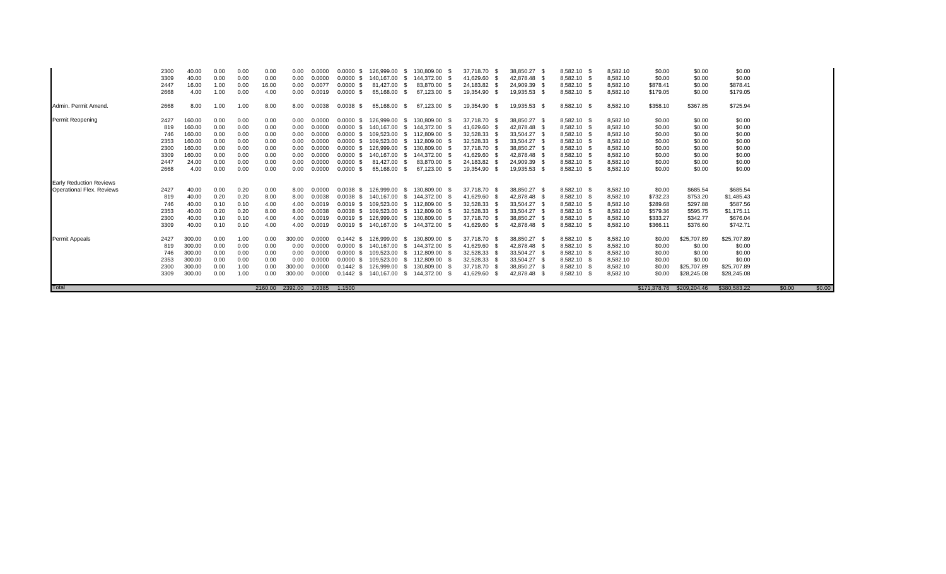| Total                          | 746<br>2353<br>2300<br>3309 | 300.00<br>300.00<br>300.00<br>300.00 | 0.00<br>0.00<br>0.00<br>0.00 | 0.00<br>0.00<br>1.00<br>1.00 | 0.00<br>0.00<br>0.00<br>0.00 | 0.00<br>0.00<br>300.00<br>300.00<br>2392.00 | 0.0000<br>0.0000<br>0.0000<br>0.0000<br>1.0385 | 0.0000 S<br>$0.0000$ \$<br>$0.1442$ \$<br>$0.1442$ \$<br>1.1500 | 109,523.00 \$<br>109,523.00<br>126,999.00<br>140,167.00 \$ | - S<br>- \$  | 112.809.00<br>112,809.00<br>130,809.00<br>144,372.00<br>- \$ | 32,528.33 \$<br>32,528.33<br>37,718.70 \$<br>41,629.60<br>- \$ | 33,504.27<br>33,504.27<br>38,850.27 | 42,878.48 \$                 | 8,582.10 \$<br>8,582.10 \$<br>8,582.10 \$<br>8,582.10 \$ | 8,582.10<br>8,582.10<br>8,582.10<br>8,582.10 | \$0.00<br>\$0.00<br>\$0.00<br>\$0.00 | \$0.00<br>\$0.00<br>\$25,707.89<br>\$28,245.08<br>\$171,378,76 \$209,204,46 | \$0.00<br>\$0.00<br>\$25,707.89<br>\$28,245.08<br>\$380,583,22 | \$0.00<br>\$0.00 |
|--------------------------------|-----------------------------|--------------------------------------|------------------------------|------------------------------|------------------------------|---------------------------------------------|------------------------------------------------|-----------------------------------------------------------------|------------------------------------------------------------|--------------|--------------------------------------------------------------|----------------------------------------------------------------|-------------------------------------|------------------------------|----------------------------------------------------------|----------------------------------------------|--------------------------------------|-----------------------------------------------------------------------------|----------------------------------------------------------------|------------------|
|                                |                             |                                      |                              |                              |                              |                                             |                                                |                                                                 |                                                            |              |                                                              |                                                                |                                     |                              |                                                          |                                              |                                      |                                                                             |                                                                |                  |
|                                |                             |                                      |                              |                              |                              |                                             |                                                |                                                                 |                                                            |              |                                                              |                                                                |                                     |                              |                                                          |                                              |                                      |                                                                             |                                                                |                  |
|                                |                             |                                      |                              |                              |                              |                                             |                                                |                                                                 |                                                            |              |                                                              |                                                                |                                     |                              |                                                          |                                              |                                      |                                                                             |                                                                |                  |
|                                |                             |                                      |                              |                              |                              |                                             |                                                |                                                                 |                                                            |              |                                                              |                                                                |                                     |                              |                                                          |                                              |                                      |                                                                             |                                                                |                  |
|                                |                             |                                      |                              |                              |                              |                                             |                                                |                                                                 |                                                            |              |                                                              |                                                                |                                     |                              |                                                          |                                              |                                      |                                                                             |                                                                |                  |
|                                | 819                         | 300.00                               | 0.00                         | 0.00                         | 0.00                         | 0.00                                        | 0.0000                                         | $0.0000$ \$                                                     | 140.167.00                                                 | - SS         | 144,372.00                                                   | 41,629.60 \$                                                   |                                     | 42,878.48 \$                 | 8,582.10 \$                                              | 8,582.10                                     | \$0.00                               | \$0.00                                                                      | \$0.00                                                         |                  |
| <b>Permit Appeals</b>          | 2427                        | 300.00                               | 0.00                         | 1.00                         | 0.00                         | 300.00                                      | 0.0000                                         | $0.1442$ \$                                                     | 126,999.00                                                 | - S          | 130,809.00<br>- \$                                           | 37,718.70 \$                                                   |                                     | 38,850.27 \$                 | 8,582.10 \$                                              | 8,582.10                                     | \$0.00                               | \$25,707.89                                                                 | \$25,707.89                                                    |                  |
|                                | 3309                        | 40.00                                | 0.10                         | 0.10                         | 4.00                         | 4.00                                        | 0.0019                                         | $0.0019$ \$                                                     | 140.167.00                                                 | - S          | 144.372.00<br>- \$                                           | 41,629.60 \$                                                   |                                     | 42,878.48 \$                 | 8,582.10 \$                                              | 8,582.10                                     | \$366.11                             | \$376.60                                                                    | \$742.71                                                       |                  |
|                                | 2300                        | 40.00                                | 0.10                         | 0.10                         | 4.00                         | 4.00                                        | 0.0019                                         | $0.0019$ \$                                                     | 126.999.00                                                 | -SS          | 130.809.00                                                   | 37,718.70 \$                                                   | 38,850.27                           |                              | 8,582.10 \$                                              | 8,582.10                                     | \$333.27                             | \$342.77                                                                    | \$676.04                                                       |                  |
|                                | 2353                        | 40.00                                | 0.20                         | 0.20                         | 8.00                         | 8.00                                        | 0.0038                                         | $0.0038$ \$                                                     | 109,523.00                                                 | S.           | 112,809.00                                                   | 32,528.33 \$                                                   | 33,504.27                           |                              | 8,582.10 \$                                              | 8,582.10                                     | \$579.36                             | \$595.75                                                                    | \$1,175.11                                                     |                  |
|                                | 746                         | 40.00                                | 0.10                         | 0.10                         | 4.00                         | 4.00                                        | 0.0019                                         | $0.0019$ \$                                                     | 109,523.00                                                 | $^{\circ}$   | 112,809.00                                                   | 32,528.33 \$                                                   | 33,504.27                           |                              | 8,582.10 \$                                              | 8,582.10                                     | \$289.68                             | \$297.88                                                                    | \$587.56                                                       |                  |
|                                | 819                         | 40.00                                | 0.20                         | 0.20                         | 8.00                         | 8.00                                        | 0.0038                                         | $0.0038$ \$                                                     | 140.167.00                                                 | - S          | 144.372.00 \$                                                | 41,629.60 \$                                                   |                                     | 42.878.48 \$                 | 8,582.10 \$                                              | 8,582.10                                     | \$732.23                             | \$753.20                                                                    | \$1,485.43                                                     |                  |
| Operational Flex, Reviews      | 2427                        | 40.00                                | 0.00                         | 0.20                         | 0.00                         | 8.00                                        | 0.0000                                         | 0.0038<br>- 96                                                  | 126.999.00                                                 | - SS         | 130.809.00<br>- \$                                           | 37,718.70 \$                                                   |                                     | 38,850.27 \$                 | 8.582.10 \$                                              | 8,582.10                                     | \$0.00                               | \$685.54                                                                    | \$685.54                                                       |                  |
| <b>Early Reduction Reviews</b> |                             |                                      |                              |                              |                              |                                             |                                                |                                                                 |                                                            |              |                                                              |                                                                |                                     |                              |                                                          |                                              |                                      |                                                                             |                                                                |                  |
|                                |                             |                                      |                              |                              |                              |                                             |                                                |                                                                 |                                                            |              |                                                              |                                                                |                                     |                              |                                                          |                                              |                                      |                                                                             |                                                                |                  |
|                                | 2447<br>2668                | 24.00<br>4.00                        | 0.00<br>0.00                 | 0.00<br>0.00                 | 0.00<br>0.00                 | 0.00                                        | 0.0000<br>0.0000                               | $0.0000$ \$                                                     | 81,427.00<br>65,168.00                                     | - \$<br>- 35 | 83,870.00<br>67,123.00                                       | 24,183.82 \$<br>19,354.90                                      |                                     | 24,909.39 \$<br>19,935.53 \$ | 8,582.10 \$<br>8,582.10 \$                               | 8,582.10<br>8,582.10                         | \$0.00<br>\$0.00                     | \$0.00<br>\$0.00                                                            | \$0.00<br>\$0.00                                               |                  |
|                                | 3309                        | 160.00                               | 0.00                         | 0.00                         | 0.00                         | 0.00<br>0.00                                | 0.0000                                         | $0.0000$ \$<br>$0.0000$ \$                                      | 140.167.00                                                 | - SS         | 144,372.00                                                   | 41,629.60 \$                                                   |                                     | 42,878.48 \$                 | 8,582.10 \$                                              | 8,582.10                                     | \$0.00                               | \$0.00                                                                      | \$0.00                                                         |                  |
|                                | 2300                        | 160.00                               | 0.00                         | 0.00                         | 0.00                         | 0.00                                        | 0.0000                                         | $0.0000$ \$                                                     | 126,999.00                                                 | - \$         | 130.809.00                                                   | 37,718.70 \$                                                   |                                     | 38,850.27 \$                 | 8,582.10 \$                                              | 8,582.10                                     | \$0.00                               | \$0.00                                                                      | \$0.00                                                         |                  |
|                                | 2353                        | 160.00                               | 0.00                         | 0.00                         | 0.00                         | 0.00                                        | 0.0000                                         | $0.0000$ \$                                                     | 109,523.00                                                 | - \$         | 112,809.00                                                   | 32,528.33                                                      | 33,504.27                           |                              | 8,582.10 \$                                              | 8,582.10                                     | \$0.00                               | \$0.00                                                                      | \$0.00                                                         |                  |
|                                | 746                         | 160.00                               | 0.00                         | 0.00                         | 0.00                         | 0.00                                        | 0.0000                                         | $0.0000$ \$                                                     | 109.523.00                                                 | -SS          | 112.809.00                                                   | 32.528.33                                                      | 33.504.27                           |                              | 8.582.10 \$                                              | 8.582.10                                     | \$0.00                               | \$0.00                                                                      | \$0.00                                                         |                  |
|                                | 819                         | 160.00                               | 0.00                         | 0.00                         | 0.00                         | 0.00                                        | 0.0000                                         | $0.0000$ \$                                                     | 140.167.00                                                 | - SS         | 144.372.00                                                   | 41,629.60 \$                                                   |                                     | 42.878.48 \$                 | 8.582.10 \$                                              | 8,582.10                                     | \$0.00                               | \$0.00                                                                      | \$0.00                                                         |                  |
| Permit Reopening               | 2427                        | 160.00                               | 0.00                         | 0.00                         | 0.00                         | 0.00                                        | 0.0000                                         | 0.0000<br>- \$                                                  | 126,999.00                                                 | - \$         | 130,809.00 \$                                                | 37,718.70 \$                                                   |                                     | 38,850.27 \$                 | 8,582.10 \$                                              | 8,582.10                                     | \$0.00                               | \$0.00                                                                      | \$0.00                                                         |                  |
|                                |                             |                                      |                              |                              |                              |                                             |                                                |                                                                 |                                                            |              |                                                              |                                                                |                                     |                              |                                                          |                                              |                                      |                                                                             |                                                                |                  |
| Admin, Permit Amend.           | 2668                        | 8.00                                 | 1.00                         | 1.00                         | 8.00                         | 8.00                                        | 0.0038                                         | $0.0038$ \$                                                     | 65,168.00                                                  | - \$         | 67,123.00<br>- \$                                            | 19,354.90 \$                                                   |                                     | 19,935.53 \$                 | 8,582.10 \$                                              | 8,582.10                                     | \$358.10                             | \$367.85                                                                    | \$725.94                                                       |                  |
|                                | 2668                        | 4.00                                 | 1.00                         | 0.00                         | 4.00                         | 0.00                                        | 0.0019                                         | $0.0000$ \$                                                     | 65,168.00                                                  | P.           | 67,123.00                                                    | 19,354.90 \$                                                   |                                     | 19,935.53 \$                 | 8,582.10 \$                                              | 8,582.10                                     | \$179.05                             | \$0.00                                                                      | \$179.05                                                       |                  |
|                                | 2447                        | 16.00                                | 1.00                         | 0.00                         | 16.00                        | 0.00                                        | 0.0077                                         | $0.0000$ \$                                                     | 81,427.00                                                  |              | 83,870.00                                                    | 24,183.82                                                      | 24,909.39                           |                              | 8,582.10 \$                                              | 8,582.10                                     | \$878.41                             | \$0.00                                                                      | \$878.41                                                       |                  |
|                                | 3309                        | 40.00                                | 0.00                         | 0.00                         | 0.00                         | 0.00                                        | 0.0000                                         | $0.0000$ \$                                                     | 140.167.00                                                 | - SS         | 144.372.00                                                   | 41.629.60                                                      |                                     | 42.878.48 \$                 | 8.582.10 \$                                              | 8,582.10                                     | \$0.00                               | \$0.00                                                                      | \$0.00                                                         |                  |
|                                | 2300                        | 40.00                                | 0.00                         | 0.00                         | 0.00                         | 0.00                                        | 0.0000                                         | $0.0000$ \$                                                     | 126.999.00                                                 | -SS          | 130.809.00                                                   | 37.718.70 \$                                                   | 38.850.27                           |                              | 8,582.10 \$                                              | 8,582.10                                     | \$0.00                               | \$0.00                                                                      | \$0.00                                                         |                  |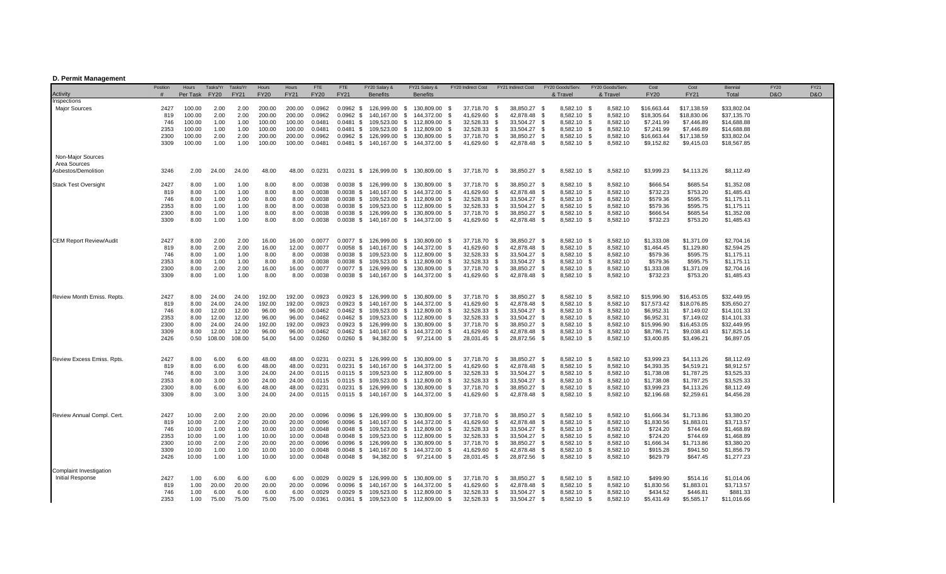## **D. Permit Management**

| Activity                            | Position<br># | Hours<br>Per Task | Tasks/Yr<br><b>FY20</b> | Tasks/Yr<br><b>FY21</b> | Hours<br><b>FY20</b> | Hours<br><b>FY21</b> | <b>FTE</b><br><b>FY20</b> | FTE<br><b>FY21</b>         | FY20 Salary &<br><b>Benefits</b>      |      | FY21 Salary &<br><b>Benefits</b> |              | FY20 Indirect Cost                     | FY21 Indirect Cost     |              | FY20 Goods/Serv.<br>& Travel | FY20 Goods/Serv<br>& Travel | Cost<br><b>FY20</b>    | Cost<br><b>FY21</b>    | Biennial<br>Total        | <b>FY20</b><br>D&O | FY21<br>D&O |  |
|-------------------------------------|---------------|-------------------|-------------------------|-------------------------|----------------------|----------------------|---------------------------|----------------------------|---------------------------------------|------|----------------------------------|--------------|----------------------------------------|------------------------|--------------|------------------------------|-----------------------------|------------------------|------------------------|--------------------------|--------------------|-------------|--|
| Inspections<br><b>Major Sources</b> | 2427          | 100.00            | 2.00                    | 2.00                    | 200.00               | 200.00               | 0.0962                    | $0.0962$ \$                | 126,999.00                            | - \$ | 130,809.00 \$                    |              | 37,718.70 \$                           | 38,850.27 \$           |              | 8,582.10 \$                  | 8,582.10                    | \$16,663.44            | \$17,138.59            | \$33,802.04              |                    |             |  |
|                                     | 819           | 100.00            | 2.00                    | 2.00                    | 200.00               | 200.00               | 0.0962                    | $0.0962$ \$                | 140,167.00                            | \$   | 144,372.00                       | - \$         | 41,629.60<br>- \$                      | 42,878.48              | - \$         | 8,582.10 \$                  | 8,582.10                    | \$18,305.64            | \$18,830.06            | \$37,135.70              |                    |             |  |
|                                     | 746           | 100.00            | 1.00                    | 1.00                    | 100.00               | 100.00               | 0.0481                    | $0.0481$ \$                | 109,523.00                            | - \$ | 112,809.00                       | - \$         | 32,528.33<br>- \$                      | 33,504.27              | - \$         | 8,582.10 \$                  | 8,582.10                    | \$7,241.99             | \$7,446.89             | \$14,688.88              |                    |             |  |
|                                     | 2353          | 100.00            | 1.00                    | 1.00                    | 100.00               | 100.00               | 0.0481                    | 0.0481 \$                  | 109,523.00                            |      | \$112,809.00                     | - \$         | 32,528.33<br>- \$                      | 33,504.27              | - \$         | 8,582.10 \$                  | 8,582.10                    | \$7,241.99             | \$7,446.89             | \$14,688.88              |                    |             |  |
|                                     | 2300          | 100.00            | 2.00                    | 2.00                    | 200.00               | 200.00               | 0.0962                    | $0.0962$ \$                | 126.999.00                            | S.   | 130,809.00                       | - \$         | 37,718.70<br>- \$                      | 38,850.27              | - \$         | 8,582.10 \$                  | 8,582.10                    | \$16,663.44            | \$17,138.59            | \$33,802.04              |                    |             |  |
|                                     | 3309          | 100.00            | 1.00                    | 1.00                    | 100.00               | 100.00               | 0.0481                    |                            | 0.0481 \$ 140.167.00 \$ 144.372.00 \$ |      |                                  |              | 41,629.60 \$                           | 42,878.48 \$           |              | 8,582.10 \$                  | 8,582.10                    | \$9,152.82             | \$9,415.03             | \$18,567.85              |                    |             |  |
| Non-Major Sources                   |               |                   |                         |                         |                      |                      |                           |                            |                                       |      |                                  |              |                                        |                        |              |                              |                             |                        |                        |                          |                    |             |  |
| Area Sources<br>Asbestos/Demolition | 3246          | 2.00              | 24.00                   | 24.00                   | 48.00                | 48.00                | 0.0231                    | $0.0231$ \$                |                                       |      | 126,999.00 \$ 130,809.00 \$      |              | 37,718.70 \$                           | 38,850.27 \$           |              | 8,582.10 \$                  | 8,582.10                    | \$3,999.23             | \$4,113.26             | \$8,112.49               |                    |             |  |
| <b>Stack Test Oversight</b>         | 2427          | 8.00              | 1.00                    | 1.00                    | 8.00                 | 8.00                 | 0.0038                    |                            | 0.0038 \$ 126,999.00                  |      | \$ 130,809,00 \$                 |              | 37,718.70 \$                           | 38,850.27              | - \$         | 8,582.10 \$                  | 8,582.10                    | \$666.54               | \$685.54               | \$1,352.08               |                    |             |  |
|                                     | 819           | 8.00              | 1.00                    | 1.00                    | 8.00                 | 8.00                 | 0.0038                    | $0.0038$ \$                | 140,167.00                            | \$   | 144,372.00                       | - \$         | 41,629.60<br>- \$                      | 42,878.48              | - \$         | 8,582.10 \$                  | 8,582.10                    | \$732.23               | \$753.20               | \$1,485.43               |                    |             |  |
|                                     | 746           | 8.00              | 1.00                    | 1.00                    | 8.00                 | 8.00                 | 0.0038                    |                            | 0.0038 \$ 109,523.00                  |      | \$112,809.00                     | - \$         | 32,528.33<br>- \$                      | 33,504.27              | - \$         | 8,582.10 \$                  | 8,582.10                    | \$579.36               | \$595.75               | \$1,175.11               |                    |             |  |
|                                     | 2353          | 8.00              | 1.00                    | 1.00                    | 8.00                 | 8.00                 | 0.0038                    |                            | 0.0038 \$ 109,523.00                  |      | \$ 112,809.00 \$                 |              | 32,528.33<br>- \$                      | 33,504.27              | - \$         | 8,582.10 \$                  | 8,582.10                    | \$579.36               | \$595.75               | \$1,175.11               |                    |             |  |
|                                     | 2300          | 8.00              | 1.00                    | 1.00                    | 8.00                 | 8.00                 | 0.0038                    |                            | 0.0038 \$ 126,999.00                  |      | \$ 130,809.00                    | \$           | 37,718.70<br>- \$                      | 38,850.27              | - \$         | 8,582.10 \$                  | 8,582.10                    | \$666.54               | \$685.54               | \$1,352.08               |                    |             |  |
|                                     | 3309          | 8.00              | 1.00                    | 1.00                    | 8.00                 | 8.00                 | 0.0038                    |                            | 0.0038 \$ 140,167.00 \$ 144,372.00 \$ |      |                                  |              | 41,629.60<br>- \$                      | 42,878.48              | - \$         | 8,582.10 \$                  | 8,582.10                    | \$732.23               | \$753.20               | \$1,485.43               |                    |             |  |
|                                     |               |                   |                         |                         |                      |                      |                           |                            |                                       |      |                                  |              |                                        |                        |              |                              |                             |                        |                        |                          |                    |             |  |
| <b>CEM Report Review/Audit</b>      | 2427          | 8.00              | 2.00                    | 2.00                    | 16.00                | 16.00                | 0.0077                    | $0.0077$ \$                | 126,999.00                            | - \$ | 130,809.00                       | - \$         | 37,718.70<br>- \$                      | 38,850.27              | - \$         | 8,582.10 \$                  | 8,582.10                    | \$1,333.08             | \$1,371.09             | \$2,704.16               |                    |             |  |
|                                     | 819           | 8.00              | 2.00                    | 2.00                    | 16.00                | 12.00                | 0.0077                    | $0.0058$ \$                | 140,167.00                            | \$   | 144,372.00                       | - \$         | 41,629.60<br>- \$                      | 42,878.48              | - \$         | 8,582.10 \$                  | 8,582.10                    | \$1,464.45             | \$1,129.80             | \$2,594.25               |                    |             |  |
|                                     | 746<br>2353   | 8.00<br>8.00      | 1.00<br>1.00            | 1.00<br>1.00            | 8.00<br>8.00         | 8.00<br>8.00         | 0.0038<br>0.0038          | $0.0038$ \$                | 109,523.00<br>0.0038 \$ 109,523.00    |      | \$112,809.00<br>\$112,809.00     | - \$<br>- \$ | 32,528.33<br>- \$<br>32,528.33<br>- \$ | 33,504.27<br>33,504.27 | - \$<br>- \$ | 8,582.10 \$<br>8,582.10 \$   | 8,582.10<br>8,582.10        | \$579.36<br>\$579.36   | \$595.75<br>\$595.75   | \$1,175.11<br>\$1,175.11 |                    |             |  |
|                                     | 2300          | 8.00              | 2.00                    | 2.00                    | 16.00                | 16.00                | 0.0077                    |                            | 0.0077 \$ 126,999.00                  |      | \$130,809.00                     | \$           | 37,718.70<br>- \$                      | 38,850.27              | - \$         | 8,582.10 \$                  | 8,582.10                    | \$1,333.08             | \$1,371.09             | \$2,704.16               |                    |             |  |
|                                     | 3309          | 8.00              | 1.00                    | 1.00                    | 8.00                 | 8.00                 | 0.0038                    |                            | 0.0038 \$ 140,167.00 \$ 144,372.00 \$ |      |                                  |              | 41,629.60<br>- \$                      | 42,878.48 \$           |              | 8,582.10 \$                  | 8,582.10                    | \$732.23               | \$753.20               | \$1,485.43               |                    |             |  |
|                                     |               |                   |                         |                         |                      |                      |                           |                            |                                       |      |                                  |              |                                        |                        |              |                              |                             |                        |                        |                          |                    |             |  |
| Review Month Emiss. Repts.          | 2427          | 8.00              | 24.00                   | 24.00                   | 192.00               | 192.00               | 0.0923                    |                            | 0.0923 \$ 126,999.00                  | - \$ | 130,809.00                       | - \$         | 37,718.70 \$                           | 38,850.27 \$           |              | 8,582.10 \$                  | 8,582.10                    | \$15,996.90            | \$16,453.05            | \$32,449.95              |                    |             |  |
|                                     | 819           | 8.00              | 24.00                   | 24.00                   | 192.00               | 192.00               | 0.0923                    | $0.0923$ \$                | 140,167.00                            | \$   | 144,372.00                       | - \$         | 41,629.60<br>- \$                      | 42,878.48              | - \$         | 8,582.10 \$                  | 8,582.10                    | \$17,573.42            | \$18,076.85            | \$35,650.27              |                    |             |  |
|                                     | 746           | 8.00              | 12.00                   | 12.00                   | 96.00                | 96.00                | 0.0462                    | $0.0462$ \$                | 109.523.00                            | S.   | 112,809.00                       | - \$         | 32,528.33<br>- \$                      | 33,504.27              | - \$         | 8,582.10 \$                  | 8,582.10                    | \$6,952.31             | \$7,149.02             | \$14,101.33              |                    |             |  |
|                                     | 2353          | 8.00              | 12.00                   | 12.00                   | 96.00                | 96.00                | 0.0462                    | $0.0462$ \$                | 109,523.00                            |      | \$112,809.00                     | - \$         | 32,528.33<br>- \$                      | 33,504.27 \$           |              | 8,582.10 \$                  | 8,582.10                    | \$6,952.31             | \$7,149.02             | \$14,101.33              |                    |             |  |
|                                     | 2300          | 8.00              | 24.00                   | 24.00                   | 192.00               | 192.00               | 0.0923                    |                            | 0.0923 \$ 126,999.00                  | - \$ | 130,809.00                       | - \$         | 37,718.70<br>- \$                      | 38,850.27 \$           |              | 8,582.10 \$                  | 8,582.10                    | \$15,996.90            | \$16,453.05            | \$32,449.95              |                    |             |  |
|                                     | 3309          | 8.00              | 12.00                   | 12.00                   | 96.00                | 96.00                | 0.0462                    |                            | 0.0462 \$ 140,167.00                  |      | \$ 144,372.00                    | - \$         | 41,629.60<br>- \$                      | 42,878.48              | - \$         | 8,582.10 \$                  | 8,582.10                    | \$8,786.71             | \$9,038.43             | \$17,825.14              |                    |             |  |
|                                     | 2426          | 0.50              | 108.00                  | 108.00                  | 54.00                | 54.00                | 0.0260                    | $0.0260$ \$                | 94,382.00                             | - \$ | 97,214.00                        | - \$         | 28,031.45<br>- \$                      | 28,872.56              | - \$         | 8,582.10 \$                  | 8,582.10                    | \$3,400.85             | \$3,496.21             | \$6,897.05               |                    |             |  |
| Review Excess Emiss. Rpts.          | 2427          | 8.00              | 6.00                    | 6.00                    | 48.00                | 48.00                | 0.0231                    |                            | 0.0231 \$ 126,999.00 \$ 130,809.00 \$ |      |                                  |              | 37,718.70 \$                           | 38,850.27 \$           |              | 8,582.10 \$                  | 8,582.10                    | \$3,999.23             | \$4,113.26             | \$8,112.49               |                    |             |  |
|                                     | 819           | 8.00              | 6.00                    | 6.00                    | 48.00                | 48.00                | 0.0231                    | $0.0231$ \$                | 140,167.00                            | \$   | 144,372.00                       | - \$         | 41,629.60<br>- \$                      | 42,878.48              | - \$         | 8,582.10 \$                  | 8,582.10                    | \$4,393.35             | \$4,519.21             | \$8,912.57               |                    |             |  |
|                                     | 746           | 8.00              | 3.00                    | 3.00                    | 24.00                | 24.00                | 0.0115                    |                            | 0.0115 \$ 109,523.00                  |      | \$112,809.00                     | - \$         | 32,528.33<br>- \$                      | 33,504.27              | - \$         | 8,582.10 \$                  | 8,582.10                    | \$1,738.08             | \$1,787.25             | \$3,525.33               |                    |             |  |
|                                     | 2353          | 8.00              | 3.00                    | 3.00                    | 24.00                | 24.00                | 0.0115                    |                            | 0.0115 \$ 109,523.00                  |      | \$ 112,809.00 \$                 |              | 32,528.33<br>- \$                      | 33,504.27 \$           |              | 8,582.10 \$                  | 8,582.10                    | \$1,738.08             | \$1,787.25             | \$3,525.33               |                    |             |  |
|                                     | 2300          | 8.00              | 6.00                    | 6.00                    | 48.00                | 48.00                | 0.0231                    |                            | 0.0231 \$ 126,999.00 \$ 130,809.00 \$ |      |                                  |              | 37,718.70<br>- \$                      | 38,850.27              | - \$         | 8,582.10 \$                  | 8,582.10                    | \$3,999.23             | \$4,113.26             | \$8,112.49               |                    |             |  |
|                                     | 3309          | 8.00              | 3.00                    | 3.00                    | 24.00                | 24.00                | 0.0115                    |                            | 0.0115 \$ 140,167.00 \$ 144,372.00    |      |                                  | - \$         | 41,629.60<br>- \$                      | 42,878.48              | - \$         | 8,582.10 \$                  | 8,582.10                    | \$2,196.68             | \$2,259.61             | \$4,456.28               |                    |             |  |
|                                     |               |                   |                         |                         |                      |                      |                           |                            |                                       |      |                                  |              |                                        |                        |              |                              |                             |                        |                        |                          |                    |             |  |
| Review Annual Compl. Cert           | 2427          | 10.00             | 2.00                    | 2.00                    | 20.00                | 20.00                | 0.0096                    | $0.0096$ \$                | 126,999.00                            |      | \$ 130,809.00 \$                 |              | 37,718.70 \$                           | 38,850.27 \$           |              | 8,582.10 \$                  | 8,582.10                    | \$1,666.34             | \$1,713.86             | \$3,380.20               |                    |             |  |
|                                     | 819           | 10.00             | 2.00                    | 2.00                    | 20.00                | 20.00                | 0.0096                    | $0.0096$ \$                | 140,167.00                            | \$   | 144,372.00                       | - \$         | 41,629.60<br>- \$                      | 42,878.48              | - \$         | 8,582.10 \$                  | 8,582.10                    | \$1,830.56             | \$1,883.01             | \$3,713.57               |                    |             |  |
|                                     | 746           | 10.00             | 1.00                    | 1.00                    | 10.00                | 10.00                | 0.0048                    | $0.0048$ \$                | 109,523.00                            |      | \$112,809.00                     | - \$         | 32,528.33<br>- \$                      | 33,504.27              | - \$         | 8,582.10 \$                  | 8,582.10                    | \$724.20               | \$744.69               | \$1,468.89               |                    |             |  |
|                                     | 2353          | 10.00             | 1.00                    | 1.00                    | 10.00                | 10.00                | 0.0048                    | $0.0048$ \$                | 109,523.00                            |      | \$ 112,809.00 \$<br>\$130,809.00 |              | 32,528.33<br>- \$                      | 33,504.27 \$           |              | 8,582.10 \$                  | 8,582.10                    | \$724.20               | \$744.69               | \$1,468.89               |                    |             |  |
|                                     | 2300<br>3309  | 10.00<br>10.00    | 2.00<br>1.00            | 2.00<br>1.00            | 20.00<br>10.00       | 20.00<br>10.00       | 0.0096<br>0.0048          | $0.0096$ \$<br>$0.0048$ \$ | 126,999.00<br>140,167.00              |      | \$144,372.00                     | \$<br>- \$   | 37,718.70<br>- \$<br>41,629.60<br>- \$ | 38,850.27<br>42,878.48 | - \$<br>- \$ | 8,582.10 \$<br>8,582.10 \$   | 8,582.10<br>8,582.10        | \$1,666.34<br>\$915.28 | \$1,713.86<br>\$941.50 | \$3,380.20<br>\$1,856.79 |                    |             |  |
|                                     | 2426          | 10.00             | 1.00                    | 1.00                    | 10.00                | 10.00                | 0.0048                    | $0.0048$ \$                | 94,382.00 \$                          |      | 97,214.00                        | - \$         | 28,031.45<br>- \$                      | 28,872.56              | - \$         | 8,582.10 \$                  | 8,582.10                    | \$629.79               | \$647.45               | \$1,277.23               |                    |             |  |
| Complaint Investigation             |               |                   |                         |                         |                      |                      |                           |                            |                                       |      |                                  |              |                                        |                        |              |                              |                             |                        |                        |                          |                    |             |  |
| <b>Initial Response</b>             | 2427          | 1.00              | 6.00                    | 6.00                    | 6.00                 | 6.00                 | 0.0029                    |                            | 0.0029 \$ 126,999.00                  |      | \$ 130,809,00 \$                 |              | 37,718.70<br>- \$                      | 38,850.27 \$           |              | 8,582.10 \$                  | 8,582.10                    | \$499.90               | \$514.16               | \$1,014.06               |                    |             |  |
|                                     | 819           | 1.00              | 20.00                   | 20.00                   | 20.00                | 20.00                | 0.0096                    | $0.0096$ \$                | 140,167.00                            | - \$ | 144,372.00                       | - \$         | 41,629.60<br>- \$                      | 42,878.48              | - \$         | 8,582.10 \$                  | 8,582.10                    | \$1,830.56             | \$1,883.01             | \$3,713.57               |                    |             |  |
|                                     | 746           | 1.00              | 6.00                    | 6.00                    | 6.00                 | 6.00                 | 0.0029                    |                            | 0.0029 \$ 109,523.00 \$ 112,809.00    |      |                                  | - \$         | 32,528.33<br>- \$                      | 33,504.27 \$           |              | 8,582.10 \$                  | 8,582.10                    | \$434.52               | \$446.81               | \$881.33                 |                    |             |  |
|                                     | 2353          | 1.00              | 75.00                   | 75.00                   | 75.00                | 75.00                | 0.0361                    |                            | 0.0361 \$ 109,523.00 \$ 112,809.00    |      |                                  | - \$         | 32,528.33<br>- \$                      | 33,504.27              | - \$         | 8,582.10 \$                  | 8,582.10                    | \$5,431.49             | \$5,585.17             | \$11.016.66              |                    |             |  |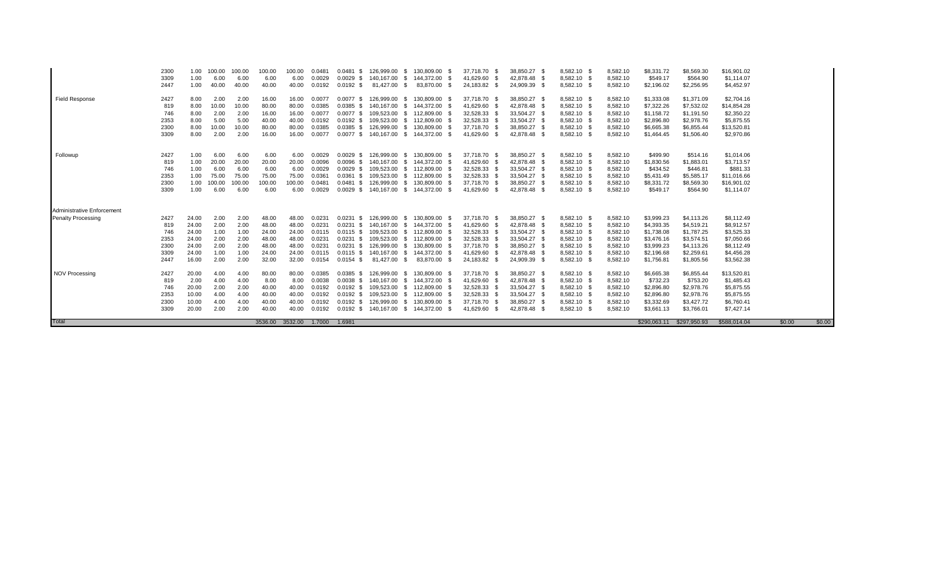| Total                      |             |               |               |               | 3536.00        | 3532.00        | 1.7000             | 1.6981                     |                                  |                          |                              |                              |                            |                      | \$290.063.11             | \$297,950.93             | \$588.014.04              | \$0.00<br>\$0.00 |
|----------------------------|-------------|---------------|---------------|---------------|----------------|----------------|--------------------|----------------------------|----------------------------------|--------------------------|------------------------------|------------------------------|----------------------------|----------------------|--------------------------|--------------------------|---------------------------|------------------|
|                            |             |               |               |               |                |                |                    |                            |                                  |                          |                              |                              |                            |                      |                          |                          |                           |                  |
|                            | 3309        | 20.00         | 2.00          | 2.00          | 40.00          | 40.00          | 0.0192             |                            | 0.0192 \$ 140,167.00<br>-S       | 144,372.00               | 41,629.60 \$                 | 42,878.48 \$                 | 8,582.10 \$                | 8,582.10             | \$3,661.13               | \$3,766.01               | \$7,427.14                |                  |
|                            | 2300        | 10.00         | 4.00          | 4.00          | 40.00          | 40.00          | 0.0192             | $0.0192$ \$                | 126,999.00                       | 130,809.00               | 37,718.70 \$                 | 38,850.27 \$                 | 8,582.10 \$                | 8,582.10             | \$3,332.69               | \$3,427.72               | \$6,760.41                |                  |
|                            | 2353        | 10.00         | 4.00          | 4.00          | 40.00          | 40.00          | 0.0192             | $0.0192$ \$                | 109.523.00                       | 112.809.00               | 32,528.33 \$                 | 33,504.27 \$                 | 8,582.10 \$                | 8,582.10             | \$2,896.80               | \$2,978.76               | \$5,875.55                |                  |
|                            | 746         | 20.00         | 2.00          | 2.00          | 40.00          | 40.00          | 0.0192             | $0.0192$ \$                | 109,523.00                       | 112,809.00               | 32,528.33 \$                 | 33,504.27 \$                 | 8,582.10 \$                | 8,582.10             | \$2,896.80               | \$2,978.76               | \$5,875.55                |                  |
|                            | 2427<br>819 | 20.00<br>2.00 | 4.00<br>4.00  | 4.00<br>4.00  | 80.00<br>8.00  | 80.00<br>8.00  | 0.0385<br>0.0038   | $0.0385$ \$<br>$0.0038$ \$ | 126,999.00<br>140.167.00<br>- 96 | 130,809.00<br>144.372.00 | 37,718.70 \$<br>41,629.60 \$ | 38,850.27 \$<br>42.878.48 \$ | 8,582.10 \$<br>8.582.10 \$ | 8,582.10<br>8,582.10 | \$6,665.38<br>\$732.23   | \$6,855.44<br>\$753.20   | \$13,520.81<br>\$1,485.43 |                  |
| <b>NOV Processing</b>      |             |               |               |               |                |                |                    |                            |                                  |                          |                              |                              |                            |                      |                          |                          |                           |                  |
|                            | 2447        | 16.00         | 2.00          | 2.00          | 32.00          | 32.00          | 0.0154             | $0.0154$ \$                | 81,427.00<br>-SS                 | 83,870.00                | 24,183.82 \$                 | 24,909.39 \$                 | 8,582.10 \$                | 8,582.10             | \$1,756.81               | \$1,805.56               | \$3,562.38                |                  |
|                            | 3309        | 24.00         | 1.00          | 1.00          | 24.00          | 24.00          | 0.0115             | $0.0115$ \$                | 140.167.00                       | 144,372.00               | 41,629.60 \$                 | 42.878.48 \$                 | 8,582.10 \$                | 8,582.10             | \$2,196.68               | \$2,259.61               | \$4,456.28                |                  |
|                            | 2300        | 24.00         | 2.00          | 2.00          | 48.00          | 48.00          | 0.0231             | $0.0231$ \$                | 126.999.00                       | 130.809.00               | 37,718.70 \$                 | 38.850.27 \$                 | 8,582.10 \$                | 8,582.10             | \$3,999.23               | \$4,113.26               | \$8,112.49                |                  |
|                            | 2353        | 24.00         | 2.00          | 2.00          | 48.00          | 48.00          | 0.0231             | $0.0231$ \$                | 109,523.00                       | 112,809.00               | 32,528.33 \$                 | 33,504.27 \$                 | 8,582.10 \$                | 8,582.10             | \$3,476.16               | \$3,574.51               | \$7,050.66                |                  |
|                            | 746         | 24.00         | 1.00          | 1.00          | 24.00          | 24.00          | 0.0115             | $0.0115$ \$                | 109.523.00                       | 112,809.00               | 32,528.33 \$                 | 33.504.27 \$                 | 8,582.10 \$                | 8,582.10             | \$1,738.08               | \$1,787.25               | \$3,525.33                |                  |
|                            | 819         | 24.00         | 2.00          | 2.00          | 48.00          | 48.00          | 0.0231             | $0.0231$ \$                | 140.167.00                       | 144.372.00               | 41,629.60 \$                 | 42.878.48 \$                 | 8.582.10 \$                | 8,582.10             | \$4,393.35               | \$4,519.21               | \$8,912.57                |                  |
| <b>Penalty Processing</b>  | 2427        | 24.00         | 2.00          | 2.00          | 48.00          | 48.00          | 0.0231             | $0.0231$ \$                | 126.999.00                       | 130.809.00               | 37.718.70 \$                 | 38.850.27 \$                 | 8.582.10 \$                | 8.582.10             | \$3,999.23               | \$4,113,26               | \$8,112.49                |                  |
| Administrative Enforcement |             |               |               |               |                |                |                    |                            |                                  |                          |                              |                              |                            |                      |                          |                          |                           |                  |
|                            |             |               |               |               |                |                |                    |                            |                                  |                          |                              |                              |                            |                      |                          |                          |                           |                  |
|                            | 3309        | 1.00          | 6.00          | 6.00          | 6.00           | 6.00           | 0.0029             | $0.0029$ \$                | 140,167.00<br>-SS                | 144,372.00               | 41,629.60 \$                 | 42,878.48 \$                 | 8,582.10 \$                | 8,582.10             | \$549.17                 | \$564.90                 | \$1,114.07                |                  |
|                            | 2300        | 1.00          | 00.00         | 00.00         | 100.00         | 100.00         | 0.0481             | $0.0481$ \$                | 126.999.00                       | 130.809.00               | 37.718.70 \$                 | 38,850.27 \$                 | 8,582.10 \$                | 8,582.10             | \$8,331.72               | \$8,569.30               | \$16,901.02               |                  |
|                            | 2353        | 1.00          | 75.00         | 75.00         | 75.00          | 75.00          | 0.0361             | $0.0361$ \$                | 109.523.00                       | 112,809.00               | 32,528.33 \$                 | 33,504.27 \$                 | 8,582.10 \$                | 8,582.10             | \$5,431.49               | \$5,585.17               | \$11,016.66               |                  |
|                            | 746         | 1.00          | 6.00          | 6.00          | 6.00           | 6.00           | 0.0029             | $0.0029$ \$                | 109,523.00                       | 112,809.00               | 32,528.33 \$                 | 33,504.27 \$                 | 8,582.10 \$                | 8,582.10             | \$434.52                 | \$446.81                 | \$881.33                  |                  |
|                            | 819         | 1.00          | 20.00         | 20.00         | 20.00          | 20.00          | 0.0096             | $0.0096$ \$                | 140,167.00                       | 144,372.00               | 41,629.60 \$                 | 42,878.48 \$                 | 8,582.10 \$                | 8,582.10             | \$1,830.56               | \$1,883.01               | \$3,713.57                |                  |
| Followup                   | 2427        | 1.00          | 6.00          | 6.00          | 6.00           | 6.00           | 0.0029             | $0.0029$ \$                | 126.999.00                       | 130,809.00               | 37,718.70 \$                 | 38,850.27 \$                 | 8,582.10 \$                | 8,582.10             | \$499.90                 | \$514.16                 | \$1,014.06                |                  |
|                            |             |               |               |               |                |                |                    |                            |                                  |                          |                              |                              |                            |                      |                          |                          |                           |                  |
|                            | 3309        | 8.00          | 2.00          | 2.00          | 16.00          | 16.00          | 0.0077             |                            | 0.0077 \$ 140,167.00<br>-SS      | 144,372.00               | 41,629.60 \$                 | 42,878.48 \$                 | 8,582.10 \$                | 8,582.10             | \$1,464.45               | \$1,506.40               | \$2,970.86                |                  |
|                            | 2300        | 8.00          | 10.00         | 10.00         | 80.00          | 80.00          | 0.0385             | $0.0385$ \$                | 126,999.00                       | 130,809.00               | 37,718.70 \$                 | 38,850.27 \$                 | 8,582.10 \$                | 8,582.10             | \$6,665.38               | \$6,855.44               | \$13,520.81               |                  |
|                            | 2353        | 8.00          | 5.00          | 5.00          | 40.00          | 40.00          | 0.0192             | $0.0192$ \$                | 109,523.00                       | 112,809.00               | 32,528.33 \$                 | 33,504.27 \$                 | 8,582.10 \$                | 8,582.10             | \$2,896.80               | \$2,978.76               | \$5,875.55                |                  |
|                            | 819<br>746  | 8.00<br>8.00  | 10.00<br>2.00 | 10.00<br>2.00 | 80.00<br>16.00 | 80.00<br>16.00 | 0.0385<br>0.0077   | $0.0385$ \$<br>$0.0077$ \$ | 140.167.00<br>-SS<br>109,523.00  | 144,372.00<br>112,809.00 | 41,629.60 \$<br>32,528.33 \$ | 42,878.48 \$<br>33,504.27 \$ | 8,582.10 \$<br>8,582.10 \$ | 8,582.10<br>8,582.10 | \$7,322.26<br>\$1,158.72 | \$7,532.02<br>\$1,191.50 | \$14,854.28<br>\$2,350.22 |                  |
| <b>Field Response</b>      | 2427        | 8.00          | 2.00          | 2.00          | 16.00          | 16.00          | 0.0077             | $0.0077$ \$                | 126,999.00<br>-SS                | 130,809.00               | 37,718.70 \$                 | 38,850.27 \$                 | 8,582.10 \$                | 8,582.10             | \$1,333.08               | \$1,371.09               | \$2,704.16                |                  |
|                            |             |               |               |               |                |                |                    |                            |                                  |                          |                              |                              |                            |                      |                          |                          |                           |                  |
|                            | 2447        | 1.00          | 40.00         | 40.00         | 40.00          | 40.00          | 0.0192             | $0.0192$ \$                | 81,427.00<br>-S                  | 83,870.00                | 24,183.82 \$                 | 24,909.39 \$                 | 8,582.10 \$                | 8,582.10             | \$2,196.02               | \$2,256.95               | \$4,452.97                |                  |
|                            | 3309        | 1.00          | 6.00          | 6.00          | 6.00           | 6.00           | 0.0029             | $0.0029$ \$                | 140.167.00                       | 144.372.00               | 41,629.60 \$                 | 42.878.48 \$                 | 8,582.10 \$                | 8,582.10             | \$549.17                 | \$564.90                 | \$1,114.07                |                  |
|                            | 2300        | 1.00          | 100.00        | 100.00        | 100.00         | 100.00         | 0.048 <sup>2</sup> | 0.0481<br>- \$             | 126.999.00                       | 130.809.00               | 37,718.70 \$                 | 38,850.27                    | 8,582.10 \$                | 8,582.10             | \$8,331.72               | \$8,569.30               | \$16,901.02               |                  |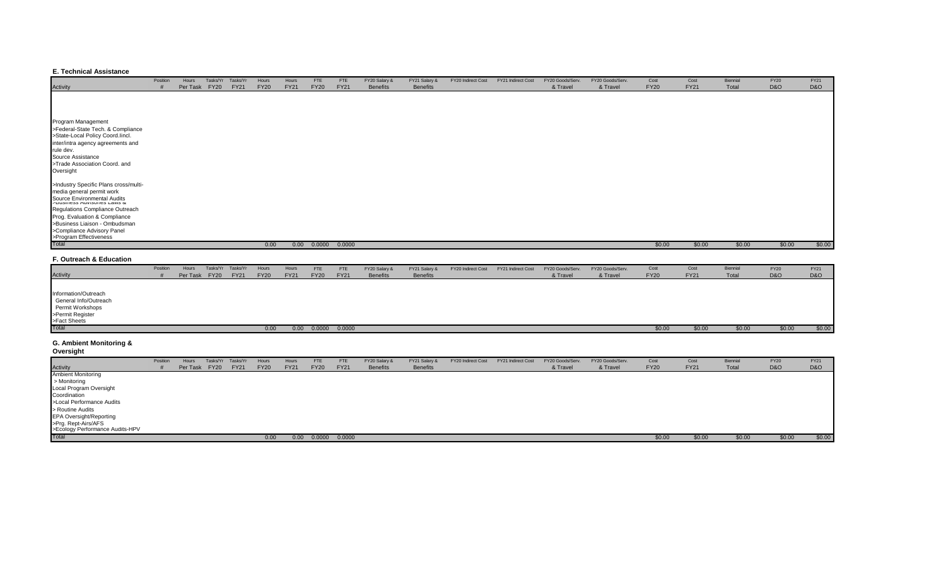#### **E. Technical Assistance**

|                                                                       | Position | Hours    |             | Tasks/Yr Tasks/Yr | Hours       | Hours       | <b>FTE</b>  | <b>FTE</b>  | FY20 Salary &   | FY21 Salary &   | FY20 Indirect Cost | FY21 Indirect Cost | FY20 Goods/Serv. | FY20 Goods/Serv. | Cost        | Cost        | Biennial | <b>FY20</b>    | <b>FY21</b> |
|-----------------------------------------------------------------------|----------|----------|-------------|-------------------|-------------|-------------|-------------|-------------|-----------------|-----------------|--------------------|--------------------|------------------|------------------|-------------|-------------|----------|----------------|-------------|
| Activity                                                              |          | Per Task | <b>FY20</b> | <b>FY21</b>       | <b>FY20</b> | <b>FY21</b> | <b>FY20</b> | <b>FY21</b> | <b>Benefits</b> | <b>Benefits</b> |                    |                    | & Travel         | & Travel         | <b>FY20</b> | <b>FY21</b> | Total    | <b>D&amp;O</b> | D&O         |
|                                                                       |          |          |             |                   |             |             |             |             |                 |                 |                    |                    |                  |                  |             |             |          |                |             |
|                                                                       |          |          |             |                   |             |             |             |             |                 |                 |                    |                    |                  |                  |             |             |          |                |             |
|                                                                       |          |          |             |                   |             |             |             |             |                 |                 |                    |                    |                  |                  |             |             |          |                |             |
| Program Management                                                    |          |          |             |                   |             |             |             |             |                 |                 |                    |                    |                  |                  |             |             |          |                |             |
| >Federal-State Tech. & Compliance                                     |          |          |             |                   |             |             |             |             |                 |                 |                    |                    |                  |                  |             |             |          |                |             |
| >State-Local Policy Coord.lincl.                                      |          |          |             |                   |             |             |             |             |                 |                 |                    |                    |                  |                  |             |             |          |                |             |
| inter/intra agency agreements and                                     |          |          |             |                   |             |             |             |             |                 |                 |                    |                    |                  |                  |             |             |          |                |             |
| rule dev.                                                             |          |          |             |                   |             |             |             |             |                 |                 |                    |                    |                  |                  |             |             |          |                |             |
| Source Assistance                                                     |          |          |             |                   |             |             |             |             |                 |                 |                    |                    |                  |                  |             |             |          |                |             |
| >Trade Association Coord. and                                         |          |          |             |                   |             |             |             |             |                 |                 |                    |                    |                  |                  |             |             |          |                |             |
| Oversight                                                             |          |          |             |                   |             |             |             |             |                 |                 |                    |                    |                  |                  |             |             |          |                |             |
| >Industry Specific Plans cross/multi-                                 |          |          |             |                   |             |             |             |             |                 |                 |                    |                    |                  |                  |             |             |          |                |             |
| media general permit work                                             |          |          |             |                   |             |             |             |             |                 |                 |                    |                    |                  |                  |             |             |          |                |             |
| Source Environmental Audits<br><b>PDUSITIESS AUVISURES LAWS &amp;</b> |          |          |             |                   |             |             |             |             |                 |                 |                    |                    |                  |                  |             |             |          |                |             |
| Regulations Compliance Outreach                                       |          |          |             |                   |             |             |             |             |                 |                 |                    |                    |                  |                  |             |             |          |                |             |
| Prog. Evaluation & Compliance                                         |          |          |             |                   |             |             |             |             |                 |                 |                    |                    |                  |                  |             |             |          |                |             |
| >Business Liaison - Ombudsman                                         |          |          |             |                   |             |             |             |             |                 |                 |                    |                    |                  |                  |             |             |          |                |             |
| >Compliance Advisory Panel                                            |          |          |             |                   |             |             |             |             |                 |                 |                    |                    |                  |                  |             |             |          |                |             |
| >Program Effectiveness                                                |          |          |             |                   |             |             |             |             |                 |                 |                    |                    |                  |                  |             |             |          |                |             |
| Total                                                                 |          |          |             |                   | 0.00        |             | 0.00 0.0000 | 0.0000      |                 |                 |                    |                    |                  |                  | \$0.00      | \$0.00      | \$0.00   | \$0.00         | \$0.00      |
|                                                                       |          |          |             |                   |             |             |             |             |                 |                 |                    |                    |                  |                  |             |             |          |                |             |

### **F. Outreach & Education**

|                                                                                                       | Position | Hours         | Tasks/Yr Tasks/Yr | Hours       | Hours       | <b>FTE</b>  | <b>FTE</b>  | FY20 Salary &   | FY21 Salary &   | FY20 Indirect Cost | FY21 Indirect Cost | FY20 Goods/Serv. | FY20 Goods/Serv. | Cost        | Cost        | Biennial | <b>FY20</b>    | <b>FY21</b> |
|-------------------------------------------------------------------------------------------------------|----------|---------------|-------------------|-------------|-------------|-------------|-------------|-----------------|-----------------|--------------------|--------------------|------------------|------------------|-------------|-------------|----------|----------------|-------------|
| Activity                                                                                              |          | Per Task FY20 | <b>FY21</b>       | <b>FY20</b> | <b>FY21</b> | <b>FY20</b> | <b>FY21</b> | <b>Benefits</b> | <b>Benefits</b> |                    |                    | & Travel         | & Travel         | <b>FY20</b> | <b>FY21</b> | Total    | <b>D&amp;O</b> | D&O         |
| Information/Outreach<br>General Info/Outreach<br>Permit Workshops<br>>Permit Register<br>>Fact Sheets |          |               |                   |             |             |             |             |                 |                 |                    |                    |                  |                  |             |             |          |                |             |
| Total                                                                                                 |          |               |                   | 0.00        | 0.00        | 0.0000      | 0.0000      |                 |                 |                    |                    |                  |                  | \$0.00      | \$0.00      | \$0.00   | \$0.00         | \$0.00      |

#### **G. Ambient Monitoring & Oversight**

| <b>Overalgin</b>                                       |          |               |          |             |             |             |             |             |                 |                 |                    |                    |                  |                  |             |             |          |                |        |
|--------------------------------------------------------|----------|---------------|----------|-------------|-------------|-------------|-------------|-------------|-----------------|-----------------|--------------------|--------------------|------------------|------------------|-------------|-------------|----------|----------------|--------|
|                                                        | Position | Hours         | Tasks/Yr | Tasks/Yr    | Hours       | Hours       | <b>FTE</b>  | FTE         | FY20 Salary &   | FY21 Salary &   | FY20 Indirect Cost | FY21 Indirect Cost | FY20 Goods/Serv. | FY20 Goods/Serv. | Cost        | Cost        | Biennial | <b>FY20</b>    | FY21   |
| <b>Activity</b>                                        |          | Per Task FY20 |          | <b>FY21</b> | <b>FY20</b> | <b>FY21</b> | <b>FY20</b> | <b>FY21</b> | <b>Benefits</b> | <b>Benefits</b> |                    |                    | & Travel         | & Travel         | <b>FY20</b> | <b>FY21</b> | Total    | <b>D&amp;O</b> | D&O    |
| <b>Ambient Monitoring</b>                              |          |               |          |             |             |             |             |             |                 |                 |                    |                    |                  |                  |             |             |          |                |        |
| > Monitoring                                           |          |               |          |             |             |             |             |             |                 |                 |                    |                    |                  |                  |             |             |          |                |        |
| Local Program Oversight                                |          |               |          |             |             |             |             |             |                 |                 |                    |                    |                  |                  |             |             |          |                |        |
| Coordination                                           |          |               |          |             |             |             |             |             |                 |                 |                    |                    |                  |                  |             |             |          |                |        |
| >Local Performance Audits                              |          |               |          |             |             |             |             |             |                 |                 |                    |                    |                  |                  |             |             |          |                |        |
| > Routine Audits                                       |          |               |          |             |             |             |             |             |                 |                 |                    |                    |                  |                  |             |             |          |                |        |
| EPA Oversight/Reporting                                |          |               |          |             |             |             |             |             |                 |                 |                    |                    |                  |                  |             |             |          |                |        |
| >Prg. Rept-Airs/AFS<br>>Ecology Performance Audits-HPV |          |               |          |             |             |             |             |             |                 |                 |                    |                    |                  |                  |             |             |          |                |        |
|                                                        |          |               |          |             |             |             |             |             |                 |                 |                    |                    |                  |                  |             |             |          |                |        |
| Total                                                  |          |               |          |             | 0.00        | 0.00        | 0.0000      | 0.0000      |                 |                 |                    |                    |                  |                  | \$0.00      | \$0.00      | \$0.00   | \$0.00         | \$0.00 |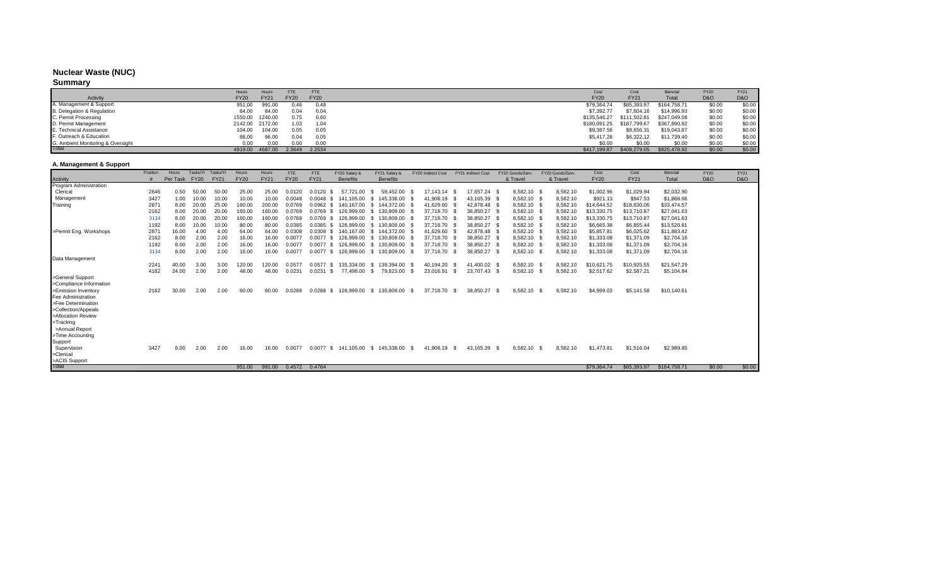#### **Nuclear Waste (NUC)**

#### **Summary**

|                                   | Hours           | <b>Hours</b> | FTE         | FTE         | Cost         | Cost         | <b>Biennia</b> | <b>FY20</b>    | <b>FY21</b>    |
|-----------------------------------|-----------------|--------------|-------------|-------------|--------------|--------------|----------------|----------------|----------------|
| Activity                          | <b>FY20</b>     | <b>FY21</b>  | <b>FY20</b> | <b>FY20</b> | <b>FY20</b>  | <b>FY21</b>  | Total          | <b>D&amp;O</b> | <b>D&amp;O</b> |
| A. Management & Support           | 951.00          | 991.00       | 0.46        | 0.48        | \$79.364.74  | \$85,393,97  | \$164,758,71   | \$0.00         | \$0.00         |
| B. Delegation & Regulation        | 84.00           | 84.00        | 0.04        | 0.04        | \$7,392.77   | \$7,604.16   | \$14,996.93    | \$0.00         | \$0.00         |
| C. Permit Processing              | 1550.00         | 1240.00      | 0.75        | 0.60        | \$135,546.27 | \$111.502.81 | \$247,049.08   | \$0.00         | \$0.00         |
| D. Permit Management              | 2142.00 2172.00 |              | 1.03        | 1.04        | \$180,091.25 | \$187,799.67 | \$367,890.92   | \$0.00         | \$0.00         |
| E. Technical Assistance           | 104.00          | 104.00       | 0.05        | 0.05        | \$9,387.56   | \$9,656.31   | \$19,043.87    | \$0.00         | \$0.00         |
| F. Outreach & Education           | 88.00           | 96.00        | 0.04        | 0.05        | \$5,417.28   | \$6,322.12   | \$11,739.40    | \$0.00         | \$0.00         |
| G. Ambient Monitoring & Oversight | 0.00            | 0.00         | 0.00        | 0.00        | \$0.00       | \$0.00       | \$0.00         | \$0.00         | \$0.00         |
| Total                             | 4919.00         | 4687.00      | 2.3649      | 2.2534      | \$417,199.87 | \$408,279.05 | \$825,478.92   | \$0.00         | \$0.00         |

## **A. Management & Support**

|                               | Position | Hours    | Tasks/Yr    | Tasks/Yr    | Hours       | Hours       | <b>FTE</b>  | <b>FTE</b>  | FY20 Salary &        | FY21 Salary &    |      | FY20 Indirect Cost |      | FY21 Indirect Cost |      | FY20 Goods/Serv | FY20 Goods/Serv. | Cost        | Cost        | Biennial     | <b>FY20</b>    | FY21           |
|-------------------------------|----------|----------|-------------|-------------|-------------|-------------|-------------|-------------|----------------------|------------------|------|--------------------|------|--------------------|------|-----------------|------------------|-------------|-------------|--------------|----------------|----------------|
| Activity                      |          | Per Task | <b>FY20</b> | <b>FY21</b> | <b>FY20</b> | <b>FY21</b> | <b>FY20</b> | <b>FY21</b> | <b>Benefits</b>      | <b>Benefits</b>  |      |                    |      |                    |      | & Travel        | & Travel         | <b>FY20</b> | <b>FY21</b> | Total        | <b>D&amp;O</b> | <b>D&amp;O</b> |
| <b>Program Administration</b> |          |          |             |             |             |             |             |             |                      |                  |      |                    |      |                    |      |                 |                  |             |             |              |                |                |
| Clerical                      | 2646     | 0.50     | 50.00       | 50.00       | 25.00       | 25.00       | 0.0120      | 0.0120      | 57.721.00            | 59.452.00<br>S.  |      | 17.143.14 \$       |      | 17.657.24 \$       |      | 8.582.10 \$     | 8,582.10         | \$1,002.96  | \$1,029.94  | \$2.032.90   |                |                |
| Management                    | 3427     | 1.00     | 10.00       | 10.00       | 10.00       | 10.00       | 0.0048      | 0.0048      | 141,105.00<br>-S.    | 145.338.00<br>-S |      | 41,908.19 \$       |      | 43,165.39          |      | 8,582.10 \$     | 8,582.10         | \$921.13    | \$947.53    | \$1,868.66   |                |                |
| Training                      | 287'     | 8.00     | 20.00       | 25.00       | 160.00      | 200.00      | 0.0769      | $0.0962$ \$ | 140.167.00           | \$144,372.00     |      | 41,629.60 \$       |      | 42,878.48 \$       |      | 8,582.10 \$     | 8,582.10         | \$14,644.52 | \$18,830.06 | \$33,474.57  |                |                |
|                               | 2162     | 8.00     | 20.00       | 20.00       | 160.00      | 160.00      | 0.0769      | 0.0769      | 126.999.00<br>-S.    | 130.809.00<br>-S |      | 37,718.70 \$       |      | 38,850.27          |      | 8,582.10 \$     | 8,582.10         | \$13,330.75 | \$13,710.87 | \$27,041.63  |                |                |
|                               | 3134     | 8.00     | 20.00       | 20.00       | 160.00      | 160.00      | 0.0769      | $0.0769$ \$ | 126.999.00           | 130.809.00<br>S. |      | 37,718.70 \$       |      | 38,850.27          |      | 8,582.10 \$     | 8,582.10         | \$13,330.75 | \$13,710.87 | \$27,041.63  |                |                |
|                               | 1192     | 8.00     | 10.00       | 10.00       | 80.00       | 80.00       | 0.0385      | 0.0385      | 126.999.00<br>-S.    | 130.809.00<br>-S |      | 37.718.70 \$       |      | 38.850.27          |      | 8.582.10 \$     | 8,582.10         | \$6,665.38  | \$6,855.44  | \$13,520.81  |                |                |
| >Permit Eng. Workshops        | 287'     | 16.00    | 4.00        | 4.00        | 64.00       | 64.00       | 0.0308      | $0.0308$ \$ | 140.167.00           | \$144,372.00     |      | 41,629.60 \$       |      | 42.878.48 \$       |      | 8,582.10 \$     | 8,582.10         | \$5,857.81  | \$6,025.62  | \$11,883.42  |                |                |
|                               | 2162     | 8.00     | 2.00        | 2.00        | 16.00       | 16.00       | 0.0077      | 0.0077      | 126.999.00<br>-S     | 130.809.00<br>-S |      | 37,718.70 \$       |      | 38,850.27          |      | 8,582.10 \$     | 8,582.10         | \$1,333.08  | \$1,371.09  | \$2,704.16   |                |                |
|                               | 1192     | 8.00     | 2.00        | 2.00        | 16.00       | 16.00       | 0.0077      | $0.0077$ \$ | 126,999.00           | 130,809.00<br>-S |      | 37,718.70 \$       |      | 38,850.27          |      | 8,582.10 \$     | 8,582.10         | \$1,333.08  | \$1,371.09  | \$2,704.16   |                |                |
|                               | 3134     | 8.00     | 2.00        | 2.00        | 16.00       | 16.00       | 0.0077      | $0.0077$ \$ | 126,999.00           | 130,809.00<br>-S |      | 37.718.70 \$       |      | 38,850.27          | - 9  | 8,582.10 \$     | 8,582.10         | \$1,333.08  | \$1,371.09  | \$2,704.16   |                |                |
| Data Management               |          |          |             |             |             |             |             |             |                      |                  |      |                    |      |                    |      |                 |                  |             |             |              |                |                |
|                               | 2241     | 40.00    | 3.00        | 3.00        | 120.00      | 120.00      | 0.0577      | $0.0577$ \$ | 135.334.00           | 139.394.00<br>-S | - \$ | 40.194.20 \$       |      | 41.400.02 \$       |      | 8.582.10 \$     | 8,582.10         | \$10,621.75 | \$10,925.55 | \$21,547.29  |                |                |
|                               | 4162     | 24.00    | 2.00        | 2.00        | 48.00       | 48.00       | 0.023       | 0.0231      | 77,498.00<br>-S      | 79,823.00<br>S.  |      | 23,016.91          | - \$ | 23,707.43          |      | 8,582.10 \$     | 8,582.10         | \$2,517.62  | \$2,587.21  | \$5,104.84   |                |                |
| >General Support              |          |          |             |             |             |             |             |             |                      |                  |      |                    |      |                    |      |                 |                  |             |             |              |                |                |
| >Compliance Information       |          |          |             |             |             |             |             |             |                      |                  |      |                    |      |                    |      |                 |                  |             |             |              |                |                |
| >Emission Inventory           | 2162     | 30.00    | 2.00        | 2.00        | 60.00       | 60.00       | 0.0288      | 0.0288      | 126.999.00<br>s.     | \$130,809.00     | - \$ | 37.718.70          | - \$ | 38.850.27          | - \$ | 8,582.10 \$     | 8,582.10         | \$4,999.03  | \$5,141.58  | \$10,140.61  |                |                |
| <b>Fee Administration</b>     |          |          |             |             |             |             |             |             |                      |                  |      |                    |      |                    |      |                 |                  |             |             |              |                |                |
| >Fee Determination            |          |          |             |             |             |             |             |             |                      |                  |      |                    |      |                    |      |                 |                  |             |             |              |                |                |
| >Collection/Appeals           |          |          |             |             |             |             |             |             |                      |                  |      |                    |      |                    |      |                 |                  |             |             |              |                |                |
| >Allocation Review            |          |          |             |             |             |             |             |             |                      |                  |      |                    |      |                    |      |                 |                  |             |             |              |                |                |
| >Tracking                     |          |          |             |             |             |             |             |             |                      |                  |      |                    |      |                    |      |                 |                  |             |             |              |                |                |
| >Annual Report                |          |          |             |             |             |             |             |             |                      |                  |      |                    |      |                    |      |                 |                  |             |             |              |                |                |
| >Time Accounting              |          |          |             |             |             |             |             |             |                      |                  |      |                    |      |                    |      |                 |                  |             |             |              |                |                |
| Support                       |          |          |             |             |             |             |             |             |                      |                  |      |                    |      |                    |      |                 |                  |             |             |              |                |                |
| Supervision                   | 3427     | 8.00     | 2.00        | 2.00        | 16.00       | 16.00       | 0.0077      |             | 0.0077 \$ 141,105.00 | \$145,338.00     | - \$ | 41,908.19          | - \$ | 43,165.39          | - \$ | 8,582.10 \$     | 8,582.10         | \$1,473.81  | \$1,516.04  | \$2,989.85   |                |                |
| >Clerical                     |          |          |             |             |             |             |             |             |                      |                  |      |                    |      |                    |      |                 |                  |             |             |              |                |                |
| >ACIS Support<br>Total        |          |          |             |             |             | 991.00      | 0.4572      | 0.4764      |                      |                  |      |                    |      |                    |      |                 |                  |             |             |              |                | \$0.00         |
|                               |          |          |             |             | 951.00      |             |             |             |                      |                  |      |                    |      |                    |      |                 |                  | \$79,364.74 | \$85,393.97 | \$164,758.71 | \$0.00         |                |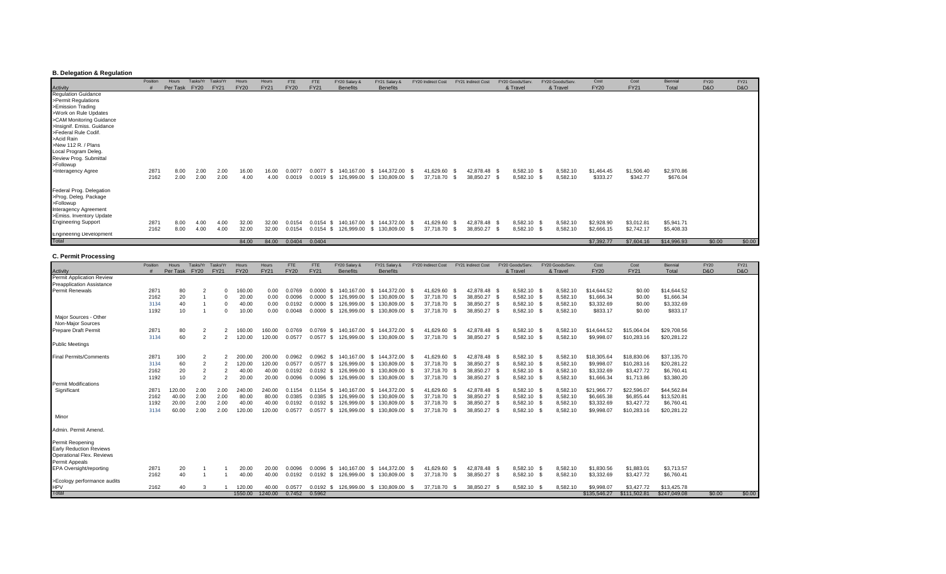### **B. Delegation & Regulation**

|                                        | Position | Hours    | Tasks/Yr    | Tasks/Yr    | Hours       | Hours       | <b>FTE</b>    | FTE            | FY20 Salary &   | FY21 Salary &        | <b>FY20 Indirect Cost</b> | FY21 Indirect Cost | FY20 Goods/Serv. |             | FY20 Goods/Serv. | Cost        | Cost        | Biennial    | <b>FY20</b>    | <b>FY21</b>    |
|----------------------------------------|----------|----------|-------------|-------------|-------------|-------------|---------------|----------------|-----------------|----------------------|---------------------------|--------------------|------------------|-------------|------------------|-------------|-------------|-------------|----------------|----------------|
|                                        |          | Per Task | <b>FY20</b> | <b>FY21</b> | <b>FY20</b> | <b>FY21</b> | <b>FY20</b>   | <b>FY21</b>    | <b>Benefits</b> | <b>Benefits</b>      |                           |                    | & Travel         |             | & Travel         | <b>FY20</b> | <b>FY21</b> | Total       | <b>D&amp;O</b> | <b>D&amp;O</b> |
| <b>Activity</b><br>Regulation Guidance |          |          |             |             |             |             |               |                |                 |                      |                           |                    |                  |             |                  |             |             |             |                |                |
| >Permit Regulations                    |          |          |             |             |             |             |               |                |                 |                      |                           |                    |                  |             |                  |             |             |             |                |                |
| >Emission Trading                      |          |          |             |             |             |             |               |                |                 |                      |                           |                    |                  |             |                  |             |             |             |                |                |
| >Work on Rule Updates                  |          |          |             |             |             |             |               |                |                 |                      |                           |                    |                  |             |                  |             |             |             |                |                |
| >CAM Monitoring Guidance               |          |          |             |             |             |             |               |                |                 |                      |                           |                    |                  |             |                  |             |             |             |                |                |
| >Insignif. Emiss. Guidance             |          |          |             |             |             |             |               |                |                 |                      |                           |                    |                  |             |                  |             |             |             |                |                |
| >Federal Rule Codif.                   |          |          |             |             |             |             |               |                |                 |                      |                           |                    |                  |             |                  |             |             |             |                |                |
| >Acid Rain                             |          |          |             |             |             |             |               |                |                 |                      |                           |                    |                  |             |                  |             |             |             |                |                |
| >New 112 R. / Plans                    |          |          |             |             |             |             |               |                |                 |                      |                           |                    |                  |             |                  |             |             |             |                |                |
| Local Program Deleg.                   |          |          |             |             |             |             |               |                |                 |                      |                           |                    |                  |             |                  |             |             |             |                |                |
| Review Prog. Submittal                 |          |          |             |             |             |             |               |                |                 |                      |                           |                    |                  |             |                  |             |             |             |                |                |
| >Followup                              |          |          |             |             |             |             |               |                |                 |                      |                           |                    |                  |             |                  |             |             |             |                |                |
| >Interagency Agree                     | 2871     | 8.00     | 2.00        | 2.00        | 16.00       | 16.00       | 0.0077        | 0.0077         | 140,167.00      | 144,372.00<br>. SS ⊃ | 41,629.60 \$              | 42,878.48 \$       |                  | 8,582.10 \$ | 8,582.10         | \$1,464.45  | \$1,506.40  | \$2,970.86  |                |                |
|                                        | 2162     | 2.00     | 2.00        | 2.00        | 4.00        | 4.00        | 0.0019        | 0.0019<br>- \$ | 126,999.00      | 130,809.00<br>- S    | 37,718.70 \$              | 38,850.27          | - \$             | 8,582.10 \$ | 8,582.10         | \$333.27    | \$342.77    | \$676.04    |                |                |
| Federal Prog. Delegation               |          |          |             |             |             |             |               |                |                 |                      |                           |                    |                  |             |                  |             |             |             |                |                |
| >Prog. Deleg. Package                  |          |          |             |             |             |             |               |                |                 |                      |                           |                    |                  |             |                  |             |             |             |                |                |
| >Followup                              |          |          |             |             |             |             |               |                |                 |                      |                           |                    |                  |             |                  |             |             |             |                |                |
| Interagency Agreement                  |          |          |             |             |             |             |               |                |                 |                      |                           |                    |                  |             |                  |             |             |             |                |                |
| >Emiss. Inventory Update               |          |          |             |             |             |             |               |                |                 |                      |                           |                    |                  |             |                  |             |             |             |                |                |
| <b>Engineering Support</b>             | 2871     | 8.00     | 4.00        | 4.00        | 32.00       | 32.00       | 0.0154        | 0.0154         | 140.167.00      | 144,372.00<br>- \$   | 41,629.60                 | 42,878.48 \$       |                  | 8,582.10 \$ | 8,582.10         | \$2,928.90  | \$3,012.81  | \$5,941.71  |                |                |
|                                        | 2162     | 8.00     | 4.00        | 4.00        | 32.00       | 32.00       | 0.0154        | 0.0154<br>- SS | 126,999.00      | 130,809.00<br>- \$   | 37,718.70 \$              | 38,850.27          | - \$             | 8,582.10 \$ | 8,582.10         | \$2,666.15  | \$2,742.17  | \$5,408.33  |                |                |
| <b>Engineering Development</b>         |          |          |             |             |             |             |               |                |                 |                      |                           |                    |                  |             |                  |             |             |             |                |                |
| Total                                  |          |          |             |             | 84.00       | 84.00       | 0.0404 0.0404 |                |                 |                      |                           |                    |                  |             |                  | \$7,392.77  | \$7,604.16  | \$14,996.93 | \$0.00         | \$0.00         |

#### **C. Permit Processing**

|                                  | Position | <b>Hours</b> | Tasks/Yr       | Tasks/Yr       | Hours       | Hours       | FTE         | FTE            | FY20 Salary &        | FY21 Salary &         |      | FY20 Indirect Cost |      | FY21 Indirect Cost |      | FY20 Goods/Serv | FY20 Goods/Serv. | Cost         | Cost         | Biennial     | <b>FY20</b>    | FY21   |
|----------------------------------|----------|--------------|----------------|----------------|-------------|-------------|-------------|----------------|----------------------|-----------------------|------|--------------------|------|--------------------|------|-----------------|------------------|--------------|--------------|--------------|----------------|--------|
| Activity                         |          | Per Task     | <b>FY20</b>    | <b>FY21</b>    | <b>FY20</b> | <b>FY21</b> | <b>FY20</b> | <b>FY21</b>    | <b>Benefits</b>      | <b>Benefits</b>       |      |                    |      |                    |      | & Travel        | & Travel         | <b>FY20</b>  | <b>FY21</b>  | Total        | <b>D&amp;O</b> | D&O    |
| Permit Application Review        |          |              |                |                |             |             |             |                |                      |                       |      |                    |      |                    |      |                 |                  |              |              |              |                |        |
| <b>Preapplication Assistance</b> |          |              |                |                |             |             |             |                |                      |                       |      |                    |      |                    |      |                 |                  |              |              |              |                |        |
| <b>Permit Renewals</b>           | 2871     | 80           | $\overline{2}$ |                | 160.00      | 0.00        | 0.0769      | 0.0000<br>- \$ | 140.167.00           | 144.372.00 \$<br>- \$ |      | 41.629.60          |      | 42.878.48 \$       |      | 8.582.10 \$     | 8.582.10         | \$14,644.52  | \$0.00       | \$14,644.52  |                |        |
|                                  | 2162     | 20           |                |                | 20.00       | 0.00        | 0.0096      | 0.0000<br>- \$ | 126.999.00           | 130,809.00<br>- \$    | - \$ | 37,718.70 \$       |      | 38,850.27 \$       |      | 8,582.10 \$     | 8,582.10         | \$1,666.34   | \$0.00       | \$1,666.34   |                |        |
|                                  | 3134     | 40           |                |                | 40.00       | 0.00        | 0.0192      | 0.0000<br>- \$ | 126.999.00           | 130.809.00<br>- \$    | - \$ | 37.718.70 \$       |      | 38.850.27 \$       |      | 8.582.10 \$     | 8.582.10         | \$3,332.69   | \$0.00       | \$3,332.69   |                |        |
|                                  | 1192     | 10           |                |                | 10.00       | 0.00        | 0.0048      | 0.0000<br>- \$ | 126,999.00           | 130,809.00<br>- \$    | - \$ | 37,718.70 \$       |      | 38,850.27 \$       |      | 8,582.10 \$     | 8,582.10         | \$833.17     | \$0.00       | \$833.17     |                |        |
| Major Sources - Other            |          |              |                |                |             |             |             |                |                      |                       |      |                    |      |                    |      |                 |                  |              |              |              |                |        |
| Non-Major Sources                |          |              |                |                |             |             |             |                |                      |                       |      |                    |      |                    |      |                 |                  |              |              |              |                |        |
| <b>Prepare Draft Permit</b>      | 2871     | 80           | $\overline{2}$ | 2              | 160.00      | 160.00      | 0.0769      | 0.0769<br>- \$ | 140.167.00           | \$144,372.00          | - \$ | 41.629.60 \$       |      | 42.878.48 \$       |      | 8,582.10 \$     | 8,582.10         | \$14,644.52  | \$15,064.04  | \$29,708.56  |                |        |
|                                  | 3134     | 60           | $\overline{2}$ | $\overline{2}$ | 120.00      | 120.00      | 0.0577      | $0.0577$ \$    | 126,999.00           | 130,809.00<br>- \$    | - S  | 37,718.70 \$       |      | 38,850.27          | - \$ | 8,582.10 \$     | 8,582.10         | \$9,998.07   | \$10,283.16  | \$20,281.22  |                |        |
| <b>Public Meetings</b>           |          |              |                |                |             |             |             |                |                      |                       |      |                    |      |                    |      |                 |                  |              |              |              |                |        |
|                                  |          |              |                |                |             |             |             |                |                      |                       |      |                    |      |                    |      |                 |                  |              |              |              |                |        |
| <b>Final Permits/Comments</b>    | 2871     | 100          | $\overline{2}$ |                | 200.00      | 200.00      | 0.0962      | $0.0962$ \$    | 140.167.00           | \$144,372.00          | - \$ | 41.629.60 \$       |      | 42,878.48 \$       |      | 8,582.10 \$     | 8,582.10         | \$18,305.64  | \$18,830.06  | \$37,135.70  |                |        |
|                                  | 3134     | 60           |                |                | 120.00      | 120.00      | 0.0577      | 0.0577<br>- \$ | 126,999.00           | 130,809.00<br>- S     | - \$ | 37,718.70 \$       |      | 38,850.27 \$       |      | 8,582.10 \$     | 8,582.10         | \$9,998.07   | \$10,283.16  | \$20,281.22  |                |        |
|                                  | 2162     | 20           | $\overline{2}$ | $\overline{2}$ | 40.00       | 40.00       | 0.0192      | $0.0192$ \$    | 126.999.00           | 130.809.00<br>- SS    | - S  | 37,718.70 \$       |      | 38,850.27 \$       |      | 8,582.10 \$     | 8,582.10         | \$3,332.69   | \$3,427.72   | \$6,760.41   |                |        |
|                                  | 1192     | 10           | $\overline{2}$ | $\overline{2}$ | 20.00       | 20.00       | 0.0096      | 0.0096<br>- \$ | 126,999.00           | 130,809.00<br>- \$    | - \$ | 37,718.70 \$       |      | 38,850.27 \$       |      | 8,582.10 \$     | 8,582.10         | \$1,666.34   | \$1,713.86   | \$3,380.20   |                |        |
| <b>Permit Modifications</b>      |          |              |                |                |             |             |             |                |                      |                       |      |                    |      |                    |      |                 |                  |              |              |              |                |        |
| Significant                      | 2871     | 120.00       | 2.00           | 2.00           | 240.00      | 240.00      | 0.1154      | 0.1154<br>- \$ | 140,167.00           | 144.372.00<br>- \$    | - S  | 41.629.60 \$       |      | 42,878.48 \$       |      | 8,582.10 \$     | 8,582.10         | \$21,966.77  | \$22,596.07  | \$44,562.84  |                |        |
|                                  | 2162     | 40.00        | 2.00           | 2.00           | 80.00       | 80.00       | 0.0385      | $0.0385$ \$    | 126.999.00           | 130.809.00<br>- \$    | - \$ | 37,718.70 \$       |      | 38,850.27 \$       |      | 8,582.10 \$     | 8,582.10         | \$6,665.38   | \$6,855.44   | \$13,520.81  |                |        |
|                                  | 1192     | 20.00        | 2.00           | 2.00           | 40.00       | 40.00       | 0.0192      | $0.0192$ \$    | 126,999.00           | 130,809.00<br>- \$    |      | 37,718.70 \$       |      | 38,850.27 \$       |      | 8,582.10 \$     | 8,582.10         | \$3,332.69   | \$3,427.72   | \$6,760.41   |                |        |
|                                  | 3134     | 60.00        | 2.00           | 2.00           | 120.00      | 120.00      | 0.0577      |                | 0.0577 \$ 126,999.00 | 130,809.00<br>- \$    | - \$ | 37,718.70 \$       |      | 38,850.27 \$       |      | 8,582.10 \$     | 8,582.10         | \$9,998.07   | \$10,283.16  | \$20,281.22  |                |        |
| Minor                            |          |              |                |                |             |             |             |                |                      |                       |      |                    |      |                    |      |                 |                  |              |              |              |                |        |
|                                  |          |              |                |                |             |             |             |                |                      |                       |      |                    |      |                    |      |                 |                  |              |              |              |                |        |
| Admin, Permit Amend.             |          |              |                |                |             |             |             |                |                      |                       |      |                    |      |                    |      |                 |                  |              |              |              |                |        |
| Permit Reopening                 |          |              |                |                |             |             |             |                |                      |                       |      |                    |      |                    |      |                 |                  |              |              |              |                |        |
| <b>Early Reduction Reviews</b>   |          |              |                |                |             |             |             |                |                      |                       |      |                    |      |                    |      |                 |                  |              |              |              |                |        |
| Operational Flex. Reviews        |          |              |                |                |             |             |             |                |                      |                       |      |                    |      |                    |      |                 |                  |              |              |              |                |        |
| Permit Appeals                   |          |              |                |                |             |             |             |                |                      |                       |      |                    |      |                    |      |                 |                  |              |              |              |                |        |
| EPA Oversight/reporting          | 2871     | 20           |                |                | 20.00       | 20.00       | 0.0096      | 0.0096<br>-\$  | 140,167.00           | 144.372.00<br>- \$    | - \$ | 41.629.60          | - \$ | 42.878.48 \$       |      | 8,582.10 \$     | 8,582.10         | \$1,830.56   | \$1,883.01   | \$3,713.57   |                |        |
|                                  | 2162     | 40           |                |                | 40.00       | 40.00       | 0.0192      | $0.0192$ \$    | 126,999.00           | 130,809.00<br>- \$    | -S   | 37,718.70 \$       |      | 38,850.27          | - \$ | 8,582.10 \$     | 8,582.10         | \$3,332.69   | \$3,427.72   | \$6,760.41   |                |        |
| >Ecology performance audits      |          |              |                |                |             |             |             |                |                      |                       |      |                    |      |                    |      |                 |                  |              |              |              |                |        |
| <b>HPV</b>                       | 2162     | 40           |                |                | 120.00      | 40.00       | 0.0577      | 0.0192<br>- \$ | 126.999.00           | 130.809.00<br>- \$    |      | 37.718.70          |      | 38.850.27          | - 9  | 8.582.10        | 8,582.10         | \$9,998.07   | \$3,427.72   | \$13,425.78  |                |        |
| Total                            |          |              |                |                | 1550.00     | 1240.00     | 0.7452      | 0.5962         |                      |                       |      |                    |      |                    |      |                 |                  | \$135,546.27 | \$111,502.81 | \$247,049.08 | \$0.00         | \$0.00 |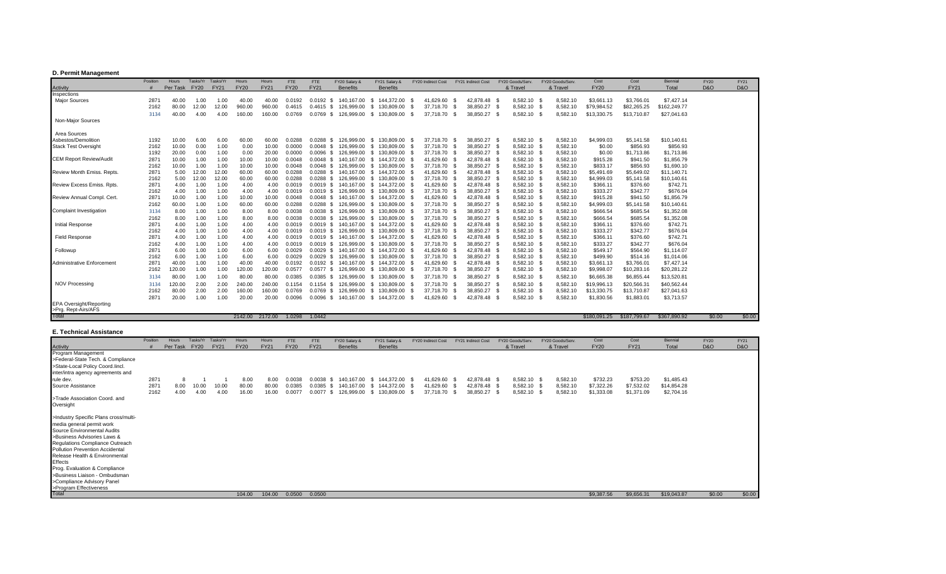### **D. Permit Management**

| <b>Activity</b><br><b>Benefits</b><br><b>Benefits</b><br>Inspections<br><b>Major Sources</b><br>8.582.10<br>\$7,427.14<br>287'<br>8.582.10<br>\$3,661.13<br>\$3,766.01<br>40.00<br>1.00<br>40.00<br>40.00<br>140.167.00<br>144.372.00<br>41.629.60<br>42.878.48<br>1.00<br>0.0192<br>0.0192<br>-S<br>- 96<br>- SS<br>- 55<br>8,582.10<br>2162<br>80.00<br>12.00<br>960.00<br>960.00<br>37.718.70<br>8,582.10 \$<br>\$79,984.52<br>\$82,265.25<br>\$162,249.77<br>12.00<br>126.999.00<br>130.809.00<br>38,850.27<br>0.4615<br>0.4615<br>-S<br>- \$<br>- S<br>- 55<br>8,582.10<br>\$13,330.75<br>\$27,041.63<br>40.00<br>4.00<br>160.00<br>160.00<br>0.0769<br>0.0769<br>126.999.00<br>S.<br>130,809.00<br>37.718.70<br>38.850.27<br>8,582.10<br>\$13,710.87<br>3134<br>4.00<br>- \$<br>Non-Maior Sources<br>Area Sources<br>6.00<br>8.582.10<br>8,582.10<br>Asbestos/Demolition<br>1192<br>60.00<br>60.00<br>0.0288<br>126.999.00<br>130.809.00<br>37.718.70<br>38.850.27<br>\$4,999.03<br>\$5,141.58<br>\$10,140.61<br>10.00<br>6.00<br>0.0288<br>-SS<br>- SS<br>1.00<br>\$856.93<br>\$856.93<br>Stack Test Oversight<br>2162<br>10.00<br>38.850.27<br>8,582.10 \$<br>8,582.10<br>\$0.00<br>0.00<br>10.00<br>0.0000<br>0.0048<br>126.999.00<br>130.809.00<br>37,718.70<br>0.00<br>-S<br>- S<br>8.582.10<br>\$1,713.86<br>20.00<br>1.00<br>20.00<br>0.0096<br>126.999.00<br>130.809.00<br>37.718.70 \$<br>38.850.27<br>8,582.10<br>\$0.00<br>\$1,713.86<br>1192<br>0.00<br>0.00<br>0.0000<br>-S<br>\$1,856.79<br>2871<br>10.00<br>1.00<br>144.372.00<br>41,629.60<br>42.878.48<br>8,582.10<br>8,582.10<br>\$915.28<br>\$941.50<br><b>CEM Report Review/Audit</b><br>10.00<br>10.00<br>0.0048<br>0.0048<br>140.167.00<br>1.00<br>-S<br>- S<br>10.00<br>1.00<br>126.999.00<br>8,582.10<br>8,582.10<br>\$833.17<br>\$856.93<br>\$1,690.10<br>2162<br>10.00<br>10.00<br>0.0048<br>130.809.00<br>37,718.70<br>38,850.27<br>1.00<br>0.0048<br>-S<br>- \$<br>2871<br>12.00<br>0.0288<br>144,372.00<br>42,878.48<br>8,582.10<br>5.00<br>60.00<br>60.00<br>140.167.00<br>41,629.60<br>8,582.10<br>\$5,491.69<br>\$5,649.02<br>\$11,140.71<br>Review Month Emiss, Repts.<br>12.00<br>0.0288<br>-S<br>- S<br>2162<br>0.0288<br>126.999.00<br>130.809.00<br>38,850.27<br>8,582.10<br>8,582.10<br>\$4,999.03<br>\$10,140.61<br>5.00<br>12.00<br>60.00<br>60.00<br>0.0288<br>37,718.70<br>\$5,141.58<br>12.00<br>-S<br>- 96<br>2871<br>4.00<br>1.00<br>144.372.00<br>42,878.48<br>8,582.10<br>\$366.11<br>\$376.60<br>\$742.71<br><b>Review Excess Emiss, Rots</b><br>4.00<br>4.00<br>0.0019<br>140.167.00<br>S.<br>41,629.60<br>8,582.10<br>1.00<br>0.0019<br>-SS<br>2162<br>4.00<br>1.00<br>126.999.00<br>130.809.00<br>38,850.27<br>8,582.10<br>8,582.10<br>\$333.27<br>\$342.77<br>\$676.04<br>4.00<br>0.0019<br>37,718.70<br>1.00<br>4.00<br>0.0019<br>-SS<br>- SS<br>1.00<br>\$144.372.00<br>41,629.60<br>42.878.48<br>8,582.10 \$<br>8,582.10<br>\$915.28<br>\$1,856.79<br>287'<br>10.00<br>10.00<br>10.00<br>0.0048<br>140.167.00<br>\$941.50<br>1.00<br>0.0048<br>Review Annual Compl. Cert<br>- \$<br>- SS<br>2162<br>60.00<br>1.00<br>126.999.00<br>130,809.00<br>38,850.27<br>8,582.10 \$<br>8,582.10<br>\$4,999.03<br>\$10,140.61<br>1.00<br>60.00<br>60.00<br>0.0288<br>0.0288<br>37,718.70 \$<br>\$5,141.58<br>-S<br>- 56<br>Complaint Investigation<br>8.00<br>1.00<br>0.0038<br>126.999.00<br>130.809.00<br>38.850.27<br>8,582.10<br>8,582.10<br>\$666.54<br>\$685.54<br>\$1,352.08<br>3134<br>8.00<br>8.00<br>0.0038<br>37,718.70<br>1.00<br>-S<br>- 96<br>8.00<br>1.00<br>0.0038<br>126.999.00<br>37,718.70 \$<br>38,850.27<br>8,582.10 \$<br>8,582.10<br>\$666.54<br>\$685.54<br>\$1,352.08<br>2162<br>8.00<br>8.00<br>130.809.00<br>1.00<br>0.0038<br>-S<br>2871<br>4.00<br>1.00<br>41,629.60<br>42,878.48<br>8,582.10<br>8,582.10<br>\$366.11<br>\$742.71<br>Initial Response<br>4.00<br>4.00<br>0.0019<br>140.167.00<br>144,372.00<br>\$376.60<br>0.0019<br>-S<br>1.00<br>- SS<br>126.999.00<br>37,718.70 \$<br>38,850.27<br>8,582.10 \$<br>8,582.10<br>\$333.27<br>\$342.77<br>\$676.04<br>2162<br>4.00<br>1.00<br>4.00<br>0.0019<br>130.809.00<br>1.00<br>4.00<br>0.0019<br>-S<br>- 56<br><b>Field Response</b><br>1.00<br>42,878.48<br>8,582.10<br>8,582.10<br>\$366.11<br>\$376.60<br>\$742.71<br>2871<br>4.00<br>4.00<br>140.167.00<br>144,372.00<br>41,629.60<br>4.00<br>0.0019<br>0.0019<br>-S<br>1.00<br>-S<br>4.00<br>1.00<br>8,582.10<br>8,582.10<br>\$333.27<br>\$342.77<br>\$676.04<br>2162<br>4.00<br>4.00<br>0.0019<br>126.999.00<br>130.809.00<br>37,718.70<br>38,850.27<br>1.00<br>0.0019<br>-S<br>- \$<br>2871<br>1.00<br>42.878.48<br>8,582.10<br>\$564.90<br>6.00<br>6.00<br>6.00<br>0.0029<br>140.167.00<br>144.372.00<br>41,629.60<br>8,582.10<br>\$549.17<br>\$1,114.07<br>Followup<br>1.00<br>0.0029<br>S.<br>-SS<br>2162<br>6.00<br>1.00<br>6.00<br>0.0029<br>126.999.00<br>130,809.00<br>38,850.27<br>8,582.10 \$<br>8,582.10<br>\$499.90<br>\$514.16<br>\$1,014.06<br>1.00<br>6.00<br>37.718.70<br>0.0029<br>-S<br>- 35<br>Administrative Enforcement<br>2871<br>40.00<br>1.00<br>42.878.48<br>8,582.10<br>\$3,766.01<br>\$7,427.14<br>40.00<br>40.00<br>140.167.00<br>144.372.00<br>41,629.60<br>8,582.10<br>\$3,661.13<br>1.00<br>0.0192<br>S.<br>0.0192<br>- SS<br>2162<br>120.00<br>1.00<br>120.00<br>126,999.00<br>38,850.27<br>8,582.10 \$<br>\$9,998.07<br>\$10,283.16<br>\$20,281.22<br>1.00<br>120.00<br>130,809.00<br>37.718.70<br>8,582.10<br>0.0577<br>0.0577<br>-S<br>- \$<br>- 56<br>\$6,855.44<br>\$13,520.81<br>80.00<br>1.00<br>80.00<br>80.00<br>0.0385<br>126.999.00<br>130.809.00<br>37.718.70<br>38,850.27<br>8,582.10<br>8,582.10<br>\$6,665.38<br>3134<br>1.00<br>0.0385<br>-SS<br><b>NOV Processing</b><br>8,582.10 \$<br>\$19,996.13<br>\$40,562.44<br>120.00<br>2.00<br>240.00<br>240.00<br>126.999.00<br>130.809.00<br>38.850.27<br>8,582.10<br>\$20,566.31<br>3134<br>2.00<br>0.1154<br>-S<br>37.718.70<br>0.1154<br>- SS<br>2.00<br>\$13,330.75<br>80.00<br>160.00<br>160.00<br>126.999.00<br>37.718.70<br>38.850.27<br>8.582.10<br>8,582.10<br>\$13,710.87<br>\$27,041.63<br>2162<br>2.00<br>0.0769<br>0.0769<br>-S<br>130.809.00<br>- SS<br>1.00<br>2871<br>20.00<br>20.00<br>41,629.60<br>42.878.48<br>8,582.10<br>\$1,830.56<br>\$1,883.0<br>\$3,713.57<br>1.00<br>20.00<br>0.0096<br>140,167.00<br>\$144,372.00<br>8,582.10<br>0.0096<br>-S<br><b>EPA Oversight/Reporting</b><br>>Prg. Rept-Airs/AFS<br>Total<br>\$367,890.92<br>\$0.00<br>2142.00<br>2172.00<br>1.0298<br>1.0442<br>\$180,091.25<br>\$187,799.67 | Position | <b>Hours</b> | Tasks/Yr    | Tasks/Yr    | Hours       | <b>Hours</b> | FTE         | <b>FTE</b>  | FY20 Salary 8 | FY21 Salary & | FY20 Indirect Cost | FY21 Indirect Cost | FY20 Goods/Serv | FY20 Goods/Serv. | Cost        | Cost        | <b>Biennial</b> | <b>FY20</b>    | FY21           |
|---------------------------------------------------------------------------------------------------------------------------------------------------------------------------------------------------------------------------------------------------------------------------------------------------------------------------------------------------------------------------------------------------------------------------------------------------------------------------------------------------------------------------------------------------------------------------------------------------------------------------------------------------------------------------------------------------------------------------------------------------------------------------------------------------------------------------------------------------------------------------------------------------------------------------------------------------------------------------------------------------------------------------------------------------------------------------------------------------------------------------------------------------------------------------------------------------------------------------------------------------------------------------------------------------------------------------------------------------------------------------------------------------------------------------------------------------------------------------------------------------------------------------------------------------------------------------------------------------------------------------------------------------------------------------------------------------------------------------------------------------------------------------------------------------------------------------------------------------------------------------------------------------------------------------------------------------------------------------------------------------------------------------------------------------------------------------------------------------------------------------------------------------------------------------------------------------------------------------------------------------------------------------------------------------------------------------------------------------------------------------------------------------------------------------------------------------------------------------------------------------------------------------------------------------------------------------------------------------------------------------------------------------------------------------------------------------------------------------------------------------------------------------------------------------------------------------------------------------------------------------------------------------------------------------------------------------------------------------------------------------------------------------------------------------------------------------------------------------------------------------------------------------------------------------------------------------------------------------------------------------------------------------------------------------------------------------------------------------------------------------------------------------------------------------------------------------------------------------------------------------------------------------------------------------------------------------------------------------------------------------------------------------------------------------------------------------------------------------------------------------------------------------------------------------------------------------------------------------------------------------------------------------------------------------------------------------------------------------------------------------------------------------------------------------------------------------------------------------------------------------------------------------------------------------------------------------------------------------------------------------------------------------------------------------------------------------------------------------------------------------------------------------------------------------------------------------------------------------------------------------------------------------------------------------------------------------------------------------------------------------------------------------------------------------------------------------------------------------------------------------------------------------------------------------------------------------------------------------------------------------------------------------------------------------------------------------------------------------------------------------------------------------------------------------------------------------------------------------------------------------------------------------------------------------------------------------------------------------------------------------------------------------------------------------------------------------------------------------------------------------------------------------------------------------------------------------------------------------------------------------------------------------------------------------------------------------------------------------------------------------------------------------------------------------------------------------------------------------------------------------------------------------------------------------------------------------------------------------------------------------------------------------------------------------------------------------------------------------------------------------------------------------------------------------------------------------------------------------------------------------------------------------------------------------------------------------------------------------------------------------------------------------------------------------------------------------------------------------------------------------------------------------------------------------------------------------------------------------------------------------------------------------------------------------------------------------------------|----------|--------------|-------------|-------------|-------------|--------------|-------------|-------------|---------------|---------------|--------------------|--------------------|-----------------|------------------|-------------|-------------|-----------------|----------------|----------------|
|                                                                                                                                                                                                                                                                                                                                                                                                                                                                                                                                                                                                                                                                                                                                                                                                                                                                                                                                                                                                                                                                                                                                                                                                                                                                                                                                                                                                                                                                                                                                                                                                                                                                                                                                                                                                                                                                                                                                                                                                                                                                                                                                                                                                                                                                                                                                                                                                                                                                                                                                                                                                                                                                                                                                                                                                                                                                                                                                                                                                                                                                                                                                                                                                                                                                                                                                                                                                                                                                                                                                                                                                                                                                                                                                                                                                                                                                                                                                                                                                                                                                                                                                                                                                                                                                                                                                                                                                                                                                                                                                                                                                                                                                                                                                                                                                                                                                                                                                                                                                                                                                                                                                                                                                                                                                                                                                                                                                                                                                                                                                                                                                                                                                                                                                                                                                                                                                                                                                                                                                                                                                                                                                                                                                                                                                                                                                                                                                                                                                                                                                                                                       |          | Per Task     | <b>FY20</b> | <b>FY21</b> | <b>FY20</b> | <b>FY21</b>  | <b>FY20</b> | <b>FY21</b> |               |               |                    |                    | & Travel        | & Travel         | <b>FY20</b> | <b>FY21</b> | Total           | <b>D&amp;O</b> | <b>D&amp;O</b> |
|                                                                                                                                                                                                                                                                                                                                                                                                                                                                                                                                                                                                                                                                                                                                                                                                                                                                                                                                                                                                                                                                                                                                                                                                                                                                                                                                                                                                                                                                                                                                                                                                                                                                                                                                                                                                                                                                                                                                                                                                                                                                                                                                                                                                                                                                                                                                                                                                                                                                                                                                                                                                                                                                                                                                                                                                                                                                                                                                                                                                                                                                                                                                                                                                                                                                                                                                                                                                                                                                                                                                                                                                                                                                                                                                                                                                                                                                                                                                                                                                                                                                                                                                                                                                                                                                                                                                                                                                                                                                                                                                                                                                                                                                                                                                                                                                                                                                                                                                                                                                                                                                                                                                                                                                                                                                                                                                                                                                                                                                                                                                                                                                                                                                                                                                                                                                                                                                                                                                                                                                                                                                                                                                                                                                                                                                                                                                                                                                                                                                                                                                                                                       |          |              |             |             |             |              |             |             |               |               |                    |                    |                 |                  |             |             |                 |                |                |
|                                                                                                                                                                                                                                                                                                                                                                                                                                                                                                                                                                                                                                                                                                                                                                                                                                                                                                                                                                                                                                                                                                                                                                                                                                                                                                                                                                                                                                                                                                                                                                                                                                                                                                                                                                                                                                                                                                                                                                                                                                                                                                                                                                                                                                                                                                                                                                                                                                                                                                                                                                                                                                                                                                                                                                                                                                                                                                                                                                                                                                                                                                                                                                                                                                                                                                                                                                                                                                                                                                                                                                                                                                                                                                                                                                                                                                                                                                                                                                                                                                                                                                                                                                                                                                                                                                                                                                                                                                                                                                                                                                                                                                                                                                                                                                                                                                                                                                                                                                                                                                                                                                                                                                                                                                                                                                                                                                                                                                                                                                                                                                                                                                                                                                                                                                                                                                                                                                                                                                                                                                                                                                                                                                                                                                                                                                                                                                                                                                                                                                                                                                                       |          |              |             |             |             |              |             |             |               |               |                    |                    |                 |                  |             |             |                 |                |                |
|                                                                                                                                                                                                                                                                                                                                                                                                                                                                                                                                                                                                                                                                                                                                                                                                                                                                                                                                                                                                                                                                                                                                                                                                                                                                                                                                                                                                                                                                                                                                                                                                                                                                                                                                                                                                                                                                                                                                                                                                                                                                                                                                                                                                                                                                                                                                                                                                                                                                                                                                                                                                                                                                                                                                                                                                                                                                                                                                                                                                                                                                                                                                                                                                                                                                                                                                                                                                                                                                                                                                                                                                                                                                                                                                                                                                                                                                                                                                                                                                                                                                                                                                                                                                                                                                                                                                                                                                                                                                                                                                                                                                                                                                                                                                                                                                                                                                                                                                                                                                                                                                                                                                                                                                                                                                                                                                                                                                                                                                                                                                                                                                                                                                                                                                                                                                                                                                                                                                                                                                                                                                                                                                                                                                                                                                                                                                                                                                                                                                                                                                                                                       |          |              |             |             |             |              |             |             |               |               |                    |                    |                 |                  |             |             |                 |                |                |
|                                                                                                                                                                                                                                                                                                                                                                                                                                                                                                                                                                                                                                                                                                                                                                                                                                                                                                                                                                                                                                                                                                                                                                                                                                                                                                                                                                                                                                                                                                                                                                                                                                                                                                                                                                                                                                                                                                                                                                                                                                                                                                                                                                                                                                                                                                                                                                                                                                                                                                                                                                                                                                                                                                                                                                                                                                                                                                                                                                                                                                                                                                                                                                                                                                                                                                                                                                                                                                                                                                                                                                                                                                                                                                                                                                                                                                                                                                                                                                                                                                                                                                                                                                                                                                                                                                                                                                                                                                                                                                                                                                                                                                                                                                                                                                                                                                                                                                                                                                                                                                                                                                                                                                                                                                                                                                                                                                                                                                                                                                                                                                                                                                                                                                                                                                                                                                                                                                                                                                                                                                                                                                                                                                                                                                                                                                                                                                                                                                                                                                                                                                                       |          |              |             |             |             |              |             |             |               |               |                    |                    |                 |                  |             |             |                 |                |                |
|                                                                                                                                                                                                                                                                                                                                                                                                                                                                                                                                                                                                                                                                                                                                                                                                                                                                                                                                                                                                                                                                                                                                                                                                                                                                                                                                                                                                                                                                                                                                                                                                                                                                                                                                                                                                                                                                                                                                                                                                                                                                                                                                                                                                                                                                                                                                                                                                                                                                                                                                                                                                                                                                                                                                                                                                                                                                                                                                                                                                                                                                                                                                                                                                                                                                                                                                                                                                                                                                                                                                                                                                                                                                                                                                                                                                                                                                                                                                                                                                                                                                                                                                                                                                                                                                                                                                                                                                                                                                                                                                                                                                                                                                                                                                                                                                                                                                                                                                                                                                                                                                                                                                                                                                                                                                                                                                                                                                                                                                                                                                                                                                                                                                                                                                                                                                                                                                                                                                                                                                                                                                                                                                                                                                                                                                                                                                                                                                                                                                                                                                                                                       |          |              |             |             |             |              |             |             |               |               |                    |                    |                 |                  |             |             |                 |                |                |
|                                                                                                                                                                                                                                                                                                                                                                                                                                                                                                                                                                                                                                                                                                                                                                                                                                                                                                                                                                                                                                                                                                                                                                                                                                                                                                                                                                                                                                                                                                                                                                                                                                                                                                                                                                                                                                                                                                                                                                                                                                                                                                                                                                                                                                                                                                                                                                                                                                                                                                                                                                                                                                                                                                                                                                                                                                                                                                                                                                                                                                                                                                                                                                                                                                                                                                                                                                                                                                                                                                                                                                                                                                                                                                                                                                                                                                                                                                                                                                                                                                                                                                                                                                                                                                                                                                                                                                                                                                                                                                                                                                                                                                                                                                                                                                                                                                                                                                                                                                                                                                                                                                                                                                                                                                                                                                                                                                                                                                                                                                                                                                                                                                                                                                                                                                                                                                                                                                                                                                                                                                                                                                                                                                                                                                                                                                                                                                                                                                                                                                                                                                                       |          |              |             |             |             |              |             |             |               |               |                    |                    |                 |                  |             |             |                 |                |                |
|                                                                                                                                                                                                                                                                                                                                                                                                                                                                                                                                                                                                                                                                                                                                                                                                                                                                                                                                                                                                                                                                                                                                                                                                                                                                                                                                                                                                                                                                                                                                                                                                                                                                                                                                                                                                                                                                                                                                                                                                                                                                                                                                                                                                                                                                                                                                                                                                                                                                                                                                                                                                                                                                                                                                                                                                                                                                                                                                                                                                                                                                                                                                                                                                                                                                                                                                                                                                                                                                                                                                                                                                                                                                                                                                                                                                                                                                                                                                                                                                                                                                                                                                                                                                                                                                                                                                                                                                                                                                                                                                                                                                                                                                                                                                                                                                                                                                                                                                                                                                                                                                                                                                                                                                                                                                                                                                                                                                                                                                                                                                                                                                                                                                                                                                                                                                                                                                                                                                                                                                                                                                                                                                                                                                                                                                                                                                                                                                                                                                                                                                                                                       |          |              |             |             |             |              |             |             |               |               |                    |                    |                 |                  |             |             |                 |                |                |
|                                                                                                                                                                                                                                                                                                                                                                                                                                                                                                                                                                                                                                                                                                                                                                                                                                                                                                                                                                                                                                                                                                                                                                                                                                                                                                                                                                                                                                                                                                                                                                                                                                                                                                                                                                                                                                                                                                                                                                                                                                                                                                                                                                                                                                                                                                                                                                                                                                                                                                                                                                                                                                                                                                                                                                                                                                                                                                                                                                                                                                                                                                                                                                                                                                                                                                                                                                                                                                                                                                                                                                                                                                                                                                                                                                                                                                                                                                                                                                                                                                                                                                                                                                                                                                                                                                                                                                                                                                                                                                                                                                                                                                                                                                                                                                                                                                                                                                                                                                                                                                                                                                                                                                                                                                                                                                                                                                                                                                                                                                                                                                                                                                                                                                                                                                                                                                                                                                                                                                                                                                                                                                                                                                                                                                                                                                                                                                                                                                                                                                                                                                                       |          |              |             |             |             |              |             |             |               |               |                    |                    |                 |                  |             |             |                 |                |                |
|                                                                                                                                                                                                                                                                                                                                                                                                                                                                                                                                                                                                                                                                                                                                                                                                                                                                                                                                                                                                                                                                                                                                                                                                                                                                                                                                                                                                                                                                                                                                                                                                                                                                                                                                                                                                                                                                                                                                                                                                                                                                                                                                                                                                                                                                                                                                                                                                                                                                                                                                                                                                                                                                                                                                                                                                                                                                                                                                                                                                                                                                                                                                                                                                                                                                                                                                                                                                                                                                                                                                                                                                                                                                                                                                                                                                                                                                                                                                                                                                                                                                                                                                                                                                                                                                                                                                                                                                                                                                                                                                                                                                                                                                                                                                                                                                                                                                                                                                                                                                                                                                                                                                                                                                                                                                                                                                                                                                                                                                                                                                                                                                                                                                                                                                                                                                                                                                                                                                                                                                                                                                                                                                                                                                                                                                                                                                                                                                                                                                                                                                                                                       |          |              |             |             |             |              |             |             |               |               |                    |                    |                 |                  |             |             |                 |                |                |
|                                                                                                                                                                                                                                                                                                                                                                                                                                                                                                                                                                                                                                                                                                                                                                                                                                                                                                                                                                                                                                                                                                                                                                                                                                                                                                                                                                                                                                                                                                                                                                                                                                                                                                                                                                                                                                                                                                                                                                                                                                                                                                                                                                                                                                                                                                                                                                                                                                                                                                                                                                                                                                                                                                                                                                                                                                                                                                                                                                                                                                                                                                                                                                                                                                                                                                                                                                                                                                                                                                                                                                                                                                                                                                                                                                                                                                                                                                                                                                                                                                                                                                                                                                                                                                                                                                                                                                                                                                                                                                                                                                                                                                                                                                                                                                                                                                                                                                                                                                                                                                                                                                                                                                                                                                                                                                                                                                                                                                                                                                                                                                                                                                                                                                                                                                                                                                                                                                                                                                                                                                                                                                                                                                                                                                                                                                                                                                                                                                                                                                                                                                                       |          |              |             |             |             |              |             |             |               |               |                    |                    |                 |                  |             |             |                 |                |                |
|                                                                                                                                                                                                                                                                                                                                                                                                                                                                                                                                                                                                                                                                                                                                                                                                                                                                                                                                                                                                                                                                                                                                                                                                                                                                                                                                                                                                                                                                                                                                                                                                                                                                                                                                                                                                                                                                                                                                                                                                                                                                                                                                                                                                                                                                                                                                                                                                                                                                                                                                                                                                                                                                                                                                                                                                                                                                                                                                                                                                                                                                                                                                                                                                                                                                                                                                                                                                                                                                                                                                                                                                                                                                                                                                                                                                                                                                                                                                                                                                                                                                                                                                                                                                                                                                                                                                                                                                                                                                                                                                                                                                                                                                                                                                                                                                                                                                                                                                                                                                                                                                                                                                                                                                                                                                                                                                                                                                                                                                                                                                                                                                                                                                                                                                                                                                                                                                                                                                                                                                                                                                                                                                                                                                                                                                                                                                                                                                                                                                                                                                                                                       |          |              |             |             |             |              |             |             |               |               |                    |                    |                 |                  |             |             |                 |                |                |
|                                                                                                                                                                                                                                                                                                                                                                                                                                                                                                                                                                                                                                                                                                                                                                                                                                                                                                                                                                                                                                                                                                                                                                                                                                                                                                                                                                                                                                                                                                                                                                                                                                                                                                                                                                                                                                                                                                                                                                                                                                                                                                                                                                                                                                                                                                                                                                                                                                                                                                                                                                                                                                                                                                                                                                                                                                                                                                                                                                                                                                                                                                                                                                                                                                                                                                                                                                                                                                                                                                                                                                                                                                                                                                                                                                                                                                                                                                                                                                                                                                                                                                                                                                                                                                                                                                                                                                                                                                                                                                                                                                                                                                                                                                                                                                                                                                                                                                                                                                                                                                                                                                                                                                                                                                                                                                                                                                                                                                                                                                                                                                                                                                                                                                                                                                                                                                                                                                                                                                                                                                                                                                                                                                                                                                                                                                                                                                                                                                                                                                                                                                                       |          |              |             |             |             |              |             |             |               |               |                    |                    |                 |                  |             |             |                 |                |                |
|                                                                                                                                                                                                                                                                                                                                                                                                                                                                                                                                                                                                                                                                                                                                                                                                                                                                                                                                                                                                                                                                                                                                                                                                                                                                                                                                                                                                                                                                                                                                                                                                                                                                                                                                                                                                                                                                                                                                                                                                                                                                                                                                                                                                                                                                                                                                                                                                                                                                                                                                                                                                                                                                                                                                                                                                                                                                                                                                                                                                                                                                                                                                                                                                                                                                                                                                                                                                                                                                                                                                                                                                                                                                                                                                                                                                                                                                                                                                                                                                                                                                                                                                                                                                                                                                                                                                                                                                                                                                                                                                                                                                                                                                                                                                                                                                                                                                                                                                                                                                                                                                                                                                                                                                                                                                                                                                                                                                                                                                                                                                                                                                                                                                                                                                                                                                                                                                                                                                                                                                                                                                                                                                                                                                                                                                                                                                                                                                                                                                                                                                                                                       |          |              |             |             |             |              |             |             |               |               |                    |                    |                 |                  |             |             |                 |                |                |
|                                                                                                                                                                                                                                                                                                                                                                                                                                                                                                                                                                                                                                                                                                                                                                                                                                                                                                                                                                                                                                                                                                                                                                                                                                                                                                                                                                                                                                                                                                                                                                                                                                                                                                                                                                                                                                                                                                                                                                                                                                                                                                                                                                                                                                                                                                                                                                                                                                                                                                                                                                                                                                                                                                                                                                                                                                                                                                                                                                                                                                                                                                                                                                                                                                                                                                                                                                                                                                                                                                                                                                                                                                                                                                                                                                                                                                                                                                                                                                                                                                                                                                                                                                                                                                                                                                                                                                                                                                                                                                                                                                                                                                                                                                                                                                                                                                                                                                                                                                                                                                                                                                                                                                                                                                                                                                                                                                                                                                                                                                                                                                                                                                                                                                                                                                                                                                                                                                                                                                                                                                                                                                                                                                                                                                                                                                                                                                                                                                                                                                                                                                                       |          |              |             |             |             |              |             |             |               |               |                    |                    |                 |                  |             |             |                 |                |                |
|                                                                                                                                                                                                                                                                                                                                                                                                                                                                                                                                                                                                                                                                                                                                                                                                                                                                                                                                                                                                                                                                                                                                                                                                                                                                                                                                                                                                                                                                                                                                                                                                                                                                                                                                                                                                                                                                                                                                                                                                                                                                                                                                                                                                                                                                                                                                                                                                                                                                                                                                                                                                                                                                                                                                                                                                                                                                                                                                                                                                                                                                                                                                                                                                                                                                                                                                                                                                                                                                                                                                                                                                                                                                                                                                                                                                                                                                                                                                                                                                                                                                                                                                                                                                                                                                                                                                                                                                                                                                                                                                                                                                                                                                                                                                                                                                                                                                                                                                                                                                                                                                                                                                                                                                                                                                                                                                                                                                                                                                                                                                                                                                                                                                                                                                                                                                                                                                                                                                                                                                                                                                                                                                                                                                                                                                                                                                                                                                                                                                                                                                                                                       |          |              |             |             |             |              |             |             |               |               |                    |                    |                 |                  |             |             |                 |                |                |
|                                                                                                                                                                                                                                                                                                                                                                                                                                                                                                                                                                                                                                                                                                                                                                                                                                                                                                                                                                                                                                                                                                                                                                                                                                                                                                                                                                                                                                                                                                                                                                                                                                                                                                                                                                                                                                                                                                                                                                                                                                                                                                                                                                                                                                                                                                                                                                                                                                                                                                                                                                                                                                                                                                                                                                                                                                                                                                                                                                                                                                                                                                                                                                                                                                                                                                                                                                                                                                                                                                                                                                                                                                                                                                                                                                                                                                                                                                                                                                                                                                                                                                                                                                                                                                                                                                                                                                                                                                                                                                                                                                                                                                                                                                                                                                                                                                                                                                                                                                                                                                                                                                                                                                                                                                                                                                                                                                                                                                                                                                                                                                                                                                                                                                                                                                                                                                                                                                                                                                                                                                                                                                                                                                                                                                                                                                                                                                                                                                                                                                                                                                                       |          |              |             |             |             |              |             |             |               |               |                    |                    |                 |                  |             |             |                 |                |                |
|                                                                                                                                                                                                                                                                                                                                                                                                                                                                                                                                                                                                                                                                                                                                                                                                                                                                                                                                                                                                                                                                                                                                                                                                                                                                                                                                                                                                                                                                                                                                                                                                                                                                                                                                                                                                                                                                                                                                                                                                                                                                                                                                                                                                                                                                                                                                                                                                                                                                                                                                                                                                                                                                                                                                                                                                                                                                                                                                                                                                                                                                                                                                                                                                                                                                                                                                                                                                                                                                                                                                                                                                                                                                                                                                                                                                                                                                                                                                                                                                                                                                                                                                                                                                                                                                                                                                                                                                                                                                                                                                                                                                                                                                                                                                                                                                                                                                                                                                                                                                                                                                                                                                                                                                                                                                                                                                                                                                                                                                                                                                                                                                                                                                                                                                                                                                                                                                                                                                                                                                                                                                                                                                                                                                                                                                                                                                                                                                                                                                                                                                                                                       |          |              |             |             |             |              |             |             |               |               |                    |                    |                 |                  |             |             |                 |                |                |
|                                                                                                                                                                                                                                                                                                                                                                                                                                                                                                                                                                                                                                                                                                                                                                                                                                                                                                                                                                                                                                                                                                                                                                                                                                                                                                                                                                                                                                                                                                                                                                                                                                                                                                                                                                                                                                                                                                                                                                                                                                                                                                                                                                                                                                                                                                                                                                                                                                                                                                                                                                                                                                                                                                                                                                                                                                                                                                                                                                                                                                                                                                                                                                                                                                                                                                                                                                                                                                                                                                                                                                                                                                                                                                                                                                                                                                                                                                                                                                                                                                                                                                                                                                                                                                                                                                                                                                                                                                                                                                                                                                                                                                                                                                                                                                                                                                                                                                                                                                                                                                                                                                                                                                                                                                                                                                                                                                                                                                                                                                                                                                                                                                                                                                                                                                                                                                                                                                                                                                                                                                                                                                                                                                                                                                                                                                                                                                                                                                                                                                                                                                                       |          |              |             |             |             |              |             |             |               |               |                    |                    |                 |                  |             |             |                 |                |                |
|                                                                                                                                                                                                                                                                                                                                                                                                                                                                                                                                                                                                                                                                                                                                                                                                                                                                                                                                                                                                                                                                                                                                                                                                                                                                                                                                                                                                                                                                                                                                                                                                                                                                                                                                                                                                                                                                                                                                                                                                                                                                                                                                                                                                                                                                                                                                                                                                                                                                                                                                                                                                                                                                                                                                                                                                                                                                                                                                                                                                                                                                                                                                                                                                                                                                                                                                                                                                                                                                                                                                                                                                                                                                                                                                                                                                                                                                                                                                                                                                                                                                                                                                                                                                                                                                                                                                                                                                                                                                                                                                                                                                                                                                                                                                                                                                                                                                                                                                                                                                                                                                                                                                                                                                                                                                                                                                                                                                                                                                                                                                                                                                                                                                                                                                                                                                                                                                                                                                                                                                                                                                                                                                                                                                                                                                                                                                                                                                                                                                                                                                                                                       |          |              |             |             |             |              |             |             |               |               |                    |                    |                 |                  |             |             |                 |                |                |
|                                                                                                                                                                                                                                                                                                                                                                                                                                                                                                                                                                                                                                                                                                                                                                                                                                                                                                                                                                                                                                                                                                                                                                                                                                                                                                                                                                                                                                                                                                                                                                                                                                                                                                                                                                                                                                                                                                                                                                                                                                                                                                                                                                                                                                                                                                                                                                                                                                                                                                                                                                                                                                                                                                                                                                                                                                                                                                                                                                                                                                                                                                                                                                                                                                                                                                                                                                                                                                                                                                                                                                                                                                                                                                                                                                                                                                                                                                                                                                                                                                                                                                                                                                                                                                                                                                                                                                                                                                                                                                                                                                                                                                                                                                                                                                                                                                                                                                                                                                                                                                                                                                                                                                                                                                                                                                                                                                                                                                                                                                                                                                                                                                                                                                                                                                                                                                                                                                                                                                                                                                                                                                                                                                                                                                                                                                                                                                                                                                                                                                                                                                                       |          |              |             |             |             |              |             |             |               |               |                    |                    |                 |                  |             |             |                 |                |                |
|                                                                                                                                                                                                                                                                                                                                                                                                                                                                                                                                                                                                                                                                                                                                                                                                                                                                                                                                                                                                                                                                                                                                                                                                                                                                                                                                                                                                                                                                                                                                                                                                                                                                                                                                                                                                                                                                                                                                                                                                                                                                                                                                                                                                                                                                                                                                                                                                                                                                                                                                                                                                                                                                                                                                                                                                                                                                                                                                                                                                                                                                                                                                                                                                                                                                                                                                                                                                                                                                                                                                                                                                                                                                                                                                                                                                                                                                                                                                                                                                                                                                                                                                                                                                                                                                                                                                                                                                                                                                                                                                                                                                                                                                                                                                                                                                                                                                                                                                                                                                                                                                                                                                                                                                                                                                                                                                                                                                                                                                                                                                                                                                                                                                                                                                                                                                                                                                                                                                                                                                                                                                                                                                                                                                                                                                                                                                                                                                                                                                                                                                                                                       |          |              |             |             |             |              |             |             |               |               |                    |                    |                 |                  |             |             |                 |                |                |
|                                                                                                                                                                                                                                                                                                                                                                                                                                                                                                                                                                                                                                                                                                                                                                                                                                                                                                                                                                                                                                                                                                                                                                                                                                                                                                                                                                                                                                                                                                                                                                                                                                                                                                                                                                                                                                                                                                                                                                                                                                                                                                                                                                                                                                                                                                                                                                                                                                                                                                                                                                                                                                                                                                                                                                                                                                                                                                                                                                                                                                                                                                                                                                                                                                                                                                                                                                                                                                                                                                                                                                                                                                                                                                                                                                                                                                                                                                                                                                                                                                                                                                                                                                                                                                                                                                                                                                                                                                                                                                                                                                                                                                                                                                                                                                                                                                                                                                                                                                                                                                                                                                                                                                                                                                                                                                                                                                                                                                                                                                                                                                                                                                                                                                                                                                                                                                                                                                                                                                                                                                                                                                                                                                                                                                                                                                                                                                                                                                                                                                                                                                                       |          |              |             |             |             |              |             |             |               |               |                    |                    |                 |                  |             |             |                 |                |                |
|                                                                                                                                                                                                                                                                                                                                                                                                                                                                                                                                                                                                                                                                                                                                                                                                                                                                                                                                                                                                                                                                                                                                                                                                                                                                                                                                                                                                                                                                                                                                                                                                                                                                                                                                                                                                                                                                                                                                                                                                                                                                                                                                                                                                                                                                                                                                                                                                                                                                                                                                                                                                                                                                                                                                                                                                                                                                                                                                                                                                                                                                                                                                                                                                                                                                                                                                                                                                                                                                                                                                                                                                                                                                                                                                                                                                                                                                                                                                                                                                                                                                                                                                                                                                                                                                                                                                                                                                                                                                                                                                                                                                                                                                                                                                                                                                                                                                                                                                                                                                                                                                                                                                                                                                                                                                                                                                                                                                                                                                                                                                                                                                                                                                                                                                                                                                                                                                                                                                                                                                                                                                                                                                                                                                                                                                                                                                                                                                                                                                                                                                                                                       |          |              |             |             |             |              |             |             |               |               |                    |                    |                 |                  |             |             |                 |                |                |
|                                                                                                                                                                                                                                                                                                                                                                                                                                                                                                                                                                                                                                                                                                                                                                                                                                                                                                                                                                                                                                                                                                                                                                                                                                                                                                                                                                                                                                                                                                                                                                                                                                                                                                                                                                                                                                                                                                                                                                                                                                                                                                                                                                                                                                                                                                                                                                                                                                                                                                                                                                                                                                                                                                                                                                                                                                                                                                                                                                                                                                                                                                                                                                                                                                                                                                                                                                                                                                                                                                                                                                                                                                                                                                                                                                                                                                                                                                                                                                                                                                                                                                                                                                                                                                                                                                                                                                                                                                                                                                                                                                                                                                                                                                                                                                                                                                                                                                                                                                                                                                                                                                                                                                                                                                                                                                                                                                                                                                                                                                                                                                                                                                                                                                                                                                                                                                                                                                                                                                                                                                                                                                                                                                                                                                                                                                                                                                                                                                                                                                                                                                                       |          |              |             |             |             |              |             |             |               |               |                    |                    |                 |                  |             |             |                 |                |                |
|                                                                                                                                                                                                                                                                                                                                                                                                                                                                                                                                                                                                                                                                                                                                                                                                                                                                                                                                                                                                                                                                                                                                                                                                                                                                                                                                                                                                                                                                                                                                                                                                                                                                                                                                                                                                                                                                                                                                                                                                                                                                                                                                                                                                                                                                                                                                                                                                                                                                                                                                                                                                                                                                                                                                                                                                                                                                                                                                                                                                                                                                                                                                                                                                                                                                                                                                                                                                                                                                                                                                                                                                                                                                                                                                                                                                                                                                                                                                                                                                                                                                                                                                                                                                                                                                                                                                                                                                                                                                                                                                                                                                                                                                                                                                                                                                                                                                                                                                                                                                                                                                                                                                                                                                                                                                                                                                                                                                                                                                                                                                                                                                                                                                                                                                                                                                                                                                                                                                                                                                                                                                                                                                                                                                                                                                                                                                                                                                                                                                                                                                                                                       |          |              |             |             |             |              |             |             |               |               |                    |                    |                 |                  |             |             |                 |                |                |
|                                                                                                                                                                                                                                                                                                                                                                                                                                                                                                                                                                                                                                                                                                                                                                                                                                                                                                                                                                                                                                                                                                                                                                                                                                                                                                                                                                                                                                                                                                                                                                                                                                                                                                                                                                                                                                                                                                                                                                                                                                                                                                                                                                                                                                                                                                                                                                                                                                                                                                                                                                                                                                                                                                                                                                                                                                                                                                                                                                                                                                                                                                                                                                                                                                                                                                                                                                                                                                                                                                                                                                                                                                                                                                                                                                                                                                                                                                                                                                                                                                                                                                                                                                                                                                                                                                                                                                                                                                                                                                                                                                                                                                                                                                                                                                                                                                                                                                                                                                                                                                                                                                                                                                                                                                                                                                                                                                                                                                                                                                                                                                                                                                                                                                                                                                                                                                                                                                                                                                                                                                                                                                                                                                                                                                                                                                                                                                                                                                                                                                                                                                                       |          |              |             |             |             |              |             |             |               |               |                    |                    |                 |                  |             |             |                 |                |                |
|                                                                                                                                                                                                                                                                                                                                                                                                                                                                                                                                                                                                                                                                                                                                                                                                                                                                                                                                                                                                                                                                                                                                                                                                                                                                                                                                                                                                                                                                                                                                                                                                                                                                                                                                                                                                                                                                                                                                                                                                                                                                                                                                                                                                                                                                                                                                                                                                                                                                                                                                                                                                                                                                                                                                                                                                                                                                                                                                                                                                                                                                                                                                                                                                                                                                                                                                                                                                                                                                                                                                                                                                                                                                                                                                                                                                                                                                                                                                                                                                                                                                                                                                                                                                                                                                                                                                                                                                                                                                                                                                                                                                                                                                                                                                                                                                                                                                                                                                                                                                                                                                                                                                                                                                                                                                                                                                                                                                                                                                                                                                                                                                                                                                                                                                                                                                                                                                                                                                                                                                                                                                                                                                                                                                                                                                                                                                                                                                                                                                                                                                                                                       |          |              |             |             |             |              |             |             |               |               |                    |                    |                 |                  |             |             |                 |                |                |
|                                                                                                                                                                                                                                                                                                                                                                                                                                                                                                                                                                                                                                                                                                                                                                                                                                                                                                                                                                                                                                                                                                                                                                                                                                                                                                                                                                                                                                                                                                                                                                                                                                                                                                                                                                                                                                                                                                                                                                                                                                                                                                                                                                                                                                                                                                                                                                                                                                                                                                                                                                                                                                                                                                                                                                                                                                                                                                                                                                                                                                                                                                                                                                                                                                                                                                                                                                                                                                                                                                                                                                                                                                                                                                                                                                                                                                                                                                                                                                                                                                                                                                                                                                                                                                                                                                                                                                                                                                                                                                                                                                                                                                                                                                                                                                                                                                                                                                                                                                                                                                                                                                                                                                                                                                                                                                                                                                                                                                                                                                                                                                                                                                                                                                                                                                                                                                                                                                                                                                                                                                                                                                                                                                                                                                                                                                                                                                                                                                                                                                                                                                                       |          |              |             |             |             |              |             |             |               |               |                    |                    |                 |                  |             |             |                 |                |                |
|                                                                                                                                                                                                                                                                                                                                                                                                                                                                                                                                                                                                                                                                                                                                                                                                                                                                                                                                                                                                                                                                                                                                                                                                                                                                                                                                                                                                                                                                                                                                                                                                                                                                                                                                                                                                                                                                                                                                                                                                                                                                                                                                                                                                                                                                                                                                                                                                                                                                                                                                                                                                                                                                                                                                                                                                                                                                                                                                                                                                                                                                                                                                                                                                                                                                                                                                                                                                                                                                                                                                                                                                                                                                                                                                                                                                                                                                                                                                                                                                                                                                                                                                                                                                                                                                                                                                                                                                                                                                                                                                                                                                                                                                                                                                                                                                                                                                                                                                                                                                                                                                                                                                                                                                                                                                                                                                                                                                                                                                                                                                                                                                                                                                                                                                                                                                                                                                                                                                                                                                                                                                                                                                                                                                                                                                                                                                                                                                                                                                                                                                                                                       |          |              |             |             |             |              |             |             |               |               |                    |                    |                 |                  |             |             |                 |                |                |
|                                                                                                                                                                                                                                                                                                                                                                                                                                                                                                                                                                                                                                                                                                                                                                                                                                                                                                                                                                                                                                                                                                                                                                                                                                                                                                                                                                                                                                                                                                                                                                                                                                                                                                                                                                                                                                                                                                                                                                                                                                                                                                                                                                                                                                                                                                                                                                                                                                                                                                                                                                                                                                                                                                                                                                                                                                                                                                                                                                                                                                                                                                                                                                                                                                                                                                                                                                                                                                                                                                                                                                                                                                                                                                                                                                                                                                                                                                                                                                                                                                                                                                                                                                                                                                                                                                                                                                                                                                                                                                                                                                                                                                                                                                                                                                                                                                                                                                                                                                                                                                                                                                                                                                                                                                                                                                                                                                                                                                                                                                                                                                                                                                                                                                                                                                                                                                                                                                                                                                                                                                                                                                                                                                                                                                                                                                                                                                                                                                                                                                                                                                                       |          |              |             |             |             |              |             |             |               |               |                    |                    |                 |                  |             |             |                 |                |                |
|                                                                                                                                                                                                                                                                                                                                                                                                                                                                                                                                                                                                                                                                                                                                                                                                                                                                                                                                                                                                                                                                                                                                                                                                                                                                                                                                                                                                                                                                                                                                                                                                                                                                                                                                                                                                                                                                                                                                                                                                                                                                                                                                                                                                                                                                                                                                                                                                                                                                                                                                                                                                                                                                                                                                                                                                                                                                                                                                                                                                                                                                                                                                                                                                                                                                                                                                                                                                                                                                                                                                                                                                                                                                                                                                                                                                                                                                                                                                                                                                                                                                                                                                                                                                                                                                                                                                                                                                                                                                                                                                                                                                                                                                                                                                                                                                                                                                                                                                                                                                                                                                                                                                                                                                                                                                                                                                                                                                                                                                                                                                                                                                                                                                                                                                                                                                                                                                                                                                                                                                                                                                                                                                                                                                                                                                                                                                                                                                                                                                                                                                                                                       |          |              |             |             |             |              |             |             |               |               |                    |                    |                 |                  |             |             |                 |                |                |
|                                                                                                                                                                                                                                                                                                                                                                                                                                                                                                                                                                                                                                                                                                                                                                                                                                                                                                                                                                                                                                                                                                                                                                                                                                                                                                                                                                                                                                                                                                                                                                                                                                                                                                                                                                                                                                                                                                                                                                                                                                                                                                                                                                                                                                                                                                                                                                                                                                                                                                                                                                                                                                                                                                                                                                                                                                                                                                                                                                                                                                                                                                                                                                                                                                                                                                                                                                                                                                                                                                                                                                                                                                                                                                                                                                                                                                                                                                                                                                                                                                                                                                                                                                                                                                                                                                                                                                                                                                                                                                                                                                                                                                                                                                                                                                                                                                                                                                                                                                                                                                                                                                                                                                                                                                                                                                                                                                                                                                                                                                                                                                                                                                                                                                                                                                                                                                                                                                                                                                                                                                                                                                                                                                                                                                                                                                                                                                                                                                                                                                                                                                                       |          |              |             |             |             |              |             |             |               |               |                    |                    |                 |                  |             |             |                 |                |                |
|                                                                                                                                                                                                                                                                                                                                                                                                                                                                                                                                                                                                                                                                                                                                                                                                                                                                                                                                                                                                                                                                                                                                                                                                                                                                                                                                                                                                                                                                                                                                                                                                                                                                                                                                                                                                                                                                                                                                                                                                                                                                                                                                                                                                                                                                                                                                                                                                                                                                                                                                                                                                                                                                                                                                                                                                                                                                                                                                                                                                                                                                                                                                                                                                                                                                                                                                                                                                                                                                                                                                                                                                                                                                                                                                                                                                                                                                                                                                                                                                                                                                                                                                                                                                                                                                                                                                                                                                                                                                                                                                                                                                                                                                                                                                                                                                                                                                                                                                                                                                                                                                                                                                                                                                                                                                                                                                                                                                                                                                                                                                                                                                                                                                                                                                                                                                                                                                                                                                                                                                                                                                                                                                                                                                                                                                                                                                                                                                                                                                                                                                                                                       |          |              |             |             |             |              |             |             |               |               |                    |                    |                 |                  |             |             |                 |                | \$0.00         |

#### **E. Technical Assistance**

|                                                                                                                                                                                                                                                                                                                                                                               | Position | Hours         | Tasks/Yr | Tasks/Yr    | Hours       | Hours       | FTE         | <b>FTE</b>  | FY20 Salary &      | FY21 Salary &      | FY20 Indirect Cost | FY21 Indirect Cost | FY20 Goods/Serv     | FY20 Goods/Serv. | Cost        | Cost        | Biennial    | <b>FY20</b>    | FY21   |
|-------------------------------------------------------------------------------------------------------------------------------------------------------------------------------------------------------------------------------------------------------------------------------------------------------------------------------------------------------------------------------|----------|---------------|----------|-------------|-------------|-------------|-------------|-------------|--------------------|--------------------|--------------------|--------------------|---------------------|------------------|-------------|-------------|-------------|----------------|--------|
| <b>Activity</b>                                                                                                                                                                                                                                                                                                                                                               |          | Per Task FY20 |          | <b>FY21</b> | <b>FY20</b> | <b>FY21</b> | <b>FY20</b> | <b>FY21</b> | <b>Benefits</b>    | <b>Benefits</b>    |                    |                    | & Travel            | & Travel         | <b>FY20</b> | <b>FY21</b> | Total       | <b>D&amp;O</b> | D&O    |
| Program Management                                                                                                                                                                                                                                                                                                                                                            |          |               |          |             |             |             |             |             |                    |                    |                    |                    |                     |                  |             |             |             |                |        |
| >Federal-State Tech. & Compliance                                                                                                                                                                                                                                                                                                                                             |          |               |          |             |             |             |             |             |                    |                    |                    |                    |                     |                  |             |             |             |                |        |
| >State-Local Policy Coord.lincl.                                                                                                                                                                                                                                                                                                                                              |          |               |          |             |             |             |             |             |                    |                    |                    |                    |                     |                  |             |             |             |                |        |
| inter/intra agency agreements and                                                                                                                                                                                                                                                                                                                                             |          |               |          |             |             |             |             |             |                    |                    |                    |                    |                     |                  |             |             |             |                |        |
| rule dev.                                                                                                                                                                                                                                                                                                                                                                     | 2871     | 8             |          |             | 8.00        | 8.00        | 0.0038      | 0.0038      | 140,167.00         | \$144,372.00       | 41,629.60 \$       | 42,878.48 \$       | 8,582.10 \$         | 8,582.10         | \$732.23    | \$753.20    | \$1,485.43  |                |        |
| Source Assistance                                                                                                                                                                                                                                                                                                                                                             | 2871     | 8.00          | 10.00    | 10.00       | 80.00       | 80.00       | 0.0385      | 0.0385      | 140.167.00         | 144,372.00<br>-SS  | 41,629.60          | 42,878.48          | 8,582.10            | 8,582.10         | \$7,322.26  | \$7,532.02  | \$14,854.28 |                |        |
|                                                                                                                                                                                                                                                                                                                                                                               | 2162     | 4.00          | 4.00     | 4.00        | 16.00       | 16.00       | 0.0077      | 0.0077      | 126,999.00<br>- SS | - \$<br>130,809.00 | 37,718.70 \$       | 38,850.27          | 8,582.10 \$<br>- \$ | 8,582.10         | \$1,333.08  | \$1,371.09  | \$2,704.16  |                |        |
| >Trade Association Coord. and<br>Oversight                                                                                                                                                                                                                                                                                                                                    |          |               |          |             |             |             |             |             |                    |                    |                    |                    |                     |                  |             |             |             |                |        |
| >Industry Specific Plans cross/multi-<br>media general permit work<br>Source Environmental Audits<br>>Business Advisories Laws &<br>Regulations Compliance Outreach<br>Pollution Prevention Accidental<br>Release Health & Environmental<br>Effects<br>Prog. Evaluation & Compliance<br>>Business Liaison - Ombudsman<br>>Compliance Advisory Panel<br>>Program Effectiveness |          |               |          |             |             |             |             |             |                    |                    |                    |                    |                     |                  |             |             |             |                |        |
| Total                                                                                                                                                                                                                                                                                                                                                                         |          |               |          |             | 104.00      | 104.00      | 0.0500      | 0.0500      |                    |                    |                    |                    |                     |                  | \$9,387.56  | \$9,656.31  | \$19,043.87 | \$0.00         | \$0.00 |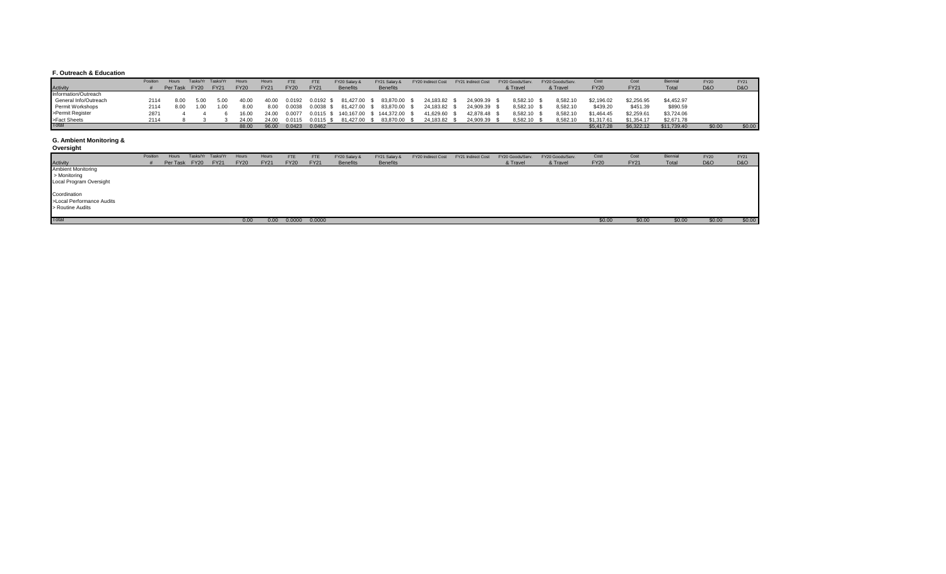#### **F. Outreach & Education**

|                       | Position | Hours         | Tasks/Yr | Tasks/Yr    | Hours       | Hours       | <b>FTE</b>  | <b>FTE</b>    | FY20 Salary &                      | FY21 Salary &   | FY20 Indirect Cost | FY21 Indirect Cost | FY20 Goods/Serv. | FY20 Goods/Serv. | Cost        | Cost        | <b>Biennia</b> | <b>FY20</b>    | FY21   |
|-----------------------|----------|---------------|----------|-------------|-------------|-------------|-------------|---------------|------------------------------------|-----------------|--------------------|--------------------|------------------|------------------|-------------|-------------|----------------|----------------|--------|
| Activity              |          | Per Task FY20 |          | <b>FY21</b> | <b>FY20</b> | <b>FY21</b> | <b>FY20</b> | <b>FY21</b>   | <b>Benefits</b>                    | <b>Benefits</b> |                    |                    | & Travel         | & Travel         | <b>FY20</b> | <b>FY21</b> | Total          | <b>D&amp;O</b> | D&O    |
| Information/Outreach  |          |               |          |             |             |             |             |               |                                    |                 |                    |                    |                  |                  |             |             |                |                |        |
| General Info/Outreach | 2114     | 8.00          | 5.00     | 5.00        | 40.00       | 40.00       | 0.0192      | $0.0192$ \$   | 81,427.00 \$                       | 83,870.00       | 24,183.82          | 24,909.39          | 8,582.10         | 8,582.10         | \$2,196.02  | \$2.256.95  | \$4,452.97     |                |        |
| Permit Workshops      | 2114     | 8.00          | 1.00     | 1.00        | 8.00        | 8.00        | 0.0038      | 0.0038        | 81.427.00 \$                       | 83,870.00       | 24,183.82          | 24,909.39          | 8,582.10         | 8,582.10         | \$439.20    | \$451.39    | \$890.59       |                |        |
| >Permit Register      |          |               |          |             | 16.00       | 24.00       | 0.0077      |               | 0.0115 \$ 140,167.00 \$ 144,372.00 |                 | 41,629.60          | 42.878.48          | 8.582.10         | 8,582.10         | \$1,464.45  | \$2,259.61  | \$3.724.06     |                |        |
| >Fact Sheets          | 2114     |               |          |             | 24.00       | 24.00       | 0.0115      | $0.0115$ \$   | 81.427.00 \$                       | 83.870.00       | 24.183.82          | 24.909.39          | 8.582.10         | 8.582.10         | \$1.317.61  | \$1.354.17  | \$2,671.78     |                |        |
| <b>Total</b>          |          |               |          |             | 88.00       | 96.00       |             | 0.0423 0.0462 |                                    |                 |                    |                    |                  |                  | \$5,417.28  | \$6,322.12  | \$11,739.40    | \$0.00         | \$0.00 |

### **G. Ambient Monitoring &**

| Oversight |  |  |
|-----------|--|--|
|           |  |  |

|                           | Position | Hours         | Tasks/Yr Tasks/Yr | Hours       | Hours       | <b>FTE</b>  | FTE         | FY20 Salary &   | FY21 Salary &   | FY20 Indirect Cost | FY21 Indirect Cost | FY20 Goods/Serv. | FY20 Goods/Serv. | Cost        | Cost        | Biennial | <b>FY20</b>    | FY21           |
|---------------------------|----------|---------------|-------------------|-------------|-------------|-------------|-------------|-----------------|-----------------|--------------------|--------------------|------------------|------------------|-------------|-------------|----------|----------------|----------------|
| <b>Activity</b>           |          | Per Task FY20 | <b>FY21</b>       | <b>FY20</b> | <b>FY21</b> | <b>FY20</b> | <b>FY21</b> | <b>Benefits</b> | <b>Benefits</b> |                    |                    | & Travel         | & Travel         | <b>FY20</b> | <b>FY21</b> | Total    | <b>D&amp;O</b> | <b>D&amp;O</b> |
| <b>Ambient Monitoring</b> |          |               |                   |             |             |             |             |                 |                 |                    |                    |                  |                  |             |             |          |                |                |
| > Monitoring              |          |               |                   |             |             |             |             |                 |                 |                    |                    |                  |                  |             |             |          |                |                |
| Local Program Oversight   |          |               |                   |             |             |             |             |                 |                 |                    |                    |                  |                  |             |             |          |                |                |
|                           |          |               |                   |             |             |             |             |                 |                 |                    |                    |                  |                  |             |             |          |                |                |
| Coordination              |          |               |                   |             |             |             |             |                 |                 |                    |                    |                  |                  |             |             |          |                |                |
| >Local Performance Audits |          |               |                   |             |             |             |             |                 |                 |                    |                    |                  |                  |             |             |          |                |                |
| > Routine Audits          |          |               |                   |             |             |             |             |                 |                 |                    |                    |                  |                  |             |             |          |                |                |
|                           |          |               |                   |             |             |             |             |                 |                 |                    |                    |                  |                  |             |             |          |                |                |
| Total                     |          |               |                   | 0.00        | 0.00        | 0.0000      | 0.0000      |                 |                 |                    |                    |                  |                  | \$0.00      | \$0.00      | \$0.00   | \$0.00         | \$0.00         |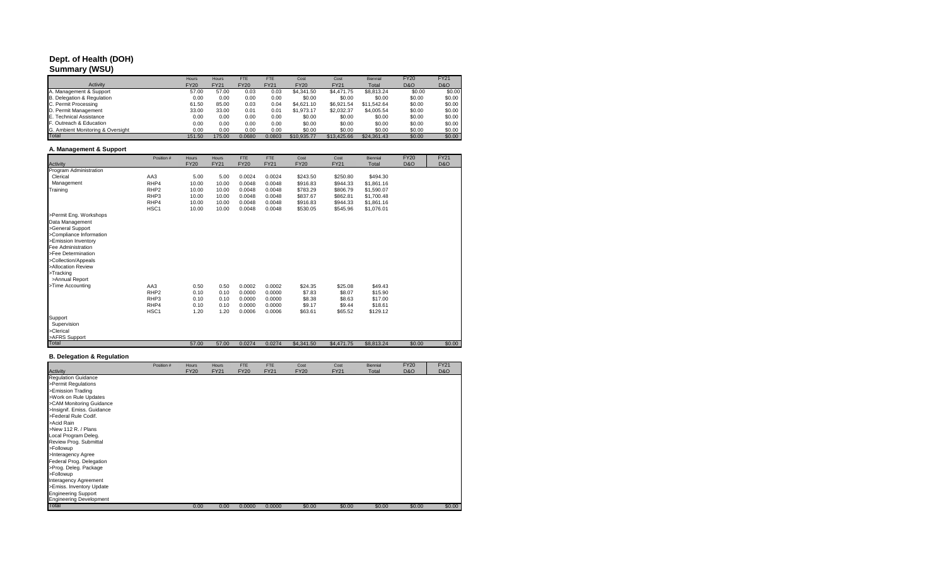# **Dept. of Health (DOH)**

### **Summary (WSU)**

|                                   | <b>Hours</b> | Hours       | <b>FTE</b>  | <b>FTE</b>  | Cost        | Cost        | <b>Biennial</b> | <b>FY20</b>    | <b>FY21</b>    |
|-----------------------------------|--------------|-------------|-------------|-------------|-------------|-------------|-----------------|----------------|----------------|
| Activity                          | <b>FY20</b>  | <b>FY21</b> | <b>FY20</b> | <b>FY21</b> | <b>FY20</b> | <b>FY21</b> | Total           | <b>D&amp;O</b> | <b>D&amp;O</b> |
| A. Management & Support           | 57.00        | 57.00       | 0.03        | 0.03        | \$4,341.50  | \$4,471.75  | \$8,813,24      | \$0.00         | \$0.00         |
| B. Delegation & Regulation        | 0.00         | 0.00        | 0.00        | 0.00        | \$0.00      | \$0.00      | \$0.00          | \$0.00         | \$0.00         |
| C. Permit Processing              | 61.50        | 85.00       | 0.03        | 0.04        | \$4,621.10  | \$6.921.54  | \$11.542.64     | \$0.00         | \$0.00         |
| D. Permit Management              | 33.00        | 33.00       | 0.01        | 0.01        | \$1.973.17  | \$2,032.37  | \$4,005.54      | \$0.00         | \$0.00         |
| E. Technical Assistance           | 0.00         | 0.00        | 0.00        | 0.00        | \$0.00      | \$0.00      | \$0.00          | \$0.00         | \$0.00         |
| F. Outreach & Education           | 0.00         | 0.00        | 0.00        | 0.00        | \$0.00      | \$0.00      | \$0.00          | \$0.00         | \$0.00         |
| G. Ambient Monitoring & Oversight | 0.00         | 0.00        | 0.00        | 0.00        | \$0.00      | \$0.00      | \$0.00          | \$0.00         | \$0.00         |
| Total                             | 151.50       | 175.00      | 0.0680      | 0.0803      | \$10,935,77 | \$13,425.66 | \$24.361.43     | \$0.00         | \$0.00         |

### **A. Management & Support**

|                         | Position #       | Hours       | Hours       | FTE         | FTE         | Cost        | Cost        | <b>Biennial</b> | <b>FY20</b>    | <b>FY21</b>    |
|-------------------------|------------------|-------------|-------------|-------------|-------------|-------------|-------------|-----------------|----------------|----------------|
| Activity                |                  | <b>FY20</b> | <b>FY21</b> | <b>FY20</b> | <b>FY21</b> | <b>FY20</b> | <b>FY21</b> | Total           | <b>D&amp;O</b> | <b>D&amp;O</b> |
| Program Administration  |                  |             |             |             |             |             |             |                 |                |                |
| Clerical                | AA3              | 5.00        | 5.00        | 0.0024      | 0.0024      | \$243.50    | \$250.80    | \$494.30        |                |                |
| Management              | RHP4             | 10.00       | 10.00       | 0.0048      | 0.0048      | \$916.83    | \$944.33    | \$1.861.16      |                |                |
| Training                | RHP <sub>2</sub> | 10.00       | 10.00       | 0.0048      | 0.0048      | \$783.29    | \$806.79    | \$1,590.07      |                |                |
|                         | RHP3             | 10.00       | 10.00       | 0.0048      | 0.0048      | \$837.67    | \$862.81    | \$1,700.48      |                |                |
|                         | RHP4             | 10.00       | 10.00       | 0.0048      | 0.0048      | \$916.83    | \$944.33    | \$1,861.16      |                |                |
|                         | HSC <sub>1</sub> | 10.00       | 10.00       | 0.0048      | 0.0048      | \$530.05    | \$545.96    | \$1,076.01      |                |                |
| >Permit Eng. Workshops  |                  |             |             |             |             |             |             |                 |                |                |
| Data Management         |                  |             |             |             |             |             |             |                 |                |                |
| >General Support        |                  |             |             |             |             |             |             |                 |                |                |
| >Compliance Information |                  |             |             |             |             |             |             |                 |                |                |
| >Emission Inventory     |                  |             |             |             |             |             |             |                 |                |                |
| Fee Administration      |                  |             |             |             |             |             |             |                 |                |                |
| >Fee Determination      |                  |             |             |             |             |             |             |                 |                |                |
| >Collection/Appeals     |                  |             |             |             |             |             |             |                 |                |                |
| >Allocation Review      |                  |             |             |             |             |             |             |                 |                |                |
| >Tracking               |                  |             |             |             |             |             |             |                 |                |                |
| >Annual Report          |                  |             |             |             |             |             |             |                 |                |                |
| >Time Accounting        | AA3              | 0.50        | 0.50        | 0.0002      | 0.0002      | \$24.35     | \$25.08     | \$49.43         |                |                |
|                         | RHP <sub>2</sub> | 0.10        | 0.10        | 0.0000      | 0.0000      | \$7.83      | \$8.07      | \$15.90         |                |                |
|                         | RHP3             | 0.10        | 0.10        | 0.0000      | 0.0000      | \$8.38      | \$8.63      | \$17.00         |                |                |
|                         | RHP4             | 0.10        | 0.10        | 0.0000      | 0.0000      | \$9.17      | \$9.44      | \$18.61         |                |                |
|                         | HSC <sub>1</sub> | 1.20        | 1.20        | 0.0006      | 0.0006      | \$63.61     | \$65.52     | \$129.12        |                |                |
| Support                 |                  |             |             |             |             |             |             |                 |                |                |
| Supervision             |                  |             |             |             |             |             |             |                 |                |                |
| >Clerical               |                  |             |             |             |             |             |             |                 |                |                |
| >AFRS Support           |                  |             |             |             |             |             |             |                 |                |                |
| Total                   |                  | 57.00       | 57.00       | 0.0274      | 0.0274      | \$4,341.50  | \$4,471.75  | \$8,813.24      | \$0.00         | \$0.00         |

## **B. Delegation & Regulation**

|                                | Position # | Hours       | Hours       | <b>FTE</b>  | FTE         | Cost        | Cost        | <b>Biennial</b> | <b>FY20</b>    | <b>FY21</b>    |
|--------------------------------|------------|-------------|-------------|-------------|-------------|-------------|-------------|-----------------|----------------|----------------|
| Activity                       |            | <b>FY20</b> | <b>FY21</b> | <b>FY20</b> | <b>FY21</b> | <b>FY20</b> | <b>FY21</b> | Total           | <b>D&amp;O</b> | <b>D&amp;O</b> |
| <b>Regulation Guidance</b>     |            |             |             |             |             |             |             |                 |                |                |
| >Permit Regulations            |            |             |             |             |             |             |             |                 |                |                |
| >Emission Trading              |            |             |             |             |             |             |             |                 |                |                |
| >Work on Rule Updates          |            |             |             |             |             |             |             |                 |                |                |
| >CAM Monitoring Guidance       |            |             |             |             |             |             |             |                 |                |                |
| >Insignif. Emiss. Guidance     |            |             |             |             |             |             |             |                 |                |                |
| >Federal Rule Codif.           |            |             |             |             |             |             |             |                 |                |                |
| >Acid Rain                     |            |             |             |             |             |             |             |                 |                |                |
| >New 112 R. / Plans            |            |             |             |             |             |             |             |                 |                |                |
| Local Program Deleg.           |            |             |             |             |             |             |             |                 |                |                |
| Review Prog. Submittal         |            |             |             |             |             |             |             |                 |                |                |
| >Followup                      |            |             |             |             |             |             |             |                 |                |                |
| >Interagency Agree             |            |             |             |             |             |             |             |                 |                |                |
| Federal Prog. Delegation       |            |             |             |             |             |             |             |                 |                |                |
| >Prog. Deleg. Package          |            |             |             |             |             |             |             |                 |                |                |
| >Followup                      |            |             |             |             |             |             |             |                 |                |                |
| Interagency Agreement          |            |             |             |             |             |             |             |                 |                |                |
| >Emiss. Inventory Update       |            |             |             |             |             |             |             |                 |                |                |
| <b>Engineering Support</b>     |            |             |             |             |             |             |             |                 |                |                |
| <b>Engineering Development</b> |            |             |             |             |             |             |             |                 |                |                |
| Total                          |            | 0.00        | 0.00        | 0.0000      | 0.0000      | \$0.00      | \$0.00      | \$0.00          | \$0.00         | \$0.00         |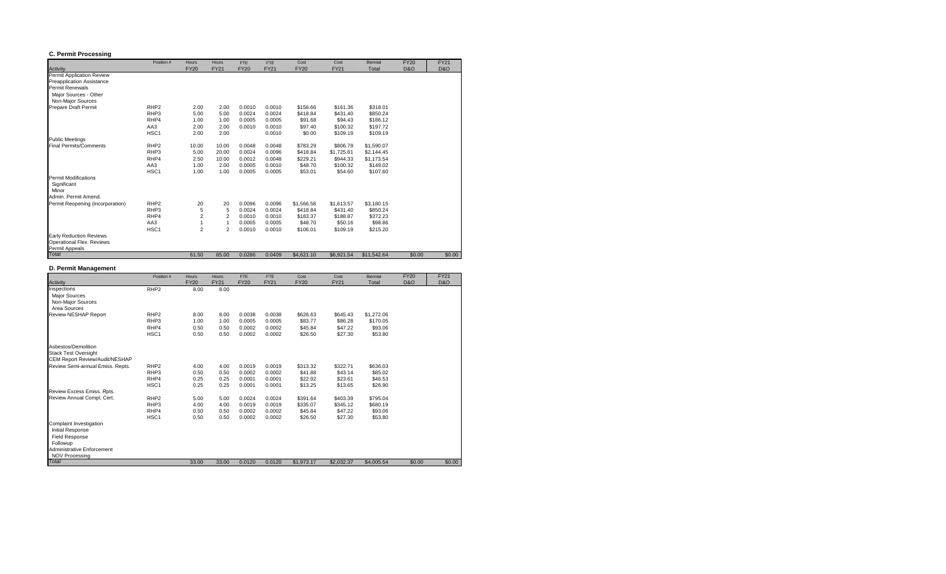#### **C. Permit Processing**

|                                  | Position #       | <b>Hours</b>   | Hours          | FTE         | <b>FTE</b>  | Cost        | Cost        | <b>Biennial</b> | <b>FY20</b>    | <b>FY21</b>    |
|----------------------------------|------------------|----------------|----------------|-------------|-------------|-------------|-------------|-----------------|----------------|----------------|
| Activity                         |                  | <b>FY20</b>    | <b>FY21</b>    | <b>FY20</b> | <b>FY21</b> | <b>FY20</b> | <b>FY21</b> | Total           | <b>D&amp;O</b> | <b>D&amp;O</b> |
| Permit Application Review        |                  |                |                |             |             |             |             |                 |                |                |
| <b>Preapplication Assistance</b> |                  |                |                |             |             |             |             |                 |                |                |
| Permit Renewals                  |                  |                |                |             |             |             |             |                 |                |                |
| Major Sources - Other            |                  |                |                |             |             |             |             |                 |                |                |
| Non-Major Sources                |                  |                |                |             |             |             |             |                 |                |                |
| Prepare Draft Permit             | RHP <sub>2</sub> | 2.00           | 2.00           | 0.0010      | 0.0010      | \$156.66    | \$161.36    | \$318.01        |                |                |
|                                  | RHP3             | 5.00           | 5.00           | 0.0024      | 0.0024      | \$418.84    | \$431.40    | \$850.24        |                |                |
|                                  | RHP4             | 1.00           | 1.00           | 0.0005      | 0.0005      | \$91.68     | \$94.43     | \$186.12        |                |                |
|                                  | AA3              | 2.00           | 2.00           | 0.0010      | 0.0010      | \$97.40     | \$100.32    | \$197.72        |                |                |
|                                  | HSC <sub>1</sub> | 2.00           | 2.00           |             | 0.0010      | \$0.00      | \$109.19    | \$109.19        |                |                |
| <b>Public Meetings</b>           |                  |                |                |             |             |             |             |                 |                |                |
| <b>Final Permits/Comments</b>    | RHP <sub>2</sub> | 10.00          | 10.00          | 0.0048      | 0.0048      | \$783.29    | \$806.79    | \$1,590.07      |                |                |
|                                  | RHP3             | 5.00           | 20.00          | 0.0024      | 0.0096      | \$418.84    | \$1,725.61  | \$2,144.45      |                |                |
|                                  | RHP4             | 2.50           | 10.00          | 0.0012      | 0.0048      | \$229.21    | \$944.33    | \$1,173.54      |                |                |
|                                  | AA3              | 1.00           | 2.00           | 0.0005      | 0.0010      | \$48.70     | \$100.32    | \$149.02        |                |                |
|                                  | HSC <sub>1</sub> | 1.00           | 1.00           | 0.0005      | 0.0005      | \$53.01     | \$54.60     | \$107.60        |                |                |
| <b>Permit Modifications</b>      |                  |                |                |             |             |             |             |                 |                |                |
| Significant                      |                  |                |                |             |             |             |             |                 |                |                |
| Minor                            |                  |                |                |             |             |             |             |                 |                |                |
| Admin, Permit Amend.             |                  |                |                |             |             |             |             |                 |                |                |
| Permit Reopening (incorporation) | RHP <sub>2</sub> | 20             | 20             | 0.0096      | 0.0096      | \$1,566.58  | \$1,613.57  | \$3,180.15      |                |                |
|                                  | RHP3             | 5              | 5              | 0.0024      | 0.0024      | \$418.84    | \$431.40    | \$850.24        |                |                |
|                                  | RHP4             | $\overline{2}$ | $\overline{2}$ | 0.0010      | 0.0010      | \$183.37    | \$188.87    | \$372.23        |                |                |
|                                  | AA3              | 1              | $\mathbf{1}$   | 0.0005      | 0.0005      | \$48.70     | \$50.16     | \$98.86         |                |                |
|                                  | HSC <sub>1</sub> | $\overline{2}$ | $\overline{2}$ | 0.0010      | 0.0010      | \$106.01    | \$109.19    | \$215.20        |                |                |
| <b>Early Reduction Reviews</b>   |                  |                |                |             |             |             |             |                 |                |                |
| Operational Flex. Reviews        |                  |                |                |             |             |             |             |                 |                |                |
| Permit Appeals                   |                  |                |                |             |             |             |             |                 |                |                |
| Total                            |                  | 61.50          | 85.00          | 0.0286      | 0.0409      | \$4,621.10  | \$6,921.54  | \$11.542.64     | \$0.00         | \$0.00         |

## **D. Permit Management**

|                                  | Position #       | Hours       | Hours       | FTE         | <b>FTE</b>  | Cost        | Cost        | <b>Biennial</b> | <b>FY20</b>    | <b>FY21</b>    |
|----------------------------------|------------------|-------------|-------------|-------------|-------------|-------------|-------------|-----------------|----------------|----------------|
| Activity                         |                  | <b>FY20</b> | <b>FY21</b> | <b>FY20</b> | <b>FY21</b> | <b>FY20</b> | <b>FY21</b> | Total           | <b>D&amp;O</b> | <b>D&amp;O</b> |
| Inspections                      | RHP <sub>2</sub> | 8.00        | 8.00        |             |             |             |             |                 |                |                |
| <b>Major Sources</b>             |                  |             |             |             |             |             |             |                 |                |                |
| Non-Major Sources                |                  |             |             |             |             |             |             |                 |                |                |
| Area Sources                     |                  |             |             |             |             |             |             |                 |                |                |
| Review NESHAP Report             | RHP <sub>2</sub> | 8.00        | 8.00        | 0.0038      | 0.0038      | \$626.63    | \$645.43    | \$1,272.06      |                |                |
|                                  | RHP3             | 1.00        | 1.00        | 0.0005      | 0.0005      | \$83.77     | \$86.28     | \$170.05        |                |                |
|                                  | RHP4             | 0.50        | 0.50        | 0.0002      | 0.0002      | \$45.84     | \$47.22     | \$93.06         |                |                |
|                                  | HSC1             | 0.50        | 0.50        | 0.0002      | 0.0002      | \$26.50     | \$27.30     | \$53.80         |                |                |
| Ashestos/Demolition              |                  |             |             |             |             |             |             |                 |                |                |
| <b>Stack Test Oversight</b>      |                  |             |             |             |             |             |             |                 |                |                |
| CEM Report Review/Audit/NESHAP   |                  |             |             |             |             |             |             |                 |                |                |
| Review Semi-annual Emiss. Repts. | RHP <sub>2</sub> | 4.00        | 4.00        | 0.0019      | 0.0019      | \$313.32    | \$322.71    | \$636.03        |                |                |
|                                  | RHP3             | 0.50        | 0.50        | 0.0002      | 0.0002      | \$41.88     | \$43.14     | \$85.02         |                |                |
|                                  | RHP4             | 0.25        | 0.25        | 0.0001      | 0.0001      | \$22.92     | \$23.61     | \$46.53         |                |                |
|                                  | HSC <sub>1</sub> | 0.25        | 0.25        | 0.0001      | 0.0001      | \$13.25     | \$13.65     | \$26.90         |                |                |
| Review Excess Emiss, Rots.       |                  |             |             |             |             |             |             |                 |                |                |
| Review Annual Compl. Cert.       | RHP <sub>2</sub> | 5.00        | 5.00        | 0.0024      | 0.0024      | \$391.64    | \$403.39    | \$795.04        |                |                |
|                                  | RHP3             | 4.00        | 4.00        | 0.0019      | 0.0019      | \$335.07    | \$345.12    | \$680.19        |                |                |
|                                  | RHP4             | 0.50        | 0.50        | 0.0002      | 0.0002      | \$45.84     | \$47.22     | \$93.06         |                |                |
|                                  | HSC <sub>1</sub> | 0.50        | 0.50        | 0.0002      | 0.0002      | \$26.50     | \$27.30     | \$53.80         |                |                |
| Complaint Investigation          |                  |             |             |             |             |             |             |                 |                |                |
| Initial Response                 |                  |             |             |             |             |             |             |                 |                |                |
| <b>Field Response</b>            |                  |             |             |             |             |             |             |                 |                |                |
| Followup                         |                  |             |             |             |             |             |             |                 |                |                |
| Administrative Enforcement       |                  |             |             |             |             |             |             |                 |                |                |
| <b>NOV Processing</b>            |                  |             |             |             |             |             |             |                 |                |                |
| Total                            |                  | 33.00       | 33.00       | 0.0120      | 0.0120      | \$1,973.17  | \$2,032.37  | \$4,005.54      | \$0.00         | \$0.00         |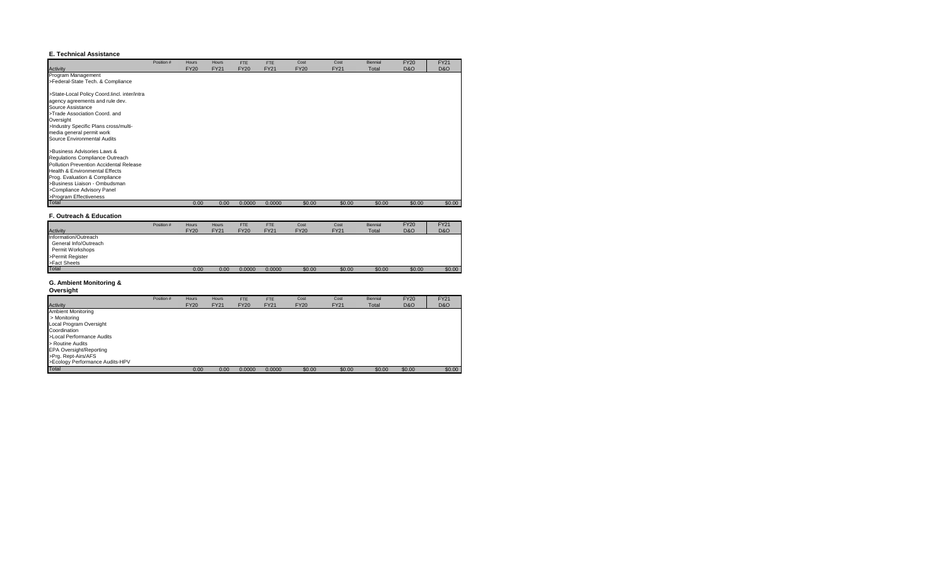#### **E. Technical Assistance**

|                                                                                                                                                                                                                                                                       | Position # | Hours       | Hours       | FTE         | <b>FTE</b>  | Cost        | Cost        | Biennial | <b>FY20</b>    | <b>FY21</b>    |
|-----------------------------------------------------------------------------------------------------------------------------------------------------------------------------------------------------------------------------------------------------------------------|------------|-------------|-------------|-------------|-------------|-------------|-------------|----------|----------------|----------------|
| <b>Activity</b><br>Program Management                                                                                                                                                                                                                                 |            | <b>FY20</b> | <b>FY21</b> | <b>FY20</b> | <b>FY21</b> | <b>FY20</b> | <b>FY21</b> | Total    | <b>D&amp;O</b> | <b>D&amp;O</b> |
| >Federal-State Tech. & Compliance                                                                                                                                                                                                                                     |            |             |             |             |             |             |             |          |                |                |
| >State-Local Policy Coord.lincl. inter/intra<br>agency agreements and rule dev.<br>Source Assistance<br>>Trade Association Coord, and<br>Oversight<br>>Industry Specific Plans cross/multi-<br>media general permit work<br>Source Environmental Audits               |            |             |             |             |             |             |             |          |                |                |
| >Business Advisories Laws &<br>Regulations Compliance Outreach<br>Pollution Prevention Accidental Release<br>Health & Environmental Effects<br>Prog. Evaluation & Compliance<br>>Business Liaison - Ombudsman<br>>Compliance Advisory Panel<br>>Program Effectiveness |            |             |             |             |             |             |             |          |                |                |
| <b>Total</b>                                                                                                                                                                                                                                                          |            | 0.00        | 0.00        | 0.0000      | 0.0000      | \$0.00      | \$0.00      | \$0.00   | \$0.00         | \$0.00         |

#### **F. Outreach & Education**

|                       | Position # | <b>Hours</b> | <b>Hours</b> | FTE         | FTE         | Cost        | Cost        | <b>Biennial</b> | <b>FY20</b>    | <b>FY21</b>    |
|-----------------------|------------|--------------|--------------|-------------|-------------|-------------|-------------|-----------------|----------------|----------------|
| Activity              |            | <b>FY20</b>  | <b>FY21</b>  | <b>FY20</b> | <b>FY21</b> | <b>FY20</b> | <b>FY21</b> | Total           | <b>D&amp;O</b> | <b>D&amp;O</b> |
| Information/Outreach  |            |              |              |             |             |             |             |                 |                |                |
| General Info/Outreach |            |              |              |             |             |             |             |                 |                |                |
| Permit Workshops      |            |              |              |             |             |             |             |                 |                |                |
| >Permit Register      |            |              |              |             |             |             |             |                 |                |                |
| >Fact Sheets          |            |              |              |             |             |             |             |                 |                |                |
| Total                 |            | 0.00         | 0.00         | 0.0000      | 0.0000      | \$0.00      | \$0.00      | \$0.00          | \$0.00         | \$0.00         |

## **G. Ambient Monitoring &**

| Oversight |
|-----------|
|-----------|

|                                 | Position # | <b>Hours</b> | Hours       | <b>FTE</b>  | <b>FTE</b>  | Cost        | Cost        | <b>Biennial</b> | <b>FY20</b>    | <b>FY21</b>    |
|---------------------------------|------------|--------------|-------------|-------------|-------------|-------------|-------------|-----------------|----------------|----------------|
| Activity                        |            | <b>FY20</b>  | <b>FY21</b> | <b>FY20</b> | <b>FY21</b> | <b>FY20</b> | <b>FY21</b> | Total           | <b>D&amp;O</b> | <b>D&amp;O</b> |
| <b>Ambient Monitoring</b>       |            |              |             |             |             |             |             |                 |                |                |
| > Monitoring                    |            |              |             |             |             |             |             |                 |                |                |
| Local Program Oversight         |            |              |             |             |             |             |             |                 |                |                |
| Coordination                    |            |              |             |             |             |             |             |                 |                |                |
| >Local Performance Audits       |            |              |             |             |             |             |             |                 |                |                |
| > Routine Audits                |            |              |             |             |             |             |             |                 |                |                |
| <b>EPA Oversight/Reporting</b>  |            |              |             |             |             |             |             |                 |                |                |
| >Prg. Rept-Airs/AFS             |            |              |             |             |             |             |             |                 |                |                |
| >Ecology Performance Audits-HPV |            |              |             |             |             |             |             |                 |                |                |
| Total                           |            | 0.00         | 0.00        | 0.0000      | 0.0000      | \$0.00      | \$0.00      | \$0.00          | \$0.00         | \$0.00         |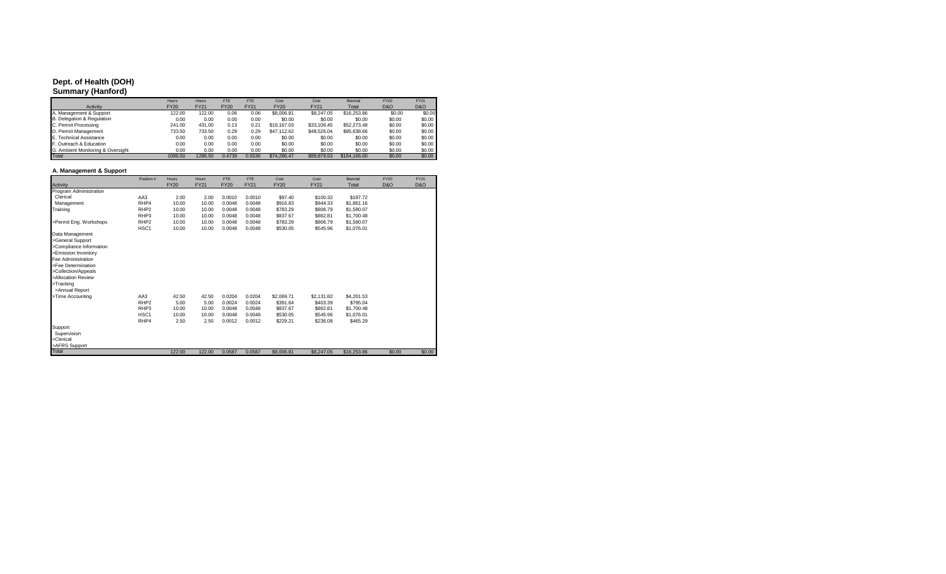## **Dept. of Health (DOH)**

**Summary (Hanford)**

|                                   | <b>Hours</b> | Hours       | <b>FTE</b>  | <b>FTF</b>  | Cost        | Cost        | Biennial     | <b>FY20</b>    | <b>FY21</b>    |
|-----------------------------------|--------------|-------------|-------------|-------------|-------------|-------------|--------------|----------------|----------------|
| Activity                          | <b>FY20</b>  | <b>FY21</b> | <b>FY20</b> | <b>FY21</b> | <b>FY20</b> | <b>FY21</b> | Total        | <b>D&amp;O</b> | <b>D&amp;O</b> |
| A. Management & Support           | 122.00       | 122.00      | 0.06        | 0.06        | \$8,006.81  | \$8,247.05  | \$16,253.86  | \$0.00         | \$0.00         |
| B. Delegation & Regulation        | 0.00         | 0.00        | 0.00        | 0.00        | \$0.00      | \$0.00      | \$0.00       | \$0.00         | \$0.00         |
| C. Permit Processing              | 241.00       | 431.00      | 0.13        | 0.21        | \$19,167.03 | \$33,106.45 | \$52,273,48  | \$0.00         | \$0.00         |
| D. Permit Management              | 733.50       | 733.50      | 0.29        | 0.29        | \$47,112.62 | \$48,526.04 | \$95,638,66  | \$0.00         | \$0.00         |
| E. Technical Assistance           | 0.00         | 0.00        | 0.00        | 0.00        | \$0.00      | \$0.00      | \$0.00       | \$0.00         | \$0.00         |
| F. Outreach & Education           | 0.00         | 0.00        | 0.00        | 0.00        | \$0.00      | \$0.00      | \$0.00       | \$0.00         | \$0.00         |
| G. Ambient Monitoring & Oversight | 0.00         | 0.00        | 0.00        | 0.00        | \$0.00      | \$0.00      | \$0.00       | \$0.00         | \$0.00         |
| Total                             | 1096.50      | 1286.50     | 0.4738      | 0.5536      | \$74,286,47 | \$89,879.53 | \$164,166,00 | \$0.00         | \$0.00         |

#### **A. Management & Support**

|                         | Position #       | <b>Hours</b> | <b>Hours</b> | <b>FTE</b>  | <b>FTE</b>  | Cost        | Cost        | Biennial    | <b>FY20</b>    | <b>FY21</b>    |
|-------------------------|------------------|--------------|--------------|-------------|-------------|-------------|-------------|-------------|----------------|----------------|
| Activity                |                  | <b>FY20</b>  | <b>FY21</b>  | <b>FY20</b> | <b>FY21</b> | <b>FY20</b> | <b>FY21</b> | Total       | <b>D&amp;O</b> | <b>D&amp;O</b> |
| Program Administration  |                  |              |              |             |             |             |             |             |                |                |
| Clerical                | AA3              | 2.00         | 2.00         | 0.0010      | 0.0010      | \$97.40     | \$100.32    | \$197.72    |                |                |
| Management              | RHP4             | 10.00        | 10.00        | 0.0048      | 0.0048      | \$916.83    | \$944.33    | \$1,861.16  |                |                |
| Training                | RHP <sub>2</sub> | 10.00        | 10.00        | 0.0048      | 0.0048      | \$783.29    | \$806.79    | \$1,590.07  |                |                |
|                         | RHP3             | 10.00        | 10.00        | 0.0048      | 0.0048      | \$837.67    | \$862.81    | \$1,700.48  |                |                |
| >Permit Eng. Workshops  | RHP <sub>2</sub> | 10.00        | 10.00        | 0.0048      | 0.0048      | \$783.29    | \$806.79    | \$1,590.07  |                |                |
|                         | HSC <sub>1</sub> | 10.00        | 10.00        | 0.0048      | 0.0048      | \$530.05    | \$545.96    | \$1,076,01  |                |                |
| Data Management         |                  |              |              |             |             |             |             |             |                |                |
| >General Support        |                  |              |              |             |             |             |             |             |                |                |
| >Compliance Information |                  |              |              |             |             |             |             |             |                |                |
| >Emission Inventory     |                  |              |              |             |             |             |             |             |                |                |
| Fee Administration      |                  |              |              |             |             |             |             |             |                |                |
| >Fee Determination      |                  |              |              |             |             |             |             |             |                |                |
| >Collection/Appeals     |                  |              |              |             |             |             |             |             |                |                |
| >Allocation Review      |                  |              |              |             |             |             |             |             |                |                |
| >Tracking               |                  |              |              |             |             |             |             |             |                |                |
| >Annual Report          |                  |              |              |             |             |             |             |             |                |                |
| >Time Accounting        | AA3              | 42.50        | 42.50        | 0.0204      | 0.0204      | \$2,069.71  | \$2,131.82  | \$4,201.53  |                |                |
|                         | RHP <sub>2</sub> | 5.00         | 5.00         | 0.0024      | 0.0024      | \$391.64    | \$403.39    | \$795.04    |                |                |
|                         | RHP3             | 10.00        | 10.00        | 0.0048      | 0.0048      | \$837.67    | \$862.81    | \$1,700.48  |                |                |
|                         | HSC <sub>1</sub> | 10.00        | 10.00        | 0.0048      | 0.0048      | \$530.05    | \$545.96    | \$1,076.01  |                |                |
|                         | RHP4             | 2.50         | 2.50         | 0.0012      | 0.0012      | \$229.21    | \$236.08    | \$465.29    |                |                |
| Support                 |                  |              |              |             |             |             |             |             |                |                |
| Supervision             |                  |              |              |             |             |             |             |             |                |                |
| >Clerical               |                  |              |              |             |             |             |             |             |                |                |
| >AFRS Support           |                  |              |              |             |             |             |             |             |                |                |
| <b>Total</b>            |                  | 122.00       | 122.00       | 0.0587      | 0.0587      | \$8,006.81  | \$8,247.05  | \$16,253.86 | \$0.00         | \$0.00         |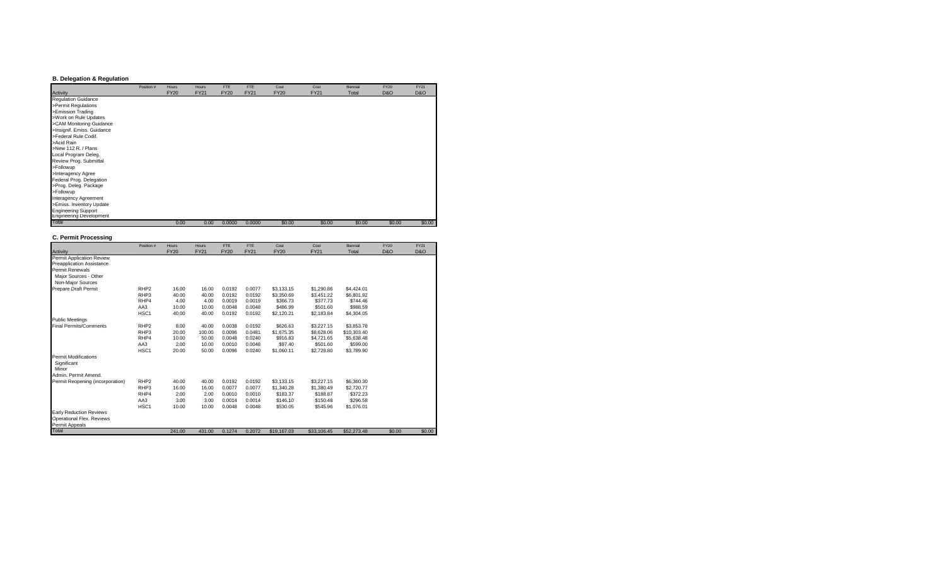### **B. Delegation & Regulation**

|                                | Position # | Hours       | Hours       | <b>FTE</b>  | FTE         | Cost        | Cost        | Biennial | <b>FY20</b>    | <b>FY21</b>    |
|--------------------------------|------------|-------------|-------------|-------------|-------------|-------------|-------------|----------|----------------|----------------|
| Activity                       |            | <b>FY20</b> | <b>FY21</b> | <b>FY20</b> | <b>FY21</b> | <b>FY20</b> | <b>FY21</b> | Total    | <b>D&amp;O</b> | <b>D&amp;O</b> |
| <b>Regulation Guidance</b>     |            |             |             |             |             |             |             |          |                |                |
| >Permit Regulations            |            |             |             |             |             |             |             |          |                |                |
| >Emission Trading              |            |             |             |             |             |             |             |          |                |                |
| >Work on Rule Updates          |            |             |             |             |             |             |             |          |                |                |
| >CAM Monitoring Guidance       |            |             |             |             |             |             |             |          |                |                |
| >Insignif. Emiss. Guidance     |            |             |             |             |             |             |             |          |                |                |
| >Federal Rule Codif.           |            |             |             |             |             |             |             |          |                |                |
| >Acid Rain                     |            |             |             |             |             |             |             |          |                |                |
| >New 112 R. / Plans            |            |             |             |             |             |             |             |          |                |                |
| Local Program Deleg.           |            |             |             |             |             |             |             |          |                |                |
| Review Prog. Submittal         |            |             |             |             |             |             |             |          |                |                |
| >Followup                      |            |             |             |             |             |             |             |          |                |                |
| >Interagency Agree             |            |             |             |             |             |             |             |          |                |                |
| Federal Prog. Delegation       |            |             |             |             |             |             |             |          |                |                |
| >Prog. Deleg. Package          |            |             |             |             |             |             |             |          |                |                |
| >Followup                      |            |             |             |             |             |             |             |          |                |                |
| Interagency Agreement          |            |             |             |             |             |             |             |          |                |                |
| >Emiss. Inventory Update       |            |             |             |             |             |             |             |          |                |                |
| <b>Engineering Support</b>     |            |             |             |             |             |             |             |          |                |                |
| <b>Engineering Development</b> |            |             |             |             |             |             |             |          |                |                |
| Total                          |            | 0.00        | 0.00        | 0.0000      | 0.0000      | \$0.00      | \$0.00      | \$0.00   | \$0.00         | \$0.00         |

#### **C. Permit Processing**

|                                  | Position #       | <b>Hours</b> | Hours       | <b>FTE</b>  | FTE         | Cost        | Cost        | Biennial    | <b>FY20</b>    | <b>FY21</b>    |
|----------------------------------|------------------|--------------|-------------|-------------|-------------|-------------|-------------|-------------|----------------|----------------|
| Activity                         |                  | <b>FY20</b>  | <b>FY21</b> | <b>FY20</b> | <b>FY21</b> | <b>FY20</b> | <b>FY21</b> | Total       | <b>D&amp;O</b> | <b>D&amp;O</b> |
| Permit Application Review        |                  |              |             |             |             |             |             |             |                |                |
| Preapplication Assistance        |                  |              |             |             |             |             |             |             |                |                |
| Permit Renewals                  |                  |              |             |             |             |             |             |             |                |                |
| Major Sources - Other            |                  |              |             |             |             |             |             |             |                |                |
| Non-Major Sources                |                  |              |             |             |             |             |             |             |                |                |
| Prepare Draft Permit             | RHP <sub>2</sub> | 16.00        | 16.00       | 0.0192      | 0.0077      | \$3.133.15  | \$1,290.86  | \$4.424.01  |                |                |
|                                  | RHP3             | 40.00        | 40.00       | 0.0192      | 0.0192      | \$3,350.69  | \$3,451.22  | \$6,801.92  |                |                |
|                                  | RHP4             | 4.00         | 4.00        | 0.0019      | 0.0019      | \$366.73    | \$377.73    | \$744.46    |                |                |
|                                  | AA3              | 10.00        | 10.00       | 0.0048      | 0.0048      | \$486.99    | \$501.60    | \$988.59    |                |                |
|                                  | HSC <sub>1</sub> | 40.00        | 40.00       | 0.0192      | 0.0192      | \$2,120.21  | \$2,183.84  | \$4,304.05  |                |                |
| <b>Public Meetings</b>           |                  |              |             |             |             |             |             |             |                |                |
| <b>Final Permits/Comments</b>    | RHP <sub>2</sub> | 8.00         | 40.00       | 0.0038      | 0.0192      | \$626.63    | \$3,227.15  | \$3,853.78  |                |                |
|                                  | RHP3             | 20.00        | 100.00      | 0.0096      | 0.0481      | \$1,675.35  | \$8,628,06  | \$10,303.40 |                |                |
|                                  | RHP4             | 10.00        | 50.00       | 0.0048      | 0.0240      | \$916.83    | \$4,721.65  | \$5.638.48  |                |                |
|                                  | AA3              | 2.00         | 10.00       | 0.0010      | 0.0048      | \$97.40     | \$501.60    | \$599.00    |                |                |
|                                  | HSC <sub>1</sub> | 20.00        | 50.00       | 0.0096      | 0.0240      | \$1,060.11  | \$2,729.80  | \$3,789.90  |                |                |
| <b>Permit Modifications</b>      |                  |              |             |             |             |             |             |             |                |                |
| Significant                      |                  |              |             |             |             |             |             |             |                |                |
| Minor                            |                  |              |             |             |             |             |             |             |                |                |
| Admin, Permit Amend.             |                  |              |             |             |             |             |             |             |                |                |
| Permit Reopening (incorporation) | RHP <sub>2</sub> | 40.00        | 40.00       | 0.0192      | 0.0192      | \$3.133.15  | \$3,227.15  | \$6,360.30  |                |                |
|                                  | RHP3             | 16.00        | 16.00       | 0.0077      | 0.0077      | \$1,340.28  | \$1,380.49  | \$2,720.77  |                |                |
|                                  | RHP4             | 2.00         | 2.00        | 0.0010      | 0.0010      | \$183.37    | \$188.87    | \$372.23    |                |                |
|                                  | AA3              | 3.00         | 3.00        | 0.0014      | 0.0014      | \$146.10    | \$150.48    | \$296.58    |                |                |
|                                  | HSC <sub>1</sub> | 10.00        | 10.00       | 0.0048      | 0.0048      | \$530.05    | \$545.96    | \$1,076.01  |                |                |
| <b>Early Reduction Reviews</b>   |                  |              |             |             |             |             |             |             |                |                |
| Operational Flex. Reviews        |                  |              |             |             |             |             |             |             |                |                |
| Permit Appeals                   |                  |              |             |             |             |             |             |             |                |                |
| Total                            |                  | 241.00       | 431.00      | 0.1274      | 0.2072      | \$19,167.03 | \$33,106.45 | \$52,273.48 | \$0.00         | \$0.00         |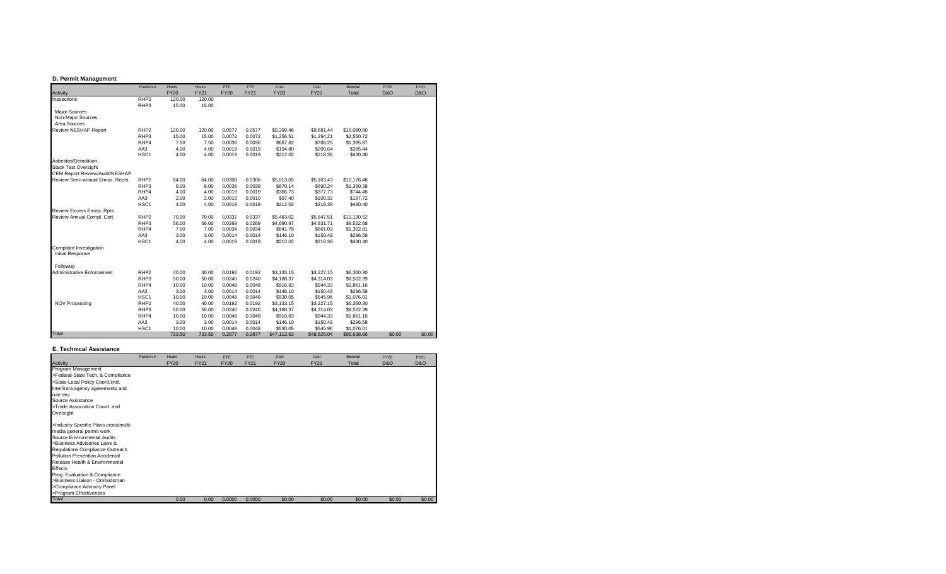#### **D. Permit Management**

|                                  | Position #       | Hours       | Hours       | <b>FTE</b>  | FTE         | Cost        | Cost        | Biennial    | <b>FY20</b>    | <b>FY21</b>    |
|----------------------------------|------------------|-------------|-------------|-------------|-------------|-------------|-------------|-------------|----------------|----------------|
| Activity                         |                  | <b>FY20</b> | <b>FY21</b> | <b>FY20</b> | <b>FY21</b> | <b>FY20</b> | <b>FY21</b> | Total       | <b>D&amp;O</b> | <b>D&amp;O</b> |
| Inspections                      | RHP <sub>2</sub> | 120.00      | 120.00      |             |             |             |             |             |                |                |
|                                  | RHP3             | 15.00       | 15.00       |             |             |             |             |             |                |                |
| <b>Major Sources</b>             |                  |             |             |             |             |             |             |             |                |                |
| Non-Major Sources                |                  |             |             |             |             |             |             |             |                |                |
| Area Sources                     |                  |             |             |             |             |             |             |             |                |                |
| Review NESHAP Report             | RHP <sub>2</sub> | 120.00      | 120.00      | 0.0577      | 0.0577      | \$9,399.46  | \$9,681.44  | \$19,080.90 |                |                |
|                                  | RHP3             | 15.00       | 15.00       | 0.0072      | 0.0072      | \$1,256.51  | \$1,294.21  | \$2,550.72  |                |                |
|                                  | RHP4             | 7.50        | 7.50        | 0.0036      | 0.0036      | \$687.62    | \$708.25    | \$1,395.87  |                |                |
|                                  | AA3              | 4.00        | 4.00        | 0.0019      | 0.0019      | \$194.80    | \$200.64    | \$395.44    |                |                |
|                                  | HSC1             | 4.00        | 4.00        | 0.0019      | 0.0019      | \$212.02    | \$218.38    | \$430.40    |                |                |
| Asbestos/Demolition              |                  |             |             |             |             |             |             |             |                |                |
| <b>Stack Test Oversight</b>      |                  |             |             |             |             |             |             |             |                |                |
| CEM Report Review/Audit/NESHAP   |                  |             |             |             |             |             |             |             |                |                |
| Review Semi-annual Emiss. Repts. | RHP <sub>2</sub> | 64.00       | 64.00       | 0.0308      | 0.0308      | \$5,013.05  | \$5,163.43  | \$10.176.48 |                |                |
|                                  | RHP3             | 8.00        | 8.00        | 0.0038      | 0.0038      | \$670.14    | \$690.24    | \$1,360.38  |                |                |
|                                  | RHP4             | 4.00        | 4.00        | 0.0019      | 0.0019      | \$366.73    | \$377.73    | \$744.46    |                |                |
|                                  | AA3              | 2.00        | 2.00        | 0.0010      | 0.0010      | \$97.40     | \$100.32    | \$197.72    |                |                |
|                                  | HSC1             | 4.00        | 4.00        | 0.0019      | 0.0019      | \$212.02    | \$218.38    | \$430.40    |                |                |
| Review Excess Emiss. Rpts.       |                  |             |             |             |             |             |             |             |                |                |
| Review Annual Compl. Cert.       | RHP <sub>2</sub> | 70.00       | 70.00       | 0.0337      | 0.0337      | \$5,483.02  | \$5,647.51  | \$11,130.52 |                |                |
|                                  | RHP3             | 56.00       | 56.00       | 0.0269      | 0.0269      | \$4,690.97  | \$4,831.71  | \$9,522.68  |                |                |
|                                  | RHP4             | 7.00        | 7.00        | 0.0034      | 0.0034      | \$641.78    | \$661.03    | \$1,302.81  |                |                |
|                                  | AA3              | 3.00        | 3.00        | 0.0014      | 0.0014      | \$146.10    | \$150.48    | \$296.58    |                |                |
|                                  |                  |             |             |             |             |             |             |             |                |                |
|                                  | HSC1             | 4.00        | 4.00        | 0.0019      | 0.0019      | \$212.02    | \$218.38    | \$430.40    |                |                |
| Complaint Investigation          |                  |             |             |             |             |             |             |             |                |                |
| <b>Initial Response</b>          |                  |             |             |             |             |             |             |             |                |                |
| Followup                         |                  |             |             |             |             |             |             |             |                |                |
| Administrative Enforcement       | RHP <sub>2</sub> | 40.00       | 40.00       | 0.0192      | 0.0192      | \$3,133.15  | \$3,227.15  | \$6,360.30  |                |                |
|                                  | RHP3             | 50.00       | 50.00       | 0.0240      | 0.0240      | \$4,188.37  | \$4,314.03  | \$8,502.39  |                |                |
|                                  | RHP4             | 10.00       | 10.00       | 0.0048      | 0.0048      | \$916.83    | \$944.33    | \$1,861.16  |                |                |
|                                  | AA3              | 3.00        | 3.00        | 0.0014      | 0.0014      | \$146.10    | \$150.48    | \$296.58    |                |                |
|                                  | HSC <sub>1</sub> | 10.00       | 10.00       | 0.0048      | 0.0048      | \$530.05    | \$545.96    | \$1,076.01  |                |                |
| <b>NOV Processing</b>            | RHP <sub>2</sub> | 40.00       | 40.00       | 0.0192      | 0.0192      | \$3,133.15  | \$3,227.15  | \$6,360.30  |                |                |
|                                  | RHP3             | 50.00       | 50.00       | 0.0240      | 0.0240      | \$4,188.37  | \$4,314.03  | \$8,502.39  |                |                |
|                                  | RHP4             | 10.00       | 10.00       | 0.0048      | 0.0048      | \$916.83    | \$944.33    | \$1,861.16  |                |                |
|                                  | AA3              | 3.00        | 3.00        | 0.0014      | 0.0014      | \$146.10    | \$150.48    | \$296.58    |                |                |
|                                  | HSC1             | 10.00       | 10.00       | 0.0048      | 0.0048      | \$530.05    | \$545.96    | \$1,076.01  |                |                |
| Total                            |                  | 733.50      | 733.50      | 0.2877      | 0.2877      | \$47,112.62 | \$48,526.04 | \$95,638.66 | \$0.00         | \$0.00         |

#### **E. Technical Assistance**

|                                       | Position # | <b>Hours</b> | <b>Hours</b> | <b>FTE</b>  | FTE         | Cost        | Cost   | Biennial | <b>FY20</b>    | <b>FY21</b>    |
|---------------------------------------|------------|--------------|--------------|-------------|-------------|-------------|--------|----------|----------------|----------------|
| Activity                              |            | <b>FY20</b>  | <b>FY21</b>  | <b>FY20</b> | <b>FY21</b> | <b>FY20</b> | FY21   | Total    | <b>D&amp;O</b> | <b>D&amp;O</b> |
| Program Management                    |            |              |              |             |             |             |        |          |                |                |
| >Federal-State Tech. & Compliance     |            |              |              |             |             |             |        |          |                |                |
| >State-Local Policy Coord.lincl.      |            |              |              |             |             |             |        |          |                |                |
| inter/intra agency agreements and     |            |              |              |             |             |             |        |          |                |                |
| rule dev.                             |            |              |              |             |             |             |        |          |                |                |
| Source Assistance                     |            |              |              |             |             |             |        |          |                |                |
| >Trade Association Coord, and         |            |              |              |             |             |             |        |          |                |                |
| Oversight                             |            |              |              |             |             |             |        |          |                |                |
| >Industry Specific Plans cross/multi- |            |              |              |             |             |             |        |          |                |                |
| media general permit work             |            |              |              |             |             |             |        |          |                |                |
| Source Environmental Audits           |            |              |              |             |             |             |        |          |                |                |
| >Business Advisories Laws &           |            |              |              |             |             |             |        |          |                |                |
| Regulations Compliance Outreach       |            |              |              |             |             |             |        |          |                |                |
| Pollution Prevention Accidental       |            |              |              |             |             |             |        |          |                |                |
| Release Health & Environmental        |            |              |              |             |             |             |        |          |                |                |
| Effects                               |            |              |              |             |             |             |        |          |                |                |
| Prog. Evaluation & Compliance         |            |              |              |             |             |             |        |          |                |                |
| >Business Liaison - Ombudsman         |            |              |              |             |             |             |        |          |                |                |
| >Compliance Advisory Panel            |            |              |              |             |             |             |        |          |                |                |
| >Program Effectiveness                |            |              |              |             |             |             |        |          |                |                |
| Total                                 |            | 0.00         | 0.00         | 0.0000      | 0.0000      | \$0.00      | \$0.00 | \$0.00   | \$0.00         | \$0.00         |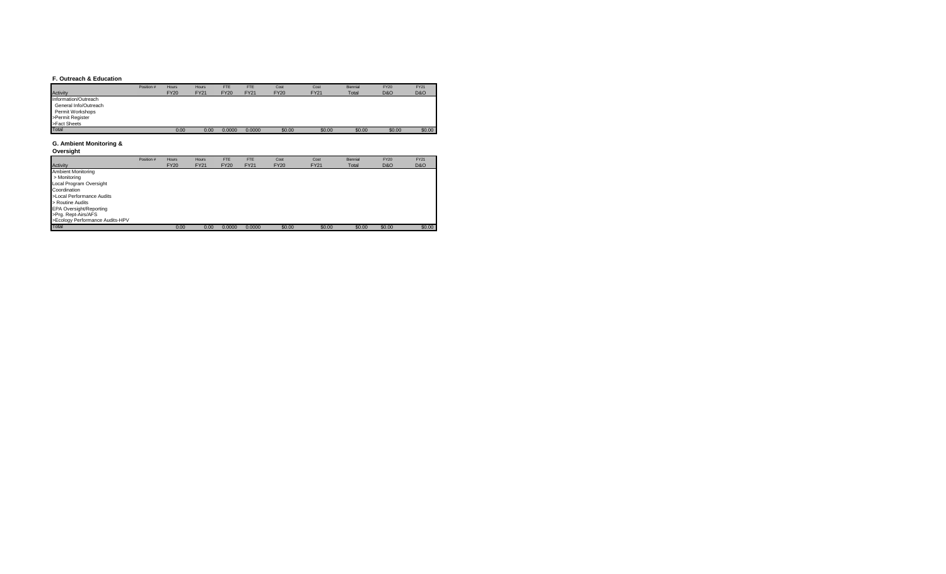#### **F. Outreach & Education**

|                       | Position # | <b>Hours</b> | Hours       | <b>FTE</b>  | <b>FTE</b>  | Cost        | Cost        | Biennial | <b>FY20</b>    | <b>FY21</b>    |
|-----------------------|------------|--------------|-------------|-------------|-------------|-------------|-------------|----------|----------------|----------------|
| Activity              |            | <b>FY20</b>  | <b>FY21</b> | <b>FY20</b> | <b>FY21</b> | <b>FY20</b> | <b>FY21</b> | Total    | <b>D&amp;O</b> | <b>D&amp;O</b> |
| Information/Outreach  |            |              |             |             |             |             |             |          |                |                |
| General Info/Outreach |            |              |             |             |             |             |             |          |                |                |
| Permit Workshops      |            |              |             |             |             |             |             |          |                |                |
| >Permit Register      |            |              |             |             |             |             |             |          |                |                |
| >Fact Sheets          |            |              |             |             |             |             |             |          |                |                |
| Total                 |            | 0.00         | 0.00        | 0.0000      | 0.0000      | \$0.00      | \$0.00      | \$0.00   | \$0.00         | \$0.00         |

#### **G. Ambient Monitoring &**

**Oversight**

|                                 | Position # | <b>Hours</b> | Hours       | FTE         | <b>FTE</b>  | Cost        | Cost        | Biennial | <b>FY20</b>    | <b>FY21</b>    |
|---------------------------------|------------|--------------|-------------|-------------|-------------|-------------|-------------|----------|----------------|----------------|
| Activity                        |            | <b>FY20</b>  | <b>FY21</b> | <b>FY20</b> | <b>FY21</b> | <b>FY20</b> | <b>FY21</b> | Total    | <b>D&amp;O</b> | <b>D&amp;O</b> |
| <b>Ambient Monitoring</b>       |            |              |             |             |             |             |             |          |                |                |
| > Monitoring                    |            |              |             |             |             |             |             |          |                |                |
| Local Program Oversight         |            |              |             |             |             |             |             |          |                |                |
| Coordination                    |            |              |             |             |             |             |             |          |                |                |
| >Local Performance Audits       |            |              |             |             |             |             |             |          |                |                |
| > Routine Audits                |            |              |             |             |             |             |             |          |                |                |
| <b>EPA Oversight/Reporting</b>  |            |              |             |             |             |             |             |          |                |                |
| >Prg. Rept-Airs/AFS             |            |              |             |             |             |             |             |          |                |                |
| >Ecology Performance Audits-HPV |            |              |             |             |             |             |             |          |                |                |
| Total                           |            | 0.00         | 0.00        | 0.0000      | 0.0000      | \$0.00      | \$0.00      | \$0.00   | \$0.00         | \$0.00         |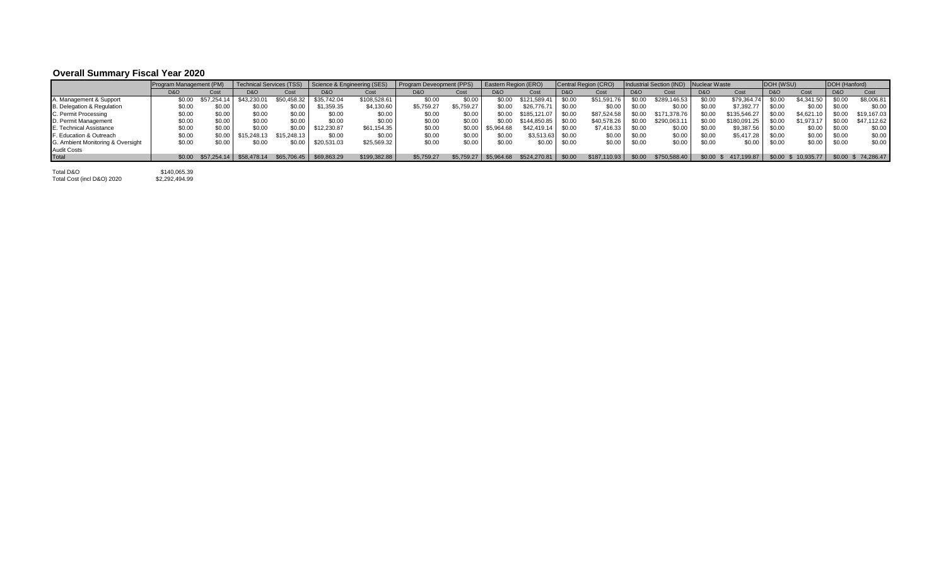## **Overall Summary Fiscal Year 2020**

|                                   | Program Management (PM) |             | <b>Technical Services (TSS)</b> |             | Science & Engineering (SES) |              | Program Deveopment (PPS) |            | <b>Eastern Region (ERO)</b> |                       |                | Central Region (CRO) |                | Industrial Section (IND) Nuclear Waste |                |              | DOH (WSU)      |             | DOH (Hanford)  |                    |
|-----------------------------------|-------------------------|-------------|---------------------------------|-------------|-----------------------------|--------------|--------------------------|------------|-----------------------------|-----------------------|----------------|----------------------|----------------|----------------------------------------|----------------|--------------|----------------|-------------|----------------|--------------------|
|                                   | <b>D&amp;O</b>          | Cost        | <b>D&amp;O</b>                  | Cost        | <b>D&amp;O</b>              | Cost         | <b>D&amp;O</b>           | Cost       | <b>D&amp;O</b>              | Cost                  | <b>D&amp;O</b> | Cost                 | <b>D&amp;O</b> | Cost                                   | <b>D&amp;O</b> | Cost         | <b>D&amp;O</b> | Cost        | <b>D&amp;O</b> | Cost               |
| A. Management & Support           | \$0.00                  | \$57.254    | \$43,230.0                      | \$50.458.32 | \$35.742.04                 | \$108.528.6  | \$0.00                   | \$0.00     | \$0.00                      | \$121,589.41          | \$0.00         | \$51,591.76          | \$0.00         | \$289.146.53                           | \$0.00         | \$79,364.74  | \$0.00         | \$4,341.50  | \$0.00         | \$8,006.81         |
| B. Delegation & Regulation        | \$0.00                  | \$0.00      | \$0.00                          | \$0.00      | \$1,359.35                  | \$4,130.60   | \$5.759.27               | \$5.759.27 | \$0.00                      | \$26,776.71           | \$0.00         | \$0.00               | \$0.00         | \$0.00                                 | \$0.00         | \$7.392.77   | \$0.00         | \$0.00      | \$0.00         | \$0.00             |
| C. Permit Processing              | \$0.00                  | \$0.00      | \$0.00                          | \$0.00      | \$0.00                      | \$0.00       | \$0.00                   | \$0.00     | \$0.00                      | \$185.121.07          | \$0.00         | \$87.524.58          | \$0.00         | \$171,378,76                           | \$0.00         | \$135,546.27 | \$0.00         | \$4,621.10  | \$0.00         | \$19,167.03        |
| D. Permit Management              | \$0.00                  | \$0.00      | \$0.00                          | \$0.00      | \$0.00                      | \$0.00       | \$0.00                   | \$0.00     | \$0.00                      | \$144.850.85          | \$0.00         | \$40,578.26          | \$0.00         | \$290,063.11                           | \$0.00         | \$180,091.25 | \$0.00         | \$1,973.17  | \$0.00         | \$47,112.62        |
| E. Technical Assistance           | \$0.00                  | \$0.00      | \$0.00                          | \$0.00      | \$12,230.87                 | \$61.154.35  | \$0.00                   | \$0.00     | \$5.964.68                  | \$42,419.14           | \$0.00         | \$7,416.33           | \$0.00         | \$0.00                                 | \$0.00         | \$9,387.56   | \$0.00         | \$0.00      | \$0.00         | \$0.00             |
| F. Education & Outreach           | \$0.00                  | \$0.00      | \$15.248.15                     | \$15,248,13 | \$0.00                      | \$0.00       | \$0.00                   | \$0.00     | \$0.00                      | \$3.513.63            | \$0.00         | \$0.00               | \$0.00         | \$0.00                                 | \$0.00         | \$5,417.28   | \$0.00         | \$0.00      | \$0.00         | \$0.00             |
| G. Ambient Monitoring & Oversight | \$0.00                  | \$0.00      | \$0.00                          | \$0.00      | \$20,531.03                 | \$25,569.32  | \$0.00                   | \$0.00     | \$0.00                      | \$0.00                | \$0.00         | \$0.00               | \$0.00         | \$0.00                                 | \$0.00         | \$0.00       | \$0.00         | \$0.00      | \$0.00         | \$0.00             |
| <b>Audit Costs</b>                |                         |             |                                 |             |                             |              |                          |            |                             |                       |                |                      |                |                                        |                |              |                |             |                |                    |
| Total                             | \$0.00                  | \$57,254.14 | \$58,478.14                     |             | \$65,706.45 \$69,863.29     | \$199,382.88 | \$5.759.27               | \$5.759.   | \$5,964.68                  | $$524.270.81$ $$0.00$ |                | \$187,110.93         | \$0.00         | \$750,588.40                           | \$0.00         | 417.199.87   | \$0.00         | \$10.935.77 |                | \$0.00 \$74.286.47 |

Total D&O \$140,065.39 Total Cost (incl D&O) 2020 \$2,292,494.99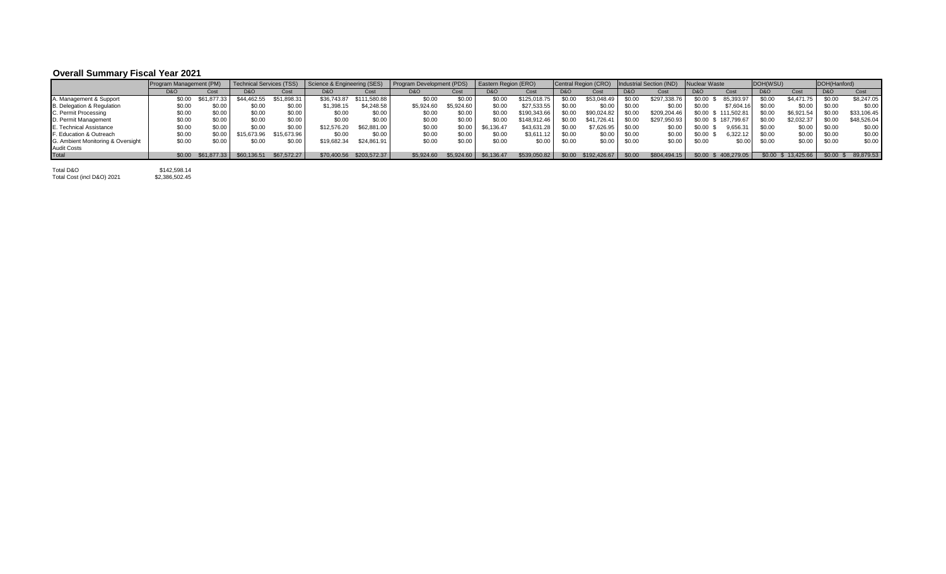# **Overall Summary Fiscal Year 2021**

|                                   | Program Management (PM) |             | <b>Technical Services (TSS)</b> |             | Science & Engineering (SES) |              | Program Development (PDS) |            | Eastern Region (ERO) |              |                | Central Region (CRO) |                | Industrial Section (IND) | <b>Nuclear Waste</b> |              | DOH(WSU)       |            | DOH(Hanford)   |             |
|-----------------------------------|-------------------------|-------------|---------------------------------|-------------|-----------------------------|--------------|---------------------------|------------|----------------------|--------------|----------------|----------------------|----------------|--------------------------|----------------------|--------------|----------------|------------|----------------|-------------|
|                                   | D&O                     | Cost        | D&O                             | Cost        | <b>D&amp;O</b>              | Cost         | <b>D&amp;O</b>            | Cost       | D&O                  | Cost         | <b>D&amp;O</b> | Cost                 | <b>D&amp;O</b> | Cost                     | <b>D&amp;O</b>       | Cost         | <b>D&amp;O</b> | Cost       | <b>D&amp;O</b> | Cost        |
| A. Management & Support           | \$0.00                  |             | \$44,462,55                     | \$51.898.31 | \$36,743.87                 | \$111.580.88 | \$0.00                    | \$0.00     | \$0.00               | \$125.018.75 | \$0.00         | \$53,048.49          | \$0.00         | \$297.338.76             | \$0.00               | 85.393.97    | \$0.00         | \$4.471.75 | \$0.00         | \$8,247.05  |
| B. Delegation & Regulation        | \$0.00                  | \$0.00      | \$0.00                          | \$0.00      | \$1,398.15                  | \$4.248.58   | \$5,924.60                | \$5,924.60 | \$0.00               | \$27.533.55  | \$0.00         | \$0.00               | \$0.00         | \$0.00                   | \$0.00               | \$7,604.16   | \$0.00         | \$0.00     | \$0.00         | \$0.00      |
| C. Permit Processing              | \$0.00                  | \$0.00      | \$0.00                          | \$0.00      | \$0.00                      | \$0.00       | \$0.00                    | \$0.00     | \$0.00               | \$190,343.66 | \$0.00         | \$90.024.82          | \$0.00         | \$209.204.46             | \$0.00               | \$111.502.81 | \$0.00         | \$6,921.54 | \$0.00         | \$33,106.45 |
| D. Permit Management              | \$0.00                  | \$0.00      | \$0.00                          | \$0.00      | \$0.00                      | \$0.00       | \$0.00                    | \$0.00     | \$0.00               | \$148.912.46 | \$0.00         | \$41,726.41          | \$0.00         | \$297,950.93             | \$0.00               | \$187,799.67 | \$0.00         | \$2,032.37 | \$0.00         | \$48,526.04 |
| E. Technical Assistance           | \$0.00                  | \$0.00      | \$0.00                          | \$0.00      | \$12,576.20                 | \$62,881,00  | \$0.00                    | \$0.00     | \$6,136.47           | \$43,631.28  | \$0.00         | \$7.626.95           | \$0.00         | \$0.00                   | \$0.00               | 9,656.31     | \$0.00         | \$0.00     | \$0.00         | \$0.00      |
| F. Education & Outreach           | \$0.00                  | \$0.00      | \$15,673.96                     | \$15,673.96 | \$0.00                      | \$0.00       | \$0.00                    | \$0.00     | \$0.00               | \$3,611.12   | \$0.00         | \$0.00               | \$0.00         | \$0.00                   | \$0.00               | 6.322.12     | \$0.00         | \$0.00     | \$0.00         | \$0.00      |
| G. Ambient Monitoring & Oversight | \$0.00                  | \$0.00      | \$0.00                          | \$0.00      | \$19,682.34                 | \$24,861.91  | \$0.00                    | \$0.00     | \$0.00               | \$0.00       | \$0.00         | \$0.00               | \$0.00         | \$0.00                   | \$0.00               | \$0.00       | \$0.00         | \$0.00     | \$0.00         | \$0.00      |
| <b>Audit Costs</b>                |                         |             |                                 |             |                             |              |                           |            |                      |              |                |                      |                |                          |                      |              |                |            |                |             |
| Total                             | \$0.00                  | \$61.877.33 | \$60,136.51                     | \$67,572,27 | \$70,400.56                 | \$203,572,37 | \$5.924.60                | \$5,924.60 | \$6,136,47           | \$539,050.82 | \$0.00         | \$192.426.67         | \$0.00         | \$804,494.15             | \$0.00               | 408.279.05   | \$0.00         | 13.425.66  | $$0.00$ \$     | 89,879.53   |

Total D&O \$142,598.14 Total Cost (incl D&O) 2021 \$2,386,502.45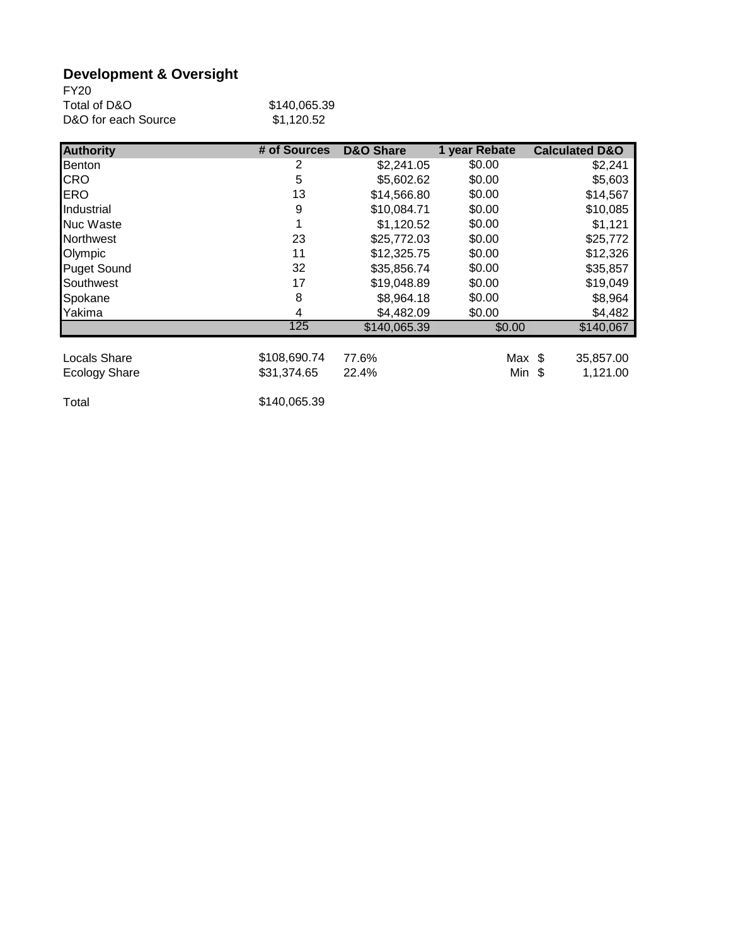# **Development & Oversight**

| <b>FY20</b>         |              |
|---------------------|--------------|
| Total of D&O        | \$140,065.39 |
| D&O for each Source | \$1.120.52   |

| <b>Authority</b>     | # of Sources | <b>D&amp;O Share</b> | 1 year Rebate | <b>Calculated D&amp;O</b> |
|----------------------|--------------|----------------------|---------------|---------------------------|
| Benton               | 2            | \$2,241.05           | \$0.00        | \$2,241                   |
| <b>CRO</b>           | 5            | \$5,602.62           | \$0.00        | \$5,603                   |
| <b>ERO</b>           | 13           | \$14,566.80          | \$0.00        | \$14,567                  |
| Industrial           | 9            | \$10,084.71          | \$0.00        | \$10,085                  |
| <b>Nuc Waste</b>     |              | \$1,120.52           | \$0.00        | \$1,121                   |
| Northwest            | 23           | \$25,772.03          | \$0.00        | \$25,772                  |
| Olympic              | 11           | \$12,325.75          | \$0.00        | \$12,326                  |
| <b>Puget Sound</b>   | 32           | \$35,856.74          | \$0.00        | \$35,857                  |
| Southwest            | 17           | \$19,048.89          | \$0.00        | \$19,049                  |
| Spokane              | 8            | \$8,964.18           | \$0.00        | \$8,964                   |
| Yakima               | 4            | \$4,482.09           | \$0.00        | \$4,482                   |
|                      | 125          | \$140,065.39         | \$0.00        | \$140,067                 |
|                      |              |                      |               |                           |
| Locals Share         | \$108,690.74 | 77.6%                | Max \$        | 35,857.00                 |
| <b>Ecology Share</b> | \$31,374.65  | 22.4%                | Min \$        | 1,121.00                  |

Total \$140,065.39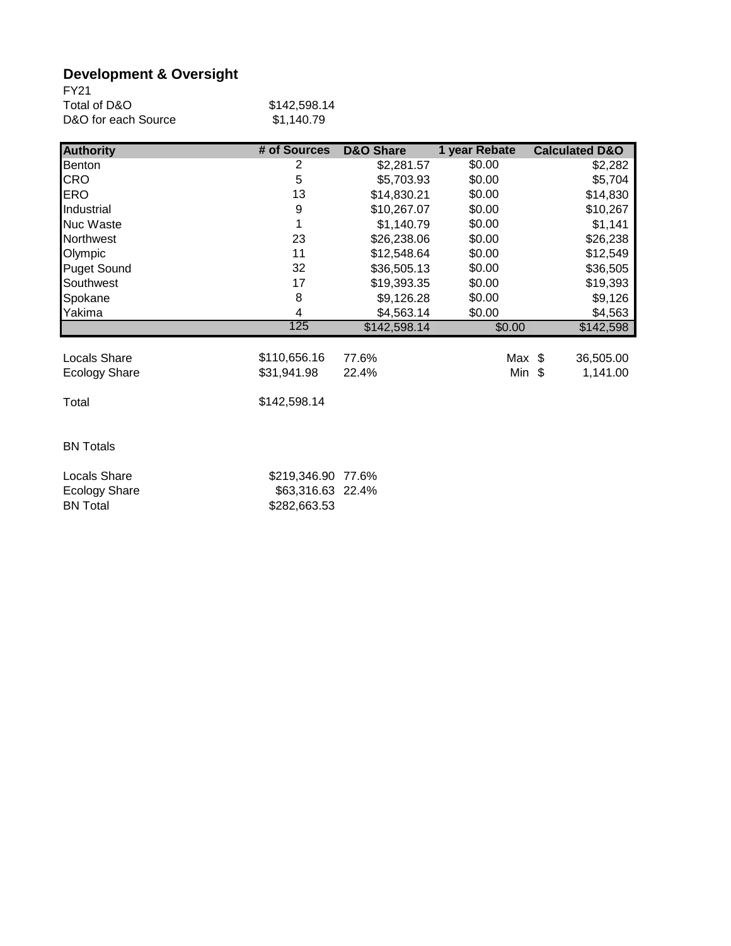# **Development & Oversight**

| FY21                |              |
|---------------------|--------------|
| Total of D&O        | \$142,598.14 |
| D&O for each Source | \$1.140.79   |

| <b>Authority</b>                        | # of Sources                      | <b>D&amp;O Share</b> | 1 year Rebate | <b>Calculated D&amp;O</b> |
|-----------------------------------------|-----------------------------------|----------------------|---------------|---------------------------|
| Benton                                  | 2                                 | \$2,281.57           | \$0.00        | \$2,282                   |
| <b>CRO</b>                              | 5                                 | \$5,703.93           | \$0.00        | \$5,704                   |
| <b>ERO</b>                              | 13                                | \$14,830.21          | \$0.00        | \$14,830                  |
| Industrial                              | 9                                 | \$10,267.07          | \$0.00        | \$10,267                  |
| <b>Nuc Waste</b>                        |                                   | \$1,140.79           | \$0.00        | \$1,141                   |
| <b>Northwest</b>                        | 23                                | \$26,238.06          | \$0.00        | \$26,238                  |
| Olympic                                 | 11                                | \$12,548.64          | \$0.00        | \$12,549                  |
| <b>Puget Sound</b>                      | 32                                | \$36,505.13          | \$0.00        | \$36,505                  |
| Southwest                               | 17                                | \$19,393.35          | \$0.00        | \$19,393                  |
| Spokane                                 | 8                                 | \$9,126.28           | \$0.00        | \$9,126                   |
| Yakima                                  | 4                                 | \$4,563.14           | \$0.00        | \$4,563                   |
|                                         | 125                               | \$142,598.14         | \$0.00        | \$142,598                 |
| <b>Locals Share</b>                     | \$110,656.16                      | 77.6%                | Max \$        | 36,505.00                 |
| <b>Ecology Share</b>                    | \$31,941.98                       | 22.4%                | Min $$$       | 1,141.00                  |
|                                         |                                   |                      |               |                           |
| Total                                   | \$142,598.14                      |                      |               |                           |
| <b>BN Totals</b>                        |                                   |                      |               |                           |
| <b>Locals Share</b>                     | \$219,346.90                      | 77.6%                |               |                           |
| <b>Ecology Share</b><br><b>BN Total</b> | \$63,316.63 22.4%<br>\$282,663.53 |                      |               |                           |